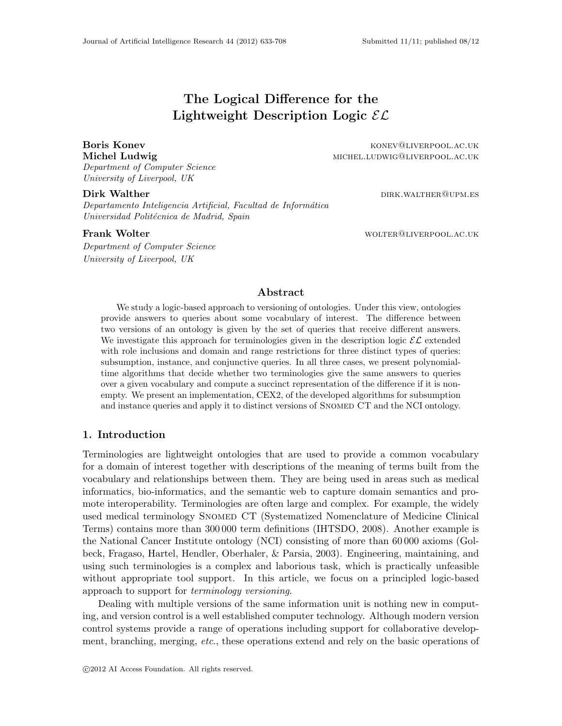# The Logical Difference for the Lightweight Description Logic  $\mathcal{EL}$

Department of Computer Science University of Liverpool, UK

Boris Konev **Konev Konev Konev Konev Coney Access** Konev Konev **Konev Coney Access** Konev Konev Access Konev Access Konev Access Konev Access Konev Access Konev Access Konev Access Konev Access Konev Access Konev Access Ko Michel Ludwig michel.ludwig@liverpool.ac.uk

Dirk Walther direction of the contract of the contract of the contract of the contract of the contract of the contract of the contract of the contract of the contract of the contract of the contract of the contract of the

Departamento Inteligencia Artificial, Facultad de Informática Universidad Politécnica de Madrid, Spain

Department of Computer Science University of Liverpool, UK

**Frank Wolter Wolfer Wolfer WOLFER CONSUMING WORK** WOLFER CONSUMING WORK AND MONEY WOLFER CONSUMING A LIMIT OF THE

#### Abstract

We study a logic-based approach to versioning of ontologies. Under this view, ontologies provide answers to queries about some vocabulary of interest. The difference between two versions of an ontology is given by the set of queries that receive different answers. We investigate this approach for terminologies given in the description logic  $\mathcal{EL}$  extended with role inclusions and domain and range restrictions for three distinct types of queries: subsumption, instance, and conjunctive queries. In all three cases, we present polynomialtime algorithms that decide whether two terminologies give the same answers to queries over a given vocabulary and compute a succinct representation of the difference if it is nonempty. We present an implementation, CEX2, of the developed algorithms for subsumption and instance queries and apply it to distinct versions of SNOMED CT and the NCI ontology.

### 1. Introduction

Terminologies are lightweight ontologies that are used to provide a common vocabulary for a domain of interest together with descriptions of the meaning of terms built from the vocabulary and relationships between them. They are being used in areas such as medical informatics, bio-informatics, and the semantic web to capture domain semantics and promote interoperability. Terminologies are often large and complex. For example, the widely used medical terminology Snomed CT (Systematized Nomenclature of Medicine Clinical Terms) contains more than 300 000 term definitions (IHTSDO, 2008). Another example is the National Cancer Institute ontology (NCI) consisting of more than 60 000 axioms (Golbeck, Fragaso, Hartel, Hendler, Oberhaler, & Parsia, 2003). Engineering, maintaining, and using such terminologies is a complex and laborious task, which is practically unfeasible without appropriate tool support. In this article, we focus on a principled logic-based approach to support for terminology versioning.

Dealing with multiple versions of the same information unit is nothing new in computing, and version control is a well established computer technology. Although modern version control systems provide a range of operations including support for collaborative development, branching, merging, etc., these operations extend and rely on the basic operations of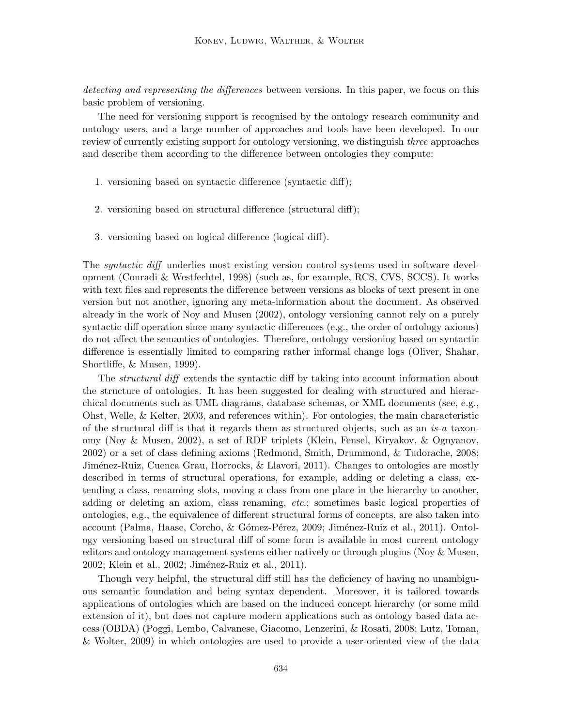detecting and representing the differences between versions. In this paper, we focus on this basic problem of versioning.

The need for versioning support is recognised by the ontology research community and ontology users, and a large number of approaches and tools have been developed. In our review of currently existing support for ontology versioning, we distinguish *three* approaches and describe them according to the difference between ontologies they compute:

- 1. versioning based on syntactic difference (syntactic diff);
- 2. versioning based on structural difference (structural diff);
- 3. versioning based on logical difference (logical diff).

The syntactic diff underlies most existing version control systems used in software development (Conradi & Westfechtel, 1998) (such as, for example, RCS, CVS, SCCS). It works with text files and represents the difference between versions as blocks of text present in one version but not another, ignoring any meta-information about the document. As observed already in the work of Noy and Musen (2002), ontology versioning cannot rely on a purely syntactic diff operation since many syntactic differences (e.g., the order of ontology axioms) do not affect the semantics of ontologies. Therefore, ontology versioning based on syntactic difference is essentially limited to comparing rather informal change logs (Oliver, Shahar, Shortliffe, & Musen, 1999).

The structural diff extends the syntactic diff by taking into account information about the structure of ontologies. It has been suggested for dealing with structured and hierarchical documents such as UML diagrams, database schemas, or XML documents (see, e.g., Ohst, Welle, & Kelter, 2003, and references within). For ontologies, the main characteristic of the structural diff is that it regards them as structured objects, such as an is-a taxonomy (Noy & Musen, 2002), a set of RDF triplets (Klein, Fensel, Kiryakov, & Ognyanov, 2002) or a set of class defining axioms (Redmond, Smith, Drummond, & Tudorache, 2008; Jiménez-Ruiz, Cuenca Grau, Horrocks, & Llavori, 2011). Changes to ontologies are mostly described in terms of structural operations, for example, adding or deleting a class, extending a class, renaming slots, moving a class from one place in the hierarchy to another, adding or deleting an axiom, class renaming, etc.; sometimes basic logical properties of ontologies, e.g., the equivalence of different structural forms of concepts, are also taken into account (Palma, Haase, Corcho, & Gómez-Pérez, 2009; Jiménez-Ruiz et al., 2011). Ontology versioning based on structural diff of some form is available in most current ontology editors and ontology management systems either natively or through plugins (Noy & Musen, 2002; Klein et al., 2002; Jiménez-Ruiz et al., 2011).

Though very helpful, the structural diff still has the deficiency of having no unambiguous semantic foundation and being syntax dependent. Moreover, it is tailored towards applications of ontologies which are based on the induced concept hierarchy (or some mild extension of it), but does not capture modern applications such as ontology based data access (OBDA) (Poggi, Lembo, Calvanese, Giacomo, Lenzerini, & Rosati, 2008; Lutz, Toman, & Wolter, 2009) in which ontologies are used to provide a user-oriented view of the data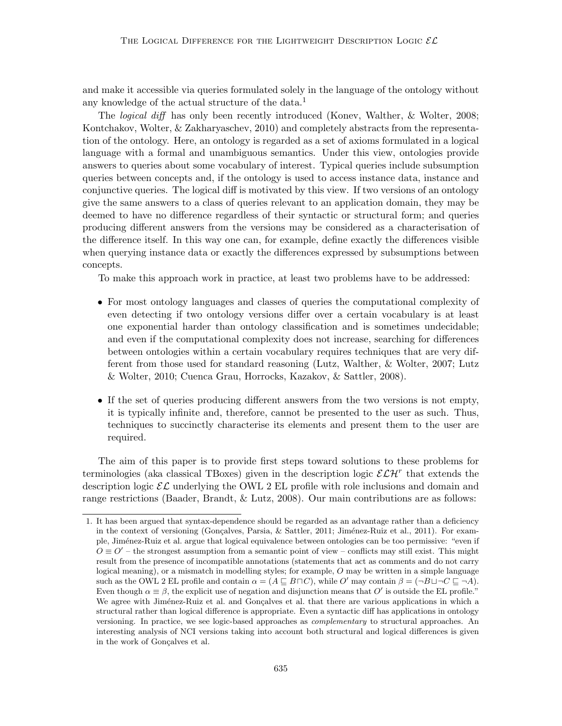and make it accessible via queries formulated solely in the language of the ontology without any knowledge of the actual structure of the data.<sup>1</sup>

The logical diff has only been recently introduced (Konev, Walther, & Wolter, 2008; Kontchakov, Wolter, & Zakharyaschev, 2010) and completely abstracts from the representation of the ontology. Here, an ontology is regarded as a set of axioms formulated in a logical language with a formal and unambiguous semantics. Under this view, ontologies provide answers to queries about some vocabulary of interest. Typical queries include subsumption queries between concepts and, if the ontology is used to access instance data, instance and conjunctive queries. The logical diff is motivated by this view. If two versions of an ontology give the same answers to a class of queries relevant to an application domain, they may be deemed to have no difference regardless of their syntactic or structural form; and queries producing different answers from the versions may be considered as a characterisation of the difference itself. In this way one can, for example, define exactly the differences visible when querying instance data or exactly the differences expressed by subsumptions between concepts.

To make this approach work in practice, at least two problems have to be addressed:

- For most ontology languages and classes of queries the computational complexity of even detecting if two ontology versions differ over a certain vocabulary is at least one exponential harder than ontology classification and is sometimes undecidable; and even if the computational complexity does not increase, searching for differences between ontologies within a certain vocabulary requires techniques that are very different from those used for standard reasoning (Lutz, Walther, & Wolter, 2007; Lutz & Wolter, 2010; Cuenca Grau, Horrocks, Kazakov, & Sattler, 2008).
- If the set of queries producing different answers from the two versions is not empty, it is typically infinite and, therefore, cannot be presented to the user as such. Thus, techniques to succinctly characterise its elements and present them to the user are required.

The aim of this paper is to provide first steps toward solutions to these problems for terminologies (aka classical TBoxes) given in the description logic  $\mathcal{ELH}^r$  that extends the description logic  $\mathcal{EL}$  underlying the OWL 2 EL profile with role inclusions and domain and range restrictions (Baader, Brandt, & Lutz, 2008). Our main contributions are as follows:

<sup>1.</sup> It has been argued that syntax-dependence should be regarded as an advantage rather than a deficiency in the context of versioning (Gonçalves, Parsia, & Sattler, 2011; Jiménez-Ruiz et al., 2011). For example, Jim´enez-Ruiz et al. argue that logical equivalence between ontologies can be too permissive: "even if  $O \equiv O'$  – the strongest assumption from a semantic point of view – conflicts may still exist. This might result from the presence of incompatible annotations (statements that act as comments and do not carry logical meaning), or a mismatch in modelling styles; for example, O may be written in a simple language such as the OWL 2 EL profile and contain  $\alpha = (A \sqsubseteq B \sqcap C)$ , while O' may contain  $\beta = (\neg B \sqcup \neg C \sqsubseteq \neg A)$ . Even though  $\alpha \equiv \beta$ , the explicit use of negation and disjunction means that O' is outside the EL profile." We agree with Jiménez-Ruiz et al. and Gonçalves et al. that there are various applications in which a structural rather than logical difference is appropriate. Even a syntactic diff has applications in ontology versioning. In practice, we see logic-based approaches as complementary to structural approaches. An interesting analysis of NCI versions taking into account both structural and logical differences is given in the work of Gonçalves et al.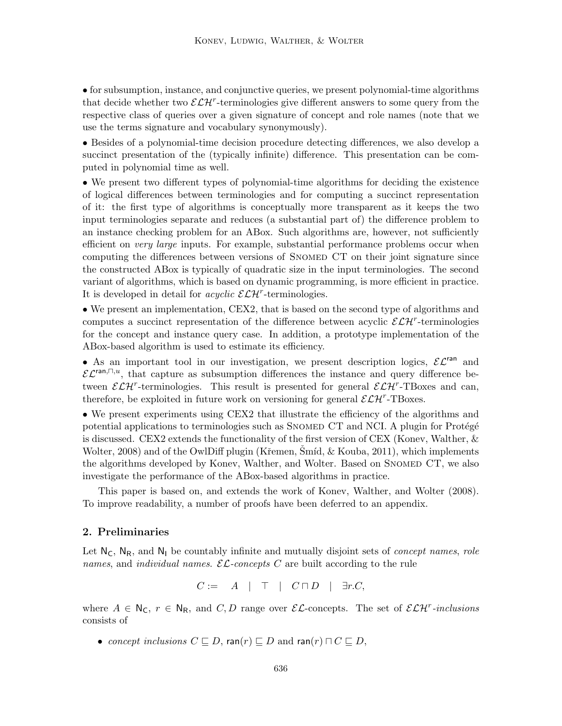• for subsumption, instance, and conjunctive queries, we present polynomial-time algorithms that decide whether two  $\mathcal{ELH}^r$ -terminologies give different answers to some query from the respective class of queries over a given signature of concept and role names (note that we use the terms signature and vocabulary synonymously).

• Besides of a polynomial-time decision procedure detecting differences, we also develop a succinct presentation of the (typically infinite) difference. This presentation can be computed in polynomial time as well.

• We present two different types of polynomial-time algorithms for deciding the existence of logical differences between terminologies and for computing a succinct representation of it: the first type of algorithms is conceptually more transparent as it keeps the two input terminologies separate and reduces (a substantial part of) the difference problem to an instance checking problem for an ABox. Such algorithms are, however, not sufficiently efficient on *very large* inputs. For example, substantial performance problems occur when computing the differences between versions of Snomed CT on their joint signature since the constructed ABox is typically of quadratic size in the input terminologies. The second variant of algorithms, which is based on dynamic programming, is more efficient in practice. It is developed in detail for  $acyclic$   $\mathcal{ELH}^r$ -terminologies.

• We present an implementation, CEX2, that is based on the second type of algorithms and computes a succinct representation of the difference between acyclic  $\mathcal{ELH}^r$ -terminologies for the concept and instance query case. In addition, a prototype implementation of the ABox-based algorithm is used to estimate its efficiency.

• As an important tool in our investigation, we present description logics,  $\mathcal{EL}^{\text{ran}}$  and  $\mathcal{EL}^{\text{ran},\Box,u}$ , that capture as subsumption differences the instance and query difference between  $\mathcal{ELH}^r$ -terminologies. This result is presented for general  $\mathcal{ELH}^r$ -TBoxes and can, therefore, be exploited in future work on versioning for general  $\mathcal{ELH}^r$ -TBoxes.

• We present experiments using CEX2 that illustrate the efficiency of the algorithms and potential applications to terminologies such as SNOMED CT and NCI. A plugin for Protégé is discussed. CEX2 extends the functionality of the first version of CEX (Konev, Walther, & Wolter, 2008) and of the OwlDiff plugin (Křemen, Smíd,  $&$  Kouba, 2011), which implements the algorithms developed by Konev, Walther, and Wolter. Based on SNOMED CT, we also investigate the performance of the ABox-based algorithms in practice.

This paper is based on, and extends the work of Konev, Walther, and Wolter (2008). To improve readability, a number of proofs have been deferred to an appendix.

#### 2. Preliminaries

Let  $N_c$ ,  $N_R$ , and  $N_l$  be countably infinite and mutually disjoint sets of *concept names*, *role* names, and *individual names.*  $\mathcal{EL}\text{-concepts } C$  are built according to the rule

$$
C := A \mid \top \mid C \sqcap D \mid \exists r.C,
$$

where  $A \in N_C$ ,  $r \in N_R$ , and  $C, D$  range over  $\mathcal{EL}$ -concepts. The set of  $\mathcal{ELH}^r$ -inclusions consists of

• concept inclusions  $C \sqsubseteq D$ , ran(r)  $\sqsubseteq D$  and ran(r)  $\sqcap C \sqsubseteq D$ ,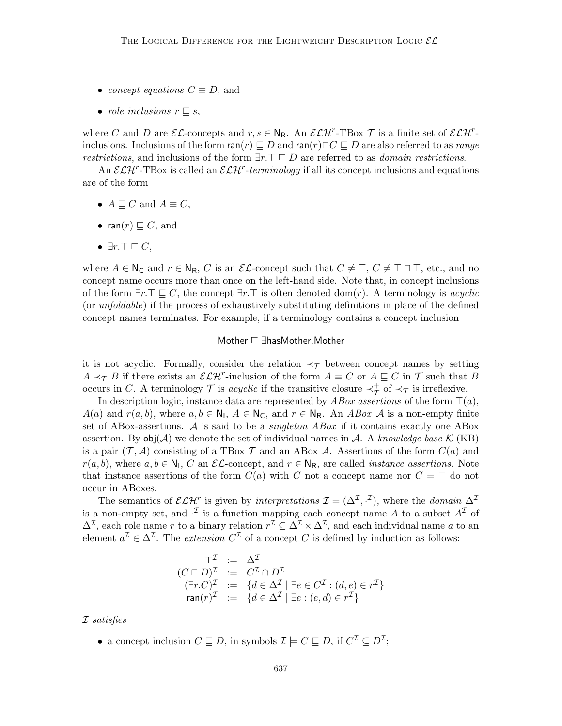- concept equations  $C \equiv D$ , and
- role inclusions  $r \sqsubseteq s$ ,

where C and D are  $\mathcal{EL}$ -concepts and  $r, s \in \mathbb{N}_{\mathsf{R}}$ . An  $\mathcal{ELH}^r$ -TBox T is a finite set of  $\mathcal{ELH}^r$ inclusions. Inclusions of the form  $\mathsf{ran}(r) \sqsubseteq D$  and  $\mathsf{ran}(r) \sqcap C \sqsubseteq D$  are also referred to as range restrictions, and inclusions of the form  $\exists r.\top \sqsubseteq D$  are referred to as *domain restrictions*.

An  $\mathcal{ELH}^r$ -TBox is called an  $\mathcal{ELH}^r$ -terminology if all its concept inclusions and equations are of the form

- $A \sqsubseteq C$  and  $A \equiv C$ ,
- ran $(r) \sqsubseteq C$ , and
- $\exists r.\top \sqsubseteq C,$

where  $A \in N_C$  and  $r \in N_R$ , C is an  $\mathcal{EL}$ -concept such that  $C \neq \top$ ,  $C \neq \top \sqcap \top$ , etc., and no concept name occurs more than once on the left-hand side. Note that, in concept inclusions of the form  $\exists r.\top \sqsubseteq C$ , the concept  $\exists r.\top$  is often denoted dom(r). A terminology is *acyclic* (or unfoldable) if the process of exhaustively substituting definitions in place of the defined concept names terminates. For example, if a terminology contains a concept inclusion

#### Mother  $\sqsubseteq \exists$ hasMother.Mother

it is not acyclic. Formally, consider the relation  $\prec_{\mathcal{T}}$  between concept names by setting  $A \prec_{\mathcal{T}} B$  if there exists an  $\mathcal{ELH}^r$ -inclusion of the form  $A \equiv C$  or  $A \sqsubseteq C$  in  $\mathcal{T}$  such that B occurs in C. A terminology  $\mathcal T$  is acyclic if the transitive closure  $\prec_{\mathcal T}^+$  of  $\prec_{\mathcal T}$  is irreflexive.

In description logic, instance data are represented by  $ABox$  assertions of the form  $\top(a)$ ,  $A(a)$  and  $r(a, b)$ , where  $a, b \in \mathbb{N}_1$ ,  $A \in \mathbb{N}_C$ , and  $r \in \mathbb{N}_R$ . An ABox A is a non-empty finite set of ABox-assertions. A is said to be a *singleton ABox* if it contains exactly one ABox assertion. By  $obj(\mathcal{A})$  we denote the set of individual names in  $\mathcal{A}$ . A knowledge base K (KB) is a pair  $(\mathcal{T}, \mathcal{A})$  consisting of a TBox  $\mathcal{T}$  and an ABox  $\mathcal{A}$ . Assertions of the form  $C(a)$  and  $r(a, b)$ , where  $a, b \in \mathbb{N}_1$ , C an  $\mathcal{EL}\text{-concept}$ , and  $r \in \mathbb{N}_R$ , are called *instance assertions*. Note that instance assertions of the form  $C(a)$  with C not a concept name nor  $C = \top$  do not occur in ABoxes.

The semantics of  $\mathcal{ELH}^r$  is given by interpretations  $\mathcal{I} = (\Delta^{\mathcal{I}}, \cdot^{\mathcal{I}})$ , where the domain  $\Delta^{\mathcal{I}}$ is a non-empty set, and  $\cdot^{\mathcal{I}}$  is a function mapping each concept name A to a subset  $A^{\mathcal{I}}$  of  $\Delta^{\mathcal{I}}$ , each role name r to a binary relation  $r^{\mathcal{I}} \subseteq \Delta^{\mathcal{I}} \times \Delta^{\mathcal{I}}$ , and each individual name a to an element  $a^{\mathcal{I}} \in \Delta^{\mathcal{I}}$ . The *extension*  $C^{\mathcal{I}}$  of a concept C is defined by induction as follows:

$$
\begin{array}{rcl}\n\top^{\mathcal{I}} & := & \Delta^{\mathcal{I}} \\
(C \sqcap D)^{\mathcal{I}} & := & C^{\mathcal{I}} \cap D^{\mathcal{I}} \\
(\exists r.C)^{\mathcal{I}} & := & \{d \in \Delta^{\mathcal{I}} \mid \exists e \in C^{\mathcal{I}} : (d, e) \in r^{\mathcal{I}}\} \\
\operatorname{ran}(r)^{\mathcal{I}} & := & \{d \in \Delta^{\mathcal{I}} \mid \exists e : (e, d) \in r^{\mathcal{I}}\}\n\end{array}
$$

I satisfies

• a concept inclusion  $C \sqsubseteq D$ , in symbols  $\mathcal{I} \models C \sqsubseteq D$ , if  $C^{\mathcal{I}} \subseteq D^{\mathcal{I}}$ ;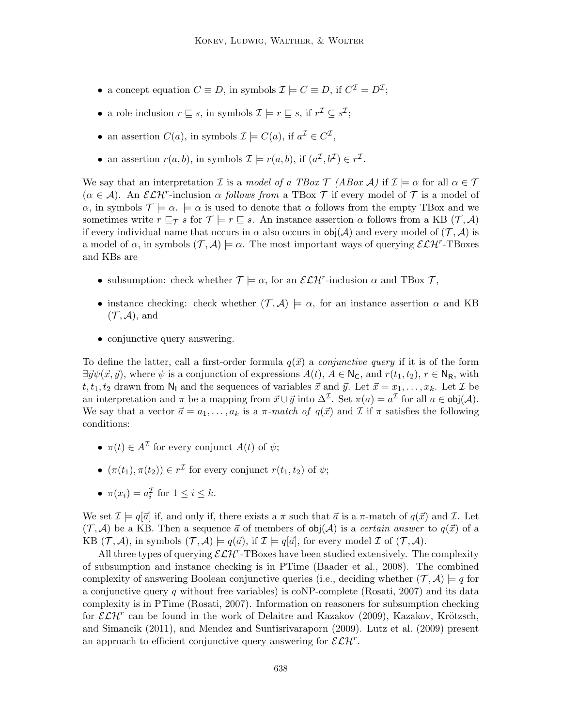- a concept equation  $C \equiv D$ , in symbols  $\mathcal{I} \models C \equiv D$ , if  $C^{\mathcal{I}} = D^{\mathcal{I}}$ ;
- a role inclusion  $r \sqsubseteq s$ , in symbols  $\mathcal{I} \models r \sqsubseteq s$ , if  $r^{\mathcal{I}} \subseteq s^{\mathcal{I}}$ ;
- an assertion  $C(a)$ , in symbols  $\mathcal{I} \models C(a)$ , if  $a^{\mathcal{I}} \in C^{\mathcal{I}}$ ,
- an assertion  $r(a, b)$ , in symbols  $\mathcal{I} \models r(a, b)$ , if  $(a^{\mathcal{I}}, b^{\mathcal{I}}) \in r^{\mathcal{I}}$ .

We say that an interpretation I is a model of a TBox  $\mathcal{T}$  (ABox  $\mathcal{A}$ ) if  $\mathcal{I} \models \alpha$  for all  $\alpha \in \mathcal{T}$  $(\alpha \in \mathcal{A})$ . An  $\mathcal{ELH}^r$ -inclusion  $\alpha$  follows from a TBox  $\mathcal{T}$  if every model of  $\mathcal{T}$  is a model of  $\alpha$ , in symbols  $\mathcal{T} \models \alpha \models \alpha$  is used to denote that  $\alpha$  follows from the empty TBox and we sometimes write  $r \sqsubseteq_\mathcal{T} s$  for  $\mathcal{T} \models r \sqsubseteq s$ . An instance assertion  $\alpha$  follows from a KB  $(\mathcal{T}, \mathcal{A})$ if every individual name that occurs in  $\alpha$  also occurs in  $\text{obj}(\mathcal{A})$  and every model of  $(\mathcal{T}, \mathcal{A})$  is a model of  $\alpha$ , in symbols  $(\mathcal{T}, \mathcal{A}) \models \alpha$ . The most important ways of querying  $\mathcal{ELH}^r$ -TBoxes and KBs are

- subsumption: check whether  $\mathcal{T} \models \alpha$ , for an  $\mathcal{ELH}^r$ -inclusion  $\alpha$  and TBox  $\mathcal{T}$ ,
- instance checking: check whether  $(\mathcal{T}, \mathcal{A}) \models \alpha$ , for an instance assertion  $\alpha$  and KB  $(\mathcal{T}, \mathcal{A})$ , and
- conjunctive query answering.

To define the latter, call a first-order formula  $q(\vec{x})$  a *conjunctive query* if it is of the form  $\exists \vec{y}\psi(\vec{x}, \vec{y})$ , where  $\psi$  is a conjunction of expressions  $A(t), A \in N_c$ , and  $r(t_1, t_2), r \in N_R$ , with  $t, t_1, t_2$  drawn from  $\mathsf{N}_1$  and the sequences of variables  $\vec{x}$  and  $\vec{y}$ . Let  $\vec{x} = x_1, \ldots, x_k$ . Let  $\mathcal{I}$  be an interpretation and  $\pi$  be a mapping from  $\vec{x} \cup \vec{y}$  into  $\Delta^{\mathcal{I}}$ . Set  $\pi(a) = a^{\mathcal{I}}$  for all  $a \in \text{obj}(\mathcal{A})$ . We say that a vector  $\vec{a} = a_1, \ldots, a_k$  is a  $\pi$ -match of  $q(\vec{x})$  and  $\vec{\mu}$  if  $\pi$  satisfies the following conditions:

- $\pi(t) \in A^{\mathcal{I}}$  for every conjunct  $A(t)$  of  $\psi$ ;
- $(\pi(t_1), \pi(t_2)) \in r^{\mathcal{I}}$  for every conjunct  $r(t_1, t_2)$  of  $\psi$ ;
- $\pi(x_i) = a_i^{\mathcal{I}}$  for  $1 \leq i \leq k$ .

We set  $\mathcal{I} \models q[\vec{a}]$  if, and only if, there exists a  $\pi$  such that  $\vec{a}$  is a  $\pi$ -match of  $q(\vec{x})$  and  $\mathcal{I}$ . Let  $(\mathcal{T}, \mathcal{A})$  be a KB. Then a sequence  $\vec{a}$  of members of obj( $\mathcal{A}$ ) is a *certain answer* to  $q(\vec{x})$  of a KB  $(\mathcal{T}, \mathcal{A})$ , in symbols  $(\mathcal{T}, \mathcal{A}) \models q(\vec{a})$ , if  $\mathcal{I} \models q[\vec{a}]$ , for every model  $\mathcal{I}$  of  $(\mathcal{T}, \mathcal{A})$ .

All three types of querying  $\mathcal{ELH}^r$ -TBoxes have been studied extensively. The complexity of subsumption and instance checking is in PTime (Baader et al., 2008). The combined complexity of answering Boolean conjunctive queries (i.e., deciding whether  $(\mathcal{T}, \mathcal{A}) \models q$  for a conjunctive query q without free variables) is coNP-complete (Rosati, 2007) and its data complexity is in PTime (Rosati, 2007). Information on reasoners for subsumption checking for  $\mathcal{ELH}^r$  can be found in the work of Delaitre and Kazakov (2009), Kazakov, Krötzsch, and Simancik (2011), and Mendez and Suntisrivaraporn (2009). Lutz et al. (2009) present an approach to efficient conjunctive query answering for  $\mathcal{ELH}^r$ .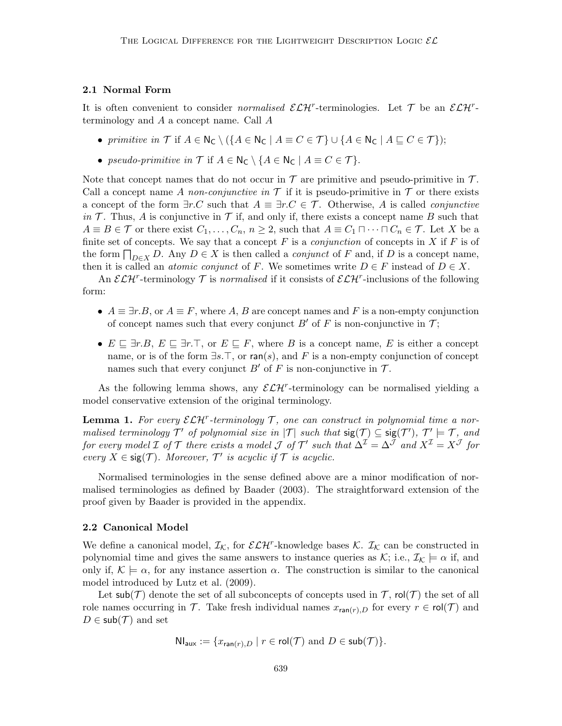#### 2.1 Normal Form

It is often convenient to consider *normalised*  $\mathcal{ELH}^r$ -terminologies. Let  $\mathcal T$  be an  $\mathcal{ELH}^r$ terminology and A a concept name. Call A

- primitive in  $\mathcal T$  if  $A \in N_{\mathsf{C}} \setminus (\{A \in N_{\mathsf{C}} \mid A \equiv C \in \mathcal T\} \cup \{A \in N_{\mathsf{C}} \mid A \sqsubseteq C \in \mathcal T\})$ ;
- pseudo-primitive in  $\mathcal T$  if  $A \in N_{\mathsf{C}} \setminus \{A \in N_{\mathsf{C}} \mid A \equiv C \in \mathcal T\}.$

Note that concept names that do not occur in  $\mathcal T$  are primitive and pseudo-primitive in  $\mathcal T$ . Call a concept name A non-conjunctive in  $\mathcal T$  if it is pseudo-primitive in  $\mathcal T$  or there exists a concept of the form  $\exists r.C$  such that  $A \equiv \exists r.C \in \mathcal{T}$ . Otherwise, A is called *conjunctive* in  $\mathcal T$ . Thus, A is conjunctive in  $\mathcal T$  if, and only if, there exists a concept name B such that  $A \equiv B \in \mathcal{T}$  or there exist  $C_1, \ldots, C_n, n \geq 2$ , such that  $A \equiv C_1 \sqcap \cdots \sqcap C_n \in \mathcal{T}$ . Let X be a finite set of concepts. We say that a concept  $F$  is a *conjunction* of concepts in  $X$  if  $F$  is of the form  $\prod_{D\in X} D$ . Any  $D \in X$  is then called a *conjunct* of F and, if D is a concept name, then it is called an *atomic conjunct* of F. We sometimes write  $D \in F$  instead of  $D \in X$ .

An  $\mathcal{ELH}^r$ -terminology  $\mathcal T$  is normalised if it consists of  $\mathcal{ELH}^r$ -inclusions of the following form:

- $A \equiv \exists r.B$ , or  $A \equiv F$ , where A, B are concept names and F is a non-empty conjunction of concept names such that every conjunct  $B'$  of F is non-conjunctive in T;
- $E \subseteq \exists r.B, E \subseteq \exists r.\top$ , or  $E \subseteq F$ , where B is a concept name, E is either a concept name, or is of the form  $\exists s.\top$ , or ran(s), and F is a non-empty conjunction of concept names such that every conjunct  $B'$  of F is non-conjunctive in  $\mathcal T$ .

As the following lemma shows, any  $\mathcal{ELH}^r$ -terminology can be normalised yielding a model conservative extension of the original terminology.

**Lemma 1.** For every  $\mathcal{ELH}^r$ -terminology  $\mathcal{T}$ , one can construct in polynomial time a normalised terminology  $\mathcal{T}'$  of polynomial size in  $|\mathcal{T}|$  such that  $\mathsf{sig}(\mathcal{T}) \subseteq \mathsf{sig}(\mathcal{T}')$ ,  $\mathcal{T}' \models \mathcal{T}$ , and for every model  $\cal I$  of  $\cal T$  there exists a model  $\cal J$  of  $\cal T'$  such that  $\Delta^{\cal I}=\Delta^{\cal J}$  and  $X^{\cal I}=X^{\cal J}$  for every  $X \in \text{sig}(\mathcal{T})$ . Moreover,  $\mathcal{T}'$  is acyclic if  $\mathcal{T}$  is acyclic.

Normalised terminologies in the sense defined above are a minor modification of normalised terminologies as defined by Baader (2003). The straightforward extension of the proof given by Baader is provided in the appendix.

#### 2.2 Canonical Model

We define a canonical model,  $\mathcal{I}_{K}$ , for  $\mathcal{ELH}^r$ -knowledge bases  $\mathcal{K}$ .  $\mathcal{I}_{\mathcal{K}}$  can be constructed in polynomial time and gives the same answers to instance queries as K; i.e.,  $\mathcal{I}_{K} \models \alpha$  if, and only if,  $\mathcal{K} \models \alpha$ , for any instance assertion  $\alpha$ . The construction is similar to the canonical model introduced by Lutz et al. (2009).

Let  $\mathsf{sub}(\mathcal{T})$  denote the set of all subconcepts of concepts used in  $\mathcal{T}$ ,  $\mathsf{rol}(\mathcal{T})$  the set of all role names occurring in T. Take fresh individual names  $x_{\text{ran}(r),D}$  for every  $r \in \text{rol}(\mathcal{T})$  and  $D \in \mathsf{sub}(\mathcal{T})$  and set

$$
\mathsf{NI}_{\mathsf{aux}} := \{ x_{\mathsf{ran}(r),D} \mid r \in \mathsf{rol}(\mathcal{T}) \text{ and } D \in \mathsf{sub}(\mathcal{T}) \}.
$$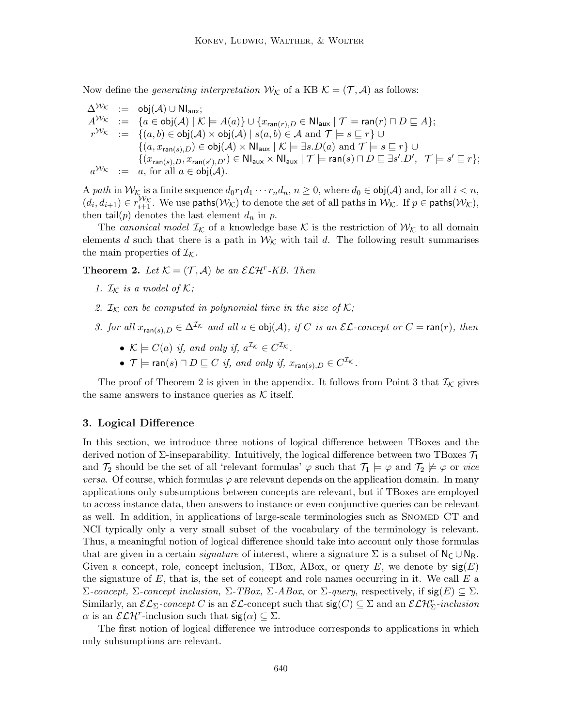Now define the *generating interpretation*  $W_K$  of a KB  $K = (\mathcal{T}, \mathcal{A})$  as follows:

$$
\begin{array}{rcl}\n\Delta^{\mathcal{W}_{\mathcal{K}}} & := & \mathsf{obj}(\mathcal{A}) \cup \mathsf{NI}_{\mathsf{aux}}; \\
A^{\mathcal{W}_{\mathcal{K}}} & := & \{a \in \mathsf{obj}(\mathcal{A}) \mid \mathcal{K} \models A(a)\} \cup \{x_{\mathsf{ran}(r),D} \in \mathsf{NI}_{\mathsf{aux}} \mid \mathcal{T} \models \mathsf{ran}(r) \sqcap D \sqsubseteq A\}; \\
r^{\mathcal{W}_{\mathcal{K}}} & := & \{(a,b) \in \mathsf{obj}(\mathcal{A}) \times \mathsf{obj}(\mathcal{A}) \mid s(a,b) \in \mathcal{A} \text{ and } \mathcal{T} \models s \sqsubseteq r\} \cup \\
&\quad \{(a,x_{\mathsf{ran}(s),D}) \in \mathsf{obj}(\mathcal{A}) \times \mathsf{NI}_{\mathsf{aux}} \mid \mathcal{K} \models \exists s.D(a) \text{ and } \mathcal{T} \models s \sqsubseteq r\} \cup \\
&\quad \{(x_{\mathsf{ran}(s),D}, x_{\mathsf{ran}(s'),D'}) \in \mathsf{NI}_{\mathsf{aux}} \times \mathsf{NI}_{\mathsf{aux}} \mid \mathcal{T} \models \mathsf{ran}(s) \sqcap D \sqsubseteq \exists s'.D', \mathcal{T} \models s' \sqsubseteq r\}; \\
a^{\mathcal{W}_{\mathcal{K}}} & := & a, \text{ for all } a \in \mathsf{obj}(\mathcal{A}).\n\end{array}
$$

A path in  $W_K$  is a finite sequence  $d_0r_1d_1\cdots r_nd_n$ ,  $n\geq 0$ , where  $d_0\in\text{obj}(\mathcal{A})$  and, for all  $i < n$ ,  $(d_i, d_{i+1}) \in r_{i+1}^{\mathcal{W}_{\mathcal{K}}}$ . We use paths $(\mathcal{W}_{\mathcal{K}})$  to denote the set of all paths in  $\mathcal{W}_{\mathcal{K}}$ . If  $p \in \mathsf{paths}(\mathcal{W}_{\mathcal{K}})$ , then  $\text{tail}(p)$  denotes the last element  $d_n$  in p.

The canonical model  $\mathcal{I}_{\mathcal{K}}$  of a knowledge base K is the restriction of  $\mathcal{W}_{\mathcal{K}}$  to all domain elements d such that there is a path in  $W_K$  with tail d. The following result summarises the main properties of  $\mathcal{I}_{\mathcal{K}}$ .

**Theorem 2.** Let  $K = (\mathcal{T}, \mathcal{A})$  be an  $\mathcal{ELH}^r$ -KB. Then

- 1.  $\mathcal{I}_{\mathcal{K}}$  is a model of  $\mathcal{K};$
- 2.  $\mathcal{I}_{\mathcal{K}}$  can be computed in polynomial time in the size of  $\mathcal{K};$
- 3. for all  $x_{\text{ran}(s),D} \in \Delta^{\mathcal{I}_{\mathcal{K}}}$  and all  $a \in \text{obj}(\mathcal{A})$ , if C is an  $\mathcal{EL}\text{-concept}$  or  $C = \text{ran}(r)$ , then
	- $\mathcal{K} \models C(a)$  if, and only if,  $a^{\mathcal{I}_{\mathcal{K}}} \in C^{\mathcal{I}_{\mathcal{K}}}$ .
	- $\mathcal{T} \models \textsf{ran}(s) \sqcap D \sqsubseteq C$  if, and only if,  $x_{\textsf{ran}(s),D} \in C^{\mathcal{I}_{\mathcal{K}}}$ .

The proof of Theorem 2 is given in the appendix. It follows from Point 3 that  $\mathcal{I}_{\mathcal{K}}$  gives the same answers to instance queries as  $K$  itself.

#### 3. Logical Difference

In this section, we introduce three notions of logical difference between TBoxes and the derived notion of  $\Sigma$ -inseparability. Intuitively, the logical difference between two TBoxes  $\mathcal{T}_1$ and  $\mathcal{T}_2$  should be the set of all 'relevant formulas'  $\varphi$  such that  $\mathcal{T}_1 \models \varphi$  and  $\mathcal{T}_2 \not\models \varphi$  or vice *versa.* Of course, which formulas  $\varphi$  are relevant depends on the application domain. In many applications only subsumptions between concepts are relevant, but if TBoxes are employed to access instance data, then answers to instance or even conjunctive queries can be relevant as well. In addition, in applications of large-scale terminologies such as SNOMED CT and NCI typically only a very small subset of the vocabulary of the terminology is relevant. Thus, a meaningful notion of logical difference should take into account only those formulas that are given in a certain *signature* of interest, where a signature  $\Sigma$  is a subset of  $N_{\rm C} \cup N_{\rm R}$ . Given a concept, role, concept inclusion, TBox, ABox, or query  $E$ , we denote by  $sig(E)$ the signature of  $E$ , that is, the set of concept and role names occurring in it. We call  $E$  a Σ-concept, Σ-concept inclusion, Σ-TBox, Σ-ABox, or Σ-query, respectively, if  $sig(E) \subseteq \Sigma$ . Similarly, an  $\mathcal{EL}_{\Sigma}$ -concept C is an  $\mathcal{EL}$ -concept such that  $sig(C) \subseteq \Sigma$  and an  $\mathcal{ELH}_{\Sigma}^r$ -inclusion  $\alpha$  is an  $\mathcal{ELH}^r$ -inclusion such that  $sig(\alpha) \subseteq \Sigma$ .

The first notion of logical difference we introduce corresponds to applications in which only subsumptions are relevant.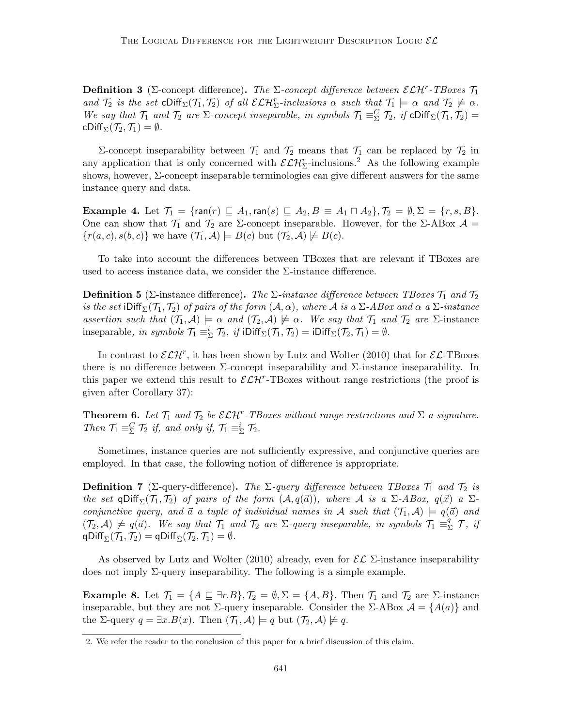**Definition 3** (Σ-concept difference). The  $\Sigma$ -concept difference between  $\mathcal{ELH}^r$ -TBoxes  $\mathcal{T}_1$ and  $\mathcal{T}_2$  is the set  $\text{cliff}_\Sigma(\mathcal{T}_1, \mathcal{T}_2)$  of all  $\mathcal{ELH}^r_\Sigma$ -inclusions  $\alpha$  such that  $\mathcal{T}_1 \models \alpha$  and  $\mathcal{T}_2 \not\models \alpha$ . We say that  $\mathcal{T}_1$  and  $\mathcal{T}_2$  are  $\Sigma$ -concept inseparable, in symbols  $\mathcal{T}_1 \equiv \Sigma \mathcal{T}_2$ , if  $\text{cliff}_\Sigma(\mathcal{T}_1, \mathcal{T}_2)$ cDiff<sub> $\Sigma$ </sub> $(\mathcal{T}_2, \mathcal{T}_1) = \emptyset$ .

Σ-concept inseparability between  $\mathcal{T}_1$  and  $\mathcal{T}_2$  means that  $\mathcal{T}_1$  can be replaced by  $\mathcal{T}_2$  in any application that is only concerned with  $\mathcal{ELH}_{\Sigma}^{r}$ -inclusions.<sup>2</sup> As the following example shows, however, Σ-concept inseparable terminologies can give different answers for the same instance query and data.

**Example 4.** Let  $\mathcal{T}_1 = \{\text{ran}(r) \sqsubseteq A_1, \text{ran}(s) \sqsubseteq A_2, B \equiv A_1 \sqcap A_2\}, \mathcal{T}_2 = \emptyset, \Sigma = \{r, s, B\}.$ One can show that  $\mathcal{T}_1$  and  $\mathcal{T}_2$  are  $\Sigma$ -concept inseparable. However, for the  $\Sigma$ -ABox  $\mathcal{A}$  =  ${r(a, c), s(b, c)}$  we have  $(\mathcal{T}_1, \mathcal{A}) \models B(c)$  but  $(\mathcal{T}_2, \mathcal{A}) \not\models B(c)$ .

To take into account the differences between TBoxes that are relevant if TBoxes are used to access instance data, we consider the  $\Sigma$ -instance difference.

**Definition 5** (Σ-instance difference). The  $\Sigma$ -instance difference between TBoxes  $\mathcal{T}_1$  and  $\mathcal{T}_2$ is the set iDiff<sub>Σ</sub>( $\mathcal{T}_1$ ,  $\mathcal{T}_2$ ) of pairs of the form ( $\mathcal{A}, \alpha$ ), where  $\mathcal{A}$  is a  $\Sigma$ -ABox and  $\alpha$  a  $\Sigma$ -instance assertion such that  $(\mathcal{T}_1, \mathcal{A}) \models \alpha$  and  $(\mathcal{T}_2, \mathcal{A}) \not\models \alpha$ . We say that  $\mathcal{T}_1$  and  $\mathcal{T}_2$  are  $\Sigma$ -instance inseparable, in symbols  $\mathcal{T}_1 \equiv^i_{\Sigma} \mathcal{T}_2$ , if  $i\text{Diff}_{\Sigma}(\mathcal{T}_1, \mathcal{T}_2) = i\text{Diff}_{\Sigma}(\mathcal{T}_2, \mathcal{T}_1) = \emptyset$ .

In contrast to  $\mathcal{ELH}^r$ , it has been shown by Lutz and Wolter (2010) that for  $\mathcal{EL}\text{-}\text{TBoxes}$ there is no difference between  $\Sigma$ -concept inseparability and  $\Sigma$ -instance inseparability. In this paper we extend this result to  $\mathcal{ELH}^r$ -TBoxes without range restrictions (the proof is given after Corollary 37):

**Theorem 6.** Let  $\mathcal{T}_1$  and  $\mathcal{T}_2$  be  $\mathcal{ELH}^r$ -TBoxes without range restrictions and  $\Sigma$  a signature. Then  $\mathcal{T}_1 \equiv_{\Sigma}^C \mathcal{T}_2$  if, and only if,  $\mathcal{T}_1 \equiv_{\Sigma}^i \mathcal{T}_2$ .

Sometimes, instance queries are not sufficiently expressive, and conjunctive queries are employed. In that case, the following notion of difference is appropriate.

**Definition 7** (Σ-query-difference). The  $\Sigma$ -query difference between TBoxes  $\mathcal{T}_1$  and  $\mathcal{T}_2$  is the set qDiff<sub> $\Sigma(\mathcal{T}_1, \mathcal{T}_2)$  of pairs of the form  $(\mathcal{A}, q(\vec{a}))$ , where A is a  $\Sigma$ -ABox,  $q(\vec{x})$  a  $\Sigma$ -</sub> conjunctive query, and  $\vec{a}$  a tuple of individual names in A such that  $(\mathcal{T}_1, \mathcal{A}) \models q(\vec{a})$  and  $(\mathcal{T}_2, \mathcal{A}) \not\models q(\vec{a})$ . We say that  $\mathcal{T}_1$  and  $\mathcal{T}_2$  are  $\Sigma$ -query inseparable, in symbols  $\mathcal{T}_1 \equiv \frac{q}{2}$  $^q_{\Sigma}$  T, if qDiff<sub> $\Sigma$ </sub> $(\mathcal{T}_1, \mathcal{T}_2) = q$ Diff $\Sigma(\mathcal{T}_2, \mathcal{T}_1) = \emptyset$ .

As observed by Lutz and Wolter (2010) already, even for  $\mathcal{EL}$  Σ-instance inseparability does not imply  $\Sigma$ -query inseparability. The following is a simple example.

**Example 8.** Let  $\mathcal{T}_1 = \{A \sqsubseteq \exists r.B\}, \mathcal{T}_2 = \emptyset, \Sigma = \{A, B\}.$  Then  $\mathcal{T}_1$  and  $\mathcal{T}_2$  are  $\Sigma$ -instance inseparable, but they are not  $\Sigma$ -query inseparable. Consider the  $\Sigma$ -ABox  $\mathcal{A} = \{A(a)\}\$  and the  $\Sigma$ -query  $q = \exists x.B(x)$ . Then  $(\mathcal{T}_1, \mathcal{A}) \models q$  but  $(\mathcal{T}_2, \mathcal{A}) \not\models q$ .

<sup>2.</sup> We refer the reader to the conclusion of this paper for a brief discussion of this claim.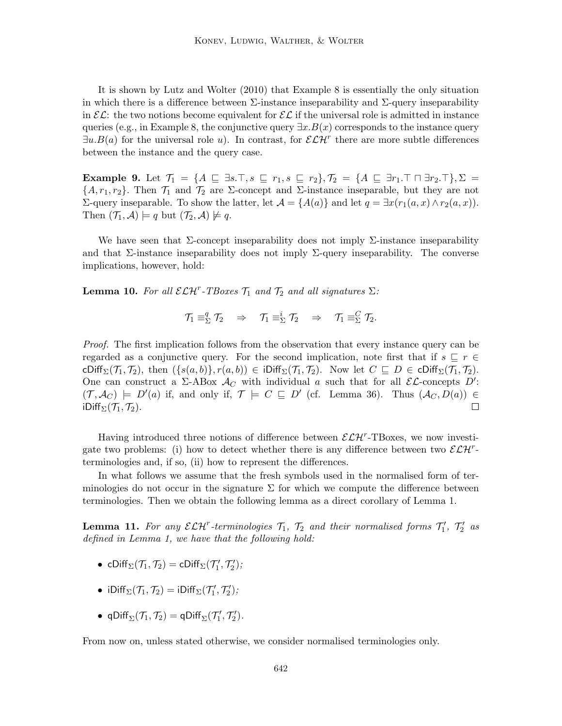It is shown by Lutz and Wolter (2010) that Example 8 is essentially the only situation in which there is a difference between  $\Sigma$ -instance inseparability and  $\Sigma$ -query inseparability in  $\mathcal{EL}$ : the two notions become equivalent for  $\mathcal{EL}$  if the universal role is admitted in instance queries (e.g., in Example 8, the conjunctive query  $\exists x.B(x)$  corresponds to the instance query  $\exists u.B(a)$  for the universal role u). In contrast, for  $\mathcal{ELH}^r$  there are more subtle differences between the instance and the query case.

**Example 9.** Let  $\mathcal{T}_1 = \{A \sqsubseteq \exists s.\top, s \sqsubseteq r_1, s \sqsubseteq r_2\}, \mathcal{T}_2 = \{A \sqsubseteq \exists r_1.\top \sqcap \exists r_2.\top\}, \Sigma =$  $\{A, r_1, r_2\}$ . Then  $\mathcal{T}_1$  and  $\mathcal{T}_2$  are  $\Sigma$ -concept and  $\Sigma$ -instance inseparable, but they are not Σ-query inseparable. To show the latter, let  $A = \{A(a)\}\$ and let  $q = \exists x(r_1(a, x) ∧ r_2(a, x))$ . Then  $(\mathcal{T}_1, \mathcal{A}) \models q$  but  $(\mathcal{T}_2, \mathcal{A}) \not\models q$ .

We have seen that  $\Sigma$ -concept inseparability does not imply  $\Sigma$ -instance inseparability and that  $\Sigma$ -instance inseparability does not imply  $\Sigma$ -query inseparability. The converse implications, however, hold:

**Lemma 10.** For all  $\mathcal{ELH}^r$ -TBoxes  $\mathcal{T}_1$  and  $\mathcal{T}_2$  and all signatures  $\Sigma$ :

$$
\mathcal{T}_1 \equiv_{\Sigma}^q \mathcal{T}_2 \quad \Rightarrow \quad \mathcal{T}_1 \equiv_{\Sigma}^i \mathcal{T}_2 \quad \Rightarrow \quad \mathcal{T}_1 \equiv_{\Sigma}^C \mathcal{T}_2.
$$

Proof. The first implication follows from the observation that every instance query can be regarded as a conjunctive query. For the second implication, note first that if  $s \subseteq r \in$ cDiff<sub> $\Sigma(\mathcal{T}_1, \mathcal{T}_2)$ , then  $(\{s(a, b)\}, r(a, b)) \in \text{IDiff}_{\Sigma}(\mathcal{T}_1, \mathcal{T}_2)$ . Now let  $C \subseteq D \in \text{CDiff}_{\Sigma}(\mathcal{T}_1, \mathcal{T}_2)$ .</sub> One can construct a  $\Sigma$ -ABox  $\mathcal{A}_C$  with individual a such that for all  $\mathcal{EL}$ -concepts D':  $(\mathcal{T}, \mathcal{A}_{C}) \models D'(a)$  if, and only if,  $\mathcal{T} \models C \sqsubseteq D'$  (cf. Lemma 36). Thus  $(\mathcal{A}_{C}, D(a)) \in$ iDiff<sub>Σ</sub> $(\mathcal{T}_1, \mathcal{T}_2)$ .  $\Box$ 

Having introduced three notions of difference between  $\mathcal{ELH}^r$ -TBoxes, we now investigate two problems: (i) how to detect whether there is any difference between two  $\mathcal{ELH}^r$ terminologies and, if so, (ii) how to represent the differences.

In what follows we assume that the fresh symbols used in the normalised form of terminologies do not occur in the signature  $\Sigma$  for which we compute the difference between terminologies. Then we obtain the following lemma as a direct corollary of Lemma 1.

**Lemma 11.** For any  $\mathcal{ELH}^r$ -terminologies  $\mathcal{T}_1$ ,  $\mathcal{T}_2$  and their normalised forms  $\mathcal{T}'_1$ ,  $\mathcal{T}'_2$  as defined in Lemma 1, we have that the following hold:

- cDiff $_{\Sigma}(\mathcal{T}_1, \mathcal{T}_2) = \text{cDiff}_{\Sigma}(\mathcal{T}_1', \mathcal{T}_2');$
- iDiff<sub> $\Sigma$ </sub> $(\mathcal{T}_1, \mathcal{T}_2) = i$ Diff $\Sigma(\mathcal{T}_1', \mathcal{T}_2')$ ;
- qDiff $_{\Sigma}(\mathcal{T}_1, \mathcal{T}_2) = \text{qDiff}_{\Sigma}(\mathcal{T}_1', \mathcal{T}_2').$

From now on, unless stated otherwise, we consider normalised terminologies only.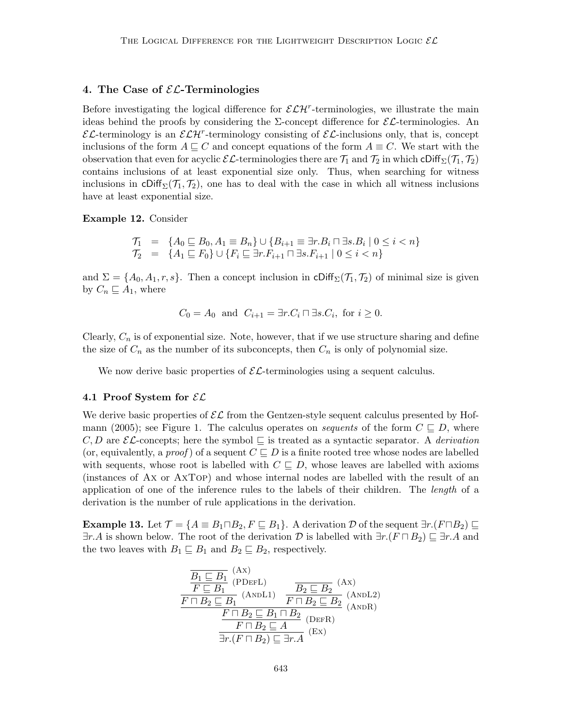### 4. The Case of  $\mathcal{EL}$ -Terminologies

Before investigating the logical difference for  $\mathcal{ELH}^r$ -terminologies, we illustrate the main ideas behind the proofs by considering the  $\Sigma$ -concept difference for  $\mathcal{EL}$ -terminologies. An  $\mathcal{EL}$ -terminology is an  $\mathcal{ELH}^r$ -terminology consisting of  $\mathcal{EL}$ -inclusions only, that is, concept inclusions of the form  $A \sqsubseteq C$  and concept equations of the form  $A \equiv C$ . We start with the observation that even for acyclic  $\mathcal{EL}$ -terminologies there are  $\mathcal{T}_1$  and  $\mathcal{T}_2$  in which  $\text{Cliff}_{\Sigma}(\mathcal{T}_1, \mathcal{T}_2)$ contains inclusions of at least exponential size only. Thus, when searching for witness inclusions in cDiff<sub> $\Sigma$ </sub> $(\mathcal{T}_1, \mathcal{T}_2)$ , one has to deal with the case in which all witness inclusions have at least exponential size.

Example 12. Consider

$$
T_1 = \{A_0 \sqsubseteq B_0, A_1 \equiv B_n\} \cup \{B_{i+1} \equiv \exists r.B_i \sqcap \exists s.B_i \mid 0 \le i < n\}
$$
\n
$$
T_2 = \{A_1 \sqsubseteq F_0\} \cup \{F_i \sqsubseteq \exists r.F_{i+1} \sqcap \exists s.F_{i+1} \mid 0 \le i < n\}
$$

and  $\Sigma = \{A_0, A_1, r, s\}$ . Then a concept inclusion in cDiff<sub>Σ</sub>( $\mathcal{T}_1$ ,  $\mathcal{T}_2$ ) of minimal size is given by  $C_n \sqsubseteq A_1$ , where

$$
C_0 = A_0 \text{ and } C_{i+1} = \exists r. C_i \sqcap \exists s. C_i, \text{ for } i \ge 0.
$$

Clearly,  $C_n$  is of exponential size. Note, however, that if we use structure sharing and define the size of  $C_n$  as the number of its subconcepts, then  $C_n$  is only of polynomial size.

We now derive basic properties of  $\mathcal{EL}$ -terminologies using a sequent calculus.

#### 4.1 Proof System for  $\mathcal{EL}$

We derive basic properties of  $\mathcal{EL}$  from the Gentzen-style sequent calculus presented by Hofmann (2005); see Figure 1. The calculus operates on *sequents* of the form  $C \subseteq D$ , where C, D are  $\mathcal{EL}$ -concepts; here the symbol  $\sqsubseteq$  is treated as a syntactic separator. A derivation (or, equivalently, a *proof*) of a sequent  $C \subseteq D$  is a finite rooted tree whose nodes are labelled with sequents, whose root is labelled with  $C \subseteq D$ , whose leaves are labelled with axioms (instances of Ax or AxTop) and whose internal nodes are labelled with the result of an application of one of the inference rules to the labels of their children. The length of a derivation is the number of rule applications in the derivation.

**Example 13.** Let  $\mathcal{T} = \{A \equiv B_1 \sqcap B_2, F \sqsubseteq B_1\}$ . A derivation D of the sequent  $\exists r.(F \sqcap B_2) \sqsubseteq$  $\exists r.A$  is shown below. The root of the derivation D is labelled with  $\exists r.(F \sqcap B_2) \sqsubseteq \exists r.A$  and the two leaves with  $B_1 \subseteq B_1$  and  $B_2 \subseteq B_2$ , respectively.

$$
\frac{\overline{B_1 \subseteq B_1}^{(\text{Ax})}}{F \subseteq B_1}^{(\text{PDEFL})} \quad \frac{\overline{B_2 \subseteq B_2}^{(\text{Ax})}}{F \sqcap B_2 \sqsubseteq B_1}^{(\text{ANDL1})} \quad \frac{\overline{B_2 \sqsubseteq B_2}^{(\text{Ax})}}{F \sqcap B_2 \sqsubseteq B_2}^{(\text{ANDL2})} \quad \frac{F \sqcap B_2 \sqsubseteq B_1 \sqcap B_2}{F \sqcap B_2 \sqsubseteq A}^{(\text{DER})} \quad \frac{F \sqcap B_2 \sqsubseteq A}{\exists r.(F \sqcap B_2) \sqsubseteq \exists r.A}^{(\text{Ex})}
$$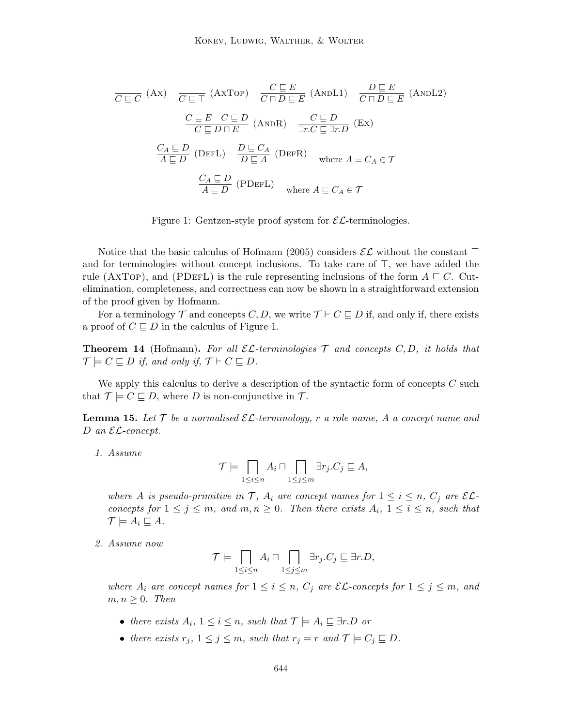$$
\overline{C \sqsubseteq C} \text{ (Ax)} \quad \overline{C \sqsubseteq \top} \text{ (AYTop)} \quad \overline{C \sqcap D \sqsubseteq E} \text{ (ANDL1)} \quad \overline{D \sqsubseteq E} \text{ (ANDL2)}
$$
\n
$$
\frac{C \sqsubseteq E \quad C \sqsubseteq D}{C \sqsubseteq D \sqcap E} \text{ (ANDR)} \quad \frac{C \sqsubseteq D}{\exists r.C \sqsubseteq \exists r.D} \text{ (Ex)}
$$
\n
$$
\frac{C_A \sqsubseteq D}{A \sqsubseteq D} \text{ (DEFL)} \quad \frac{D \sqsubseteq C_A}{D \sqsubseteq A} \text{ (DEFR)} \quad \text{where } A \equiv C_A \in \mathcal{T}
$$
\n
$$
\frac{C_A \sqsubseteq D}{A \sqsubseteq D} \text{ (PDEFL)} \quad \text{where } A \sqsubseteq C_A \in \mathcal{T}
$$

Figure 1: Gentzen-style proof system for  $\mathcal{EL}$ -terminologies.

Notice that the basic calculus of Hofmann (2005) considers  $\mathcal{EL}$  without the constant  $\top$ and for terminologies without concept inclusions. To take care of  $\top$ , we have added the rule (AxTop), and (PDEFL) is the rule representing inclusions of the form  $A \sqsubseteq C$ . Cutelimination, completeness, and correctness can now be shown in a straightforward extension of the proof given by Hofmann.

For a terminology  $\mathcal T$  and concepts C, D, we write  $\mathcal T \vdash C \sqsubseteq D$  if, and only if, there exists a proof of  $C \sqsubseteq D$  in the calculus of Figure 1.

**Theorem 14** (Hofmann). For all  $\mathcal{EL}$ -terminologies  $\mathcal T$  and concepts  $C, D$ , it holds that  $\mathcal{T} \models C \sqsubseteq D$  if, and only if,  $\mathcal{T} \vdash C \sqsubseteq D$ .

We apply this calculus to derive a description of the syntactic form of concepts  $C$  such that  $\mathcal{T} \models C \sqsubseteq D$ , where D is non-conjunctive in  $\mathcal{T}$ .

**Lemma 15.** Let  $\mathcal{T}$  be a normalised  $\mathcal{EL}$ -terminology, r a role name, A a concept name and D an  $\mathcal{EL}\text{-}concept.$ 

1. Assume

$$
\mathcal{T} \models \prod_{1 \leq i \leq n} A_i \sqcap \prod_{1 \leq j \leq m} \exists r_j.C_j \sqsubseteq A,
$$

where A is pseudo-primitive in T,  $A_i$  are concept names for  $1 \leq i \leq n$ ,  $C_j$  are  $\mathcal{EL}$ concepts for  $1 \leq j \leq m$ , and  $m, n \geq 0$ . Then there exists  $A_i$ ,  $1 \leq i \leq n$ , such that  $\mathcal{T} \models A_i \sqsubseteq A$ .

2. Assume now

$$
\mathcal{T}\models \bigcap_{1\leq i\leq n} A_i \sqcap \bigcap_{1\leq j\leq m} \exists r_j.C_j \sqsubseteq \exists r.D,
$$

where  $A_i$  are concept names for  $1 \leq i \leq n$ ,  $C_j$  are  $\mathcal{EL}\text{-concepts}$  for  $1 \leq j \leq m$ , and  $m, n \geq 0$ . Then

- there exists  $A_i$ ,  $1 \leq i \leq n$ , such that  $\mathcal{T} \models A_i \sqsubseteq \exists r.D$  or
- there exists  $r_j$ ,  $1 \leq j \leq m$ , such that  $r_j = r$  and  $\mathcal{T} \models C_j \sqsubseteq D$ .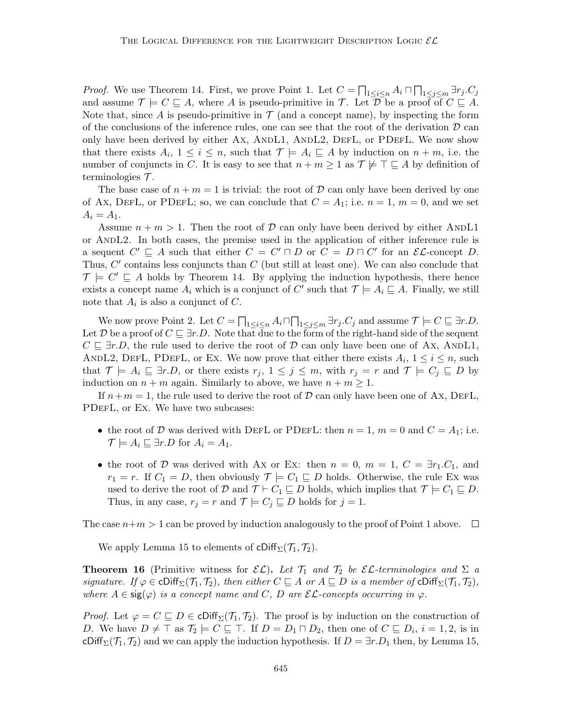*Proof.* We use Theorem 14. First, we prove Point 1. Let  $C = \prod_{1 \leq i \leq n} A_i \cap \prod_{1 \leq j \leq m} \exists r_j.C_j$ and assume  $\mathcal{T} \models C \sqsubseteq A$ , where A is pseudo-primitive in T. Let D be a proof of  $C \sqsubseteq A$ . Note that, since A is pseudo-primitive in  $\mathcal T$  (and a concept name), by inspecting the form of the conclusions of the inference rules, one can see that the root of the derivation  $\mathcal D$  can only have been derived by either Ax, ANDL1, ANDL2, DEFL, or PDEFL. We now show that there exists  $A_i$ ,  $1 \leq i \leq n$ , such that  $\mathcal{T} \models A_i \sqsubseteq A$  by induction on  $n + m$ , i.e. the number of conjuncts in C. It is easy to see that  $n + m \geq 1$  as  $\mathcal{T} \not\models \top \sqsubseteq A$  by definition of terminologies  $\mathcal{T}$ .

The base case of  $n + m = 1$  is trivial: the root of D can only have been derived by one of Ax, DEFL, or PDEFL; so, we can conclude that  $C = A_1$ ; i.e.  $n = 1, m = 0$ , and we set  $A_i = A_1.$ 

Assume  $n + m > 1$ . Then the root of D can only have been derived by either ANDL1 or AndL2. In both cases, the premise used in the application of either inference rule is a sequent  $C' \sqsubseteq A$  such that either  $C = C' \sqcap D$  or  $C = D \sqcap C'$  for an  $\mathcal{EL}$ -concept D. Thus,  $C'$  contains less conjuncts than  $C$  (but still at least one). We can also conclude that  $\mathcal{T} \models C' \sqsubseteq A$  holds by Theorem 14. By applying the induction hypothesis, there hence exists a concept name  $A_i$  which is a conjunct of C' such that  $\mathcal{T} \models A_i \sqsubseteq A$ . Finally, we still note that  $A_i$  is also a conjunct of  $C$ .

We now prove Point 2. Let  $C = \prod_{1 \leq i \leq n} A_i \sqcap \prod_{1 \leq j \leq m} \exists r_j.C_j$  and assume  $\mathcal{T} \models C \sqsubseteq \exists r.D$ . Let D be a proof of  $C \sqsubseteq \exists r.D$ . Note that due to the form of the right-hand side of the sequent  $C \subseteq \exists r.D$ , the rule used to derive the root of D can only have been one of Ax, ANDL1, ANDL2, DEFL, PDEFL, or Ex. We now prove that either there exists  $A_i$ ,  $1 \leq i \leq n$ , such that  $\mathcal{T} \models A_i \sqsubseteq \exists r.D$ , or there exists  $r_j, 1 \leq j \leq m$ , with  $r_j = r$  and  $\mathcal{T} \models C_j \sqsubseteq D$  by induction on  $n + m$  again. Similarly to above, we have  $n + m \geq 1$ .

If  $n+m=1$ , the rule used to derive the root of  $\mathcal D$  can only have been one of Ax, DEFL, PDEFL, or Ex. We have two subcases:

- the root of D was derived with DEFL or PDEFL: then  $n = 1$ ,  $m = 0$  and  $C = A<sub>1</sub>$ ; i.e.  $\mathcal{T} \models A_i \sqsubseteq \exists r.D$  for  $A_i = A_1$ .
- the root of D was derived with Ax or Ex: then  $n = 0$ ,  $m = 1$ ,  $C = \exists r_1.C_1$ , and  $r_1 = r$ . If  $C_1 = D$ , then obviously  $\mathcal{T} \models C_1 \sqsubseteq D$  holds. Otherwise, the rule Ex was used to derive the root of D and  $\mathcal{T} \vdash C_1 \sqsubseteq D$  holds, which implies that  $\mathcal{T} \models C_1 \sqsubseteq D$ . Thus, in any case,  $r_j = r$  and  $\mathcal{T} \models C_j \sqsubseteq D$  holds for  $j = 1$ .

The case  $n+m > 1$  can be proved by induction analogously to the proof of Point 1 above.  $\Box$ 

We apply Lemma 15 to elements of  $\text{cliff}_{\Sigma}(\mathcal{T}_1, \mathcal{T}_2)$ .

**Theorem 16** (Primitive witness for  $\mathcal{EL}$ ). Let  $\mathcal{T}_1$  and  $\mathcal{T}_2$  be  $\mathcal{EL}$ -terminologies and  $\Sigma$  a signature. If  $\varphi \in \text{Cliff}_{\Sigma}(\mathcal{T}_1, \mathcal{T}_2)$ , then either  $C \sqsubseteq A$  or  $A \sqsubseteq D$  is a member of  $\text{Cliff}_{\Sigma}(\mathcal{T}_1, \mathcal{T}_2)$ , where  $A \in \text{sig}(\varphi)$  is a concept name and C, D are  $\mathcal{EL}$ -concepts occurring in  $\varphi$ .

*Proof.* Let  $\varphi = C \sqsubseteq D \in \text{cliff}_{\Sigma}(\mathcal{T}_1, \mathcal{T}_2)$ . The proof is by induction on the construction of D. We have  $D \neq \top$  as  $\mathcal{T}_2 \models C \sqsubseteq \top$ . If  $D = D_1 \sqcap D_2$ , then one of  $C \sqsubseteq D_i$ ,  $i = 1, 2$ , is in cDiff<sub> $\Sigma(\mathcal{T}_1, \mathcal{T}_2)$  and we can apply the induction hypothesis. If  $D = \exists r.D_1$  then, by Lemma 15,</sub>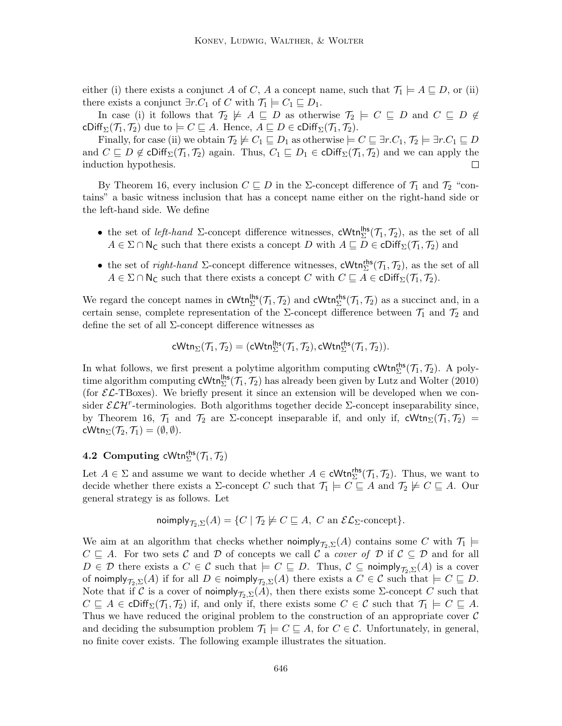either (i) there exists a conjunct A of C, A a concept name, such that  $\mathcal{T}_1 \models A \sqsubseteq D$ , or (ii) there exists a conjunct  $\exists r.C_1$  of C with  $\mathcal{T}_1 \models C_1 \sqsubseteq D_1$ .

In case (i) it follows that  $\mathcal{T}_2 \not\models A \sqsubseteq D$  as otherwise  $\mathcal{T}_2 \models C \sqsubseteq D$  and  $C \sqsubseteq D \not\in$ cDiff<sub>Σ</sub>( $\mathcal{T}_1$ ,  $\mathcal{T}_2$ ) due to  $\models C \sqsubseteq A$ . Hence,  $A \sqsubseteq D \in \text{cliff}_{\Sigma}(\mathcal{T}_1, \mathcal{T}_2)$ .

Finally, for case (ii) we obtain  $\mathcal{T}_2 \not\models C_1 \sqsubseteq D_1$  as otherwise  $\models C \sqsubseteq \exists r.C_1, \mathcal{T}_2 \models \exists r.C_1 \sqsubseteq D$ and  $C \subseteq D \notin \text{cliff}_{\Sigma}(\mathcal{T}_1, \mathcal{T}_2)$  again. Thus,  $C_1 \subseteq D_1 \in \text{cliff}_{\Sigma}(\mathcal{T}_1, \mathcal{T}_2)$  and we can apply the induction hypothesis. П

By Theorem 16, every inclusion  $C \subseteq D$  in the Σ-concept difference of  $\mathcal{T}_1$  and  $\mathcal{T}_2$  "contains" a basic witness inclusion that has a concept name either on the right-hand side or the left-hand side. We define

- the set of *left-hand*  $\Sigma$ -concept difference witnesses, cWtn<sup>lhs</sup> $(\mathcal{T}_1, \mathcal{T}_2)$ , as the set of all  $A \in \Sigma \cap \mathsf{N}_{\mathsf{C}}$  such that there exists a concept D with  $A \sqsubseteq D \in \mathsf{cliff}_{\Sigma}(\mathcal{T}_1, \mathcal{T}_2)$  and
- the set of *right-hand*  $\Sigma$ -concept difference witnesses, cWtn<sup>ths</sup> ( $\mathcal{T}_1$ ,  $\mathcal{T}_2$ ), as the set of all  $A \in \Sigma \cap \mathsf{N}_{\mathsf{C}}$  such that there exists a concept C with  $C \sqsubseteq A \in \mathsf{cliff}_{\Sigma}(\mathcal{T}_1, \mathcal{T}_2)$ .

We regard the concept names in  $\text{cWtn}_{\Sigma}^{\text{hs}}(\mathcal{T}_1, \mathcal{T}_2)$  and  $\text{cWtn}_{\Sigma}^{\text{rhs}}(\mathcal{T}_1, \mathcal{T}_2)$  as a succinct and, in a certain sense, complete representation of the  $\Sigma$ -concept difference between  $\mathcal{T}_1$  and  $\mathcal{T}_2$  and define the set of all  $\Sigma$ -concept difference witnesses as

$$
\mathsf{cWtn}_{\Sigma}(\mathcal{T}_1,\mathcal{T}_2) = (\mathsf{cWtn}_{\Sigma}^{\mathsf{lhs}}(\mathcal{T}_1,\mathcal{T}_2), \mathsf{cWtn}_{\Sigma}^{\mathsf{rhs}}(\mathcal{T}_1,\mathcal{T}_2)).
$$

In what follows, we first present a polytime algorithm computing  $\mathsf{cWtn}_{\Sigma}^{\mathsf{rhs}}(\mathcal{T}_1, \mathcal{T}_2)$ . A polytime algorithm computing  $cWtn_{\Sigma}^{\text{hls}}(\mathcal{T}_1, \mathcal{T}_2)$  has already been given by Lutz and Wolter (2010) (for  $\mathcal{EL}\text{-}\text{TBoxes}$ ). We briefly present it since an extension will be developed when we consider  $\mathcal{ELH}^r$ -terminologies. Both algorithms together decide  $\Sigma$ -concept inseparability since, by Theorem 16,  $\mathcal{T}_1$  and  $\mathcal{T}_2$  are  $\Sigma$ -concept inseparable if, and only if, cWtn $\Sigma(\mathcal{T}_1, \mathcal{T}_2)$  =  $\mathsf{cWtn}_{\Sigma}(\mathcal{T}_2,\mathcal{T}_1) = (\emptyset,\emptyset).$ 

# 4.2 Computing cWtn $_{\Sigma}^{\mathsf{rhs}}(\mathcal{T}_1,\mathcal{T}_2)$

Let  $A \in \Sigma$  and assume we want to decide whether  $A \in \text{cWtn}_{\Sigma}^{\text{rhs}}(\mathcal{T}_1, \mathcal{T}_2)$ . Thus, we want to decide whether there exists a  $\Sigma$ -concept C such that  $\mathcal{T}_1 \models C \sqsubseteq A$  and  $\mathcal{T}_2 \not\models C \sqsubseteq A$ . Our general strategy is as follows. Let

$$
\text{noimply}_{\mathcal{T}_2, \Sigma}(A) = \{ C \mid \mathcal{T}_2 \not\models C \sqsubseteq A, \ C \text{ an } \mathcal{EL}_{\Sigma}\text{-concept}\}.
$$

We aim at an algorithm that checks whether noimply  $\mathcal{T}_{2,\Sigma}(A)$  contains some C with  $\mathcal{T}_1 \models$  $C \subseteq A$ . For two sets C and D of concepts we call C a cover of D if  $C \subseteq D$  and for all  $D \in \mathcal{D}$  there exists a  $C \in \mathcal{C}$  such that  $\models C \sqsubseteq D$ . Thus,  $\mathcal{C} \subseteq \text{noimply}_{\mathcal{T}_2,\Sigma}(A)$  is a cover of noimply  $\tau_{2,\Sigma}(A)$  if for all  $D \in \text{noimply}_{\tau_2,\Sigma}(A)$  there exists a  $C \in \mathcal{C}$  such that  $\models C \sqsubseteq D$ . Note that if C is a cover of noimply $\mathcal{T}_{2,\Sigma}(A)$ , then there exists some  $\Sigma$ -concept C such that  $C \subseteq A \in \text{cliff}_{\Sigma}(\mathcal{T}_1, \mathcal{T}_2)$  if, and only if, there exists some  $C \in \mathcal{C}$  such that  $\mathcal{T}_1 \models C \subseteq A$ . Thus we have reduced the original problem to the construction of an appropriate cover  $\mathcal C$ and deciding the subsumption problem  $\mathcal{T}_1 \models C \sqsubseteq A$ , for  $C \in \mathcal{C}$ . Unfortunately, in general, no finite cover exists. The following example illustrates the situation.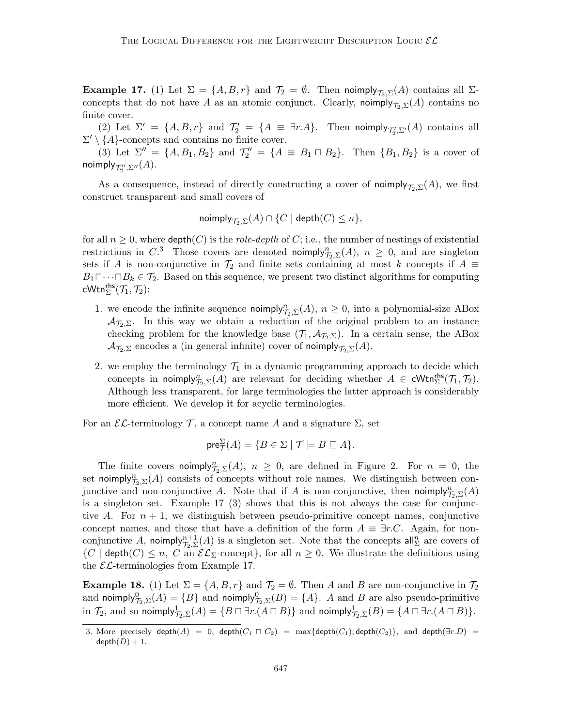**Example 17.** (1) Let  $\Sigma = \{A, B, r\}$  and  $\mathcal{T}_2 = \emptyset$ . Then noimply  $\mathcal{T}_{2,\Sigma}(A)$  contains all  $\Sigma$ concepts that do not have A as an atomic conjunct. Clearly, noimply $\tau_{\Sigma}(\mathcal{A})$  contains no finite cover.

(2) Let  $\Sigma' = \{A, B, r\}$  and  $\mathcal{T}'_2 = \{A \equiv \exists r.A\}$ . Then noimply  $\mathcal{T}'_2, \Sigma'(A)$  contains all  $\Sigma' \setminus \{A\}$ -concepts and contains no finite cover.

(3) Let  $\Sigma'' = \{A, B_1, B_2\}$  and  $\mathcal{T}_2'' = \{A \equiv B_1 \sqcap B_2\}$ . Then  $\{B_1, B_2\}$  is a cover of noimply $_{\mathcal{T}''_2,\Sigma''}(A).$ 

As a consequence, instead of directly constructing a cover of noimply $\tau_{\sigma}(\mathbf{x})$ , we first construct transparent and small covers of

$$
\text{\rm nonimply}_{\mathcal{T}_2, \Sigma}(A) \cap \{C \mid \text{\rm depth}(C) \leq n\},
$$

for all  $n \geq 0$ , where  $\text{depth}(C)$  is the *role-depth* of C; i.e., the number of nestings of existential restrictions in C<sup>3</sup>. Those covers are denoted noimply $_{\mathcal{T}_2,\Sigma}^n(A)$ ,  $n \geq 0$ , and are singleton sets if A is non-conjunctive in  $\mathcal{T}_2$  and finite sets containing at most k concepts if  $A \equiv$  $B_1 \sqcap \cdots \sqcap B_k \in \mathcal{T}_2$ . Based on this sequence, we present two distinct algorithms for computing cWtn $^{\mathsf{rhs}}_{\Sigma}(\mathcal{T}_1,\mathcal{T}_2)$ :

- 1. we encode the infinite sequence  $\text{noimply}_{\mathcal{T}_2,\Sigma}^n(A)$ ,  $n \geq 0$ , into a polynomial-size ABox  $\mathcal{A}_{\mathcal{T}_2,\Sigma}$ . In this way we obtain a reduction of the original problem to an instance checking problem for the knowledge base  $(\mathcal{T}_1, \mathcal{A}_{\mathcal{T}_2, \Sigma})$ . In a certain sense, the ABox  $\mathcal{A}_{\mathcal{T}_2,\Sigma}$  encodes a (in general infinite) cover of noimply $_{\mathcal{T}_2,\Sigma}(A)$ .
- 2. we employ the terminology  $\mathcal{T}_1$  in a dynamic programming approach to decide which concepts in noimply $_{\mathcal{T}_2,\Sigma}^n(A)$  are relevant for deciding whether  $A \in \text{cWtn}_{\Sigma}^{\text{rhs}}(\mathcal{T}_1,\mathcal{T}_2)$ . Although less transparent, for large terminologies the latter approach is considerably more efficient. We develop it for acyclic terminologies.

For an  $\mathcal{EL}$ -terminology  $\mathcal{T}$ , a concept name A and a signature  $\Sigma$ , set

$$
\text{pre}_{\mathcal{T}}^{\Sigma}(A) = \{ B \in \Sigma \mid \mathcal{T} \models B \sqsubseteq A \}.
$$

The finite covers noimply $_{\mathcal{T}_2,\Sigma}^n(A)$ ,  $n \geq 0$ , are defined in Figure 2. For  $n = 0$ , the set noimply $_{\mathcal{T}_2,\Sigma}^n(A)$  consists of concepts without role names. We distinguish between conjunctive and non-conjunctive A. Note that if A is non-conjunctive, then noimply $_{\mathcal{T}_2,\Sigma}^n(A)$ is a singleton set. Example 17 (3) shows that this is not always the case for conjunctive A. For  $n + 1$ , we distinguish between pseudo-primitive concept names, conjunctive concept names, and those that have a definition of the form  $A \equiv \exists r.C.$  Again, for nonconjunctive A, noimply $\eta_{\mathcal{I}_2, \Sigma}^{n+1}(A)$  is a singleton set. Note that the concepts all  $_{\Sigma}^n$  are covers of  $\{C \mid \text{depth}(C) \leq n, C \text{ an } \mathcal{EL}_{\Sigma} \text{-concept}\},\$  for all  $n \geq 0$ . We illustrate the definitions using the  $\mathcal{EL}$ -terminologies from Example 17.

**Example 18.** (1) Let  $\Sigma = \{A, B, r\}$  and  $\mathcal{T}_2 = \emptyset$ . Then A and B are non-conjunctive in  $\mathcal{T}_2$ and noimply $\theta_{\mathcal{T}_2, \Sigma}^0(A) = \{B\}$  and noimply $\theta_{\mathcal{T}_2, \Sigma}^0(B) = \{A\}$ . A and B are also pseudo-primitive in  $\mathcal{T}_2$ , and so noimply $\frac{1}{\mathcal{T}_2, \Sigma}(A) = \{B \sqcap \exists r.(A \sqcap B)\}$  and noimply $\frac{1}{\mathcal{T}_2, \Sigma}(B) = \{A \sqcap \exists r.(A \sqcap B)\}.$ 

<sup>3.</sup> More precisely depth $(A) = 0$ , depth $(C_1 \sqcap C_2) = \max\{\text{depth}(C_1), \text{depth}(C_2)\}\$ , and depth $(\exists r.D)$  $depth(D) + 1.$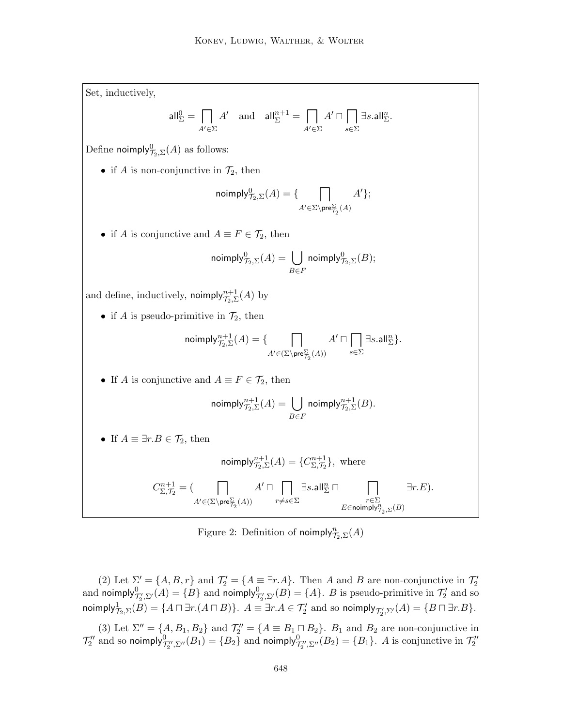Set, inductively,

$$
\mathsf{all}_{\Sigma}^{0} = \prod_{A' \in \Sigma} A' \quad \text{and} \quad \mathsf{all}_{\Sigma}^{n+1} = \prod_{A' \in \Sigma} A' \cap \prod_{s \in \Sigma} \exists s. \mathsf{all}_{\Sigma}^{n}.
$$

Define noimply $\overline{O}_{7_2, \Sigma}(A)$  as follows:

• if A is non-conjunctive in  $\mathcal{T}_2$ , then

$$
\mathsf{noimply}_{\mathcal{T}_2,\Sigma}^0(A) = \{ \bigcap_{A' \in \Sigma \backslash \mathsf{pre}_{\mathcal{T}_2}^{\Sigma}(A)} A' \};
$$

• if A is conjunctive and  $A \equiv F \in \mathcal{T}_2$ , then

$$
\textsf{noimply}_{\mathcal{T}_2, \Sigma}^0(A) = \bigcup_{B \in F} \textsf{noimply}_{\mathcal{T}_2, \Sigma}^0(B);
$$

and define, inductively,  $\mathsf{noimply}_{\mathcal{T}_2, \Sigma}^{n+1}(A)$  by

• if A is pseudo-primitive in  $\mathcal{T}_2$ , then

$$
\text{noimply}^{n+1}_{\mathcal{T}_2,\Sigma}(A)=\{\bigcap_{A'\in (\Sigma\backslash \text{pre}^\Sigma_{\mathcal{T}_2}(A))}A'\sqcap \bigcap_{s\in \Sigma}\exists s.\mathsf{all}^n_\Sigma\}.
$$

• If A is conjunctive and  $A \equiv F \in \mathcal{T}_2$ , then

$$
\textsf{noimply}^{n+1}_{\mathcal{T}_2,\Sigma}(A) = \bigcup_{B \in F} \textsf{noimply}^{n+1}_{\mathcal{T}_2,\Sigma}(B).
$$

• If  $A \equiv \exists r.B \in \mathcal{T}_2$ , then

$$
\textsf{noimply}_{\mathcal{T}_2, \Sigma}^{n+1}(A) = \{ C_{\Sigma, \mathcal{T}_2}^{n+1} \}, \text{ where}
$$

$$
C^{n+1}_{\Sigma,\mathcal{T}_2} = (\bigcap_{A' \in (\Sigma \backslash \mathrm{pre}^\Sigma_{\mathcal{T}_2}(A))} A' \sqcap \bigcap_{r \neq s \in \Sigma} \exists s. \mathsf{all}^n_\Sigma \sqcap \bigcap_{\substack{r \in \Sigma \\ E \in \mathrm{no} \mathrm{imply}^n_{\mathcal{T}_2, \Sigma}(B)}} \exists r.E).
$$

Figure 2: Definition of noimply $\eta_{2,\Sigma}^n(A)$ 

(2) Let  $\Sigma' = \{A, B, r\}$  and  $\mathcal{T}'_2 = \{A \equiv \exists r.A\}$ . Then A and B are non-conjunctive in  $\mathcal{T}'_2$  and noimply  $\mathcal{T}'_2, \Sigma'(A) = \{B\}$  and noimply  $\mathcal{T}'_2, \Sigma'(B) = \{A\}$ . B is pseudo-primitive in  $\mathcal{T}'_2$  and so noimply $\mathcal{F}_{\mathcal{I}_2,\Sigma}(B)=\{A\sqcap \exists r.(A\sqcap B)\}.$   $A\equiv \exists r.A\in \mathcal{T}'_2$  and so noimply $_{\mathcal{T}'_2,\Sigma'}(A)=\{B\sqcap \exists r.B\}.$ 

(3) Let  $\Sigma'' = \{A, B_1, B_2\}$  and  $\mathcal{T}_2'' = \{A \equiv B_1 \cap B_2\}$ .  $B_1$  and  $B_2$  are non-conjunctive in  $\mathcal{T}_2''$  and so noimply $^0_{\mathcal{T}_2'',\Sigma''}(B_1)=\{B_2\}$  and noimply $^0_{\mathcal{T}_2'',\Sigma''}(B_2)=\{B_1\}.$  A is conjunctive in  $\mathcal{T}_2''$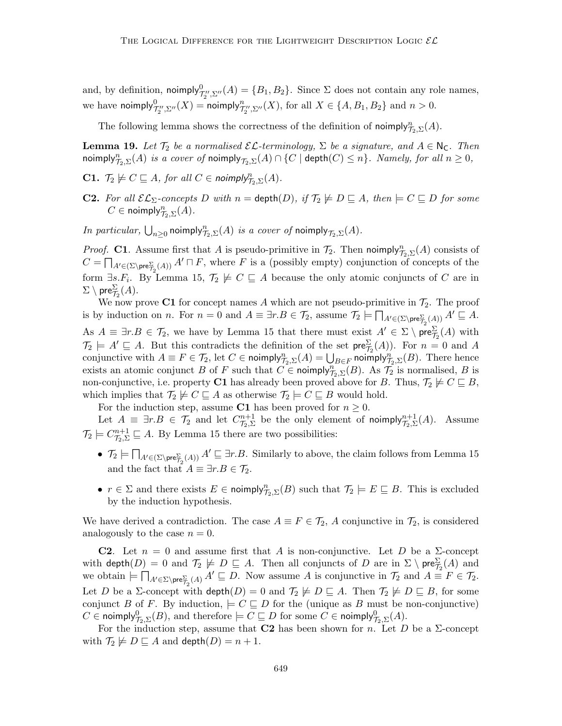and, by definition, noimply $_{\mathcal{T}_2'',\Sigma''}^0(A) = \{B_1,B_2\}$ . Since  $\Sigma$  does not contain any role names, we have noimply $^0_{\mathcal{T}_2'',\Sigma''}(X)$  = noimply $^n_{\mathcal{T}_2'',\Sigma''}(X)$ , for all  $X\in\{A,B_1,B_2\}$  and  $n>0$ .

The following lemma shows the correctness of the definition of noimply $\eta_{2,\Sigma}(A)$ .

**Lemma 19.** Let  $\mathcal{T}_2$  be a normalised  $\mathcal{EL}$ -terminology,  $\Sigma$  be a signature, and  $A \in \mathbb{N}_{\mathbb{C}}$ . Then noimply $\eta_{\mathcal{D},\Sigma}^n(A)$  is a cover of noimply $_{\mathcal{T}_2,\Sigma}(A)\cap\{C\mid \mathsf{depth}(C)\leq n\}.$  Namely, for all  $n\geq 0,$ 

- **C1.**  $\mathcal{T}_2 \not\models C \sqsubseteq A$ , for all  $C \in \text{noimply}^n_{\mathcal{T}_2, \Sigma}(A)$ .
- **C2.** For all  $\mathcal{EL}_{\Sigma}$ -concepts D with  $n = \text{depth}(D)$ , if  $\mathcal{T}_2 \not\models D \sqsubseteq A$ , then  $\models C \sqsubseteq D$  for some  $C \in \mathsf{noimply}_{\mathcal{T}_2, \Sigma}^n(A)$ .

In particular,  $\bigcup_{n\geq 0}$  noimply $\mathcal{T}_{2,\Sigma}(A)$  is a cover of noimply  $\mathcal{T}_{2,\Sigma}(A)$ .

*Proof.* C1. Assume first that A is pseudo-primitive in  $\mathcal{T}_2$ . Then noimply $_{\mathcal{T}_2,\Sigma}^n(A)$  consists of  $C = \prod_{A' \in (\Sigma \setminus \text{pre}_{\mathcal{T}_2}^{\Sigma}(A))} A' \sqcap F$ , where F is a (possibly empty) conjunction of concepts of the form  $\exists s.F_i$ . By Lemma 15,  $\mathcal{T}_2 \not\models C \sqsubseteq A$  because the only atomic conjuncts of C are in  $\Sigma \setminus \mathsf{pre}^\Sigma_{\mathcal{T}_2}(A).$ 

We now prove C1 for concept names A which are not pseudo-primitive in  $\mathcal{T}_2$ . The proof is by induction on *n*. For  $n = 0$  and  $A \equiv \exists r.B \in \mathcal{T}_2$ , assume  $\mathcal{T}_2 \models \prod_{A' \in (\Sigma \setminus \text{pre}_{\mathcal{T}_2}^{\Sigma}(A))} A' \sqsubseteq A$ . As  $A \equiv \exists r.B \in \mathcal{T}_2$ , we have by Lemma 15 that there must exist  $A' \in \Sigma \setminus \text{pre}_{\mathcal{T}_2}^{\Sigma}(A)$  with  $\mathcal{T}_2 \models A' \sqsubseteq A$ . But this contradicts the definition of the set  $\mathsf{pre}^{\Sigma}_{\mathcal{T}_2}(A)$ ). For  $n = 0$  and A conjunctive with  $A \equiv F \in \mathcal{T}_2$ , let  $C \in \mathsf{noimply}_{\mathcal{T}_2, \Sigma}(A) = \bigcup_{B \in F} \mathsf{noimply}_{\mathcal{T}_2, \Sigma}(B)$ . There hence exists an atomic conjunct B of F such that  $C \in \text{noimply}_{\mathcal{T}_2, \Sigma}(B)$ . As  $\mathcal{T}_2$  is normalised, B is non-conjunctive, i.e. property C1 has already been proved above for B. Thus,  $\mathcal{T}_2 \not\models C \sqsubseteq B$ , which implies that  $\mathcal{T}_2 \not\models C \sqsubseteq A$  as otherwise  $\mathcal{T}_2 \models C \sqsubseteq B$  would hold.

For the induction step, assume C1 has been proved for  $n \geq 0$ .

Let  $A \equiv \exists r.B \in \mathcal{T}_2$  and let  $C_{\mathcal{T}_2,\Sigma}^{n+1}$  be the only element of noimply $_{\mathcal{T}_2,\Sigma}^{n+1}(A)$ . Assume  $\mathcal{T}_2 \models C_{\mathcal{T}_2, \Sigma}^{n+1} \sqsubseteq A$ . By Lemma 15 there are two possibilities:

- $\mathcal{T}_2 \models \prod_{A' \in (\Sigma \setminus \text{pre}^{\Sigma}_{\mathcal{T}_2}(A))} A' \sqsubseteq \exists r.B.$  Similarly to above, the claim follows from Lemma 15 and the fact that  $A \equiv \exists r.B \in \mathcal{T}_2$ .
- $r \in \Sigma$  and there exists  $E \in \text{noimply}_{\mathcal{T}_2, \Sigma}(B)$  such that  $\mathcal{T}_2 \models E \sqsubseteq B$ . This is excluded by the induction hypothesis.

We have derived a contradiction. The case  $A \equiv F \in \mathcal{T}_2$ , A conjunctive in  $\mathcal{T}_2$ , is considered analogously to the case  $n = 0$ .

**C2.** Let  $n = 0$  and assume first that A is non-conjunctive. Let D be a  $\Sigma$ -concept with  $\mathsf{depth}(D) = 0$  and  $\mathcal{T}_2 \not\models D \sqsubseteq A$ . Then all conjuncts of  $D$  are in  $\Sigma \setminus \mathsf{pre}^\Sigma_{\mathcal{T}_2}(A)$  and we obtain  $\models \prod_{A'\in \Sigma\setminus \text{pre}_{\mathcal{I}}^{\Sigma}(A)} A' \sqsubseteq D$ . Now assume A is conjunctive in  $\mathcal{T}_2$  and  $A \equiv F \in \mathcal{T}_2$ . Let D be a  $\Sigma$ -concept with  $\text{depth}(D) = 0$  and  $\mathcal{T}_2 \not\models D \sqsubseteq A$ . Then  $\mathcal{T}_2 \not\models D \sqsubseteq B$ , for some conjunct B of F. By induction,  $\models C \sqsubseteq D$  for the (unique as B must be non-conjunctive)  $C\in \mathsf{noimply}_{\mathcal{T}_2,\Sigma}^0(B), \text{ and therefore }\models C\sqsubseteq D \text{ for some }C\in \mathsf{noimply}_{\mathcal{T}_2,\Sigma}^0(A).$ 

For the induction step, assume that **C2** has been shown for *n*. Let *D* be a  $\Sigma$ -concept with  $\mathcal{T}_2 \not\models D \sqsubseteq A$  and  $\mathsf{depth}(D) = n + 1$ .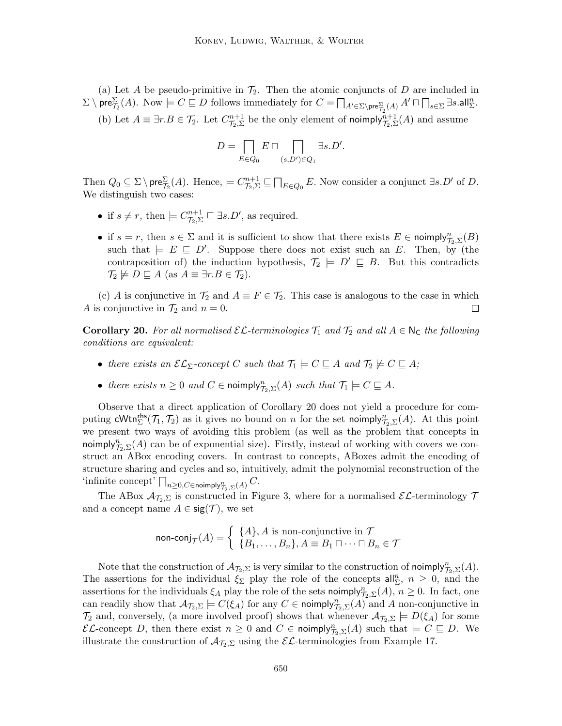(a) Let A be pseudo-primitive in  $\mathcal{T}_2$ . Then the atomic conjuncts of D are included in  $\Sigma \setminus \mathsf{pre}_{\mathcal{I}_2}^{\Sigma}(A)$ . Now  $\models C \sqsubseteq D$  follows immediately for  $C = \bigcap_{A' \in \Sigma \setminus \mathsf{pre}_{\mathcal{I}_2}^{\Sigma}(A)} A' \sqcap \bigcap_{s \in \Sigma} \exists s \cdot \mathsf{all}_{\Sigma}^n$ . (b) Let  $A \equiv \exists r.B \in \mathcal{T}_2$ . Let  $C_{\mathcal{T}_2, \Sigma}^{n+1}$  be the only element of noimply $_{\mathcal{T}_2, \Sigma}^{n+1}(A)$  and assume

$$
D = \bigcap_{E \in Q_0} E \sqcap \bigcap_{(s,D') \in Q_1} \exists s.D'.
$$

Then  $Q_0 \subseteq \Sigma \setminus \text{pre}_{\mathcal{T}_2}^{\Sigma}(A)$ . Hence,  $\models C_{\mathcal{T}_2, \Sigma}^{n+1} \sqsubseteq \prod_{E \in Q_0} E$ . Now consider a conjunct  $\exists s.D'$  of D. We distinguish two cases:

- if  $s \neq r$ , then  $\models C_{\mathcal{T}_2, \Sigma}^{n+1} \sqsubseteq \exists s.D'$ , as required.
- if  $s = r$ , then  $s \in \Sigma$  and it is sufficient to show that there exists  $E \in \text{noimply}_{\mathcal{T}_2, \Sigma}(B)$ such that  $\models E \sqsubseteq D'$ . Suppose there does not exist such an E. Then, by (the contraposition of) the induction hypothesis,  $\mathcal{T}_2 \models D' \sqsubseteq B$ . But this contradicts  $\mathcal{T}_2 \not\models D \sqsubseteq A \text{ (as } A \equiv \exists r.B \in \mathcal{T}_2).$

(c) A is conjunctive in  $\mathcal{T}_2$  and  $A \equiv F \in \mathcal{T}_2$ . This case is analogous to the case in which A is conjunctive in  $\mathcal{T}_2$  and  $n = 0$ .  $\Box$ 

**Corollary 20.** For all normalised  $\mathcal{EL}$ -terminologies  $\mathcal{T}_1$  and  $\mathcal{T}_2$  and all  $A \in \mathbb{N}_\mathbb{C}$  the following conditions are equivalent:

- there exists an  $\mathcal{EL}_{\Sigma}$ -concept C such that  $\mathcal{T}_1 \models C \sqsubseteq A$  and  $\mathcal{T}_2 \not\models C \sqsubseteq A$ ;
- there exists  $n \geq 0$  and  $C \in \text{noimply}^n_{\mathcal{T}_2, \Sigma}(A)$  such that  $\mathcal{T}_1 \models C \sqsubseteq A$ .

Observe that a direct application of Corollary 20 does not yield a procedure for computing  $\mathsf{cWtn}_{\Sigma}^{\mathsf{rhs}}(\mathcal{T}_1, \mathcal{T}_2)$  as it gives no bound on n for the set noimply $\mathcal{T}_{2,\Sigma}(A)$ . At this point we present two ways of avoiding this problem (as well as the problem that concepts in noimply $\eta_{2,\Sigma}^n(A)$  can be of exponential size). Firstly, instead of working with covers we construct an ABox encoding covers. In contrast to concepts, ABoxes admit the encoding of structure sharing and cycles and so, intuitively, admit the polynomial reconstruction of the 'infinite concept'  $\bigcap_{n\geq 0, C\in \mathsf{noimply}^n_{\mathcal{T}_2, \Sigma}(A)} C.$ 

The ABox  $\mathcal{A}_{\mathcal{T}_2,\Sigma}$  is constructed in Figure 3, where for a normalised  $\mathcal{EL}$ -terminology  $\mathcal{T}$ and a concept name  $A \in \text{sig}(\mathcal{T})$ , we set

$$
\text{non-conj}_{\mathcal{T}}(A) = \begin{cases} \{A\}, A \text{ is non-conjunctive in } \mathcal{T} \\ \{B_1, \dots, B_n\}, A \equiv B_1 \sqcap \dots \sqcap B_n \in \mathcal{T} \end{cases}
$$

Note that the construction of  $\mathcal{A}_{\mathcal{T}_2,\Sigma}$  is very similar to the construction of noimply $\eta_{2,\Sigma}^n(A)$ . The assertions for the individual  $\xi_{\Sigma}$  play the role of the concepts all<sub> $\Sigma$ </sub>,  $n \geq 0$ , and the assertions for the individuals  $\xi_A$  play the role of the sets noimply $\eta_{2,\Sigma}(A)$ ,  $n \geq 0$ . In fact, one can readily show that  $\mathcal{A}_{\mathcal{T}_2,\Sigma}\models C(\xi_A)$  for any  $C\in \text{noimply}_{\mathcal{T}_2,\Sigma}(A)$  and A non-conjunctive in  $\mathcal{T}_2$  and, conversely, (a more involved proof) shows that whenever  $\mathcal{A}_{\mathcal{T}_2,\Sigma} \models D(\xi_A)$  for some  $\mathcal{EL}$ -concept D, then there exist  $n \geq 0$  and  $C \in \text{noimply}_{\mathcal{T}_2,\Sigma}(A)$  such that  $\models C \sqsubseteq D$ . We illustrate the construction of  $\mathcal{A}_{\mathcal{I}_2,\Sigma}$  using the  $\mathcal{EL}$ -terminologies from Example 17.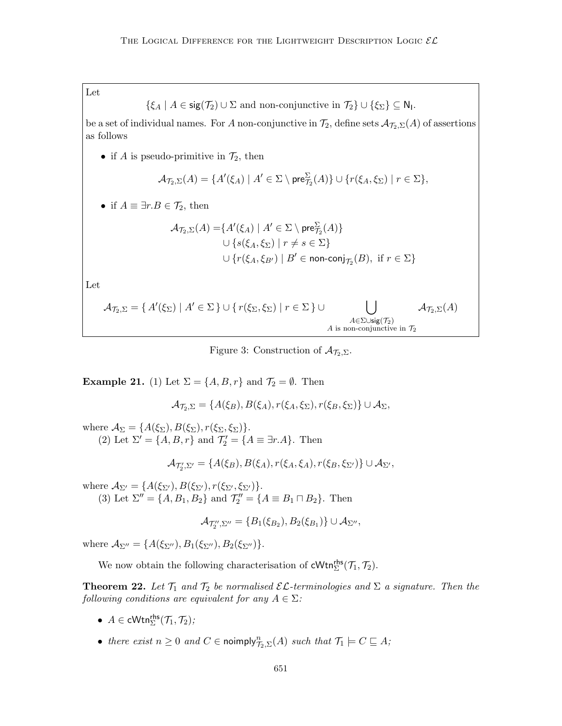Let

$$
\{\xi_A \mid A \in \text{sig}(\mathcal{T}_2) \cup \Sigma \text{ and non-conjunctive in } \mathcal{T}_2\} \cup \{\xi_{\Sigma}\} \subseteq \mathsf{N}_1.
$$

be a set of individual names. For A non-conjunctive in  $\mathcal{T}_2$ , define sets  $\mathcal{A}_{\mathcal{T}_2,\Sigma}(A)$  of assertions as follows

• if A is pseudo-primitive in  $\mathcal{T}_2$ , then

$$
\mathcal{A}_{\mathcal{T}_2,\Sigma}(A) = \{A'(\xi_A) \mid A' \in \Sigma \setminus \text{pre}_{\mathcal{T}_2}^{\Sigma}(A)\} \cup \{r(\xi_A,\xi_{\Sigma}) \mid r \in \Sigma\},\
$$

• if  $A \equiv \exists r.B \in \mathcal{T}_2$ , then

$$
\mathcal{A}_{\mathcal{T}_2, \Sigma}(A) = \{ A'(\xi_A) \mid A' \in \Sigma \setminus \text{pre}_{\mathcal{T}_2}^{\Sigma}(A) \}
$$
  
\n
$$
\cup \{ s(\xi_A, \xi_{\Sigma}) \mid r \neq s \in \Sigma \}
$$
  
\n
$$
\cup \{ r(\xi_A, \xi_{B'}) \mid B' \in \text{non-conj}_{\mathcal{T}_2}(B), \text{ if } r \in \Sigma \}
$$

Let

$$
\mathcal{A}_{\mathcal{T}_2,\Sigma} = \{ A'(\xi_{\Sigma}) \mid A' \in \Sigma \} \cup \{ r(\xi_{\Sigma}, \xi_{\Sigma}) \mid r \in \Sigma \} \cup \bigcup_{\substack{A \in \Sigma \cup \text{sig}(\mathcal{T}_2) \\ A \text{ is non-conjunctive in } \mathcal{T}_2}} \mathcal{A}_{\mathcal{T}_2,\Sigma}(A)
$$

Figure 3: Construction of 
$$
\mathcal{A}_{\mathcal{T}_2,\Sigma}
$$
.

**Example 21.** (1) Let  $\Sigma = \{A, B, r\}$  and  $\mathcal{T}_2 = \emptyset$ . Then

$$
\mathcal{A}_{\mathcal{T}_2,\Sigma} = \{A(\xi_B), B(\xi_A), r(\xi_A, \xi_\Sigma), r(\xi_B, \xi_\Sigma)\} \cup \mathcal{A}_{\Sigma},
$$

where  $\mathcal{A}_{\Sigma} = \{A(\xi_{\Sigma}), B(\xi_{\Sigma}), r(\xi_{\Sigma}, \xi_{\Sigma})\}.$ (2) Let  $\Sigma' = \{A, B, r\}$  and  $\mathcal{T}'_2 = \{A \equiv \exists r.A\}$ . Then

$$
\mathcal{A}_{\mathcal{T}'_2,\Sigma'} = \{A(\xi_B), B(\xi_A), r(\xi_A, \xi_A), r(\xi_B, \xi_{\Sigma'})\} \cup \mathcal{A}_{\Sigma'},
$$

where  $\mathcal{A}_{\Sigma'} = \{A(\xi_{\Sigma'}), B(\xi_{\Sigma'}), r(\xi_{\Sigma'}, \xi_{\Sigma'})\}.$ (3) Let  $\Sigma'' = \{A, B_1, B_2\}$  and  $\mathcal{T}_2'' = \{A \equiv B_1 \sqcap B_2\}$ . Then

$$
\mathcal{A}_{\mathcal{T}_2'',\Sigma''} = \{B_1(\xi_{B_2}), B_2(\xi_{B_1})\} \cup \mathcal{A}_{\Sigma''},
$$

where  $\mathcal{A}_{\Sigma''} = \{A(\xi_{\Sigma''}), B_1(\xi_{\Sigma''}), B_2(\xi_{\Sigma''})\}.$ 

We now obtain the following characterisation of  $\mathsf{cWtn}_{\Sigma}^{\mathsf{rhs}}(\mathcal{T}_1, \mathcal{T}_2)$ .

**Theorem 22.** Let  $\mathcal{T}_1$  and  $\mathcal{T}_2$  be normalised  $\mathcal{EL}$ -terminologies and  $\Sigma$  a signature. Then the following conditions are equivalent for any  $A \in \Sigma$ :

- $A \in \text{cWtn}_{\Sigma}^{\text{rhs}}(\mathcal{T}_1, \mathcal{T}_2)$ ;
- there exist  $n \geq 0$  and  $C \in \text{noimply}^n_{\mathcal{T}_2, \Sigma}(A)$  such that  $\mathcal{T}_1 \models C \sqsubseteq A;$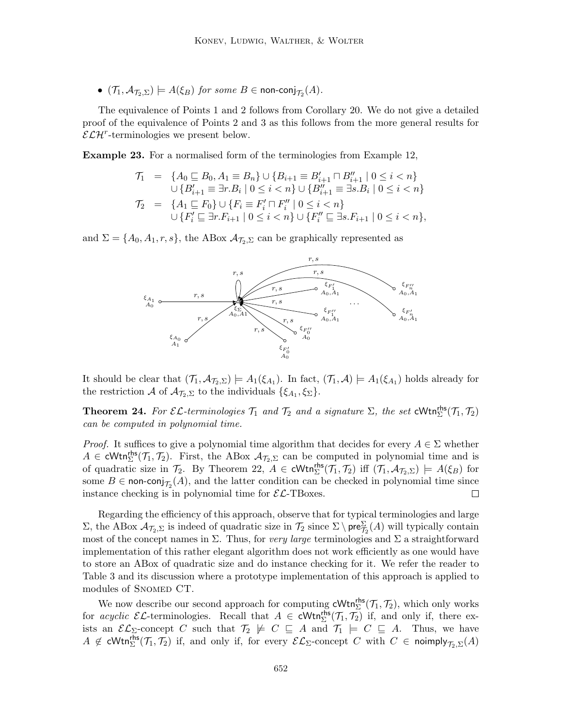$\bullet$   $(\mathcal{T}_1, \mathcal{A}_{\mathcal{T}_2, \Sigma}) \models A(\xi_B)$  for some  $B \in \mathsf{non\text{-}conj}_{\mathcal{T}_2}(A)$ .

The equivalence of Points 1 and 2 follows from Corollary 20. We do not give a detailed proof of the equivalence of Points 2 and 3 as this follows from the more general results for  $\mathcal{ELH}^r$ -terminologies we present below.

Example 23. For a normalised form of the terminologies from Example 12,

$$
\begin{array}{rl} \mathcal{T}_1 &=& \{A_0 \sqsubseteq B_0, A_1 \equiv B_n\} \cup \{B_{i+1} \equiv B'_{i+1} \sqcap B''_{i+1} \mid 0 \leq i < n\} \\ && \cup \{B'_{i+1} \equiv \exists r.B_i \mid 0 \leq i < n\} \cup \{B''_{i+1} \equiv \exists s.B_i \mid 0 \leq i < n\} \\ \mathcal{T}_2 &=& \{A_1 \sqsubseteq F_0\} \cup \{F_i \equiv F'_i \sqcap F''_i \mid 0 \leq i < n\} \\ && \cup \{F'_i \sqsubseteq \exists r.F_{i+1} \mid 0 \leq i < n\} \cup \{F''_i \sqsubseteq \exists s.F_{i+1} \mid 0 \leq i < n\}, \end{array}
$$

and  $\Sigma = \{A_0, A_1, r, s\}$ , the ABox  $A_{\mathcal{T}_2, \Sigma}$  can be graphically represented as



It should be clear that  $(\mathcal{T}_1, \mathcal{A}_{\mathcal{T}_2, \Sigma}) \models A_1(\xi_{A_1})$ . In fact,  $(\mathcal{T}_1, \mathcal{A}) \models A_1(\xi_{A_1})$  holds already for the restriction A of  $\mathcal{A}_{\mathcal{T}_2,\Sigma}$  to the individuals  $\{\xi_{A_1},\xi_{\Sigma}\}.$ 

**Theorem 24.** For  $\mathcal{EL}$ -terminologies  $\mathcal{T}_1$  and  $\mathcal{T}_2$  and a signature  $\Sigma$ , the set  $\text{cWtn}_{\Sigma}^{\text{rhs}}(\mathcal{T}_1, \mathcal{T}_2)$ can be computed in polynomial time.

*Proof.* It suffices to give a polynomial time algorithm that decides for every  $A \in \Sigma$  whether  $A \in \text{cWtn}_{\Sigma}^{\text{rhs}}(\mathcal{T}_1, \mathcal{T}_2)$ . First, the ABox  $\mathcal{A}_{\mathcal{T}_2, \Sigma}$  can be computed in polynomial time and is of quadratic size in  $\mathcal{T}_2$ . By Theorem 22,  $A \in \text{cWtn}_{\Sigma}^{\text{rhs}}(\mathcal{T}_1, \mathcal{T}_2)$  iff  $(\mathcal{T}_1, \mathcal{A}_{\mathcal{T}_2, \Sigma}) \models A(\xi_B)$  for some  $B \in \text{non-conj}_{\mathcal{T}_2}(A)$ , and the latter condition can be checked in polynomial time since instance checking is in polynomial time for  $\mathcal{EL}\text{-}\text{TBoxes}.$  $\Box$ 

Regarding the efficiency of this approach, observe that for typical terminologies and large  $\Sigma$ , the ABox  $\mathcal{A}_{\mathcal{T}_2,\Sigma}$  is indeed of quadratic size in  $\mathcal{T}_2$  since  $\Sigma \setminus \text{pre}_{\mathcal{T}_2}^{\Sigma}(A)$  will typically contain most of the concept names in  $\Sigma$ . Thus, for very large terminologies and  $\Sigma$  a straightforward implementation of this rather elegant algorithm does not work efficiently as one would have to store an ABox of quadratic size and do instance checking for it. We refer the reader to Table 3 and its discussion where a prototype implementation of this approach is applied to modules of SNOMED CT.

We now describe our second approach for computing  $\mathsf{cWtn}_{\Sigma}^{\mathsf{rhs}}(\mathcal{T}_1, \mathcal{T}_2)$ , which only works for *acyclic EL*-terminologies. Recall that  $A \in \text{cWtn}_{\Sigma}^{\text{rhs}}(\mathcal{T}_1, \mathcal{T}_2)$  if, and only if, there exists an  $\mathcal{EL}_{\Sigma}$ -concept C such that  $\mathcal{T}_2 \not\models C \subseteq A$  and  $\mathcal{T}_1 \models C \subseteq A$ . Thus, we have  $A \notin \text{cWtn}_{\Sigma}^{\text{rhs}}(\mathcal{T}_1, \mathcal{T}_2)$  if, and only if, for every  $\mathcal{EL}_{\Sigma}\text{-concept } C$  with  $C \in \text{noimply}_{\mathcal{T}_2, \Sigma}(A)$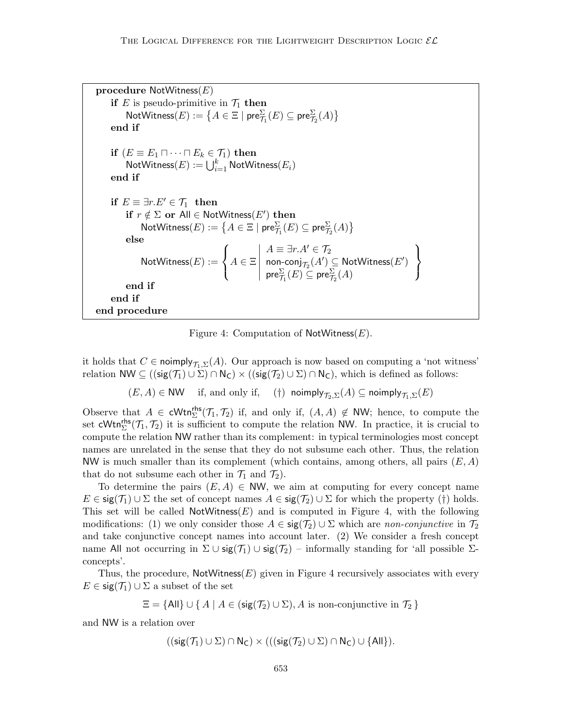```
procedure \mathsf{NotW}itness(E)if E is pseudo-primitive in \mathcal{T}_1 then
                 \mathsf{NotWitness}(E) := \big\{ A \in \Xi \mid \mathsf{pre}^\Sigma_{\mathcal{T}_1}(E) \subseteq \mathsf{pre}^\Sigma_{\mathcal{T}_2}(A) \big\}end if
        \mathbf{if}\,\,(E \equiv E_1 \sqcap \cdots \sqcap E_k \in \mathcal{T}_1)\,\,\mathbf{then}\mathsf{NotWitness}(E) := \bigcup_{i=1}^k \mathsf{NotWitness}(E_i)end if
        if E \equiv \exists r.E' \in \mathcal{T}_1 then
                 if r \notin \Sigma or All \in NotWitness(E') then
                         \mathsf{NotWitness}(E) := \big\{ A \in \Xi \mid \mathsf{pre}^\Sigma_{\mathcal{T}_1}(E) \subseteq \mathsf{pre}^\Sigma_{\mathcal{T}_2}(A) \big\}else
                         \mathsf{NotWitness}(E) :=\sqrt{ }\left| \right|\mathcal{L}A \in \Xi\begin{array}{c} \begin{array}{c} \begin{array}{c} \begin{array}{c} \end{array} \\ \end{array} \\ \begin{array}{c} \end{array} \end{array} \end{array}A \equiv \exists r.A' \in \mathcal{T}_2\mathsf{non\text{-}conj}_{\mathcal{T}_2}(A') \subseteq \mathsf{NotWitness}(E')\mathsf{pre}^\Sigma_{\mathcal{T}_1}(E) \subseteq \mathsf{pre}^\Sigma_{\mathcal{T}_2}(A)\mathcal{L}\mathcal{L}J
                end if
        end if
end procedure
```
Figure 4: Computation of  $\mathsf{NotW}$  thess  $(E)$ .

it holds that  $C \in \text{noimply}_{\mathcal{T}_1,\Sigma}(A)$ . Our approach is now based on computing a 'not witness' relation NW  $\subseteq ((\mathsf{sig}(\mathcal{T}_1) \cup \Sigma) \cap \mathsf{N}_\mathsf{C}) \times ((\mathsf{sig}(\mathcal{T}_2) \cup \Sigma) \cap \mathsf{N}_\mathsf{C}),$  which is defined as follows:

 $(E, A) \in NW$  if, and only if, (†) noimply $\tau_{\infty}(\underline{F}) \subseteq$  noimply $\tau_{\infty}(\underline{F})$ 

Observe that  $A \in \text{cWtn}_{\Sigma}^{\text{rhs}}(\mathcal{T}_1, \mathcal{T}_2)$  if, and only if,  $(A, A) \notin \text{NW}$ ; hence, to compute the set  $\text{cWtn}_{\Sigma}^{\text{rhs}}(\mathcal{T}_1, \mathcal{T}_2)$  it is sufficient to compute the relation NW. In practice, it is crucial to compute the relation NW rather than its complement: in typical terminologies most concept names are unrelated in the sense that they do not subsume each other. Thus, the relation NW is much smaller than its complement (which contains, among others, all pairs  $(E, A)$ ) that do not subsume each other in  $\mathcal{T}_1$  and  $\mathcal{T}_2$ ).

To determine the pairs  $(E, A) \in NW$ , we aim at computing for every concept name  $E \in \text{sig}(\mathcal{T}_1) \cup \Sigma$  the set of concept names  $A \in \text{sig}(\mathcal{T}_2) \cup \Sigma$  for which the property (†) holds. This set will be called NotWitness $(E)$  and is computed in Figure 4, with the following modifications: (1) we only consider those  $A \in \text{sig}(\mathcal{T}_2) \cup \Sigma$  which are non-conjunctive in  $\mathcal{T}_2$ and take conjunctive concept names into account later. (2) We consider a fresh concept name All not occurring in  $\Sigma \cup \mathsf{sig}(\mathcal{T}_1) \cup \mathsf{sig}(\mathcal{T}_2)$  – informally standing for 'all possible  $\Sigma$ concepts'.

Thus, the procedure,  $\text{NotWitness}(E)$  given in Figure 4 recursively associates with every  $E \in \text{sig}(\mathcal{T}_1) \cup \Sigma$  a subset of the set

$$
\Xi = \{ \text{All} \} \cup \{ A \mid A \in (\text{sig}(\mathcal{T}_2) \cup \Sigma), A \text{ is non-conjunctive in } \mathcal{T}_2 \}
$$

and NW is a relation over

$$
((\mathsf{sig}(\mathcal{T}_1) \cup \Sigma) \cap \mathsf{N}_\mathsf{C}) \times (((\mathsf{sig}(\mathcal{T}_2) \cup \Sigma) \cap \mathsf{N}_\mathsf{C}) \cup \{\mathsf{All}\}).
$$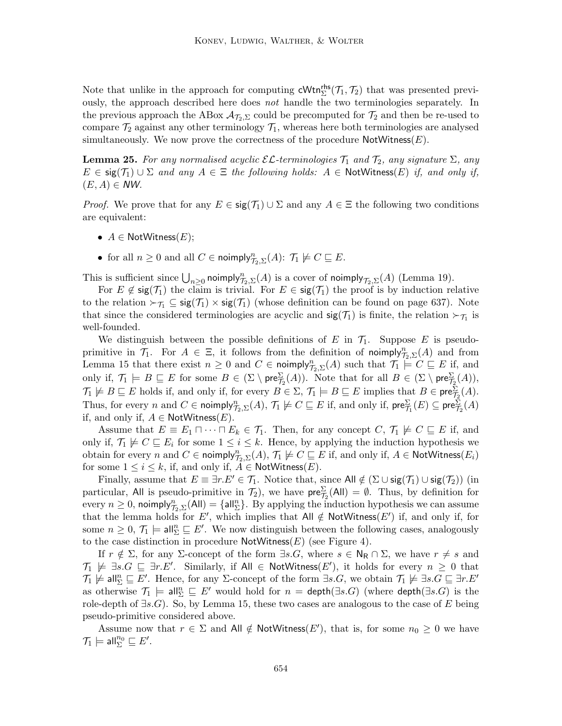Note that unlike in the approach for computing  $\mathsf{cWtn}_{\Sigma}^{\mathsf{rhs}}(\mathcal{T}_1, \mathcal{T}_2)$  that was presented previously, the approach described here does not handle the two terminologies separately. In the previous approach the ABox  $\mathcal{A}_{\mathcal{T}_2,\Sigma}$  could be precomputed for  $\mathcal{T}_2$  and then be re-used to compare  $\mathcal{T}_2$  against any other terminology  $\mathcal{T}_1$ , whereas here both terminologies are analysed simultaneously. We now prove the correctness of the procedure  $\mathsf{NotW}$ itness $(E)$ .

**Lemma 25.** For any normalised acyclic  $\mathcal{EL}$ -terminologies  $\mathcal{T}_1$  and  $\mathcal{T}_2$ , any signature  $\Sigma$ , any  $E \in \text{sig}(\mathcal{T}_1) \cup \Sigma$  and any  $A \in \Xi$  the following holds:  $A \in \text{NotWitness}(E)$  if, and only if,  $(E, A) \in NW.$ 

*Proof.* We prove that for any  $E \in \text{sig}(\mathcal{T}_1) \cup \Sigma$  and any  $A \in \Xi$  the following two conditions are equivalent:

- $A \in$  NotWitness $(E);$
- for all  $n \geq 0$  and all  $C \in \text{noimply}^n_{\mathcal{T}_2, \Sigma}(A)$ :  $\mathcal{T}_1 \not\models C \sqsubseteq E$ .

This is sufficient since  $\bigcup_{n\geq 0}$  noimply $\mathcal{T}_{2,\Sigma}(A)$  is a cover of noimply $\mathcal{T}_{2,\Sigma}(A)$  (Lemma 19).

For  $E \notin \text{sig}(\mathcal{T}_1)$  the claim is trivial. For  $E \in \text{sig}(\mathcal{T}_1)$  the proof is by induction relative to the relation  $\succ_{\mathcal{T}_1} \subseteq \mathsf{sig}(\mathcal{T}_1) \times \mathsf{sig}(\mathcal{T}_1)$  (whose definition can be found on page 637). Note that since the considered terminologies are acyclic and  $sig(\mathcal{T}_1)$  is finite, the relation  $\succ_{\mathcal{T}_1}$  is well-founded.

We distinguish between the possible definitions of E in  $\mathcal{T}_1$ . Suppose E is pseudoprimitive in  $\mathcal{T}_1$ . For  $A \in \Xi$ , it follows from the definition of noimply $\mathcal{T}_{2,\Sigma}(A)$  and from Lemma 15 that there exist  $n \geq 0$  and  $C \in \text{noimply}^n_{\mathcal{T}_2,\Sigma}(A)$  such that  $\mathcal{T}_1 \models C \sqsubseteq E$  if, and only if,  $\mathcal{T}_1 \models B \sqsubseteq E$  for some  $B \in (\Sigma \setminus \mathsf{pre}_{\mathcal{T}_2}^{\Sigma}(A))$ . Note that for all  $B \in (\Sigma \setminus \mathsf{pre}_{\mathcal{T}_2}^{\Sigma}(A)),$  $\mathcal{T}_1 \not\models B \sqsubseteq E$  holds if, and only if, for every  $B \in \Sigma$ ,  $\mathcal{T}_1 \models B \sqsubseteq E$  implies that  $B \in \text{pre}_{\mathcal{T}_2}^{\Sigma}(A)$ . Thus, for every n and  $C \in \text{noimply}^n_{\mathcal{T}_2, \Sigma}(A), \mathcal{T}_1 \not\models C \sqsubseteq E$  if, and only if,  $\text{pre}^{\Sigma}_{\mathcal{T}_1}(E) \subseteq \text{pre}^{\Sigma}_{\mathcal{T}_2}(A)$ if, and only if,  $A \in \textsf{NotWitness}(E)$ .

Assume that  $E \equiv E_1 \sqcap \cdots \sqcap E_k \in \mathcal{T}_1$ . Then, for any concept  $C, \mathcal{T}_1 \not\models C \sqsubseteq E$  if, and only if,  $\mathcal{T}_1 \not\models C \sqsubseteq E_i$  for some  $1 \leq i \leq k$ . Hence, by applying the induction hypothesis we obtain for every n and  $C \in \text{noimply}^n_{\mathcal{T}_2, \Sigma}(A), \, \mathcal{T}_1 \not\models C \sqsubseteq E$  if, and only if,  $A \in \text{NotWitness}(E_i)$ for some  $1 \leq i \leq k$ , if, and only if,  $A \in \textsf{NotWitness}(E)$ .

Finally, assume that  $E \equiv \exists r.E' \in \mathcal{T}_1$ . Notice that, since All  $\notin (\Sigma \cup \mathsf{sig}(\mathcal{T}_1) \cup \mathsf{sig}(\mathcal{T}_2))$  (in particular, All is pseudo-primitive in  $\mathcal{T}_2$ ), we have  $\mathsf{pre}_{\mathcal{T}_2}^{\Sigma}(\mathsf{All}) = \emptyset$ . Thus, by definition for every  $n \ge 0$ , noimply $_{\mathcal{T}_2,\Sigma}^n(AII) = \{ \text{all}_{\Sigma}^n \}$ . By applying the induction hypothesis we can assume that the lemma holds for E', which implies that All  $\notin$  NotWitness(E') if, and only if, for some  $n \geq 0$ ,  $\mathcal{T}_1 \models \text{all}_{\Sigma}^n \sqsubseteq E'$ . We now distinguish between the following cases, analogously to the case distinction in procedure  $\mathsf{NotW}$  thess  $(E)$  (see Figure 4).

If  $r \notin \Sigma$ , for any  $\Sigma$ -concept of the form  $\exists s.G$ , where  $s \in \mathsf{N}_{\mathsf{R}} \cap \Sigma$ , we have  $r \neq s$  and  $\mathcal{T}_1 \not\models \exists s.G \sqsubseteq \exists r.E'.$  Similarly, if  $\mathsf{All} \in \mathsf{NotWitness}(E'),$  it holds for every  $n \geq 0$  that  $\mathcal{T}_1 \not\models \mathsf{all}_\Sigma^n \sqsubseteq E'.$  Hence, for any  $\Sigma$ -concept of the form  $\exists s.G$ , we obtain  $\mathcal{T}_1 \not\models \exists s.G \sqsubseteq \exists r.E'$ as otherwise  $\mathcal{T}_1$   $\models$  all $_{\Sigma}^{n} \sqsubseteq E'$  would hold for  $n = \text{depth}(\exists s.G)$  (where  $\text{depth}(\exists s.G)$  is the role-depth of  $\exists s. G$ ). So, by Lemma 15, these two cases are analogous to the case of E being pseudo-primitive considered above.

Assume now that  $r \in \Sigma$  and All  $\notin$  NotWitness(E'), that is, for some  $n_0 \geq 0$  we have  $\mathcal{T}_1 \models \mathsf{all}_{\Sigma}^{n_0} \sqsubseteq E'.$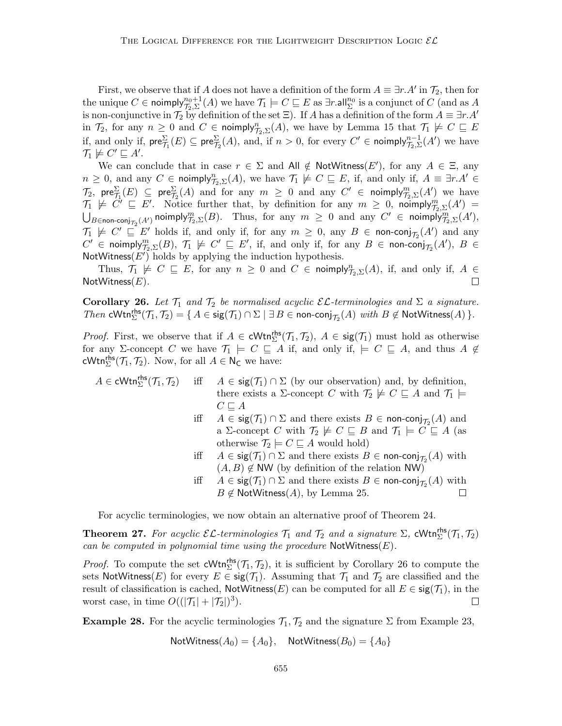First, we observe that if A does not have a definition of the form  $A \equiv \exists r.A'$  in  $\mathcal{T}_2$ , then for the unique  $C \in \mathsf{noimply}_{\mathcal{T}_2, \Sigma}^{n_0+1}(A)$  we have  $\mathcal{T}_1 \models C \sqsubseteq E$  as  $\exists r.\mathsf{all}_{\Sigma}^{n_0}$  is a conjunct of  $C$  (and as  $A$ is non-conjunctive in  $\mathcal{T}_2$  by definition of the set  $\Xi$ ). If A has a definition of the form  $A \equiv \exists r.A'$ in  $\mathcal{T}_2$ , for any  $n \geq 0$  and  $C \in \text{noimply}^n_{\mathcal{T}_2,\Sigma}(A)$ , we have by Lemma 15 that  $\mathcal{T}_1 \not\models C \sqsubseteq E$ if, and only if,  $\mathsf{pre}_{\mathcal{T}_1}^{\Sigma}(E) \subseteq \mathsf{pre}_{\mathcal{T}_2}^{\Sigma}(A)$ , and, if  $n > 0$ , for every  $C' \in \mathsf{noimply}_{\mathcal{T}_2,\Sigma}^{n-1}(A')$  we have  $\mathcal{T}_1 \not\models C' \sqsubseteq A'.$ 

We can conclude that in case  $r \in \Sigma$  and All  $\notin$  NotWitness(E'), for any  $A \in \Xi$ , any  $n \geq 0$ , and any  $C \in \text{noimply}^n_{\mathcal{T}_2, \Sigma}(A)$ , we have  $\mathcal{T}_1 \not\models C \sqsubseteq E$ , if, and only if,  $A \equiv \exists r.A' \in$  $\mathcal{T}_2$ , pre $\frac{\Sigma}{\mathcal{T}_1}(E) \subseteq \text{pre}\frac{\Sigma}{\mathcal{T}_2}(A)$  and for any  $m \geq 0$  and any  $C' \in \text{noimply}\frac{m}{\mathcal{T}_2,\Sigma}(A')$  we have  $\mathcal{T}_1 \not\models C' \sqsubseteq E'$ . Notice further that, by definition for any  $m \geq 0$ , noimply $\mathcal{T}_{2,\Sigma}(A') =$  $\bigcup_{B\in {\mathsf{non-conj}}_{\mathcal{T}_2}(A')} {\mathsf{noimply}}^m_{\mathcal{T}_2,\Sigma}(B).$  Thus, for any  $m\,\geq\, 0$  and any  $C'\, \in\, {\mathsf{noimply}}^m_{\mathcal{T}_2,\Sigma}(A'),$  $\mathcal{T}_1 \not\models C' \sqsubseteq E'$  holds if, and only if, for any  $m \geq 0$ , any  $B \in \text{non-conj}_{\mathcal{T}_2}(A')$  and any  $C' \in \text{noimply}^m_{\mathcal{T}_2, \Sigma}(B), \ \mathcal{T}_1 \not\models C' \sqsubseteq E', \text{ if, and only if, for any } B \in \text{non-conj}_{\mathcal{T}_2}(A'), \ B \in$ NotWitness $(E')$  holds by applying the induction hypothesis.

Thus,  $\mathcal{T}_1 \not\models C \sqsubseteq E$ , for any  $n \geq 0$  and  $C \in \text{noimply}_{\mathcal{T}_2,\Sigma}(A)$ , if, and only if,  $A \in$ NotWitness $(E)$ . П

**Corollary 26.** Let  $\mathcal{T}_1$  and  $\mathcal{T}_2$  be normalised acyclic  $\mathcal{EL}$ -terminologies and  $\Sigma$  a signature. Then  $\text{cWtn}_{\Sigma}^{\text{rhs}}(\mathcal{T}_1, \mathcal{T}_2) = \{ A \in \text{sig}(\mathcal{T}_1) \cap \Sigma \mid \exists B \in \text{non-conj}_{\mathcal{T}_2}(A) \text{ with } B \notin \text{NotWitness}(A) \}.$ 

*Proof.* First, we observe that if  $A \in \text{cWtn}_{\Sigma}^{\text{rhs}}(\mathcal{T}_1, \mathcal{T}_2)$ ,  $A \in \text{sig}(\mathcal{T}_1)$  must hold as otherwise for any  $\Sigma$ -concept C we have  $\mathcal{T}_1 \models C \sqsubseteq A$  if, and only if,  $\models C \sqsubseteq A$ , and thus  $A \not\in$ cWtn<sup>rhs</sup> $(\mathcal{T}_1, \mathcal{T}_2)$ . Now, for all  $A \in \mathsf{N}_\mathsf{C}$  we have:

- $A \in \mathsf{cWtn}_{\Sigma}^{\mathsf{rhs}}(\mathcal{T}_1, \mathcal{T}_2)$ iff  $A \in \text{sig}(\mathcal{T}_1) \cap \Sigma$  (by our observation) and, by definition, there exists a  $\Sigma$ -concept C with  $\mathcal{T}_2 \not\models C \sqsubseteq A$  and  $\mathcal{T}_1 \models$  $C \sqsubseteq A$ 
	- iff  $A \in \text{sig}(\mathcal{T}_1) \cap \Sigma$  and there exists  $B \in \text{non-conj}_{\mathcal{T}_2}(A)$  and a Σ-concept C with  $\mathcal{T}_2 \not\models C \sqsubseteq B$  and  $\mathcal{T}_1 \models C \sqsubseteq A$  (as otherwise  $\mathcal{T}_2 \models C \sqsubseteq A$  would hold)
	- iff  $A \in \text{sig}(\mathcal{T}_1) \cap \Sigma$  and there exists  $B \in \text{non-conj}_{\mathcal{T}_2}(A)$  with  $(A, B) \notin NW$  (by definition of the relation NW)
	- iff  $A \in \text{sig}(\mathcal{T}_1) \cap \Sigma$  and there exists  $B \in \text{non-conj}_{\mathcal{T}_2}(A)$  with  $B \notin \text{NotWitness}(A)$ , by Lemma 25.  $\Box$

For acyclic terminologies, we now obtain an alternative proof of Theorem 24.

**Theorem 27.** For acyclic  $\mathcal{EL}$ -terminologies  $\mathcal{T}_1$  and  $\mathcal{T}_2$  and a signature  $\Sigma$ , cWtn<sup>ths</sup> $(\mathcal{T}_1, \mathcal{T}_2)$ can be computed in polynomial time using the procedure  $\mathsf{NotWitness}(E)$ .

*Proof.* To compute the set  $cWtn_{\Sigma}^{rhs}(\mathcal{T}_1, \mathcal{T}_2)$ , it is sufficient by Corollary 26 to compute the sets NotWitness(E) for every  $E \in \text{sig}(\mathcal{T}_1)$ . Assuming that  $\mathcal{T}_1$  and  $\mathcal{T}_2$  are classified and the result of classification is cached,  $\text{NotWitness}(E)$  can be computed for all  $E \in \text{sig}(\mathcal{T}_1)$ , in the worst case, in time  $O((|\mathcal{T}_1|+|\mathcal{T}_2|)^3)$ .  $\Box$ 

**Example 28.** For the acyclic terminologies  $\mathcal{T}_1, \mathcal{T}_2$  and the signature  $\Sigma$  from Example 23,

NotWitness
$$
(A_0)
$$
 =  $\{A_0\}$ , NotWitness $(B_0)$  =  $\{A_0\}$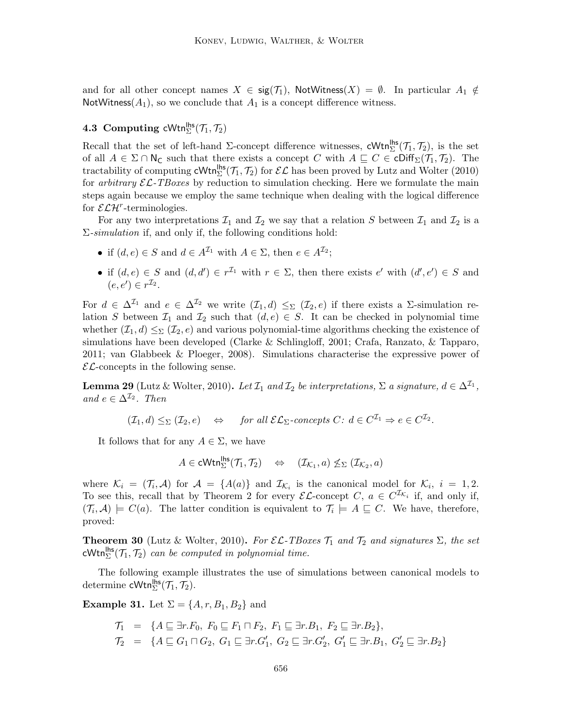and for all other concept names  $X \in \text{sig}(\mathcal{T}_1)$ , NotWitness $(X) = \emptyset$ . In particular  $A_1 \notin$ NotWitness( $A_1$ ), so we conclude that  $A_1$  is a concept difference witness.

# **4.3** Computing cWtn<sup>lhs</sup> $(\mathcal{T}_1, \mathcal{T}_2)$

Recall that the set of left-hand  $\Sigma$ -concept difference witnesses, cWtn<sup>lhs</sup>( $\mathcal{T}_1$ ,  $\mathcal{T}_2$ ), is the set of all  $A \in \Sigma \cap \mathsf{N}_{\mathsf{C}}$  such that there exists a concept C with  $A \sqsubseteq C \in \mathsf{cliff}_{\Sigma}(\mathcal{T}_1, \mathcal{T}_2)$ . The tractability of computing  $cWtn_{\Sigma}^{\mathsf{hls}}(\mathcal{T}_1, \mathcal{T}_2)$  for  $\mathcal{EL}$  has been proved by Lutz and Wolter (2010) for *arbitrary*  $\mathcal{EL}\text{-}TBoxes$  by reduction to simulation checking. Here we formulate the main steps again because we employ the same technique when dealing with the logical difference for  $\mathcal{ELH}^r$ -terminologies.

For any two interpretations  $\mathcal{I}_1$  and  $\mathcal{I}_2$  we say that a relation S between  $\mathcal{I}_1$  and  $\mathcal{I}_2$  is a  $\Sigma$ -simulation if, and only if, the following conditions hold:

- if  $(d, e) \in S$  and  $d \in A^{\mathcal{I}_1}$  with  $A \in \Sigma$ , then  $e \in A^{\mathcal{I}_2}$ ;
- if  $(d, e) \in S$  and  $(d, d') \in r^{\mathcal{I}_1}$  with  $r \in \Sigma$ , then there exists  $e'$  with  $(d', e') \in S$  and  $(e, e') \in r^{\mathcal{I}_2}.$

For  $d \in \Delta^{\mathcal{I}_1}$  and  $e \in \Delta^{\mathcal{I}_2}$  we write  $(\mathcal{I}_1, d) \leq_{\Sigma} (\mathcal{I}_2, e)$  if there exists a  $\Sigma$ -simulation relation S between  $\mathcal{I}_1$  and  $\mathcal{I}_2$  such that  $(d, e) \in S$ . It can be checked in polynomial time whether  $(\mathcal{I}_1, d) \leq_{\Sigma} (\mathcal{I}_2, e)$  and various polynomial-time algorithms checking the existence of simulations have been developed (Clarke & Schlingloff, 2001; Crafa, Ranzato, & Tapparo, 2011; van Glabbeek & Ploeger, 2008). Simulations characterise the expressive power of  $\mathcal{EL}$ -concepts in the following sense.

**Lemma 29** (Lutz & Wolter, 2010). Let  $\mathcal{I}_1$  and  $\mathcal{I}_2$  be interpretations,  $\Sigma$  a signature,  $d \in \Delta^{\mathcal{I}_1}$ , and  $e \in \Delta^{\mathcal{I}_2}$ . Then

$$
(\mathcal{I}_1, d) \leq_{\Sigma} (\mathcal{I}_2, e) \quad \Leftrightarrow \quad \text{for all } \mathcal{EL}_{\Sigma}\text{-concepts } C \colon d \in C^{\mathcal{I}_1} \Rightarrow e \in C^{\mathcal{I}_2}.
$$

It follows that for any  $A \in \Sigma$ , we have

$$
A \in \mathsf{cWtn}_{\Sigma}^{\mathsf{lhs}}(\mathcal{T}_1, \mathcal{T}_2) \quad \Leftrightarrow \quad (\mathcal{I}_{\mathcal{K}_1}, a) \not\leq_{\Sigma} (\mathcal{I}_{\mathcal{K}_2}, a)
$$

where  $\mathcal{K}_i = (\mathcal{T}_i, \mathcal{A})$  for  $\mathcal{A} = \{A(a)\}\$ and  $\mathcal{I}_{\mathcal{K}_i}$  is the canonical model for  $\mathcal{K}_i$ ,  $i = 1, 2$ . To see this, recall that by Theorem 2 for every  $\mathcal{EL}$ -concept  $C, a \in C^{\mathcal{I}_{\mathcal{K}_i}}$  if, and only if,  $(\mathcal{T}_i, \mathcal{A}) \models C(a)$ . The latter condition is equivalent to  $\mathcal{T}_i \models A \sqsubseteq C$ . We have, therefore, proved:

**Theorem 30** (Lutz & Wolter, 2010). For  $\mathcal{EL}\text{-}TBoxes \mathcal{T}_1$  and  $\mathcal{T}_2$  and signatures  $\Sigma$ , the set  $\mathsf{cWtn}_{\Sigma}^{\mathsf{hbs}}(\mathcal{T}_1, \mathcal{T}_2)$  can be computed in polynomial time.

The following example illustrates the use of simulations between canonical models to determine  $\mathsf{cWtn}_{\Sigma}^{\mathsf{hls}}(\mathcal{T}_1, \mathcal{T}_2).$ 

**Example 31.** Let  $\Sigma = \{A, r, B_1, B_2\}$  and

$$
T_1 = \{ A \sqsubseteq \exists r.F_0, F_0 \sqsubseteq F_1 \sqcap F_2, F_1 \sqsubseteq \exists r.B_1, F_2 \sqsubseteq \exists r.B_2 \},
$$
  

$$
T_2 = \{ A \sqsubseteq G_1 \sqcap G_2, G_1 \sqsubseteq \exists r.G'_1, G_2 \sqsubseteq \exists r.G'_2, G'_1 \sqsubseteq \exists r.B_1, G'_2 \sqsubseteq \exists r.B_2 \}
$$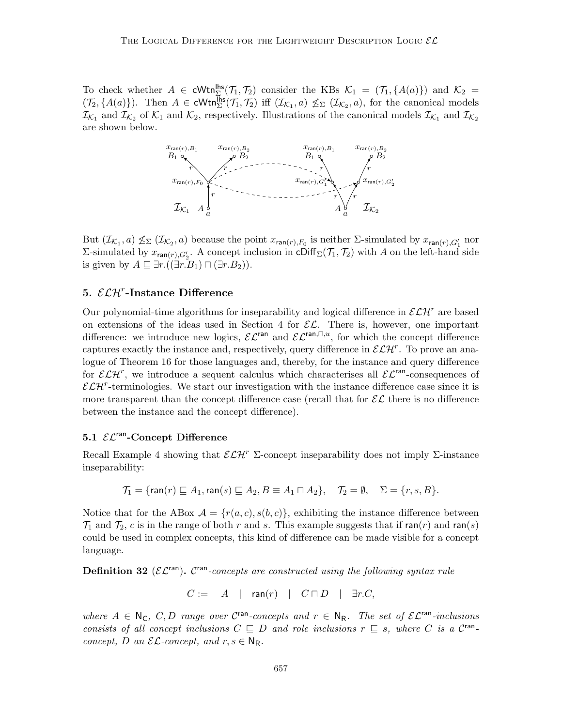To check whether  $A \in \text{cWtn}_{\Sigma}^{\text{lhs}}(\mathcal{T}_1, \mathcal{T}_2)$  consider the KBs  $\mathcal{K}_1 = (\mathcal{T}_1, \{A(a)\})$  and  $\mathcal{K}_2 =$  $(\mathcal{T}_2, \{A(a)\})$ . Then  $A \in \text{cWtn}_{\Sigma}^{\text{hbs}}(\mathcal{T}_1, \mathcal{T}_2)$  iff  $(\mathcal{I}_{\mathcal{K}_1}, a) \nleq_{\Sigma} (\mathcal{I}_{\mathcal{K}_2}, a)$ , for the canonical models  $\mathcal{I}_{\mathcal{K}_1}$  and  $\mathcal{I}_{\mathcal{K}_2}$  of  $\mathcal{K}_1$  and  $\mathcal{K}_2$ , respectively. Illustrations of the canonical models  $\mathcal{I}_{\mathcal{K}_1}$  and  $\mathcal{I}_{\mathcal{K}_2}$ are shown below.



But  $(\mathcal{I}_{\mathcal{K}_1},a) \nleq_{\Sigma} (\mathcal{I}_{\mathcal{K}_2},a)$  because the point  $x_{\mathsf{ran}(r),F_0}$  is neither  $\Sigma$ -simulated by  $x_{\mathsf{ran}(r),G'_1}$  nor Σ-simulated by  $x_{\text{ran}(r),G'_2}$ . A concept inclusion in cDiff<sub>Σ</sub>( $\mathcal{T}_1$ ,  $\mathcal{T}_2$ ) with A on the left-hand side is given by  $A \sqsubseteq \exists r.((\exists r.\overline{B_1}) \sqcap (\exists r.B_2)).$ 

## 5.  $\mathcal{ELH}^r$ -Instance Difference

Our polynomial-time algorithms for inseparability and logical difference in  $\mathcal{ELH}^r$  are based on extensions of the ideas used in Section 4 for  $\mathcal{EL}$ . There is, however, one important difference: we introduce new logics,  $\mathcal{EL}^{\text{ran}}$  and  $\mathcal{EL}^{\text{ran},\Box,u}$ , for which the concept difference captures exactly the instance and, respectively, query difference in  $\mathcal{ELH}^r$ . To prove an analogue of Theorem 16 for those languages and, thereby, for the instance and query difference for  $\mathcal{ELH}^r$ , we introduce a sequent calculus which characterises all  $\mathcal{EL}^{ran}$ -consequences of  $\mathcal{ELH}^r$ -terminologies. We start our investigation with the instance difference case since it is more transparent than the concept difference case (recall that for  $\mathcal{EL}$  there is no difference between the instance and the concept difference).

#### 5.1  $\mathcal{EL}^{\text{ran}}$ -Concept Difference

Recall Example 4 showing that  $\mathcal{E}\mathcal{L}\mathcal{H}^r$  Σ-concept inseparability does not imply Σ-instance inseparability:

$$
\mathcal{T}_1 = \{\text{ran}(r) \sqsubseteq A_1, \text{ran}(s) \sqsubseteq A_2, B \equiv A_1 \sqcap A_2\}, \quad \mathcal{T}_2 = \emptyset, \quad \Sigma = \{r, s, B\}.
$$

Notice that for the ABox  $A = \{r(a, c), s(b, c)\}\$ , exhibiting the instance difference between  $\mathcal{T}_1$  and  $\mathcal{T}_2$ , c is in the range of both r and s. This example suggests that if ran(r) and ran(s) could be used in complex concepts, this kind of difference can be made visible for a concept language.

**Definition 32** ( $\mathcal{EL}^{\text{ran}}$ ). C<sup>ran</sup>-concepts are constructed using the following syntax rule

$$
C := A \mid \mathsf{ran}(r) \mid C \sqcap D \mid \exists r.C,
$$

where  $A \in \mathbb{N}_{\mathsf{C}}$ ,  $C, D$  range over  $C^{\text{ran}}$ -concepts and  $r \in \mathbb{N}_{\mathsf{R}}$ . The set of  $\mathcal{EL}^{\text{ran}}$ -inclusions consists of all concept inclusions  $C \subseteq D$  and role inclusions  $r \subseteq s$ , where C is a C<sup>ran</sup>concept, D an  $\mathcal{EL}\text{-}concept$ , and  $r, s \in \mathbb{N}_{\mathbb{R}}$ .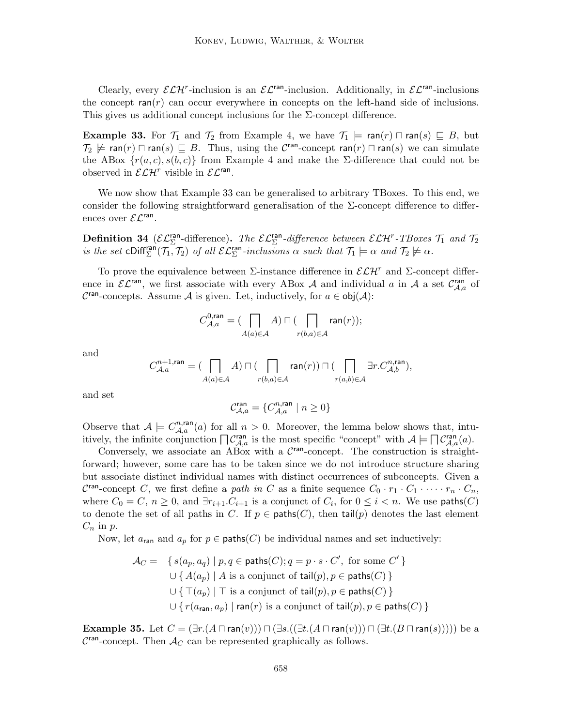Clearly, every  $\mathcal{ELH}^r$ -inclusion is an  $\mathcal{EL}^{ran}$ -inclusion. Additionally, in  $\mathcal{EL}^{ran}$ -inclusions the concept  $ran(r)$  can occur everywhere in concepts on the left-hand side of inclusions. This gives us additional concept inclusions for the  $\Sigma$ -concept difference.

**Example 33.** For  $\mathcal{T}_1$  and  $\mathcal{T}_2$  from Example 4, we have  $\mathcal{T}_1 \models \text{ran}(r) \sqcap \text{ran}(s) \sqsubseteq B$ , but  $\mathcal{T}_2 \not\models \textsf{ran}(r) \sqcap \textsf{ran}(s) \sqsubseteq B$ . Thus, using the  $\mathcal{C}^{\textsf{ran}}$ -concept  $\textsf{ran}(r) \sqcap \textsf{ran}(s)$  we can simulate the ABox  $\{r(a, c), s(b, c)\}\$ from Example 4 and make the Σ-difference that could not be observed in  $\mathcal{ELH}^r$  visible in  $\mathcal{EL}^{ran}$ .

We now show that Example 33 can be generalised to arbitrary TBoxes. To this end, we consider the following straightforward generalisation of the  $\Sigma$ -concept difference to differences over  $\mathcal{EL}^{\text{ran}}$ .

**Definition 34** ( $\mathcal{EL}_{\Sigma}^{\text{ran}}$ -difference). The  $\mathcal{EL}_{\Sigma}^{\text{ran}}$ -difference between  $\mathcal{ELH}^r$ -TBoxes  $\mathcal{T}_1$  and  $\mathcal{T}_2$ is the set cDiff<sup>ran</sup> $(T_1, T_2)$  of all  $\mathcal{EL}_{\Sigma}^{\text{ran}}$ -inclusions  $\alpha$  such that  $T_1 \models \alpha$  and  $T_2 \not\models \alpha$ .

To prove the equivalence between  $\Sigma$ -instance difference in  $\mathcal{ELH}^r$  and  $\Sigma$ -concept difference in  $\mathcal{EL}^{\text{ran}}$ , we first associate with every ABox A and individual a in A a set  $\mathcal{C}_{\mathcal{A},a}^{\text{ran}}$  of  $\mathcal{C}^{\text{ran}}$ -concepts. Assume A is given. Let, inductively, for  $a \in \text{obj}(\mathcal{A})$ :

$$
C_{\mathcal{A},a}^{0,\mathrm{ran}}=(\prod_{A(a)\in\mathcal{A}}A)\sqcap(\prod_{r(b,a)\in\mathcal{A}}\mathrm{ran}(r));
$$

and

$$
C_{\mathcal{A},a}^{n+1, \text{ran}} = (\bigcap_{A(a) \in \mathcal{A}} A) \sqcap (\bigcap_{r(b,a) \in \mathcal{A}} \text{ran}(r)) \sqcap (\bigcap_{r(a,b) \in \mathcal{A}} \exists r.C_{\mathcal{A},b}^{n, \text{ran}}),
$$

and set

$$
\mathcal{C}^{\mathrm{ran}}_{\mathcal{A},a} = \{ C^{n,\mathrm{ran}}_{\mathcal{A},a} \mid n \geq 0 \}
$$

Observe that  $A \models C_{A,a}^{n, \text{ran}}(a)$  for all  $n > 0$ . Moreover, the lemma below shows that, intuitively, the infinite conjunction  $\bigcap \mathcal{C}_{\mathcal{A},a}^{ran}$  is the most specific "concept" with  $\mathcal{A} \models \bigcap \mathcal{C}_{\mathcal{A},a}^{ran}(a)$ .

Conversely, we associate an ABox with a  $\mathcal{C}^{\text{ran}}$ -concept. The construction is straightforward; however, some care has to be taken since we do not introduce structure sharing but associate distinct individual names with distinct occurrences of subconcepts. Given a C<sup>ran</sup>-concept C, we first define a path in C as a finite sequence  $C_0 \cdot r_1 \cdot C_1 \cdot \cdots \cdot r_n \cdot C_n$ , where  $C_0 = C$ ,  $n \geq 0$ , and  $\exists r_{i+1}.C_{i+1}$  is a conjunct of  $C_i$ , for  $0 \leq i < n$ . We use paths(C) to denote the set of all paths in C. If  $p \in$  paths(C), then tail(p) denotes the last element  $C_n$  in  $p$ .

Now, let  $a_{\text{ran}}$  and  $a_p$  for  $p \in \text{paths}(C)$  be individual names and set inductively:

 $\mathcal{A}_C = \{ s(a_p, a_q) \mid p, q \in \mathsf{paths}(C); q = p \cdot s \cdot C', \text{ for some } C' \}$  $\cup \{A(a_p) \mid A \text{ is a conjunct of } \text{tail}(p), p \in \text{paths}(C)\}\$  $\cup \{ \top(a_p) \mid \top \text{ is a conjunct of } \text{tail}(p), p \in \text{paths}(C) \}$  $\cup \{r(a_{\text{ran}}, a_p) \mid \text{ran}(r) \text{ is a conjunct of } \text{tail}(p), p \in \text{paths}(C)\}\$ 

**Example 35.** Let  $C = (\exists r.(A \sqcap \text{ran}(v))) \sqcap (\exists s.((\exists t.(A \sqcap \text{ran}(v))) \sqcap (\exists t.(B \sqcap \text{ran}(s))))$  be a  $\mathcal{C}^{\text{ran}}$ -concept. Then  $\mathcal{A}_C$  can be represented graphically as follows.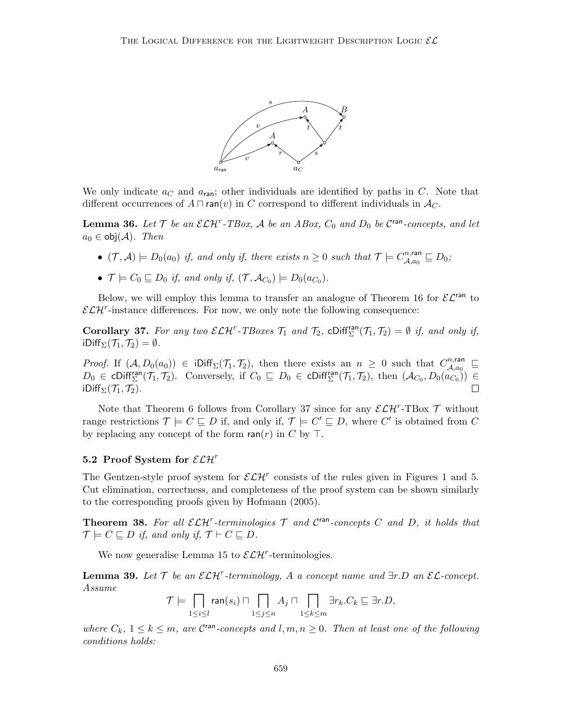

We only indicate  $a<sub>C</sub>$  and  $a<sub>ran</sub>$ ; other individuals are identified by paths in C. Note that different occurrences of  $A \sqcap \text{ran}(v)$  in C correspond to different individuals in  $A_C$ .

**Lemma 36.** Let  $\mathcal{T}$  be an  $\mathcal{ELH}^r$ -TBox,  $\mathcal{A}$  be an ABox,  $C_0$  and  $D_0$  be  $\mathcal{C}^{\text{ran}}$ -concepts, and let  $a_0 \in \text{obj}(\mathcal{A})$ . Then

- $(\mathcal{T}, \mathcal{A}) \models D_0(a_0)$  if, and only if, there exists  $n \geq 0$  such that  $\mathcal{T} \models C_{\mathcal{A}, a_0}^{n, \text{ran}}$  $a_{\mathcal{A},a_0}^{n,\mathsf{ran}}\sqsubseteq D_0;$
- $\mathcal{T} \models C_0 \sqsubseteq D_0$  if, and only if,  $(\mathcal{T}, \mathcal{A}_{C_0}) \models D_0(a_{C_0}).$

Below, we will employ this lemma to transfer an analogue of Theorem 16 for  $\mathcal{EL}^{\text{ran}}$  to  $\mathcal{ELH}^r$ -instance differences. For now, we only note the following consequence:

**Corollary 37.** For any two  $\mathcal{ELH}^r$ -TBoxes  $\mathcal{T}_1$  and  $\mathcal{T}_2$ ,  $\text{chiff}_{\Sigma}^{\text{ran}}(\mathcal{T}_1, \mathcal{T}_2) = \emptyset$  if, and only if, iDiff<sub>Σ</sub> $(\mathcal{T}_1, \mathcal{T}_2) = \emptyset$ .

*Proof.* If  $(A, D_0(a_0)) \in \text{Diff}_{\Sigma}(\mathcal{T}_1, \mathcal{T}_2)$ , then there exists an  $n \geq 0$  such that  $C_{\mathcal{A}, a_0}^{n, \text{ran}}$  $\mathcal{A},a_0 \quad \sqsubseteq$  $D_0 \in \text{cliff}_{\Sigma}^{\text{ran}}(\mathcal{T}_1, \mathcal{T}_2)$ . Conversely, if  $C_0 \subseteq D_0 \in \text{cliff}_{\Sigma}^{\text{ran}}(\mathcal{T}_1, \mathcal{T}_2)$ , then  $(\mathcal{A}_{C_0}, D_0(a_{C_0})) \in$ iDiff $_{\Sigma}(\mathcal{T}_1, \mathcal{T}_2)$ .  $\Box$ 

Note that Theorem 6 follows from Corollary 37 since for any  $\mathcal{ELH}^r$ -TBox  $\mathcal T$  without range restrictions  $\mathcal{T} \models C \sqsubseteq D$  if, and only if,  $\mathcal{T} \models C' \sqsubseteq D$ , where C' is obtained from C by replacing any concept of the form  $ran(r)$  in C by T.

#### 5.2 Proof System for  $\mathcal{ELH}^r$

The Gentzen-style proof system for  $\mathcal{ELH}^r$  consists of the rules given in Figures 1 and 5. Cut elimination, correctness, and completeness of the proof system can be shown similarly to the corresponding proofs given by Hofmann (2005).

**Theorem 38.** For all  $\mathcal{ELH}^r$ -terminologies  $\mathcal T$  and  $\mathcal C^{ran}$ -concepts  $C$  and  $D$ , it holds that  $\mathcal{T} \models C \sqsubseteq D$  if, and only if,  $\mathcal{T} \vdash C \sqsubseteq D$ .

We now generalise Lemma 15 to  $\mathcal{ELH}^r$ -terminologies.

**Lemma 39.** Let  $\mathcal{T}$  be an  $\mathcal{ELH}^r$ -terminology, A a concept name and  $\exists r.D$  an  $\mathcal{EL}\text{-concept.}$ Assume

$$
\mathcal{T}\models \bigcap_{1\leq i\leq l}\operatorname{ran}(s_i)\sqcap \bigcap_{1\leq j\leq n}A_j\sqcap \bigcap_{1\leq k\leq m}\exists r_k.C_k\sqsubseteq \exists r.D,
$$

where  $C_k$ ,  $1 \leq k \leq m$ , are  $\mathcal{C}^{\text{ran}}$ -concepts and  $l, m, n \geq 0$ . Then at least one of the following conditions holds: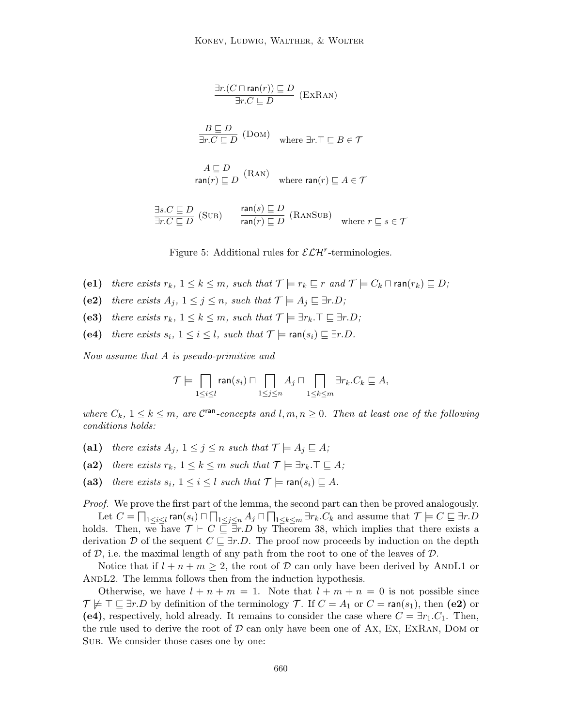$$
\frac{\exists r.(C \sqcap \text{ran}(r)) \sqsubseteq D}{\exists r.C \sqsubseteq D} \text{ (EXRAN)}
$$
\n
$$
\frac{B \sqsubseteq D}{\exists r.C \sqsubseteq D} \text{ (DOM)} \quad \text{where } \exists r. \top \sqsubseteq B \in \mathcal{T}
$$
\n
$$
\frac{A \sqsubseteq D}{\text{ran}(r) \sqsubseteq D} \text{ (RAN)} \quad \text{where } \text{ran}(r) \sqsubseteq A \in \mathcal{T}
$$
\n
$$
\frac{\exists s.C \sqsubseteq D}{\exists r.C \sqsubseteq D} \text{ (SUB)} \quad \frac{\text{ran}(s) \sqsubseteq D}{\text{ran}(r) \sqsubseteq D} \text{ (RANSUB)} \quad \text{where } r \sqsubseteq s \in \mathcal{T}
$$

Figure 5: Additional rules for  $\mathcal{ELH}^r$ -terminologies.

- (e1) there exists  $r_k$ ,  $1 \leq k \leq m$ , such that  $\mathcal{T} \models r_k \sqsubseteq r$  and  $\mathcal{T} \models C_k \sqcap \text{ran}(r_k) \sqsubseteq D$ ;
- (e2) there exists  $A_j$ ,  $1 \leq j \leq n$ , such that  $\mathcal{T} \models A_j \sqsubseteq \exists r.D;$
- (e3) there exists  $r_k$ ,  $1 \leq k \leq m$ , such that  $\mathcal{T} \models \exists r_k \cdot \top \sqsubseteq \exists r.D$ ;
- (e4) there exists  $s_i$ ,  $1 \leq i \leq l$ , such that  $\mathcal{T} \models \text{ran}(s_i) \sqsubseteq \exists r.D$ .

Now assume that A is pseudo-primitive and

$$
\mathcal{T}\models \prod_{1\leq i\leq l} \operatorname{ran}(s_i)\sqcap \prod_{1\leq j\leq n} A_j\sqcap \prod_{1\leq k\leq m} \exists r_k.C_k\sqsubseteq A,
$$

where  $C_k$ ,  $1 \leq k \leq m$ , are  $\mathcal{C}^{\text{ran}}$ -concepts and  $l, m, n \geq 0$ . Then at least one of the following conditions holds:

- (a1) there exists  $A_j$ ,  $1 \leq j \leq n$  such that  $\mathcal{T} \models A_j \sqsubseteq A;$
- (a2) there exists  $r_k$ ,  $1 \leq k \leq m$  such that  $\mathcal{T} \models \exists r_k \cdot \top \sqsubseteq A;$
- (a3) there exists  $s_i$ ,  $1 \leq i \leq l$  such that  $\mathcal{T} \models \text{ran}(s_i) \sqsubseteq A$ .

Proof. We prove the first part of the lemma, the second part can then be proved analogously. Let  $C=\prod_{1\leq i\leq l}$  ran $(s_i)\sqcap \prod_{1\leq j\leq n}A_j\sqcap \prod_{1\leq k\leq m}\exists r_k.C_k$  and assume that  $\mathcal{T}\models C\sqsubseteq \exists r.D$ holds. Then, we have  $\mathcal{T} \vdash C \sqsubseteq \exists r.D$  by Theorem 38, which implies that there exists a derivation D of the sequent  $C \sqsubseteq \exists r.D$ . The proof now proceeds by induction on the depth of  $D$ , i.e. the maximal length of any path from the root to one of the leaves of  $D$ .

Notice that if  $l + n + m \geq 2$ , the root of D can only have been derived by ANDL1 or ANDL2. The lemma follows then from the induction hypothesis.

Otherwise, we have  $l + n + m = 1$ . Note that  $l + m + n = 0$  is not possible since  $\mathcal{T} \not\models \top \sqsubseteq \exists r.D$  by definition of the terminology  $\mathcal{T}$ . If  $C = A_1$  or  $C = \text{ran}(s_1)$ , then (e2) or (e4), respectively, hold already. It remains to consider the case where  $C = \exists r_1.C_1$ . Then, the rule used to derive the root of  $D$  can only have been one of Ax, Ex, ExRan, DOM or Sub. We consider those cases one by one: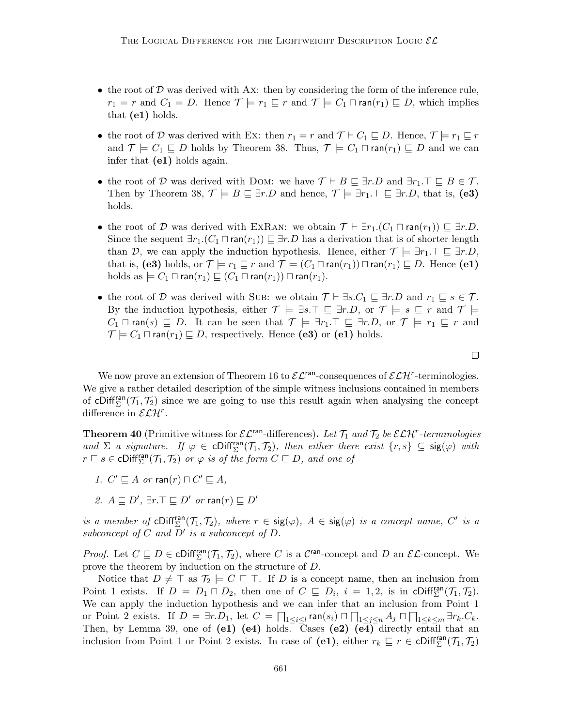- $\bullet$  the root of  $\mathcal D$  was derived with Ax: then by considering the form of the inference rule,  $r_1 = r$  and  $C_1 = D$ . Hence  $\mathcal{T} \models r_1 \sqsubseteq r$  and  $\mathcal{T} \models C_1 \sqcap \text{ran}(r_1) \sqsubseteq D$ , which implies that (e1) holds.
- the root of D was derived with Ex: then  $r_1 = r$  and  $\mathcal{T} \vdash C_1 \sqsubseteq D$ . Hence,  $\mathcal{T} \models r_1 \sqsubseteq r$ and  $\mathcal{T} \models C_1 \sqsubseteq D$  holds by Theorem 38. Thus,  $\mathcal{T} \models C_1 \sqcap \text{ran}(r_1) \sqsubseteq D$  and we can infer that (e1) holds again.
- the root of D was derived with DOM: we have  $\mathcal{T} \vdash B \sqsubseteq \exists r.D$  and  $\exists r_1.\top \sqsubseteq B \in \mathcal{T}$ . Then by Theorem 38,  $\mathcal{T} \models B \sqsubseteq \exists r.D$  and hence,  $\mathcal{T} \models \exists r_1.\top \sqsubseteq \exists r.D$ , that is, (e3) holds.
- the root of D was derived with EXRAN: we obtain  $\mathcal{T} \vdash \exists r_1.(C_1 \sqcap \text{ran}(r_1)) \sqsubseteq \exists r.D$ . Since the sequent  $\exists r_1.(C_1 \sqcap \text{ran}(r_1)) \sqsubseteq \exists r.D$  has a derivation that is of shorter length than D, we can apply the induction hypothesis. Hence, either  $\mathcal{T} \models \exists r_1 \cdot \top \sqsubseteq \exists r \cdot D$ , that is, (e3) holds, or  $\mathcal{T} \models r_1 \sqsubseteq r$  and  $\mathcal{T} \models (C_1 \sqcap \text{ran}(r_1)) \sqcap \text{ran}(r_1) \sqsubseteq D$ . Hence (e1) holds as  $\models C_1 \sqcap \text{ran}(r_1) \sqsubseteq (C_1 \sqcap \text{ran}(r_1)) \sqcap \text{ran}(r_1).$
- the root of D was derived with Sub: we obtain  $\mathcal{T} \vdash \exists s.C_1 \sqsubseteq \exists r.D$  and  $r_1 \sqsubseteq s \in \mathcal{T}$ . By the induction hypothesis, either  $\mathcal{T} \models \exists s.\top \sqsubseteq \exists r.D$ , or  $\mathcal{T} \models s \sqsubseteq r$  and  $\mathcal{T} \models$  $C_1 \sqcap \mathsf{ran}(s) \sqsubseteq D$ . It can be seen that  $\mathcal{T} \models \exists r_1 \cdot \top \sqsubseteq \exists r \cdot D$ , or  $\mathcal{T} \models r_1 \sqsubseteq r$  and  $\mathcal{T} \models C_1 \sqcap \text{ran}(r_1) \sqsubseteq D$ , respectively. Hence (e3) or (e1) holds.

We now prove an extension of Theorem 16 to  $\mathcal{EL}^{\text{ran}}$ -consequences of  $\mathcal{ELH}^r$ -terminologies. We give a rather detailed description of the simple witness inclusions contained in members of cDiff<sup>ran</sup> $(T_1, T_2)$  since we are going to use this result again when analysing the concept difference in  $\mathcal{ELH}^r$ .

**Theorem 40** (Primitive witness for  $\mathcal{EL}^{\text{ran}}$ -differences). Let  $\mathcal{T}_1$  and  $\mathcal{T}_2$  be  $\mathcal{ELH}^r$ -terminologies and  $\Sigma$  a signature. If  $\varphi \in \text{Cliff}_{\Sigma}^{\text{ran}}(\mathcal{T}_1, \mathcal{T}_2)$ , then either there exist  $\{r, s\} \subseteq \text{sig}(\varphi)$  with  $r \sqsubseteq s \in \text{Cliff}_{\Sigma}^{\text{ran}}(\mathcal{T}_1, \mathcal{T}_2)$  or  $\varphi$  is of the form  $C \sqsubseteq D$ , and one of

- 1.  $C' \sqsubseteq A$  or  $\text{ran}(r) \sqcap C' \sqsubseteq A$ ,
- 2.  $A \sqsubseteq D'$ ,  $\exists r.\top \sqsubseteq D'$  or  $\mathsf{ran}(r) \sqsubseteq D'$

is a member of cDiff<sup>ran</sup> $(T_1, T_2)$ , where  $r \in \text{sig}(\varphi)$ ,  $A \in \text{sig}(\varphi)$  is a concept name, C' is a subconcept of  $C$  and  $D'$  is a subconcept of  $D$ .

*Proof.* Let  $C \subseteq D \in \text{Cliff}_{\Sigma}^{\text{ran}}(\mathcal{T}_1, \mathcal{T}_2)$ , where C is a C<sup>ran</sup>-concept and D an  $\mathcal{EL}$ -concept. We prove the theorem by induction on the structure of D.

Notice that  $D \neq \top$  as  $\mathcal{T}_2 \models C \sqsubseteq \top$ . If D is a concept name, then an inclusion from Point 1 exists. If  $D = D_1 \sqcap D_2$ , then one of  $C \sqsubseteq D_i$ ,  $i = 1, 2$ , is in cDiff<sup>ran</sup> $(\mathcal{T}_1, \mathcal{T}_2)$ . We can apply the induction hypothesis and we can infer that an inclusion from Point 1 or Point 2 exists. If  $D = \exists r.D_1$ , let  $C = \prod_{1 \leq i \leq l} \text{ran}(s_i) \sqcap \prod_{1 \leq j \leq n} A_j \sqcap \prod_{1 \leq k \leq m} \exists r_k.C_k$ . Then, by Lemma 39, one of  $(e1)$ – $(e4)$  holds. Cases  $(e2)$ – $(e4)$  directly entail that an inclusion from Point 1 or Point 2 exists. In case of (e1), either  $r_k \subseteq r \in \text{cliff}_{\Sigma}^{\text{ran}}(\mathcal{T}_1, \mathcal{T}_2)$ 

 $\Box$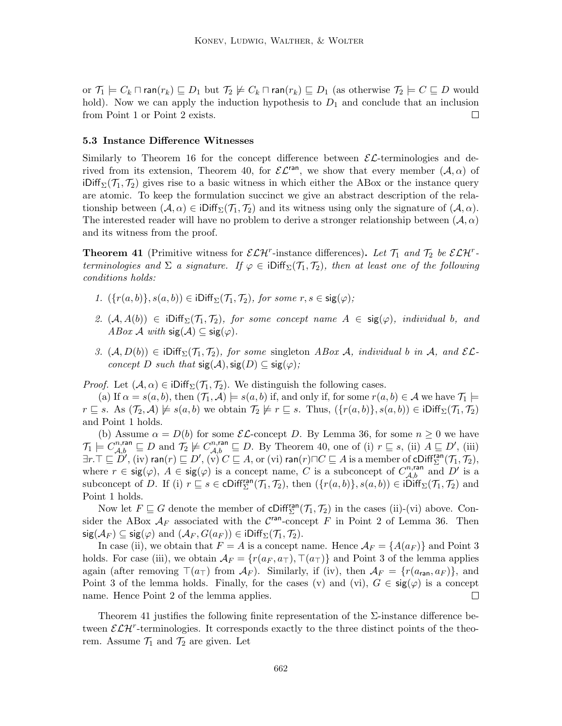or  $\mathcal{T}_1 \models C_k \sqcap \mathsf{ran}(r_k) \sqsubseteq D_1$  but  $\mathcal{T}_2 \not\models C_k \sqcap \mathsf{ran}(r_k) \sqsubseteq D_1$  (as otherwise  $\mathcal{T}_2 \models C \sqsubseteq D$  would hold). Now we can apply the induction hypothesis to  $D_1$  and conclude that an inclusion from Point 1 or Point 2 exists.  $\Box$ 

#### 5.3 Instance Difference Witnesses

Similarly to Theorem 16 for the concept difference between  $\mathcal{E} \mathcal{L}$ -terminologies and derived from its extension, Theorem 40, for  $\mathcal{EL}^{\text{ran}}$ , we show that every member  $(\mathcal{A}, \alpha)$  of iDiff<sub> $\Sigma$ </sub>( $\mathcal{T}_1$ ,  $\mathcal{T}_2$ ) gives rise to a basic witness in which either the ABox or the instance query are atomic. To keep the formulation succinct we give an abstract description of the relationship between  $(A, \alpha) \in \text{Diff}_{\Sigma}(\mathcal{T}_1, \mathcal{T}_2)$  and its witness using only the signature of  $(A, \alpha)$ . The interested reader will have no problem to derive a stronger relationship between  $(A, \alpha)$ and its witness from the proof.

**Theorem 41** (Primitive witness for  $\mathcal{ELH}^r$ -instance differences). Let  $\mathcal{T}_1$  and  $\mathcal{T}_2$  be  $\mathcal{ELH}^r$ terminologies and  $\Sigma$  a signature. If  $\varphi \in \text{ilif}_{\Sigma}(\mathcal{T}_1, \mathcal{T}_2)$ , then at least one of the following conditions holds:

- 1.  $({r(a, b)}, {s(a, b)}) \in iDiff_{\Sigma}(\mathcal{T}_1, \mathcal{T}_2)$ , for some  $r, s \in \text{sig}(\varphi)$ ;
- 2.  $(A, A(b)) \in \text{IDiff}_{\Sigma}(\mathcal{T}_1, \mathcal{T}_2)$ , for some concept name  $A \in \text{sig}(\varphi)$ , individual b, and ABox A with  $sig(A) \subseteq sig(\varphi)$ .
- 3.  $(A, D(b)) \in \text{iDiff}_{\Sigma}(\mathcal{T}_1, \mathcal{T}_2)$ , for some singleton ABox A, individual b in A, and  $\mathcal{EL}$ concept D such that  $sig(\mathcal{A}), sig(D) \subseteq sig(\varphi)$ ;

*Proof.* Let  $(A, \alpha) \in \text{IDiff}_{\Sigma}(\mathcal{T}_1, \mathcal{T}_2)$ . We distinguish the following cases.

(a) If  $\alpha = s(a, b)$ , then  $(\mathcal{T}_1, \mathcal{A}) \models s(a, b)$  if, and only if, for some  $r(a, b) \in \mathcal{A}$  we have  $\mathcal{T}_1 \models$  $r \subseteq s$ . As  $(\mathcal{T}_2, \mathcal{A}) \not\models s(a, b)$  we obtain  $\mathcal{T}_2 \not\models r \subseteq s$ . Thus,  $({r(a, b)}_1, s(a, b)) \in iDiff_{\Sigma}(\mathcal{T}_1, \mathcal{T}_2)$ and Point 1 holds.

(b) Assume  $\alpha = D(b)$  for some  $\mathcal{EL}$ -concept D. By Lemma 36, for some  $n \geq 0$  we have  $\mathcal{T}_1 \models C^{n,\text{ran}}_{\mathcal{A},b} \sqsubseteq D$  and  $\mathcal{T}_2 \not\models C^{n,\text{ran}}_{\mathcal{A},b} \sqsubseteq D$ . By Theorem 40, one of (i)  $r \sqsubseteq s$ , (ii)  $A \sqsubseteq D'$ , (iii)  $\exists r.\top\sqsubseteq D', \mathrm{(iv)}$  ran $(r)\sqsubseteq D', \mathrm{(\widetilde{v})}\ C\sqsubseteq A, \mathrm{or} \mathrm{(vi)}$  ran $(r)\sqcap C\sqsubseteq A$  is a member of  $\mathrm{cDiff}^{\mathrm{ran}}_{\Sigma}(\mathcal{T}_1,\mathcal{T}_2),$ where  $r \in \text{sig}(\varphi)$ ,  $A \in \text{sig}(\varphi)$  is a concept name, C is a subconcept of  $C_{\mathcal{A},b}^{n,\text{ran}}$  and D' is a subconcept of D. If (i)  $r \subseteq s \in \text{Cliff}_{\Sigma}^{\text{ran}}(\mathcal{T}_1, \mathcal{T}_2)$ , then  $(\{r(a, b)\}, s(a, b)) \in \text{iDiff}_{\Sigma}(\mathcal{T}_1, \mathcal{T}_2)$  and Point 1 holds.

Now let  $F \sqsubseteq G$  denote the member of  $\text{cliff}_{\Sigma}^{\text{ran}}(\mathcal{T}_1, \mathcal{T}_2)$  in the cases (ii)-(vi) above. Consider the ABox  $A_F$  associated with the C<sup>ran</sup>-concept F in Point 2 of Lemma 36. Then  $sig(\mathcal{A}_F) \subseteq sig(\varphi)$  and  $(\mathcal{A}_F, G(a_F)) \in iDiff_{\Sigma}(\mathcal{T}_1, \mathcal{T}_2)$ .

In case (ii), we obtain that  $F = A$  is a concept name. Hence  $\mathcal{A}_F = \{A(a_F)\}\$ and Point 3 holds. For case (iii), we obtain  $A_F = \{r(a_F, a_T), \top(a_T)\}\$  and Point 3 of the lemma applies again (after removing  $\top(a_{\top})$  from  $\mathcal{A}_F$ ). Similarly, if (iv), then  $\mathcal{A}_F = \{r(a_{\text{ran}}, a_F)\}\$ , and Point 3 of the lemma holds. Finally, for the cases (v) and (vi),  $G \in \text{sig}(\varphi)$  is a concept name. Hence Point 2 of the lemma applies.  $\Box$ 

Theorem 41 justifies the following finite representation of the  $\Sigma$ -instance difference between  $\mathcal{ELH}^r$ -terminologies. It corresponds exactly to the three distinct points of the theorem. Assume  $\mathcal{T}_1$  and  $\mathcal{T}_2$  are given. Let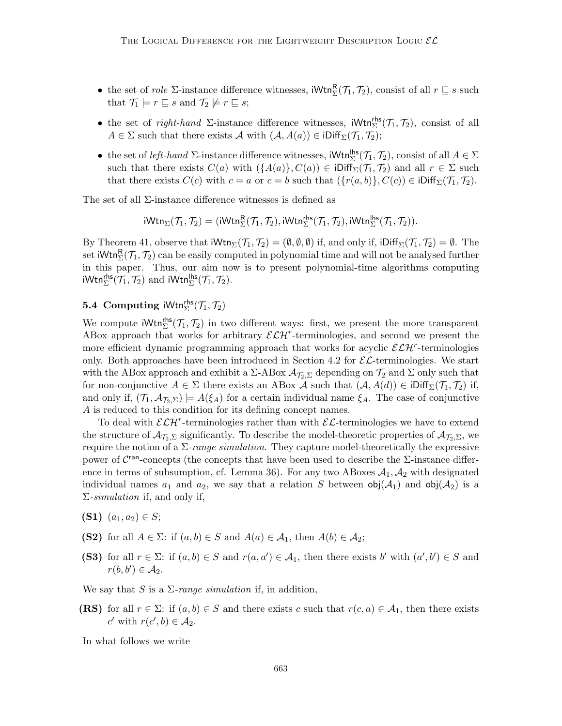- the set of *role*  $\Sigma$ -instance difference witnesses,  $iWtn_{\Sigma}^{R}(\mathcal{T}_{1}, \mathcal{T}_{2})$ , consist of all  $r \subseteq s$  such that  $\mathcal{T}_1 \models r \sqsubseteq s$  and  $\mathcal{T}_2 \not\models r \sqsubseteq s$ ;
- the set of *right-hand*  $\Sigma$ -instance difference witnesses,  $iWtn_{\Sigma}^{rhs}(\mathcal{T}_1, \mathcal{T}_2)$ , consist of all  $A \in \Sigma$  such that there exists A with  $(A, A(a)) \in iDiff_{\Sigma}(\mathcal{T}_1, \mathcal{T}_2);$
- the set of *left-hand*  $\Sigma$ -instance difference witnesses,  $Wtn_{\Sigma}^{\mathsf{hls}}(\mathcal{T}_1, \mathcal{T}_2)$ , consist of all  $A \in \Sigma$ such that there exists  $C(a)$  with  $({A(a)}, C(a)) \in \text{Diff}_{\Sigma}(\mathcal{T}_1, \mathcal{T}_2)$  and all  $r \in \Sigma$  such that there exists  $C(c)$  with  $c = a$  or  $c = b$  such that  $({r(a, b)}, C(c)) \in \text{iDiff}_{\Sigma}(\mathcal{T}_1, \mathcal{T}_2)$ .

The set of all Σ-instance difference witnesses is defined as

$$
iWtn_{\Sigma}(\mathcal{T}_1,\mathcal{T}_2)=(iWtn_{\Sigma}^{R}(\mathcal{T}_1,\mathcal{T}_2),iWtn_{\Sigma}^{rhs}(\mathcal{T}_1,\mathcal{T}_2),iWtn_{\Sigma}^{lhs}(\mathcal{T}_1,\mathcal{T}_2)).
$$

By Theorem 41, observe that  $iWtn_{\Sigma}(\mathcal{T}_1, \mathcal{T}_2) = (\emptyset, \emptyset, \emptyset)$  if, and only if,  $iDiff_{\Sigma}(\mathcal{T}_1, \mathcal{T}_2) = \emptyset$ . The set  $\mathsf{iWtn}^{\mathsf{R}}_{\Sigma}(\mathcal{T}_1,\mathcal{T}_2)$  can be easily computed in polynomial time and will not be analysed further in this paper. Thus, our aim now is to present polynomial-time algorithms computing iWtn ${}^{\mathsf{rhs}}_{\Sigma}(\mathcal{T}_1, \mathcal{T}_2)$  and iWtn ${}^{\mathsf{hs}}_{\Sigma}(\mathcal{T}_1, \mathcal{T}_2)$ .

# **5.4** Computing  $iWtn_{\Sigma}^{rhs}(\mathcal{T}_1, \mathcal{T}_2)$

We compute  $iWtn_{\Sigma}^{rhs}(\mathcal{T}_1, \mathcal{T}_2)$  in two different ways: first, we present the more transparent ABox approach that works for arbitrary  $\mathcal{ELH}^r$ -terminologies, and second we present the more efficient dynamic programming approach that works for acyclic  $\mathcal{ELH}^r$ -terminologies only. Both approaches have been introduced in Section 4.2 for  $\mathcal{EL}$ -terminologies. We start with the ABox approach and exhibit a  $\Sigma$ -ABox  $\mathcal{A}_{\mathcal{I}_2,\Sigma}$  depending on  $\mathcal{T}_2$  and  $\Sigma$  only such that for non-conjunctive  $A \in \Sigma$  there exists an ABox A such that  $(A, A(d)) \in \text{Diff}_{\Sigma}(\mathcal{T}_1, \mathcal{T}_2)$  if, and only if,  $(\mathcal{T}_1, \mathcal{A}_{\mathcal{T}_2, \Sigma}) \models A(\xi_A)$  for a certain individual name  $\xi_A$ . The case of conjunctive A is reduced to this condition for its defining concept names.

To deal with  $\mathcal{ELH}^r$ -terminologies rather than with  $\mathcal{EL}$ -terminologies we have to extend the structure of  $\mathcal{A}_{\mathcal{T}_2,\Sigma}$  significantly. To describe the model-theoretic properties of  $\mathcal{A}_{\mathcal{T}_2,\Sigma}$ , we require the notion of a  $\Sigma$ -range simulation. They capture model-theoretically the expressive power of  $C^{\text{ran}}$ -concepts (the concepts that have been used to describe the  $\Sigma$ -instance difference in terms of subsumption, cf. Lemma 36). For any two ABoxes  $A_1, A_2$  with designated individual names  $a_1$  and  $a_2$ , we say that a relation S between  $obj(\mathcal{A}_1)$  and  $obj(\mathcal{A}_2)$  is a  $\Sigma\text{-}simulation$  if, and only if,

- (S1)  $(a_1, a_2) \in S;$
- (S2) for all  $A \in \Sigma$ : if  $(a, b) \in S$  and  $A(a) \in \mathcal{A}_1$ , then  $A(b) \in \mathcal{A}_2$ ;
- (S3) for all  $r \in \Sigma$ : if  $(a, b) \in S$  and  $r(a, a') \in A_1$ , then there exists b' with  $(a', b') \in S$  and  $r(b, b') \in \mathcal{A}_2.$

We say that S is a  $\Sigma$ -range simulation if, in addition,

(RS) for all  $r \in \Sigma$ : if  $(a, b) \in S$  and there exists c such that  $r(c, a) \in A_1$ , then there exists c' with  $r(c', b) \in \mathcal{A}_2$ .

In what follows we write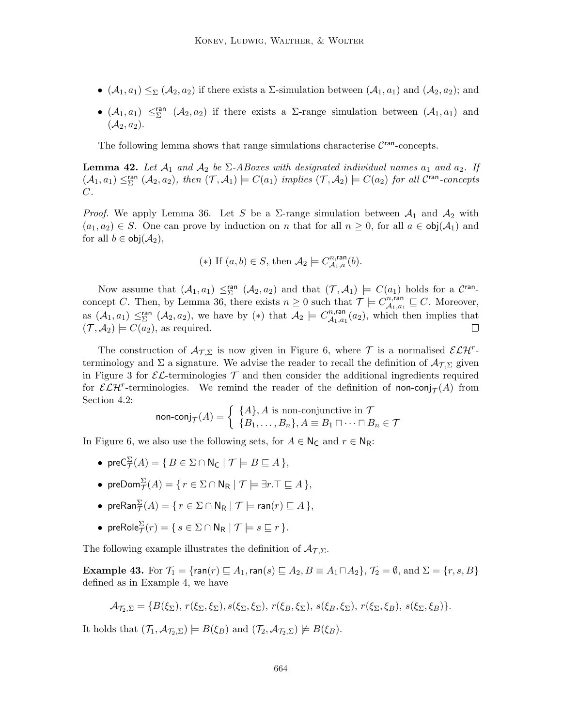- $(A_1, a_1) \leq_{\Sigma} (A_2, a_2)$  if there exists a  $\Sigma$ -simulation between  $(A_1, a_1)$  and  $(A_2, a_2)$ ; and
- $(A_1, a_1) \leq \Sigma$   $(A_2, a_2)$  if there exists a  $\Sigma$ -range simulation between  $(A_1, a_1)$  and  $(\mathcal{A}_2, a_2).$

The following lemma shows that range simulations characterise  $C<sup>ran</sup>$ -concepts.

**Lemma 42.** Let  $\mathcal{A}_1$  and  $\mathcal{A}_2$  be  $\Sigma$ -ABoxes with designated individual names  $a_1$  and  $a_2$ . If  $(\mathcal{A}_1, a_1) \leq^{\text{ran}}_{\Sigma} (\mathcal{A}_2, a_2)$ , then  $(\mathcal{T}, \mathcal{A}_1) \models C(a_1)$  implies  $(\mathcal{T}, \mathcal{A}_2) \models C(a_2)$  for all  $\mathcal{C}^{\text{ran}}$ -concepts  $C$ .

*Proof.* We apply Lemma 36. Let S be a  $\Sigma$ -range simulation between  $\mathcal{A}_1$  and  $\mathcal{A}_2$  with  $(a_1, a_2) \in S$ . One can prove by induction on n that for all  $n \geq 0$ , for all  $a \in \text{obj}(\mathcal{A}_1)$  and for all  $b \in \text{obj}(\mathcal{A}_2)$ ,

(\*) If 
$$
(a, b) \in S
$$
, then  $\mathcal{A}_2 \models C_{\mathcal{A}_1, a}^{n, \text{ran}}(b)$ .

Now assume that  $(A_1, a_1) \leq^{\text{ran}}_{\Sigma} (A_2, a_2)$  and that  $(\mathcal{T}, \mathcal{A}_1) \models C(a_1)$  holds for a  $\mathcal{C}^{\text{ran}}$ concept C. Then, by Lemma 36, there exists  $n \geq 0$  such that  $\mathcal{T} \models C_{A_1, a_2}^{n, \text{ran}}$  $\mathcal{A}_{1}, \mathcal{A}_{1} \sqsubseteq C$ . Moreover, as  $(\mathcal{A}_1, a_1) \leq^{\text{ran}}_{\Sigma} (\mathcal{A}_2, a_2)$ , we have by  $(*)$  that  $\mathcal{A}_2 \models C^{n,\text{ran}}_{\mathcal{A}_1,a_2}$  $\mathcal{A}_{1,a_1}(a_2)$ , which then implies that  $(\mathcal{T}, \mathcal{A}_2) \models C(a_2)$ , as required.  $\Box$ 

The construction of  $A_{\mathcal{T},\Sigma}$  is now given in Figure 6, where  $\mathcal{T}$  is a normalised  $\mathcal{ELH}^r$ terminology and  $\Sigma$  a signature. We advise the reader to recall the definition of  $\mathcal{A}_{\mathcal{T},\Sigma}$  given in Figure 3 for  $\mathcal{EL}$ -terminologies  $\mathcal T$  and then consider the additional ingredients required for  $\mathcal{ELH}^r$ -terminologies. We remind the reader of the definition of non-conj $\tau(A)$  from Section 4.2:

$$
\text{non-conj}_{\mathcal{T}}(A) = \left\{ \begin{array}{l} \{A\}, A \text{ is non-conjunctive in } \mathcal{T} \\ \{B_1, \dots, B_n\}, A \equiv B_1 \sqcap \dots \sqcap B_n \in \mathcal{T} \end{array} \right.
$$

In Figure 6, we also use the following sets, for  $A \in \mathsf{N}_{\mathsf{C}}$  and  $r \in \mathsf{N}_{\mathsf{R}}$ :

- pre $C^{\Sigma}_{\mathcal{T}}(A) = \{ B \in \Sigma \cap \mathsf{N}_{\mathsf{C}} \mid \mathcal{T} \models B \sqsubseteq A \},\$
- pre $\mathsf{Dom}_{\mathcal{T}}^{\Sigma}(A) = \{ \, r \in \Sigma \cap \mathsf{N}_{\mathsf{R}} \mid \mathcal{T} \models \exists r . \top \sqsubseteq A \, \},$
- pre $\mathsf{Ran}_{\mathcal{T}}^{\Sigma}(A) = \{ \, r \in \Sigma \cap \mathsf{N}_{\mathsf{R}} \mid \mathcal{T} \models \mathsf{ran}(r) \sqsubseteq A \, \},$
- pre $\mathsf{Role}^\Sigma_\mathcal{T}(r) = \{ \, s \in \Sigma \cap \mathsf{N}_{\mathsf{R}} \mid \mathcal{T} \models s \sqsubseteq r \, \}.$

The following example illustrates the definition of  $A_{\mathcal{T},\Sigma}$ .

**Example 43.** For  $\mathcal{T}_1 = \{\text{ran}(r) \sqsubseteq A_1, \text{ran}(s) \sqsubseteq A_2, B \equiv A_1 \sqcap A_2\}, \mathcal{T}_2 = \emptyset$ , and  $\Sigma = \{r, s, B\}$ defined as in Example 4, we have

$$
\mathcal{A}_{\mathcal{T}_2,\Sigma} = \{B(\xi_{\Sigma}), r(\xi_{\Sigma},\xi_{\Sigma}), s(\xi_{\Sigma},\xi_{\Sigma}), r(\xi_B,\xi_{\Sigma}), s(\xi_B,\xi_{\Sigma}), r(\xi_{\Sigma},\xi_B), s(\xi_{\Sigma},\xi_B)\}.
$$

It holds that  $(\mathcal{T}_1, \mathcal{A}_{\mathcal{T}_2, \Sigma}) \models B(\xi_B)$  and  $(\mathcal{T}_2, \mathcal{A}_{\mathcal{T}_2, \Sigma}) \not\models B(\xi_B)$ .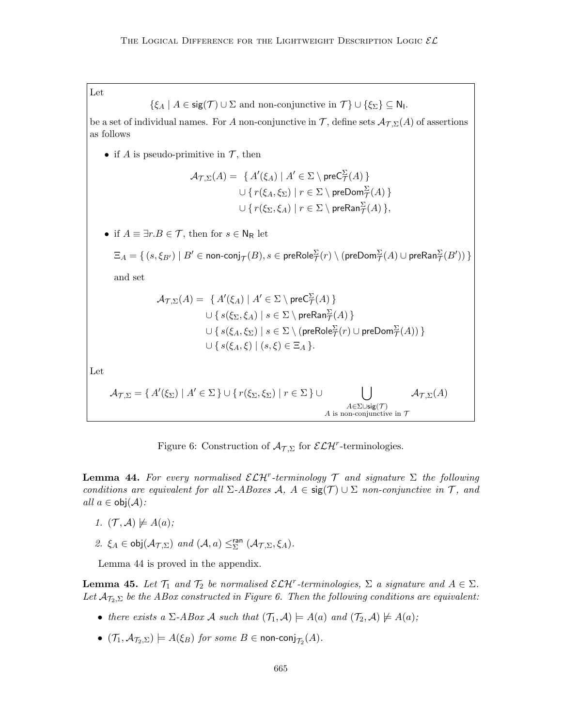Let

$$
\{\xi_A \mid A \in \text{sig}(\mathcal{T}) \cup \Sigma \text{ and non-conjunctive in } \mathcal{T}\} \cup \{\xi_{\Sigma}\} \subseteq \mathsf{N}_1.
$$

be a set of individual names. For A non-conjunctive in T, define sets  $\mathcal{A}_{\mathcal{T},\Sigma}(A)$  of assertions as follows

• if A is pseudo-primitive in  $\mathcal{T}$ , then

$$
\mathcal{A}_{\mathcal{T},\Sigma}(A) = \{ A'(\xi_A) \mid A' \in \Sigma \setminus \text{preC}_{\mathcal{T}}^{\Sigma}(A) \}
$$

$$
\cup \{ r(\xi_A, \xi_{\Sigma}) \mid r \in \Sigma \setminus \text{preDom}_{\mathcal{T}}^{\Sigma}(A) \}
$$

$$
\cup \{ r(\xi_{\Sigma}, \xi_A) \mid r \in \Sigma \setminus \text{preRan}_{\mathcal{T}}^{\Sigma}(A) \},
$$

• if  $A \equiv \exists r.B \in \mathcal{T}$ , then for  $s \in \mathsf{N}_{\mathsf{R}}$  let

$$
\Xi_A=\set{(s,\xi_{B'})\mid B'\in \text{non-conj}_{\mathcal{T}}(B), s\in \text{preRole}^\Sigma_{\mathcal{T}}(r)\setminus (\text{preDom}^\Sigma_{\mathcal{T}}(A)\cup \text{preRan}^\Sigma_{\mathcal{T}}(B'))}
$$

and set

$$
\mathcal{A}_{\mathcal{T},\Sigma}(A) = \{ A'(\xi_A) \mid A' \in \Sigma \setminus \text{preC}_{\mathcal{T}}^{\Sigma}(A) \}
$$
  

$$
\cup \{ s(\xi_{\Sigma}, \xi_A) \mid s \in \Sigma \setminus \text{preRan}_{\mathcal{T}}^{\Sigma}(A) \}
$$
  

$$
\cup \{ s(\xi_A, \xi_{\Sigma}) \mid s \in \Sigma \setminus (\text{preRole}_{\mathcal{T}}^{\Sigma}(r) \cup \text{preDom}_{\mathcal{T}}^{\Sigma}(A)) \}
$$
  

$$
\cup \{ s(\xi_A, \xi) \mid (s, \xi) \in \Xi_A \}.
$$

Let

$$
\mathcal{A}_{\mathcal{T},\Sigma} = \{ A'(\xi_{\Sigma}) \mid A' \in \Sigma \} \cup \{ r(\xi_{\Sigma},\xi_{\Sigma}) \mid r \in \Sigma \} \cup \bigcup_{\substack{A \in \Sigma \cup \text{sig}(\mathcal{T}) \\ A \text{ is non-conjunctive in } \mathcal{T}}} \mathcal{A}_{\mathcal{T},\Sigma}(A)
$$

Figure 6: Construction of  $\mathcal{A}_{\mathcal{T},\Sigma}$  for  $\mathcal{ELH}^r$ -terminologies.

**Lemma 44.** For every normalised  $\mathcal{ELH}^r$ -terminology  $\mathcal T$  and signature  $\Sigma$  the following conditions are equivalent for all  $\Sigma$ -ABoxes  $\mathcal{A}, A \in \text{sig}(\mathcal{T}) \cup \Sigma$  non-conjunctive in  $\mathcal{T}$ , and all  $a \in \text{obj}(\mathcal{A})$ :

- 1.  $(\mathcal{T}, \mathcal{A}) \not\models A(a);$
- 2.  $\xi_A \in \text{obj}(\mathcal{A}_{\mathcal{T},\Sigma})$  and  $(\mathcal{A},a) \leq^{\text{ran}}_{\Sigma} (\mathcal{A}_{\mathcal{T},\Sigma},\xi_A)$ .

Lemma 44 is proved in the appendix.

**Lemma 45.** Let  $\mathcal{T}_1$  and  $\mathcal{T}_2$  be normalised  $\mathcal{ELH}^r$ -terminologies,  $\Sigma$  a signature and  $A \in \Sigma$ . Let  $\mathcal{A}_{\mathcal{T}_2,\Sigma}$  be the ABox constructed in Figure 6. Then the following conditions are equivalent:

- there exists a  $\Sigma$ -ABox A such that  $(\mathcal{T}_1, \mathcal{A}) \models A(a)$  and  $(\mathcal{T}_2, \mathcal{A}) \not\models A(a)$ ;
- $\bullet$   $(\mathcal{T}_1, \mathcal{A}_{\mathcal{T}_2, \Sigma}) \models A(\xi_B)$  for some  $B \in \mathsf{non\text{-}conj}_{\mathcal{T}_2}(A)$ .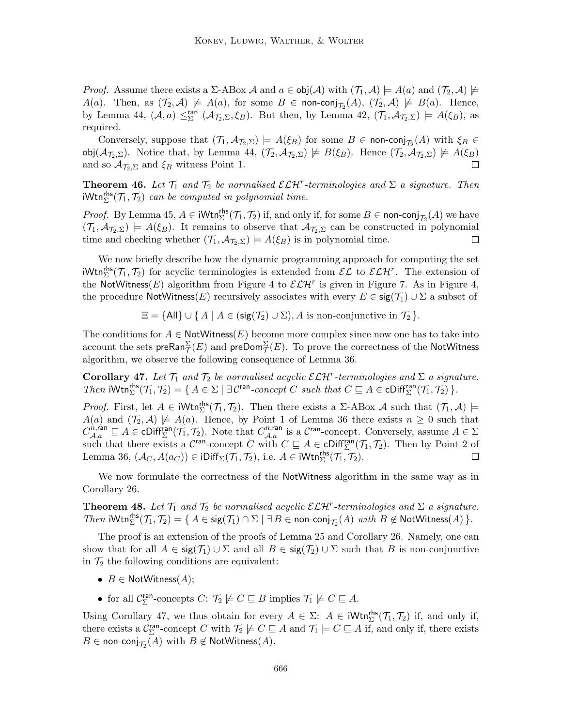*Proof.* Assume there exists a  $\Sigma$ -ABox A and  $a \in obj(\mathcal{A})$  with  $(\mathcal{T}_1, \mathcal{A}) \models A(a)$  and  $(\mathcal{T}_2, \mathcal{A}) \not\models$  $A(a)$ . Then, as  $(\mathcal{T}_2, \mathcal{A}) \not\models A(a)$ , for some  $B \in \text{non-conj}_{\mathcal{T}_2}(A)$ ,  $(\mathcal{T}_2, \mathcal{A}) \not\models B(a)$ . Hence, by Lemma 44,  $(A, a) \leq^{\text{ran}}_{\Sigma} (A_{\mathcal{T}_2, \Sigma}, \xi_B)$ . But then, by Lemma 42,  $(\mathcal{T}_1, \mathcal{A}_{\mathcal{T}_2, \Sigma}) \models A(\xi_B)$ , as required.

Conversely, suppose that  $(\mathcal{T}_1, \mathcal{A}_{\mathcal{T}_2, \Sigma}) \models A(\xi_B)$  for some  $B \in \text{non-conj}_{\mathcal{T}_2}(A)$  with  $\xi_B \in$ obj $(\mathcal{A}_{\mathcal{J}_2,\Sigma})$ . Notice that, by Lemma 44,  $(\mathcal{T}_2,\mathcal{A}_{\mathcal{T}_2,\Sigma}) \not\models B(\xi_B)$ . Hence  $(\mathcal{T}_2,\mathcal{A}_{\mathcal{T}_2,\Sigma}) \not\models A(\xi_B)$ and so  $\mathcal{A}_{\mathcal{T}_2,\Sigma}$  and  $\xi_B$  witness Point 1.

**Theorem 46.** Let  $\mathcal{T}_1$  and  $\mathcal{T}_2$  be normalised  $\mathcal{ELH}^r$ -terminologies and  $\Sigma$  a signature. Then  $iWtn_{\Sigma}^{rhs}(\mathcal{T}_1, \mathcal{T}_2)$  can be computed in polynomial time.

*Proof.* By Lemma 45,  $A \in \text{iWtn}_{\Sigma}^{\text{rhs}}(\mathcal{T}_1, \mathcal{T}_2)$  if, and only if, for some  $B \in \text{non-conj}_{\mathcal{T}_2}(A)$  we have  $(\mathcal{T}_1, \mathcal{A}_{\mathcal{T}_2, \Sigma}) \models A(\xi_B)$ . It remains to observe that  $\mathcal{A}_{\mathcal{T}_2, \Sigma}$  can be constructed in polynomial time and checking whether  $(\mathcal{T}_1, \mathcal{A}_{\mathcal{T}_2, \Sigma}) \models A(\xi_B)$  is in polynomial time.  $\Box$ 

We now briefly describe how the dynamic programming approach for computing the set  $iWtn_{\Sigma}^{rhs}(\mathcal{T}_1, \mathcal{T}_2)$  for acyclic terminologies is extended from  $\mathcal{EL}$  to  $\mathcal{ELH}^r$ . The extension of the NotWitness(E) algorithm from Figure 4 to  $\mathcal{ELH}^r$  is given in Figure 7. As in Figure 4, the procedure NotWitness(E) recursively associates with every  $E \in \text{sig}(\mathcal{T}_1) \cup \Sigma$  a subset of

 $\Xi = \{ \text{All} \} \cup \{ A \mid A \in (\text{sig}(\mathcal{T}_2) \cup \Sigma), A \text{ is non-conjunctive in } \mathcal{T}_2 \}.$ 

The conditions for  $A \in \text{NotWitness}(E)$  become more complex since now one has to take into account the sets pre $\mathsf{Ran}^\Sigma_{\mathcal{T}}(E)$  and pre $\mathsf{Dom}^\Sigma_{\mathcal{T}}(E).$  To prove the correctness of the NotWitness algorithm, we observe the following consequence of Lemma 36.

**Corollary 47.** Let  $T_1$  and  $T_2$  be normalised acyclic  $\mathcal{ELH}^r$ -terminologies and  $\Sigma$  a signature. Then  $iWtn_{\Sigma}^{rhs}(\mathcal{T}_1, \mathcal{T}_2) = \{ A \in \Sigma \mid \exists \mathcal{C}^{ran}\text{-}concept C \text{ such that } C \sqsubseteq A \in \text{Cliff}_{\Sigma}^{ran}(\mathcal{T}_1, \mathcal{T}_2) \}.$ 

*Proof.* First, let  $A \in iWtn_{\Sigma}^{rhs}(\mathcal{T}_1, \mathcal{T}_2)$ . Then there exists a  $\Sigma$ -ABox A such that  $(\mathcal{T}_1, \mathcal{A})$   $\models$  $A(a)$  and  $(\mathcal{T}_2, \mathcal{A}) \not\models A(a)$ . Hence, by Point 1 of Lemma 36 there exists  $n \geq 0$  such that  $C_{\mathcal{A},a}^{\hat{n},\text{ran}} \sqsubseteq A \in \text{cliff}_{\Sigma}^{\text{ran}}(\mathcal{T}_1, \mathcal{T}_2)$ . Note that  $C_{\mathcal{A},a}^{n,\text{ran}}$  is a  $\mathcal{C}^{\text{ran}}$ -concept. Conversely, assume  $A \in \Sigma$ such that there exists a  $\mathcal{C}^{\text{ran}}$ -concept C with  $C \subseteq A \in \text{Cliff}_{\Sigma}^{\text{ran}}(\mathcal{T}_1, \mathcal{T}_2)$ . Then by Point 2 of Lemma 36,  $(\mathcal{A}_{C}, A(a_{C})) \in iDiff_{\Sigma}(\mathcal{T}_{1}, \mathcal{T}_{2}),$  i.e.  $A \in iWtn_{\Sigma}^{\mathsf{rhs}}(\mathcal{T}_{1}, \mathcal{T}_{2}).$ П

We now formulate the correctness of the NotWitness algorithm in the same way as in Corollary 26.

**Theorem 48.** Let  $\mathcal{T}_1$  and  $\mathcal{T}_2$  be normalised acyclic  $\mathcal{ELH}^r$ -terminologies and  $\Sigma$  a signature. Then  $iWtn_{\Sigma}^{rhs}(\mathcal{T}_1, \mathcal{T}_2) = \{ A \in \text{sig}(\mathcal{T}_1) \cap \Sigma \mid \exists B \in \text{non-conj}_{\mathcal{T}_2}(A) \text{ with } B \notin \text{NotWitness}(A) \}.$ 

The proof is an extension of the proofs of Lemma 25 and Corollary 26. Namely, one can show that for all  $A \in \text{sig}(\mathcal{T}_1) \cup \Sigma$  and all  $B \in \text{sig}(\mathcal{T}_2) \cup \Sigma$  such that B is non-conjunctive in  $\mathcal{T}_2$  the following conditions are equivalent:

- $B \in$  NotWitness $(A)$ ;
- for all  $C_{\Sigma}^{\text{ran}}$ -concepts  $C: \mathcal{T}_2 \not\models C \sqsubseteq B$  implies  $\mathcal{T}_1 \not\models C \sqsubseteq A$ .

Using Corollary 47, we thus obtain for every  $A \in \Sigma$ :  $A \in iWtn_{\Sigma}^{rhs}(\mathcal{T}_1, \mathcal{T}_2)$  if, and only if, there exists a  $\mathcal{C}_{\Sigma}^{\text{ran}}$ -concept C with  $\mathcal{T}_2 \not\models C \sqsubseteq A$  and  $\mathcal{T}_1 \models C \sqsubseteq A$  if, and only if, there exists  $B\in \mathsf{non\text{-}conj}_{\mathcal{T}_2}(A)$  with  $B\not\in \mathsf{NotWitness}(A).$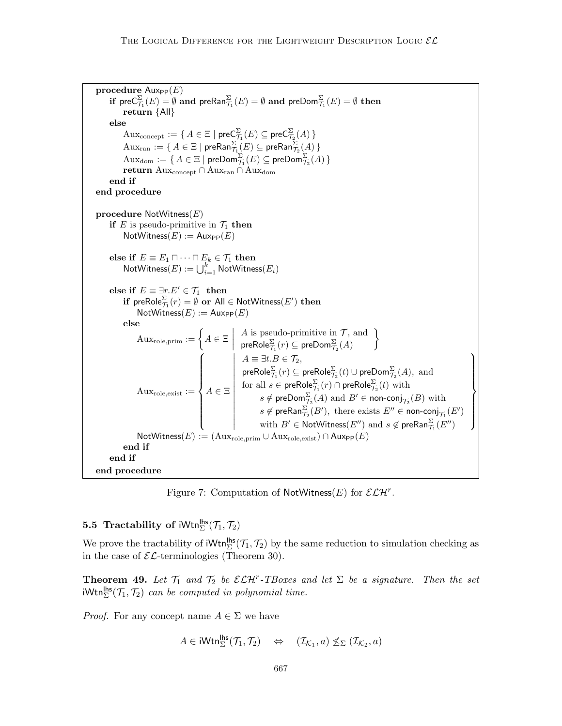```
procedure \text{Aux}_{\text{PP}}(E){\rm \bf if}\, pre{\sf C}^\Sigma_{\mathcal T_1}(E)=\emptyset {\rm \bf and}\, pre{\sf Ran}^\Sigma_{\mathcal T_1}(E)=\emptyset {\rm \bf and}\, pre{\sf Dom}^\Sigma_{\mathcal T_1}(E)=\emptyset {\rm \bf then}\,return {All}
        else
                \mathrm{Aux}_\mathrm{concept}:=\set{A\in\Xi\mid \mathsf{preC}^\Sigma_{\mathcal{T}_1}(E)\subseteq \mathsf{preC}^\Sigma_{\mathcal{T}_2}(A)}\mathrm{Aux}_\mathrm{ran} := \set{A \in \Xi \mid \mathsf{preRan}^\Sigma_{\mathcal{T}_1}(E) \subseteq \mathsf{preRan}^\Sigma_{\mathcal{T}_2}(A)}\mathrm{Aux}_\mathrm{dom}:=\set{A\in\Xi\mid \mathsf{preDom}^\Sigma_{\mathcal{T}_1}(E)\subseteq \mathsf{preDom}^\Sigma_{\mathcal{T}_2}(A)}return \text{Aux}_{\text{concept}} \cap \text{Aux}_{\text{ran}} \cap \text{Aux}_{\text{dom}}end if
end procedure
procedure \mathsf{NotW}itness(E)if E is pseudo-primitive in \mathcal{T}_1 then
                \mathsf{NotWitness}(E) := \mathsf{Aux}_{\mathsf{PP}}(E)else if E \equiv E_1 \sqcap \cdots \sqcap E_k \in \mathcal{T}_1 then
                \mathsf{NotWitness}(E) := \bigcup_{i=1}^k \mathsf{NotWitness}(E_i)else if E\equiv \exists r.E'\in \mathcal{T}_1 then
                {\bf if\,\, preRole}^{\Sigma}_{\mathcal{T}_{1}}(r)=\emptyset or {\sf All}\in {\sf NotWitness}(E') {\bf then}\textsf{NotWitness}(E) := \textsf{Aux}_{\textsf{PP}}(E)else
                        \mathrm{Aux}_\mathrm{role,prim} := \bigg\{ A \in \Xi \; \bigg| \;A is pseudo-primitive in \mathcal{T}, and
                                                                                     \mathsf{preRole}_{\mathcal{T}_1}^{\Sigma}(r) \subseteq \mathsf{preDom}_{\mathcal{T}_2}^{\Sigma}(A)\mathcal{L}\text{Aux}_{\text{role}, \text{exist}} :=\sqrt{ }\int\overline{\mathcal{L}}A \in \Xi

                                                                                     A \equiv \exists t.B \in \mathcal{T}_2,\mathsf{preRole}_{\mathcal{T}_1}^{\Sigma}(r) \subseteq \mathsf{preRole}_{\mathcal{T}_2}^{\Sigma}(t) \cup \mathsf{preDom}_{\mathcal{T}_2}^{\Sigma}(A), \,\, \text{and}for all s\in \mathsf{preRole}^\Sigma_{\mathcal{T}_1}(r) \cap \mathsf{preRole}^\Sigma_{\mathcal{T}_2}(t) with
                                                                                                s \notin {\sf preDom}^{\Sigma}_{\mathcal{T}_2}(A) \text{ and } B' \in {\sf non-conj}_{\mathcal{T}_2}(B) \text{ with }s \notin \mathsf{preRan}_{\mathcal{T}_2}^{\Sigma}(B'), \text{ there exists } E'' \in \mathsf{non-conj}_{\mathcal{T}_1}(E')with B'\in \operatorname{\sf NotWitness}(E'') and s\not\in \operatorname{\sf preRan}^\Sigma_{\mathcal T_1}(E'')\mathcal{L}\overline{\mathcal{L}}\int\mathsf{NotWitness}(E) := (\operatorname{Aux}_\mathrm{role,prim} \cup \operatorname{Aux}_\mathrm{role,exist}) \cap \operatorname{Aux}_\mathrm{PP}(E)end if
        end if
end procedure
```
Figure 7: Computation of NotWitness(E) for  $\mathcal{ELH}^r$ .

# **5.5** Tractability of  $iWtn_{\Sigma}^{\mathsf{hls}}(\mathcal{T}_1, \mathcal{T}_2)$

We prove the tractability of  $iWtn_{\Sigma}^{\mathsf{hfs}}(\mathcal{T}_1, \mathcal{T}_2)$  by the same reduction to simulation checking as in the case of  $\mathcal{EL}$ -terminologies (Theorem 30).

**Theorem 49.** Let  $\mathcal{T}_1$  and  $\mathcal{T}_2$  be  $\mathcal{ELH}^r$ -TBoxes and let  $\Sigma$  be a signature. Then the set  $iWtn_{\Sigma}^{\mathsf{hls}}(\mathcal{T}_1, \mathcal{T}_2)$  can be computed in polynomial time.

*Proof.* For any concept name  $A \in \Sigma$  we have

$$
A \in \mathsf{iWtn}_{\Sigma}^{\mathsf{hls}}(\mathcal{T}_1, \mathcal{T}_2) \quad \Leftrightarrow \quad (\mathcal{I}_{\mathcal{K}_1}, a) \not\leq_{\Sigma} (\mathcal{I}_{\mathcal{K}_2}, a)
$$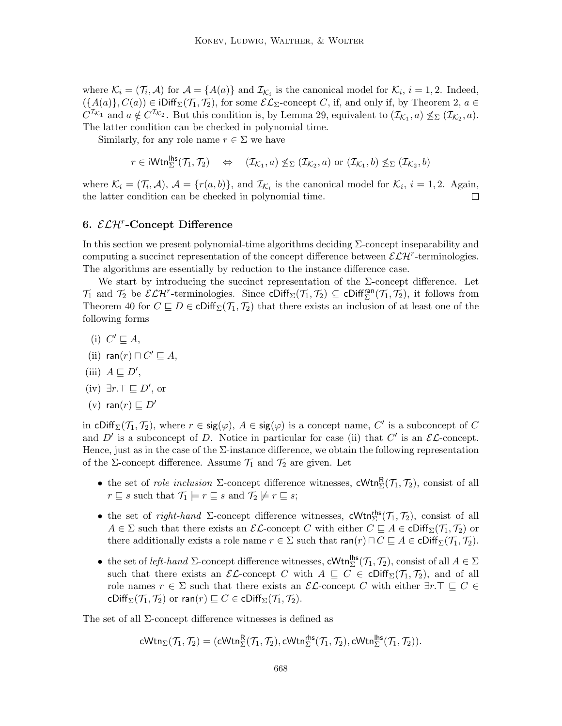where  $\mathcal{K}_i = (\mathcal{T}_i, \mathcal{A})$  for  $\mathcal{A} = \{A(a)\}\$ and  $\mathcal{I}_{\mathcal{K}_i}$  is the canonical model for  $\mathcal{K}_i$ ,  $i = 1, 2$ . Indeed,  $(\{A(a)\}, C(a)) \in iDiff_{\Sigma}(\mathcal{T}_1, \mathcal{T}_2)$ , for some  $\mathcal{EL}_{\Sigma}$ -concept C, if, and only if, by Theorem 2,  $a \in$  $C^{\mathcal{I}_{\mathcal{K}_{1}}}$  and  $a \notin C^{\mathcal{I}_{\mathcal{K}_{2}}}$ . But this condition is, by Lemma 29, equivalent to  $(\mathcal{I}_{\mathcal{K}_{1}}, a) \nleq_{\Sigma} (\mathcal{I}_{\mathcal{K}_{2}}, a)$ . The latter condition can be checked in polynomial time.

Similarly, for any role name  $r \in \Sigma$  we have

 $r \in \mathsf{iWtn}_{\Sigma}^{\mathsf{lls}}(\mathcal{T}_1, \mathcal{T}_2) \quad \Leftrightarrow \quad (\mathcal{I}_{\mathcal{K}_1}, a) \not\leq_\Sigma (\mathcal{I}_{\mathcal{K}_2}, a) \text{ or } (\mathcal{I}_{\mathcal{K}_1}, b) \not\leq_\Sigma (\mathcal{I}_{\mathcal{K}_2}, b)$ 

where  $\mathcal{K}_i = (\mathcal{T}_i, \mathcal{A}), \mathcal{A} = \{r(a, b)\}\$ , and  $\mathcal{I}_{\mathcal{K}_i}$  is the canonical model for  $\mathcal{K}_i, i = 1, 2$ . Again, the latter condition can be checked in polynomial time.  $\Box$ 

## 6.  $\mathcal{ELH}^r$ -Concept Difference

In this section we present polynomial-time algorithms deciding Σ-concept inseparability and computing a succinct representation of the concept difference between  $\mathcal{ELH}^r$ -terminologies. The algorithms are essentially by reduction to the instance difference case.

We start by introducing the succinct representation of the  $\Sigma$ -concept difference. Let  $\mathcal{T}_1$  and  $\mathcal{T}_2$  be  $\mathcal{ELH}^r$ -terminologies. Since  $\text{Cliff}_{\Sigma}(\mathcal{T}_1, \mathcal{T}_2) \subseteq \text{Cliff}_{\Sigma}^{\text{ran}}(\mathcal{T}_1, \mathcal{T}_2)$ , it follows from Theorem 40 for  $C \subseteq D \in \text{cliff}_{\Sigma}(\mathcal{T}_1, \mathcal{T}_2)$  that there exists an inclusion of at least one of the following forms

- (i)  $C' \sqsubseteq A$ ,
- (ii) ran $(r) \sqcap C' \sqsubseteq A$ ,
- (iii)  $A \sqsubseteq D'$ ,
- (iv)  $\exists r.\top \sqsubseteq D'$ , or
- (v) ran(r)  $\sqsubseteq$  D'

in cDiff<sub>Σ</sub>( $\mathcal{T}_1$ ,  $\mathcal{T}_2$ ), where  $r \in \text{sig}(\varphi)$ ,  $A \in \text{sig}(\varphi)$  is a concept name,  $C'$  is a subconcept of C and D' is a subconcept of D. Notice in particular for case (ii) that C' is an  $\mathcal{EL}$ -concept. Hence, just as in the case of the  $\Sigma$ -instance difference, we obtain the following representation of the  $\Sigma$ -concept difference. Assume  $\mathcal{T}_1$  and  $\mathcal{T}_2$  are given. Let

- the set of *role inclusion*  $\Sigma$ -concept difference witnesses,  $cWtn_{\Sigma}^{R}(\mathcal{T}_{1}, \mathcal{T}_{2})$ , consist of all  $r \sqsubseteq s$  such that  $\mathcal{T}_1 \models r \sqsubseteq s$  and  $\mathcal{T}_2 \not\models r \sqsubseteq s;$
- the set of right-hand  $\Sigma$ -concept difference witnesses,  $\mathsf{cWtn}_{\Sigma}^{\mathsf{rhs}}(\mathcal{T}_1, \mathcal{T}_2)$ , consist of all  $A \in \Sigma$  such that there exists an  $\mathcal{EL}$ -concept C with either  $C \sqsubseteq A \in \mathsf{Cliff}_{\Sigma}(\mathcal{T}_1, \mathcal{T}_2)$  or there additionally exists a role name  $r \in \Sigma$  such that  $\text{ran}(r) \sqcap C \sqsubseteq A \in \text{cliff}_{\Sigma}(\mathcal{T}_1, \mathcal{T}_2).$
- the set of *left-hand*  $\Sigma$ -concept difference witnesses, cWtn<sup>lhs</sup>( $\mathcal{T}_1$ ,  $\mathcal{T}_2$ ), consist of all  $A \in \Sigma$ such that there exists an  $\mathcal{EL}$ -concept C with  $A \subseteq C \in \text{cliff}_{\Sigma}(\mathcal{T}_1, \mathcal{T}_2)$ , and of all role names  $r \in \Sigma$  such that there exists an  $\mathcal{EL}$ -concept C with either  $\exists r.\top \sqsubseteq C \in$ cDiff $_{\Sigma}(\mathcal{T}_1, \mathcal{T}_2)$  or ran $(r) \sqsubseteq C \in \mathsf{cliff}_{\Sigma}(\mathcal{T}_1, \mathcal{T}_2)$ .

The set of all Σ-concept difference witnesses is defined as

$$
\mathsf{cWtn}_{\Sigma}(\mathcal{T}_1,\mathcal{T}_2) = (\mathsf{cWtn}^{\mathsf{R}}_{\Sigma}(\mathcal{T}_1,\mathcal{T}_2), \mathsf{cWtn}^{\mathsf{rhs}}_{\Sigma}(\mathcal{T}_1,\mathcal{T}_2), \mathsf{cWtn}^{\mathsf{lhs}}_{\Sigma}(\mathcal{T}_1,\mathcal{T}_2)).
$$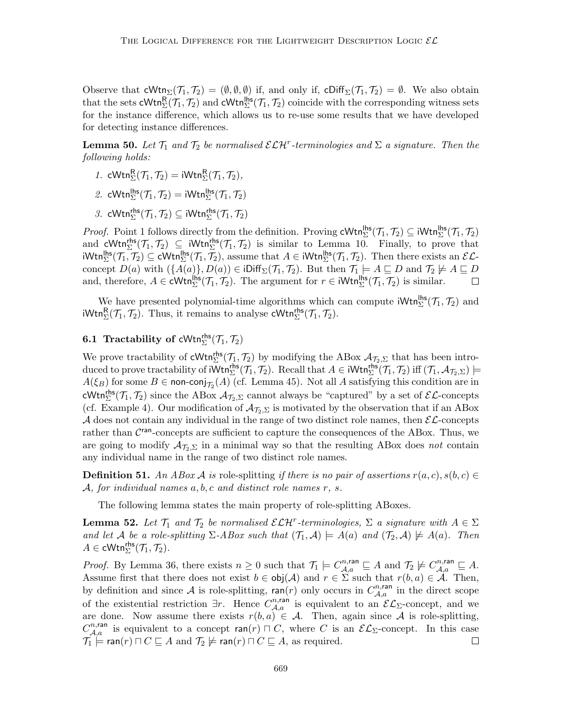Observe that  $cWtn_{\Sigma}(\mathcal{T}_1, \mathcal{T}_2) = (\emptyset, \emptyset, \emptyset)$  if, and only if,  $cDiff_{\Sigma}(\mathcal{T}_1, \mathcal{T}_2) = \emptyset$ . We also obtain that the sets  $\mathsf{cWtn}_{\Sigma}^{\mathsf{R}}(\mathcal{T}_1, \mathcal{T}_2)$  and  $\mathsf{cWtn}_{\Sigma}^{\mathsf{lhs}}(\mathcal{T}_1, \mathcal{T}_2)$  coincide with the corresponding witness sets for the instance difference, which allows us to re-use some results that we have developed for detecting instance differences.

**Lemma 50.** Let  $\mathcal{T}_1$  and  $\mathcal{T}_2$  be normalised  $\mathcal{ELH}^r$ -terminologies and  $\Sigma$  a signature. Then the following holds:

- 1. cWtn $_{\Sigma}^{R}(\mathcal{T}_{1},\mathcal{T}_{2})=iWtn_{\Sigma}^{R}(\mathcal{T}_{1},\mathcal{T}_{2}),$
- 2. cWtn $_{\Sigma}^{\mathsf{hbs}}(\mathcal{T}_1, \mathcal{T}_2) = \mathsf{iWtn}_{\Sigma}^{\mathsf{hbs}}(\mathcal{T}_1, \mathcal{T}_2)$
- 3. cWtn ${}_{\Sigma}^{\mathsf{rhs}}(\mathcal{T}_1, \mathcal{T}_2) \subseteq i\mathsf{Wtn}_{\Sigma}^{\mathsf{rhs}}(\mathcal{T}_1, \mathcal{T}_2)$

*Proof.* Point 1 follows directly from the definition. Proving  $cWtn_{\Sigma}^{\text{hbs}}(\mathcal{T}_1, \mathcal{T}_2) \subseteq iWtn_{\Sigma}^{\text{hbs}}(\mathcal{T}_1, \mathcal{T}_2)$ and  $\mathsf{cWtn}_{\Sigma}^{\mathsf{rhs}}(\mathcal{T}_1, \mathcal{T}_2) \subseteq \mathsf{iWtn}_{\Sigma}^{\mathsf{rhs}}(\mathcal{T}_1, \mathcal{T}_2)$  is similar to Lemma 10. Finally, to prove that  $\mathsf{iWtn}_{\Sigma}^{\mathsf{lhs}}(\mathcal{T}_1, \mathcal{T}_2) \subseteq \mathsf{cWtn}_{\Sigma}^{\mathsf{lhs}}(\mathcal{T}_1, \mathcal{T}_2),$  assume that  $A \in \mathsf{iWtn}_{\Sigma}^{\mathsf{lhs}}(\mathcal{T}_1, \mathcal{T}_2).$  Then there exists an  $\mathcal{EL}$ concept  $D(a)$  with  $(\{A(a)\}, D(a)) \in i\text{Diff}_{\Sigma}(\mathcal{T}_1, \mathcal{T}_2)$ . But then  $\mathcal{T}_1 \models A \sqsubseteq D$  and  $\mathcal{T}_2 \not\models A \sqsubseteq D$ and, therefore,  $A \in \text{cWtn}_{\Sigma}^{\text{hls}}(\mathcal{T}_1, \mathcal{T}_2)$ . The argument for  $r \in \text{iWtn}_{\Sigma}^{\text{hls}}(\mathcal{T}_1, \mathcal{T}_2)$  is similar.

We have presented polynomial-time algorithms which can compute  $iWtn_{\Sigma}^{\mathsf{hls}}(\mathcal{T}_1, \mathcal{T}_2)$  and  $\mathsf{iWtn}_{\Sigma}^{\mathsf{R}}(\mathcal{T}_1, \mathcal{T}_2)$ . Thus, it remains to analyse  $\mathsf{cWtn}_{\Sigma}^{\mathsf{rhs}}(\mathcal{T}_1, \mathcal{T}_2)$ .

# **6.1 Tractability of cWtn**<sup>rhs</sup> $(\mathcal{T}_1, \mathcal{T}_2)$

We prove tractability of  $\mathsf{cWtn}_{\Sigma}^{\mathsf{rhs}}(\mathcal{T}_1, \mathcal{T}_2)$  by modifying the ABox  $\mathcal{A}_{\mathcal{T}_2, \Sigma}$  that has been introduced to prove tractability of  $\overline{\text{Wtn}}_{\Sigma}^{\text{rhs}}(\mathcal{T}_1, \mathcal{T}_2)$ . Recall that  $A \in \text{iWtn}_{\Sigma}^{\text{rhs}}(\mathcal{T}_1, \mathcal{T}_2)$  iff  $(\mathcal{T}_1, \mathcal{A}_{\mathcal{T}_2, \Sigma}) \models$  $A(\xi_B)$  for some  $B \in \text{non-conj}_{\mathcal{T}_2}(A)$  (cf. Lemma 45). Not all A satisfying this condition are in cWtn<sup>ths</sup> ( $\mathcal{T}_1$ ,  $\mathcal{T}_2$ ) since the ABox  $\mathcal{A}_{\mathcal{T}_2,\Sigma}$  cannot always be "captured" by a set of  $\mathcal{EL}$ -concepts (cf. Example 4). Our modification of  $\mathcal{A}_{\mathcal{T}_2,\Sigma}$  is motivated by the observation that if an ABox A does not contain any individual in the range of two distinct role names, then  $\mathcal{EL}$ -concepts rather than  $\mathcal{C}^{\text{ran}}$ -concepts are sufficient to capture the consequences of the ABox. Thus, we are going to modify  $\mathcal{A}_{\mathcal{T}_2,\Sigma}$  in a minimal way so that the resulting ABox does not contain any individual name in the range of two distinct role names.

**Definition 51.** An ABox A is role-splitting if there is no pair of assertions  $r(a, c)$ ,  $s(b, c) \in$  $\mathcal{A},$  for individual names  $a, b, c$  and distinct role names  $r, s$ .

The following lemma states the main property of role-splitting ABoxes.

**Lemma 52.** Let  $\mathcal{T}_1$  and  $\mathcal{T}_2$  be normalised  $\mathcal{ELH}^r$ -terminologies,  $\Sigma$  a signature with  $A \in \Sigma$ and let A be a role-splitting  $\Sigma$ -ABox such that  $(\mathcal{T}_1, \mathcal{A}) \models A(a)$  and  $(\mathcal{T}_2, \mathcal{A}) \not\models A(a)$ . Then  $A \in \mathsf{cWtn}_{\Sigma}^{\mathsf{rhs}}(\mathcal{T}_1, \mathcal{T}_2).$ 

*Proof.* By Lemma 36, there exists  $n \geq 0$  such that  $\mathcal{T}_1 \models C^{n,\text{ran}}_{\mathcal{A},a} \sqsubseteq A$  and  $\mathcal{T}_2 \not\models C^{n,\text{ran}}_{\mathcal{A},a} \sqsubseteq A$ . Assume first that there does not exist  $b \in \text{obj}(\mathcal{A})$  and  $r \in \Sigma$  such that  $r(b, a) \in \mathcal{A}$ . Then, by definition and since A is role-splitting,  $ran(r)$  only occurs in  $C_{\mathcal{A},a}^{n,ran}$  in the direct scope of the existential restriction  $\exists r$ . Hence  $C_{\mathcal{A},a}^{n,ran}$  is equivalent to an  $\mathcal{EL}_{\Sigma}$ -concept, and we are done. Now assume there exists  $r(b, a) \in \mathcal{A}$ . Then, again since  $\mathcal A$  is role-splitting,  $C_{\mathcal{A},a}^{n,ran}$  is equivalent to a concept ran $(r) \sqcap C$ , where C is an  $\mathcal{EL}_{\Sigma}$ -concept. In this case  $\mathcal{T}_1 \models \text{ran}(r) \sqcap C \sqsubseteq A$  and  $\mathcal{T}_2 \not\models \text{ran}(r) \sqcap C \sqsubseteq A$ , as required.  $\Box$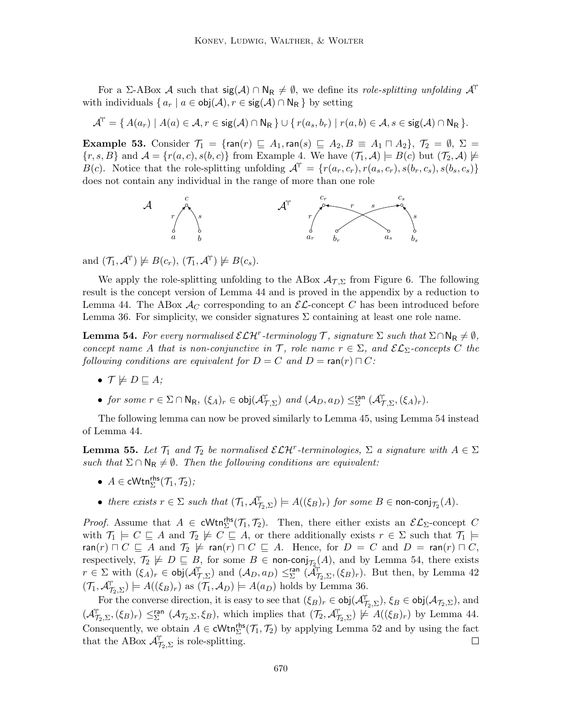For a Σ-ABox A such that  $sig(\mathcal{A}) \cap \mathbb{N}_{\mathsf{R}} \neq \emptyset$ , we define its *role-splitting unfolding*  $\mathcal{A}^{\mathsf{T}}$ with individuals  $\{a_r \mid a \in \text{obj}(\mathcal{A}), r \in \text{sig}(\mathcal{A}) \cap \mathsf{N}_{\mathsf{R}}\}$  by setting

$$
\mathcal{A}^{\!\mathsf{T}}=\{\,A(a_r)\mid A(a)\in \mathcal{A}, r\in \mathop{\mathrm{sig}}(\mathcal{A})\cap \mathsf{N_R}\,\}\cup \{\,r(a_s,b_r)\mid r(a,b)\in \mathcal{A}, s\in \mathop{\mathrm{sig}}(\mathcal{A})\cap \mathsf{N_R}\,\}.
$$

Example 53. Consider  $\mathcal{T}_1 = \{\text{ran}(r) \sqsubseteq A_1, \text{ran}(s) \sqsubseteq A_2, B \equiv A_1 \sqcap A_2\}, \mathcal{T}_2 = \emptyset, \Sigma =$  ${r, s, B}$  and  $\mathcal{A} = {r(a, c), s(b, c)}$  from Example 4. We have  $(\mathcal{T}_1, \mathcal{A}) \models B(c)$  but  $(\mathcal{T}_2, \mathcal{A}) \not\models$  $B(c)$ . Notice that the role-splitting unfolding  $\mathcal{A}^{\dagger} = \{r(a_r, c_r), r(a_s, c_r), s(b_r, c_s), s(b_s, c_s)\}$ does not contain any individual in the range of more than one role



and  $(\mathcal{T}_1, \mathcal{A}^{\dagger}) \not\models B(c_r), (\mathcal{T}_1, \mathcal{A}^{\dagger}) \not\models B(c_s).$ 

We apply the role-splitting unfolding to the ABox  $\mathcal{A}_{\mathcal{T},\Sigma}$  from Figure 6. The following result is the concept version of Lemma 44 and is proved in the appendix by a reduction to Lemma 44. The ABox  $\mathcal{A}_{C}$  corresponding to an  $\mathcal{EL}$ -concept C has been introduced before Lemma 36. For simplicity, we consider signatures  $\Sigma$  containing at least one role name.

**Lemma 54.** For every normalised  $\mathcal{ELH}^r$ -terminology T, signature  $\Sigma$  such that  $\Sigma \cap \mathsf{N}_\mathsf{R} \neq \emptyset$ , concept name A that is non-conjunctive in T, role name  $r \in \Sigma$ , and  $\mathcal{EL}_{\Sigma}$ -concepts C the following conditions are equivalent for  $D = C$  and  $D = \text{ran}(r) \sqcap C$ :

- $\bullet$   $\mathcal{T} \not\models D \sqsubseteq A$ :
- for some  $r \in \Sigma \cap \mathsf{N}_{\mathsf{R}}$ ,  $(\xi_A)_r \in \mathsf{obj}(\mathcal{A}_{\mathcal{T},\Sigma}^{\mathsf{P}})$  and  $(\mathcal{A}_D,a_D) \leq_{\Sigma}^{\mathsf{ran}} (\mathcal{A}_{\mathcal{T},\Sigma}^{\mathsf{P}},(\xi_A)_r)$ .

The following lemma can now be proved similarly to Lemma 45, using Lemma 54 instead of Lemma 44.

**Lemma 55.** Let  $\mathcal{T}_1$  and  $\mathcal{T}_2$  be normalised  $\mathcal{ELH}^r$ -terminologies,  $\Sigma$  a signature with  $A \in \Sigma$ such that  $\Sigma \cap \mathsf{N}_{\mathsf{R}} \neq \emptyset$ . Then the following conditions are equivalent:

- $A \in \text{cWtn}_{\Sigma}^{\text{rhs}}(\mathcal{T}_1, \mathcal{T}_2)$ ;
- there exists  $r \in \Sigma$  such that  $(\mathcal{T}_1, \mathcal{A}_{\mathcal{T}_2, \Sigma}^{\dagger}) \models A((\xi_B)_r)$  for some  $B \in \text{non-conj}_{\mathcal{T}_2}(A)$ .

*Proof.* Assume that  $A \in \text{cWtn}_{\Sigma}^{\text{rhs}}(\mathcal{T}_1, \mathcal{T}_2)$ . Then, there either exists an  $\mathcal{EL}_{\Sigma}$ -concept C with  $\mathcal{T}_1 \models C \sqsubseteq A$  and  $\mathcal{T}_2 \not\models C \sqsubseteq A$ , or there additionally exists  $r \in \Sigma$  such that  $\mathcal{T}_1 \models$  $\mathsf{ran}(r) \sqcap C \sqsubseteq A$  and  $\mathcal{T}_2 \not\models \mathsf{ran}(r) \sqcap C \sqsubseteq A$ . Hence, for  $D = C$  and  $D = \mathsf{ran}(r) \sqcap C$ , respectively,  $\mathcal{T}_2 \not\models D \sqsubseteq B$ , for some  $B \in \text{non-conj}_{\mathcal{T}_2}(A)$ , and by Lemma 54, there exists  $r \in \Sigma$  with  $(\xi_A)_r \in \text{obj}(\mathcal{A}_{\mathcal{T},\Sigma}^{\mathcal{T}})$  and  $(\mathcal{A}_D,a_D) \leq_{\Sigma}^{\text{ran}} (\mathcal{A}_{\mathcal{T}_2,\Sigma}^{\mathcal{T}},(\xi_B)_r)$ . But then, by Lemma 42  $(\mathcal{T}_1, \mathcal{A}_{\mathcal{T}_2, \Sigma}^{\mathcal{T}}) \models A((\xi_B)_r) \text{ as } (\mathcal{T}_1, \mathcal{A}_D) \models A(a_D) \text{ holds by Lemma 36.}$ 

For the converse direction, it is easy to see that  $(\xi_B)_r \in \text{obj}(\mathcal{A}_{\mathcal{I}_2,\Sigma}^{\uparrow\uparrow}), \xi_B \in \text{obj}(\mathcal{A}_{\mathcal{I}_2,\Sigma}),$  and  $(\mathcal{A}_{\mathcal{T}_2,\Sigma}^{\mathcal{T}},(\xi_B)_r) \leq^{\mathsf{ran}}_{\Sigma} (\mathcal{A}_{\mathcal{T}_2,\Sigma},\xi_B)$ , which implies that  $(\mathcal{T}_2,\mathcal{A}_{\mathcal{T}_2,\Sigma}^{\mathcal{T}}) \not\models A((\xi_B)_r)$  by Lemma 44. Consequently, we obtain  $A \in \text{cWtn}_{\Sigma}^{\text{rhs}}(\mathcal{T}_1, \mathcal{T}_2)$  by applying Lemma 52 and by using the fact that the ABox  $\mathcal{A}_{\mathcal{T}_2,\Sigma}^{\uparrow\uparrow}$  is role-splitting.  $\Box$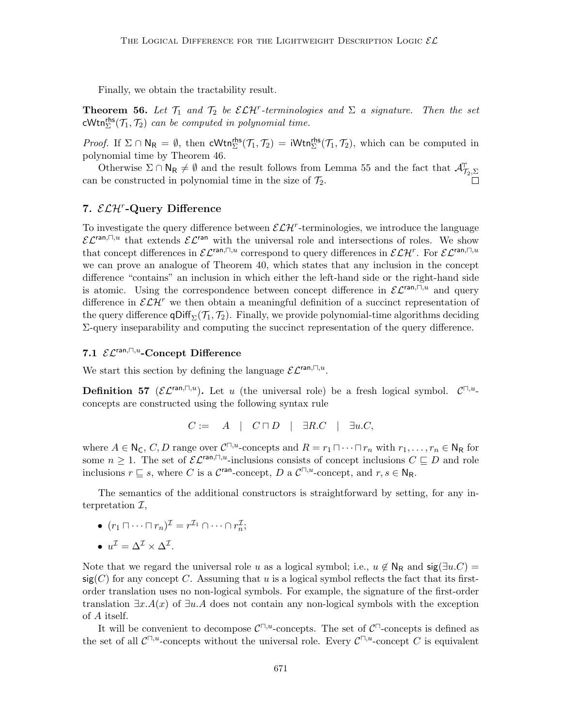Finally, we obtain the tractability result.

**Theorem 56.** Let  $\mathcal{T}_1$  and  $\mathcal{T}_2$  be  $\mathcal{ELH}^r$ -terminologies and  $\Sigma$  a signature. Then the set  $\mathsf{cWtn}_{\Sigma}^{\mathsf{rhs}}(\mathcal{T}_1, \mathcal{T}_2)$  can be computed in polynomial time.

*Proof.* If  $\Sigma \cap \mathsf{N}_{\mathsf{R}} = \emptyset$ , then  $\mathsf{cWtn}_{\Sigma}^{\mathsf{rhs}}(\mathcal{T}_1, \mathcal{T}_2) = \mathsf{iWtn}_{\Sigma}^{\mathsf{rhs}}(\mathcal{T}_1, \mathcal{T}_2)$ , which can be computed in polynomial time by Theorem 46.

Otherwise  $\Sigma \cap N_R \neq \emptyset$  and the result follows from Lemma 55 and the fact that  $\mathcal{A}_{\mathcal{T}_2,\Sigma}^{\dagger}$ can be constructed in polynomial time in the size of  $\mathcal{T}_2$ .

# 7.  $\mathcal{ELH}^r$ -Query Difference

To investigate the query difference between  $\mathcal{ELH}^r$ -terminologies, we introduce the language  $\mathcal{EL}^{\text{ran},\Box,u}$  that extends  $\mathcal{EL}^{\text{ran}}$  with the universal role and intersections of roles. We show that concept differences in  $\mathcal{EL}^{\text{ran},\Box,u}$  correspond to query differences in  $\mathcal{ELH}^r$ . For  $\mathcal{EL}^{\text{ran},\Box,u}$ we can prove an analogue of Theorem 40, which states that any inclusion in the concept difference "contains" an inclusion in which either the left-hand side or the right-hand side is atomic. Using the correspondence between concept difference in  $\mathcal{EL}^{\text{ran},\square,u}$  and query difference in  $\mathcal{ELH}^r$  we then obtain a meaningful definition of a succinct representation of the query difference  $\mathsf{qDiff}_{\Sigma}(\mathcal{T}_1, \mathcal{T}_2)$ . Finally, we provide polynomial-time algorithms deciding Σ-query inseparability and computing the succinct representation of the query difference.

# 7.1  $\mathcal{EL}^{\text{ran},\square,u}$ -Concept Difference

We start this section by defining the language  $\mathcal{EL}^{\text{ran},\square,u}$ .

**Definition 57** ( $\mathcal{EL}^{\text{ran},\square,u}$ ). Let u (the universal role) be a fresh logical symbol.  $\mathcal{C}^{\square,u}$ concepts are constructed using the following syntax rule

$$
C := A \mid C \sqcap D \mid \exists R.C \mid \exists u.C,
$$

where  $A \in \mathsf{N}_{\mathsf{C}}$ , C, D range over  $\mathcal{C}^{\square,u}$ -concepts and  $R = r_1 \square \cdots \square r_n$  with  $r_1, \ldots, r_n \in \mathsf{N}_{\mathsf{R}}$  for some  $n \geq 1$ . The set of  $\mathcal{EL}^{\text{ran},\square,u}$ -inclusions consists of concept inclusions  $C \sqsubseteq D$  and role inclusions  $r \subseteq s$ , where C is a C<sup>ran</sup>-concept, D a C<sup> $\Box, u$ </sup>-concept, and  $r, s \in \mathbb{N}_{\mathsf{R}}$ .

The semantics of the additional constructors is straightforward by setting, for any interpretation  $\mathcal{I},$ 

•  $(r_1 \sqcap \cdots \sqcap r_n)^{\mathcal{I}} = r^{\mathcal{I}_1} \cap \cdots \cap r_n^{\mathcal{I}};$ 

• 
$$
u^{\mathcal{I}} = \Delta^{\mathcal{I}} \times \Delta^{\mathcal{I}}.
$$

Note that we regard the universal role u as a logical symbol; i.e.,  $u \notin N_R$  and  $sig(\exists u.C)$  =  $sig(C)$  for any concept C. Assuming that u is a logical symbol reflects the fact that its firstorder translation uses no non-logical symbols. For example, the signature of the first-order translation  $\exists x.A(x)$  of  $\exists u.A$  does not contain any non-logical symbols with the exception of A itself.

It will be convenient to decompose  $\mathcal{C}^{\square,u}$ -concepts. The set of  $\mathcal{C}^{\square}$ -concepts is defined as the set of all  $C^{\square,u}$ -concepts without the universal role. Every  $C^{\square,u}$ -concept C is equivalent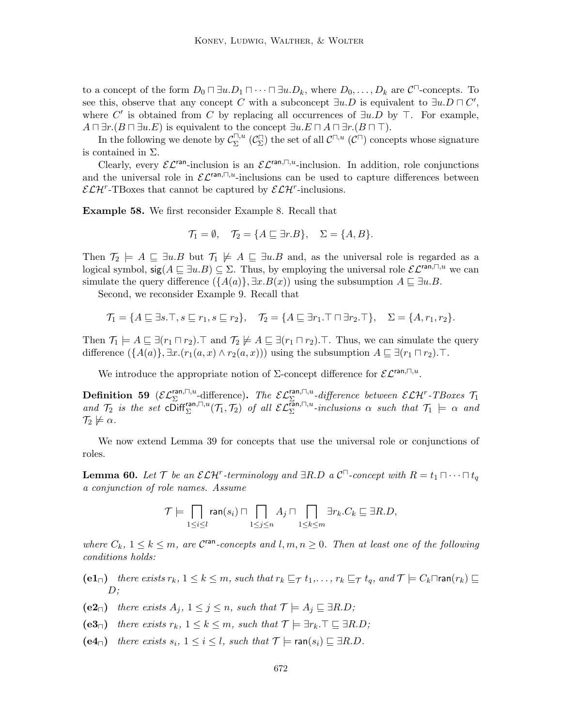to a concept of the form  $D_0 \sqcap \exists u \ldotp D_1 \sqcap \cdots \sqcap \exists u \ldotp D_k$ , where  $D_0, \ldots, D_k$  are  $\mathcal{C}^{\sqcap}$ -concepts. To see this, observe that any concept C with a subconcept  $\exists u.D$  is equivalent to  $\exists u.D \sqcap C'$ , where C' is obtained from C by replacing all occurrences of  $\exists u.D$  by  $\top$ . For example,  $A \sqcap \exists r.(B \sqcap \exists u.E)$  is equivalent to the concept  $\exists u.E \sqcap A \sqcap \exists r.(B \sqcap \top)$ .

In the following we denote by  $\mathcal{C}_{\Sigma}^{\square,u}$  $\mathcal{L}^{\square,u}$  ( $\mathcal{C}^{\square}$ ) the set of all  $\mathcal{C}^{\square,u}$  ( $\mathcal{C}^{\square}$ ) concepts whose signature is contained in  $\Sigma$ .

Clearly, every  $\mathcal{EL}^{\text{ran}}$ -inclusion is an  $\mathcal{EL}^{\text{ran},\Box,u}$ -inclusion. In addition, role conjunctions and the universal role in  $\mathcal{EL}^{\text{ran},\square,u}$ -inclusions can be used to capture differences between  $\mathcal{ELH}^r$ -TBoxes that cannot be captured by  $\mathcal{ELH}^r$ -inclusions.

Example 58. We first reconsider Example 8. Recall that

$$
\mathcal{T}_1 = \emptyset, \quad \mathcal{T}_2 = \{A \sqsubseteq \exists r.B\}, \quad \Sigma = \{A, B\}.
$$

Then  $\mathcal{T}_2 \models A \sqsubseteq \exists u.B$  but  $\mathcal{T}_1 \not\models A \sqsubseteq \exists u.B$  and, as the universal role is regarded as a logical symbol,  $sig(A \sqsubseteq \exists u.B) \subseteq \Sigma$ . Thus, by employing the universal role  $\mathcal{EL}^{\text{ran},\square,u}$  we can simulate the query difference  $({A(a)}, \exists x.B(x))$  using the subsumption  $A \subseteq \exists u.B.$ 

Second, we reconsider Example 9. Recall that

$$
\mathcal{T}_1 = \{ A \sqsubseteq \exists s. \top, s \sqsubseteq r_1, s \sqsubseteq r_2 \}, \quad \mathcal{T}_2 = \{ A \sqsubseteq \exists r_1. \top \sqcap \exists r_2. \top \}, \quad \Sigma = \{ A, r_1, r_2 \}.
$$

Then  $\mathcal{T}_1 \models A \sqsubseteq \exists (r_1 \sqcap r_2)$ . T and  $\mathcal{T}_2 \not\models A \sqsubseteq \exists (r_1 \sqcap r_2)$ . T. Thus, we can simulate the query difference  $(\{A(a)\}, \exists x.(r_1(a, x) \land r_2(a, x)))$  using the subsumption  $A \sqsubseteq \exists (r_1 \sqcap r_2)$ . T.

We introduce the appropriate notion of  $\Sigma$ -concept difference for  $\mathcal{EL}^{\text{ran},\square,u}$ .

**Definition 59** ( $\mathcal{EL}_{\Sigma}^{\text{ran},\square,u}$ -difference). The  $\mathcal{EL}_{\Sigma_{\Sigma_{\Sigma_{\Sigma_{\Sigma}}}}^{\text{ran},\square,u}}$ -difference between  $\mathcal{ELH}^{\text{r}}$ -TBoxes  $\mathcal{T}_1$ and  $\mathcal{T}_2$  is the set  $\mathsf{co}\inf_{\Sigma}^{\mathsf{ran},\square,u}(\mathcal{T}_1,\mathcal{T}_2)$  of all  $\mathcal{EL}_{\Sigma}^{\mathsf{fan},\square,u}$ -inclusions  $\alpha$  such that  $\mathcal{T}_1 \models \alpha$  and  $\mathcal{T}_2 \not\models \alpha$ .

We now extend Lemma 39 for concepts that use the universal role or conjunctions of roles.

**Lemma 60.** Let  $\mathcal{T}$  be an  $\mathcal{ELH}^r$ -terminology and  $\exists R.D$  a  $\mathcal{C}^{\Box}$ -concept with  $R = t_1 \sqcap \cdots \sqcap t_q$ a conjunction of role names. Assume

$$
\mathcal{T}\models \bigcap_{1\leq i\leq l}\text{ran}(s_i)\sqcap \bigcap_{1\leq j\leq n}A_j\sqcap \bigcap_{1\leq k\leq m}\exists r_k.C_k\sqsubseteq \exists R.D,
$$

where  $C_k$ ,  $1 \leq k \leq m$ , are  $\mathcal{C}^{\text{ran}}$ -concepts and  $l, m, n \geq 0$ . Then at least one of the following conditions holds:

- (e1<sub> $\sqcap$ </sub>) there exists  $r_k$ ,  $1 \leq k \leq m$ , such that  $r_k \sqsubseteq_{\mathcal{T}} t_1, \ldots, r_k \sqsubseteq_{\mathcal{T}} t_q$ , and  $\mathcal{T} \models C_k \sqcap \text{ran}(r_k) \sqsubseteq$  $D$ ;
- (e2<sub>□</sub>) there exists  $A_i$ ,  $1 \leq j \leq n$ , such that  $\mathcal{T} \models A_i \sqsubseteq \exists R.D$ ;
- (e3<sub>□</sub>) there exists  $r_k$ ,  $1 \leq k \leq m$ , such that  $\mathcal{T} \models \exists r_k \cdot \top \sqsubseteq \exists R.D$ ;
- (e4<sub>□</sub>) there exists  $s_i$ ,  $1 \le i \le l$ , such that  $\mathcal{T} \models \text{ran}(s_i) \sqsubset \exists R.D$ .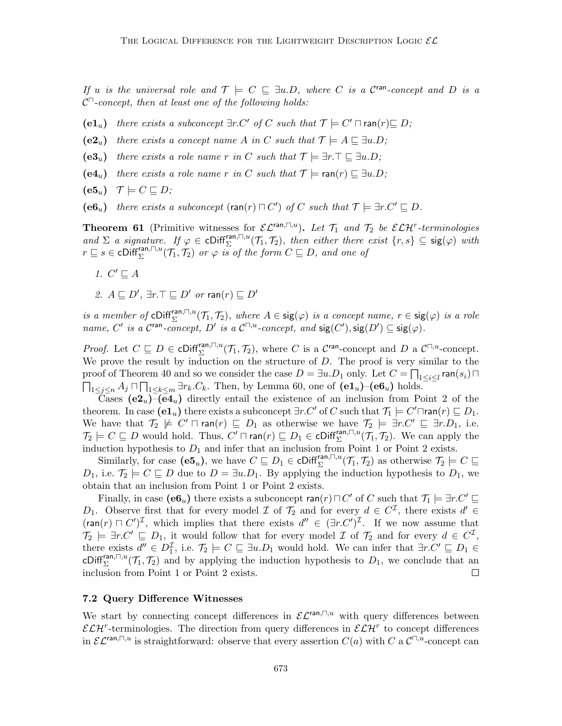If u is the universal role and  $\mathcal{T} \models C \subseteq \exists u.D$ , where C is a C<sup>ran</sup>-concept and D is a  $\mathcal{C}^{\square}$ -concept, then at least one of the following holds:

(e1u) there exists a subconcept  $\exists r.C'$  of C such that  $\mathcal{T} \models C' \sqcap \text{ran}(r) \sqsubseteq D;$ 

- $(e2<sub>u</sub>)$  there exists a concept name A in C such that  $\mathcal{T} \models A \sqsubseteq \exists u.D;$
- $(e3<sub>u</sub>)$  there exists a role name r in C such that  $\mathcal{T} \models \exists r.\top \sqsubset \exists u.D;$
- $(e4<sub>u</sub>)$  there exists a role name r in C such that  $\mathcal{T} \models \text{ran}(r) \sqsubseteq \exists u.D;$

$$
(\mathbf{e5}_u) \quad \mathcal{T} \models C \sqsubseteq D;
$$

(e6u) there exists a subconcept (ran(r)  $\sqcap C'$ ) of C such that  $\mathcal{T} \models \exists r.C' \sqsubseteq D$ .

**Theorem 61** (Primitive witnesses for  $\mathcal{EL}^{\text{ran},\Box,u}$ ). Let  $\mathcal{T}_1$  and  $\mathcal{T}_2$  be  $\mathcal{ELH}^r$ -terminologies and  $\Sigma$  a signature. If  $\varphi \in \text{Cliff}_{\Sigma}^{\text{ran},\square,u}(\mathcal{T}_1,\mathcal{T}_2)$ , then either there exist  $\{r,s\} \subseteq \text{sig}(\varphi)$  with  $r \sqsubseteq s \in \text{cliff}_{\Sigma}^{\text{ran},\square,u}(\mathcal{T}_1,\mathcal{T}_2)$  or  $\varphi$  is of the form  $C \sqsubseteq D$ , and one of

- 1.  $C' \sqsubseteq A$
- 2.  $A \sqsubseteq D'$ ,  $\exists r.\top \sqsubseteq D'$  or  $\mathsf{ran}(r) \sqsubseteq D'$

is a member of cDiff<sup>ran, $\Box$ , $u(\mathcal{T}_1, \mathcal{T}_2)$ , where  $A \in \text{sig}(\varphi)$  is a concept name,  $r \in \text{sig}(\varphi)$  is a role</sup> name, C' is a C<sup>ran</sup>-concept, D' is a C<sup> $\Box, u$ </sup>-concept, and  $sig(C'), sig(D') \subseteq sig(\varphi)$ .

*Proof.* Let  $C \subseteq D \in \text{cliff}_{\Sigma}^{\text{ran},\square,u}(\mathcal{T}_1,\mathcal{T}_2)$ , where C is a  $\mathcal{C}^{\text{ran}}$ -concept and D a  $\mathcal{C}^{\square,u}$ -concept. We prove the result by induction on the structure of  $D$ . The proof is very similar to the proof of Theorem 40 and so we consider the case  $D=\exists u.D_1$  only. Let  $C=\prod_{1\leq i\leq l} {\sf ran}(s_i)\sqcap$  $\prod_{1 \leq j \leq n} A_j \sqcap \prod_{1 \leq k \leq m} \exists r_k.C_k$ . Then, by Lemma 60, one of  $(\mathbf{e1}_u)$ - $(\mathbf{e6}_u)$  holds.

Cases  $(e2<sub>u</sub>)-(e4<sub>u</sub>)$  directly entail the existence of an inclusion from Point 2 of the theorem. In case  $(\mathbf{e} \mathbf{1}_u)$  there exists a subconcept  $\exists r.C'$  of  $C$  such that  $\mathcal{T}_1 \models C' \sqcap \mathsf{ran}(r) \sqsubseteq D_1$ . We have that  $\mathcal{T}_2 \not\models C' \sqcap \text{ran}(r) \sqsubseteq D_1$  as otherwise we have  $\mathcal{T}_2 \models \exists r.C' \sqsubseteq \exists r.D_1$ , i.e.  $\mathcal{T}_2 \models C \sqsubseteq D$  would hold. Thus,  $C' \sqcap \text{ran}(r) \sqsubseteq D_1 \in \text{cliff}_{\Sigma}^{\text{ran},\sqcap,u}(\mathcal{T}_1,\mathcal{T}_2)$ . We can apply the induction hypothesis to  $D_1$  and infer that an inclusion from Point 1 or Point 2 exists.

Similarly, for case  $(e5_u)$ , we have  $C \sqsubseteq D_1 \in \text{cliff}_{\Sigma}^{\text{ran},\square,u}(\mathcal{T}_1,\mathcal{T}_2)$  as otherwise  $\mathcal{T}_2 \models C \sqsubseteq$  $D_1$ , i.e.  $\mathcal{T}_2 \models C \sqsubseteq D$  due to  $D = \exists u \cdot D_1$ . By applying the induction hypothesis to  $D_1$ , we obtain that an inclusion from Point 1 or Point 2 exists.

Finally, in case  $(e6_u)$  there exists a subconcept ran $(r) \sqcap C'$  of C such that  $\mathcal{T}_1 \models \exists r.C' \sqsubseteq$ D<sub>1</sub>. Observe first that for every model  $\mathcal I$  of  $\mathcal T_2$  and for every  $d \in C^{\mathcal I}$ , there exists  $d' \in$  $(\text{ran}(r) \sqcap C')^{\mathcal{I}}$ , which implies that there exists  $d'' \in (\exists r.C')^{\mathcal{I}}$ . If we now assume that  $\mathcal{T}_2 \models \exists r.C' \sqsubseteq D_1$ , it would follow that for every model  $\mathcal{I}$  of  $\mathcal{T}_2$  and for every  $d \in C^{\mathcal{I}},$ there exists  $d'' \in D_1^{\mathcal{I}}$ , i.e.  $\mathcal{T}_2 \models C \sqsubseteq \exists u.D_1$  would hold. We can infer that  $\exists r.C' \sqsubseteq D_1 \in$ cDiff<sup>ran, $\Box$ u $(\mathcal{T}_1, \mathcal{T}_2)$  and by applying the induction hypothesis to  $D_1$ , we conclude that an</sup> inclusion from Point 1 or Point 2 exists.  $\Box$ 

#### 7.2 Query Difference Witnesses

We start by connecting concept differences in  $\mathcal{EL}^{\text{ran},\Box,u}$  with query differences between  $\mathcal{ELH}^r$ -terminologies. The direction from query differences in  $\mathcal{ELH}^r$  to concept differences in  $\mathcal{EL}^{\text{ran},\Box,u}$  is straightforward: observe that every assertion  $C(a)$  with C a  $\mathcal{L}^{\Box,u}$ -concept can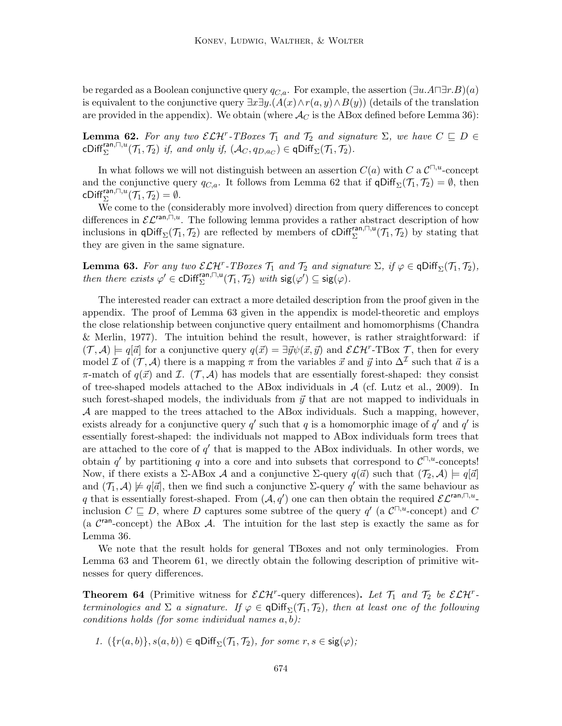be regarded as a Boolean conjunctive query  $q_{C,a}$ . For example, the assertion  $(\exists u.A \sqcap \exists r.B)(a)$ is equivalent to the conjunctive query  $\exists x \exists y \cdot (A(x) \wedge r(a, y) \wedge B(y))$  (details of the translation are provided in the appendix). We obtain (where  $\mathcal{A}_C$  is the ABox defined before Lemma 36):

**Lemma 62.** For any two  $\mathcal{ELH}^r$ -TBoxes  $\mathcal{T}_1$  and  $\mathcal{T}_2$  and signature  $\Sigma$ , we have  $C \subseteq D \in$ cDiff<sup>ran, $\Box$ u $(\mathcal{T}_1, \mathcal{T}_2)$  if, and only if,  $(\mathcal{A}_C, q_{D,a_C}) \in \mathsf{qDiff}_{\Sigma}(\mathcal{T}_1, \mathcal{T}_2)$ .</sup>

In what follows we will not distinguish between an assertion  $C(a)$  with C a  $\mathcal{C}^{\square,u}$ -concept and the conjunctive query  $q_{C,a}$ . It follows from Lemma 62 that if  $\varphi$ Diff<sub> $\Sigma$ </sub>( $\mathcal{T}_1, \mathcal{T}_2$ ) =  $\emptyset$ , then cDiff $_{\Sigma}^{\mathsf{ran},\square,u}(\mathcal{T}_1,\mathcal{T}_2)=\emptyset.$ 

We come to the (considerably more involved) direction from query differences to concept differences in  $\mathcal{EL}^{\text{ran},\Box,u}$ . The following lemma provides a rather abstract description of how inclusions in  $\mathsf{qDiff}_{\Sigma}(\mathcal{T}_1, \mathcal{T}_2)$  are reflected by members of  $\mathsf{cDiff}_{\Sigma}^{\mathsf{ran},\sqcap,\mathsf{u}}(\mathcal{T}_1, \mathcal{T}_2)$  by stating that they are given in the same signature.

**Lemma 63.** For any two  $\mathcal{ELH}^r$ -TBoxes  $\mathcal{T}_1$  and  $\mathcal{T}_2$  and signature  $\Sigma$ , if  $\varphi \in \text{qDiff}_{\Sigma}(\mathcal{T}_1, \mathcal{T}_2)$ , then there exists  $\varphi' \in \text{Cliff}_{\Sigma}^{\text{ran},\square,\mathsf{u}}(\mathcal{T}_1,\mathcal{T}_2)$  with  $\text{sig}(\varphi') \subseteq \text{sig}(\varphi)$ .

The interested reader can extract a more detailed description from the proof given in the appendix. The proof of Lemma 63 given in the appendix is model-theoretic and employs the close relationship between conjunctive query entailment and homomorphisms (Chandra & Merlin, 1977). The intuition behind the result, however, is rather straightforward: if  $(\mathcal{T}, \mathcal{A}) \models q[\vec{a}]$  for a conjunctive query  $q(\vec{x}) = \exists \vec{y} \psi(\vec{x}, \vec{y})$  and  $\mathcal{ELH}^r$ -TBox  $\mathcal{T}$ , then for every model I of  $(\mathcal{T}, \mathcal{A})$  there is a mapping  $\pi$  from the variables  $\vec{x}$  and  $\vec{y}$  into  $\Delta^{\mathcal{I}}$  such that  $\vec{a}$  is a  $\pi$ -match of  $q(\vec{x})$  and  $\mathcal{I}$ .  $(\mathcal{T}, \mathcal{A})$  has models that are essentially forest-shaped: they consist of tree-shaped models attached to the ABox individuals in  $A$  (cf. Lutz et al., 2009). In such forest-shaped models, the individuals from  $\vec{y}$  that are not mapped to individuals in A are mapped to the trees attached to the ABox individuals. Such a mapping, however, exists already for a conjunctive query  $q'$  such that q is a homomorphic image of  $q'$  and  $q'$  is essentially forest-shaped: the individuals not mapped to ABox individuals form trees that are attached to the core of  $q'$  that is mapped to the ABox individuals. In other words, we obtain q' by partitioning q into a core and into subsets that correspond to  $\mathcal{C}^{\square,u}$ -concepts! Now, if there exists a  $\Sigma$ -ABox A and a conjunctive  $\Sigma$ -query  $q(\vec{a})$  such that  $(\mathcal{T}_2, \mathcal{A}) \models q[\vec{a}]$ and  $(\mathcal{T}_1, \mathcal{A}) \not\models q[\vec{a}]$ , then we find such a conjunctive  $\Sigma$ -query q' with the same behaviour as q that is essentially forest-shaped. From  $(A, q')$  one can then obtain the required  $\mathcal{EL}^{\text{ran},\square,u}$ . inclusion  $C \subseteq D$ , where D captures some subtree of the query  $q'$  (a  $\mathcal{C}^{\square,u}$ -concept) and C (a  $\mathcal{C}^{\text{ran}}$ -concept) the ABox A. The intuition for the last step is exactly the same as for Lemma 36.

We note that the result holds for general TBoxes and not only terminologies. From Lemma 63 and Theorem 61, we directly obtain the following description of primitive witnesses for query differences.

**Theorem 64** (Primitive witness for  $\mathcal{ELH}^r$ -query differences). Let  $\mathcal{T}_1$  and  $\mathcal{T}_2$  be  $\mathcal{ELH}^r$ terminologies and  $\Sigma$  a signature. If  $\varphi \in \text{qDiff}_{\Sigma}(\mathcal{T}_1, \mathcal{T}_2)$ , then at least one of the following conditions holds (for some individual names  $a, b$ ):

1. 
$$
(\{r(a,b)\}, s(a,b)) \in \text{qDiff}_{\Sigma}(\mathcal{T}_1, \mathcal{T}_2)
$$
, for some  $r, s \in \text{sig}(\varphi)$ ;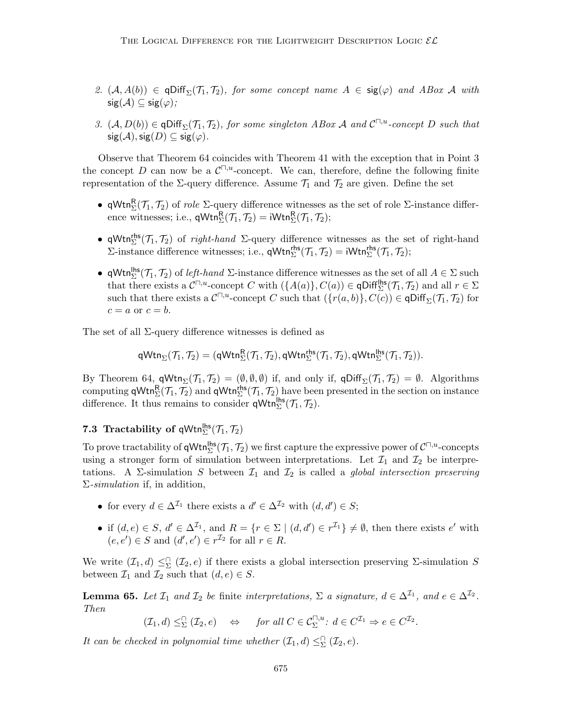- 2.  $(A, A(b)) \in \text{qDiff}_{\Sigma}(\mathcal{T}_1, \mathcal{T}_2)$ , for some concept name  $A \in \text{sig}(\varphi)$  and ABox A with  $sig(\mathcal{A}) \subseteq sig(\varphi)$ ;
- 3.  $(A, D(b)) \in \text{qDiff}_{\Sigma}(\mathcal{T}_1, \mathcal{T}_2)$ , for some singleton ABox A and  $\mathcal{C}^{\square, u}$ -concept D such that  $sig(\mathcal{A}), sig(D) \subseteq sig(\varphi).$

Observe that Theorem 64 coincides with Theorem 41 with the exception that in Point 3 the concept D can now be a  $\mathcal{C}^{\square,u}$ -concept. We can, therefore, define the following finite representation of the  $\Sigma$ -query difference. Assume  $\mathcal{T}_1$  and  $\mathcal{T}_2$  are given. Define the set

- qWtn ${}_{\Sigma}^{R}(\mathcal{T}_{1},\mathcal{T}_{2})$  of *role*  $\Sigma$ -query difference witnesses as the set of role  $\Sigma$ -instance difference witnesses; i.e.,  $\mathsf{qWtn}_{\Sigma}^{\mathsf{R}}(\mathcal{T}_1, \mathcal{T}_2) = \mathsf{iWtn}_{\Sigma}^{\mathsf{R}}(\mathcal{T}_1, \mathcal{T}_2);$
- qWtn<sup>ths</sup> ( $\mathcal{T}_1$ ,  $\mathcal{T}_2$ ) of *right-hand*  $\Sigma$ -query difference witnesses as the set of right-hand  $\Sigma$ -instance difference witnesses; i.e.,  $\mathsf{qWtn}_{\Sigma}^{\mathsf{rhs}}(\mathcal{T}_1, \mathcal{T}_2) = \mathsf{iWtn}_{\Sigma}^{\mathsf{rhs}}(\mathcal{T}_1, \mathcal{T}_2);$
- qWtn<sup>lhs</sup> ( $\mathcal{T}_1$ ,  $\mathcal{T}_2$ ) of *left-hand*  $\Sigma$ -instance difference witnesses as the set of all  $A \in \Sigma$  such that there exists a  $C^{\Pi,u}$ -concept C with  $(\{A(a)\},C(a)) \in \mathsf{qDiff}_{\Sigma}^{\mathsf{hls}}(\mathcal{T}_1,\mathcal{T}_2)$  and all  $r \in \Sigma$ such that there exists a  $C^{\square,u}$ -concept C such that  $(\{r(a,b)\}, C(c)) \in \text{qDiff}_{\Sigma}(\mathcal{T}_1, \mathcal{T}_2)$  for  $c = a$  or  $c = b$ .

The set of all  $\Sigma$ -query difference witnesses is defined as

 $\mathsf{qWtn}_{\Sigma}(\mathcal{T}_1,\mathcal{T}_2) = (\mathsf{qWtn}_{\Sigma}^{\mathsf{R}}(\mathcal{T}_1,\mathcal{T}_2), \mathsf{qWtn}_{\Sigma}^{\mathsf{rhs}}(\mathcal{T}_1,\mathcal{T}_2), \mathsf{qWtn}_{\Sigma}^{\mathsf{lls}}(\mathcal{T}_1,\mathcal{T}_2)).$ 

By Theorem 64,  $\mathsf{qWtn}_{\Sigma}(\mathcal{T}_1, \mathcal{T}_2) = (\emptyset, \emptyset, \emptyset)$  if, and only if,  $\mathsf{qDiff}_{\Sigma}(\mathcal{T}_1, \mathcal{T}_2) = \emptyset$ . Algorithms computing  $\mathsf{qWtn}_{\Sigma}^{R}(\mathcal{T}_1, \mathcal{T}_2)$  and  $\mathsf{qWtn}_{\Sigma}^{\mathsf{rhs}}(\mathcal{T}_1, \mathcal{T}_2)$  have been presented in the section on instance difference. It thus remains to consider  $\mathsf{qWtn}^{\mathsf{lhs}}_{\Sigma}(\mathcal{T}_1, \mathcal{T}_2)$ .

# **7.3** Tractability of  $qWtn_{\Sigma}^{hfs}(\mathcal{T}_1, \mathcal{T}_2)$

To prove tractability of  $\mathsf{qWtn}_{\Sigma}^{\mathsf{hls}}(\mathcal{T}_1,\mathcal{T}_2)$  we first capture the expressive power of  $\mathcal{C}^{\square,u}$ -concepts using a stronger form of simulation between interpretations. Let  $\mathcal{I}_1$  and  $\mathcal{I}_2$  be interpretations. A  $\Sigma$ -simulation S between  $\mathcal{I}_1$  and  $\mathcal{I}_2$  is called a global intersection preserving  $\Sigma$ -simulation if, in addition,

- for every  $d \in \Delta^{\mathcal{I}_1}$  there exists a  $d' \in \Delta^{\mathcal{I}_2}$  with  $(d, d') \in S$ ;
- if  $(d, e) \in S$ ,  $d' \in \Delta^{\mathcal{I}_1}$ , and  $R = \{r \in \Sigma \mid (d, d') \in r^{\mathcal{I}_1}\} \neq \emptyset$ , then there exists  $e'$  with  $(e, e') \in S$  and  $(d', e') \in r^{\mathcal{I}_2}$  for all  $r \in R$ .

We write  $(\mathcal{I}_1, d) \leq \Sigma (\mathcal{I}_2, e)$  if there exists a global intersection preserving  $\Sigma$ -simulation S between  $\mathcal{I}_1$  and  $\mathcal{I}_2$  such that  $(d, e) \in S$ .

**Lemma 65.** Let  $\mathcal{I}_1$  and  $\mathcal{I}_2$  be finite interpretations,  $\Sigma$  a signature,  $d \in \Delta^{\mathcal{I}_1}$ , and  $e \in \Delta^{\mathcal{I}_2}$ . Then

$$
(\mathcal{I}_1, d) \leq^{\cap}_{\Sigma} (\mathcal{I}_2, e) \quad \Leftrightarrow \quad \text{for all } C \in \mathcal{C}_{\Sigma}^{\square, u} \colon d \in C^{\mathcal{I}_1} \Rightarrow e \in C^{\mathcal{I}_2}.
$$

It can be checked in polynomial time whether  $(\mathcal{I}_1, d) \leq^{\cap}_{\Sigma} (\mathcal{I}_2, e)$ .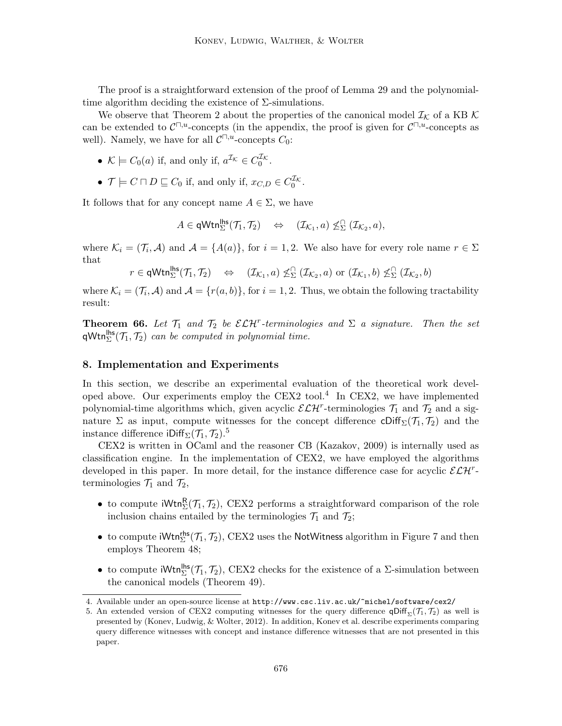The proof is a straightforward extension of the proof of Lemma 29 and the polynomialtime algorithm deciding the existence of  $\Sigma$ -simulations.

We observe that Theorem 2 about the properties of the canonical model  $\mathcal{I}_{\mathcal{K}}$  of a KB K can be extended to  $\mathcal{C}^{\square,u}$ -concepts (in the appendix, the proof is given for  $\mathcal{C}^{\square,u}$ -concepts as well). Namely, we have for all  $C^{\square,u}$ -concepts  $C_0$ :

- $\mathcal{K} \models C_0(a)$  if, and only if,  $a^{\mathcal{I}_{\mathcal{K}}}\in C_0^{\mathcal{I}_{\mathcal{K}}}$ .
- $\mathcal{T} \models C \sqcap D \sqsubseteq C_0$  if, and only if,  $x_{C,D} \in C_0^{\mathcal{I}_{\mathcal{K}}}$ .

It follows that for any concept name  $A \in \Sigma$ , we have

$$
A\in\mathsf{qWtn}_{\Sigma}^{\mathsf{lhs}}(\mathcal{T}_1,\mathcal{T}_2)\quad\Leftrightarrow\quad (\mathcal{I}_{\mathcal{K}_1},a)\nleq_{\Sigma}^\cap(\mathcal{I}_{\mathcal{K}_2},a),
$$

where  $\mathcal{K}_i = (\mathcal{T}_i, \mathcal{A})$  and  $\mathcal{A} = \{A(a)\},$  for  $i = 1, 2$ . We also have for every role name  $r \in \Sigma$ that

 $r \in \mathsf{qWtn}_{\Sigma}^{\mathsf{hls}}(\mathcal{T}_1,\mathcal{T}_2) \quad \Leftrightarrow \quad (\mathcal{I}_{\mathcal{K}_1},a) \not\leq^{\cap}_{\Sigma} (\mathcal{I}_{\mathcal{K}_2},a) \text{ or } (\mathcal{I}_{\mathcal{K}_1},b) \not\leq^{\cap}_{\Sigma} (\mathcal{I}_{\mathcal{K}_2},b)$ 

where  $\mathcal{K}_i = (\mathcal{T}_i, \mathcal{A})$  and  $\mathcal{A} = \{r(a, b)\}\$ , for  $i = 1, 2$ . Thus, we obtain the following tractability result:

**Theorem 66.** Let  $\mathcal{T}_1$  and  $\mathcal{T}_2$  be  $\mathcal{ELH}^r$ -terminologies and  $\Sigma$  a signature. Then the set  $\mathsf{qWtn}_{\Sigma}^{\mathsf{hls}}(\mathcal{T}_1, \mathcal{T}_2)$  can be computed in polynomial time.

## 8. Implementation and Experiments

In this section, we describe an experimental evaluation of the theoretical work developed above. Our experiments employ the CEX2 tool.<sup>4</sup> In CEX2, we have implemented polynomial-time algorithms which, given acyclic  $\mathcal{ELH}^r$ -terminologies  $\mathcal{T}_1$  and  $\mathcal{T}_2$  and a signature Σ as input, compute witnesses for the concept difference  $\text{Cliff}_{\Sigma}(\mathcal{T}_1, \mathcal{T}_2)$  and the instance difference iDiff<sub> $\Sigma$ </sub> $(\mathcal{T}_1, \mathcal{T}_2)$ .<sup>5</sup>

CEX2 is written in OCaml and the reasoner CB (Kazakov, 2009) is internally used as classification engine. In the implementation of CEX2, we have employed the algorithms developed in this paper. In more detail, for the instance difference case for acyclic  $\mathcal{ELH}^r$ terminologies  $\mathcal{T}_1$  and  $\mathcal{T}_2$ ,

- to compute  $iWtn_{\Sigma}^{R}(\mathcal{T}_{1}, \mathcal{T}_{2}),$  CEX2 performs a straightforward comparison of the role inclusion chains entailed by the terminologies  $\mathcal{T}_1$  and  $\mathcal{T}_2$ ;
- to compute  $iWtn_{\Sigma}^{rhs}(\mathcal{T}_1, \mathcal{T}_2)$ , CEX2 uses the NotWitness algorithm in Figure 7 and then employs Theorem 48;
- to compute  $iWtn_{\Sigma}^{\text{hls}}(\mathcal{T}_1, \mathcal{T}_2)$ , CEX2 checks for the existence of a  $\Sigma$ -simulation between the canonical models (Theorem 49).

<sup>4.</sup> Available under an open-source license at http://www.csc.liv.ac.uk/~michel/software/cex2/

<sup>5.</sup> An extended version of CEX2 computing witnesses for the query difference  $\mathsf{qDiff}_{\Sigma}(\mathcal{T}_1, \mathcal{T}_2)$  as well is presented by (Konev, Ludwig, & Wolter, 2012). In addition, Konev et al. describe experiments comparing query difference witnesses with concept and instance difference witnesses that are not presented in this paper.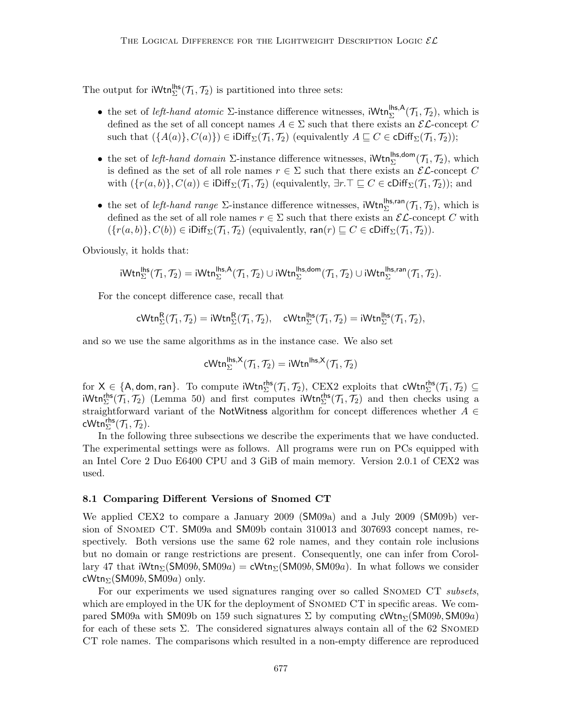The output for  $iWtn_{\Sigma}^{\mathsf{hls}}(\mathcal{T}_1, \mathcal{T}_2)$  is partitioned into three sets:

- the set of *left-hand atomic*  $\Sigma$ -instance difference witnesses,  $iWtn_{\Sigma}^{\text{hs},A}(\mathcal{T}_1, \mathcal{T}_2)$ , which is defined as the set of all concept names  $A \in \Sigma$  such that there exists an  $\mathcal{EL}$ -concept C such that  $({A(a)}, C(a)) \in iDiff_{\Sigma}(\mathcal{T}_1, \mathcal{T}_2)$  (equivalently  $A \subseteq C \in \text{cliff}_{\Sigma}(\mathcal{T}_1, \mathcal{T}_2)$ );
- the set of *left-hand domain*  $\Sigma$ -instance difference witnesses,  $iWtn_{\Sigma}^{\text{hs,dom}}(\mathcal{T}_1, \mathcal{T}_2)$ , which is defined as the set of all role names  $r \in \Sigma$  such that there exists an  $\mathcal{EL}$ -concept C with  $({r(a, b)}, C(a)) \in iDiff_{\Sigma}(\mathcal{T}_1, \mathcal{T}_2)$  (equivalently,  $\exists r.\top \sqsubseteq C \in \text{cliff}_{\Sigma}(\mathcal{T}_1, \mathcal{T}_2)$ ); and
- the set of *left-hand range*  $\Sigma$ -instance difference witnesses,  $iWtn_{\Sigma}^{\text{lhs,ran}}(\mathcal{T}_1, \mathcal{T}_2)$ , which is defined as the set of all role names  $r \in \Sigma$  such that there exists an  $\mathcal{EL}$ -concept C with  $({r(a,b)}, C(b)) \in \text{Diff}_{\Sigma}(\mathcal{T}_1, \mathcal{T}_2)$  (equivalently, ran(r)  $\subseteq C \in \text{cliff}_{\Sigma}(\mathcal{T}_1, \mathcal{T}_2)$ ).

Obviously, it holds that:

$$
iWtn_{\Sigma}^{\mathsf{lhs}}(\mathcal{T}_1,\mathcal{T}_2)=iWtn_{\Sigma}^{\mathsf{lhs},\mathsf{A}}(\mathcal{T}_1,\mathcal{T}_2)\cup iWtn_{\Sigma}^{\mathsf{lhs},\mathsf{dom}}(\mathcal{T}_1,\mathcal{T}_2)\cup iWtn_{\Sigma}^{\mathsf{lhs},\mathsf{ran}}(\mathcal{T}_1,\mathcal{T}_2).
$$

For the concept difference case, recall that

$$
\mathsf{cWtn}^{\mathsf{R}}_{\Sigma}(\mathcal{T}_1,\mathcal{T}_2) = \mathsf{iWtn}^{\mathsf{R}}_{\Sigma}(\mathcal{T}_1,\mathcal{T}_2), \quad \mathsf{cWtn}^{\mathsf{lhs}}_{\Sigma}(\mathcal{T}_1,\mathcal{T}_2) = \mathsf{iWtn}^{\mathsf{lhs}}_{\Sigma}(\mathcal{T}_1,\mathcal{T}_2),
$$

and so we use the same algorithms as in the instance case. We also set

$$
\mathsf{cWtn}^{\mathsf{lhs},\mathsf{X}}_\Sigma(\mathcal{T}_1,\mathcal{T}_2) = \mathsf{iWtn}^{\mathsf{lhs},\mathsf{X}}(\mathcal{T}_1,\mathcal{T}_2)
$$

for  $X \in \{A, \text{dom}, \text{ran}\}$ . To compute  $i\mathsf{Wtn}_{\Sigma}^{\mathsf{rhs}}(\mathcal{T}_1, \mathcal{T}_2)$ , CEX2 exploits that  $\mathsf{cWtn}_{\Sigma}^{\mathsf{rhs}}(\mathcal{T}_1, \mathcal{T}_2) \subseteq$  $iWtn_{\Sigma}^{rhs}(\mathcal{T}_1, \mathcal{T}_2)$  (Lemma 50) and first computes  $iWtn_{\Sigma}^{rhs}(\mathcal{T}_1, \mathcal{T}_2)$  and then checks using a straightforward variant of the NotWitness algorithm for concept differences whether  $A \in$ cWtn $_{\Sigma}^{\mathsf{rhs}}(\mathcal{T}_1,\mathcal{T}_2).$ 

In the following three subsections we describe the experiments that we have conducted. The experimental settings were as follows. All programs were run on PCs equipped with an Intel Core 2 Duo E6400 CPU and 3 GiB of main memory. Version 2.0.1 of CEX2 was used.

# 8.1 Comparing Different Versions of Snomed CT

We applied CEX2 to compare a January 2009 (SM09a) and a July 2009 (SM09b) version of SNOMED CT. SM09a and SM09b contain 310013 and 307693 concept names, respectively. Both versions use the same 62 role names, and they contain role inclusions but no domain or range restrictions are present. Consequently, one can infer from Corollary 47 that  $iWtn_{\Sigma}(\text{SM09b}, \text{SM09a}) = cWtn_{\Sigma}(\text{SM09b}, \text{SM09a})$ . In what follows we consider cWtn $_{\Sigma}$ (SM09*b*, SM09*a*) only.

For our experiments we used signatures ranging over so called SNOMED CT subsets, which are employed in the UK for the deployment of SNOMED CT in specific areas. We compared SM09a with SM09b on 159 such signatures  $\Sigma$  by computing cWtn<sub> $\Sigma$ </sub>(SM09b, SM09a) for each of these sets  $\Sigma$ . The considered signatures always contain all of the 62 SNOMED CT role names. The comparisons which resulted in a non-empty difference are reproduced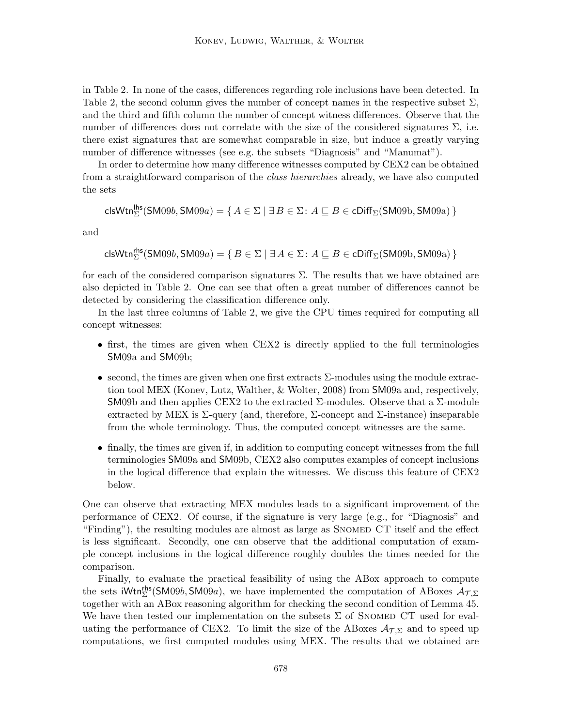in Table 2. In none of the cases, differences regarding role inclusions have been detected. In Table 2, the second column gives the number of concept names in the respective subset  $\Sigma$ , and the third and fifth column the number of concept witness differences. Observe that the number of differences does not correlate with the size of the considered signatures  $\Sigma$ , i.e. there exist signatures that are somewhat comparable in size, but induce a greatly varying number of difference witnesses (see e.g. the subsets "Diagnosis" and "Manumat").

In order to determine how many difference witnesses computed by CEX2 can be obtained from a straightforward comparison of the class hierarchies already, we have also computed the sets

$$
\mathsf{clsWtn}_{\Sigma}^{\mathsf{lhs}}(\mathsf{SM09}b,\mathsf{SM09}a) = \{ \, A \in \Sigma \mid \exists \, B \in \Sigma \colon A \sqsubseteq B \in \mathsf{cliff}_{\Sigma}(\mathsf{SM09}b,\mathsf{SM09}a) \, \}
$$

and

$$
\mathsf{clsWtn}^{\mathsf{rhs}}_{\Sigma}(\mathsf{SM09}b, \mathsf{SM09}a) = \{ \, B \in \Sigma \mid \exists \, A \in \Sigma \colon A \sqsubseteq B \in \mathsf{cDiff}_\Sigma(\mathsf{SM09}b, \mathsf{SM09}a) \, \}
$$

for each of the considered comparison signatures  $\Sigma$ . The results that we have obtained are also depicted in Table 2. One can see that often a great number of differences cannot be detected by considering the classification difference only.

In the last three columns of Table 2, we give the CPU times required for computing all concept witnesses:

- first, the times are given when CEX2 is directly applied to the full terminologies SM09a and SM09b;
- $\bullet$  second, the times are given when one first extracts  $\Sigma$ -modules using the module extraction tool MEX (Konev, Lutz, Walther, & Wolter, 2008) from SM09a and, respectively, SM09b and then applies CEX2 to the extracted  $\Sigma$ -modules. Observe that a  $\Sigma$ -module extracted by MEX is  $\Sigma$ -query (and, therefore,  $\Sigma$ -concept and  $\Sigma$ -instance) inseparable from the whole terminology. Thus, the computed concept witnesses are the same.
- finally, the times are given if, in addition to computing concept witnesses from the full terminologies SM09a and SM09b, CEX2 also computes examples of concept inclusions in the logical difference that explain the witnesses. We discuss this feature of CEX2 below.

One can observe that extracting MEX modules leads to a significant improvement of the performance of CEX2. Of course, if the signature is very large (e.g., for "Diagnosis" and "Finding"), the resulting modules are almost as large as SNOMED CT itself and the effect is less significant. Secondly, one can observe that the additional computation of example concept inclusions in the logical difference roughly doubles the times needed for the comparison.

Finally, to evaluate the practical feasibility of using the ABox approach to compute the sets iWtn<sup>ths</sup> (SM09b, SM09a), we have implemented the computation of ABoxes  $A_{\mathcal{T},\Sigma}$ together with an ABox reasoning algorithm for checking the second condition of Lemma 45. We have then tested our implementation on the subsets  $\Sigma$  of SNOMED CT used for evaluating the performance of CEX2. To limit the size of the ABoxes  $\mathcal{A}_{\mathcal{T},\Sigma}$  and to speed up computations, we first computed modules using MEX. The results that we obtained are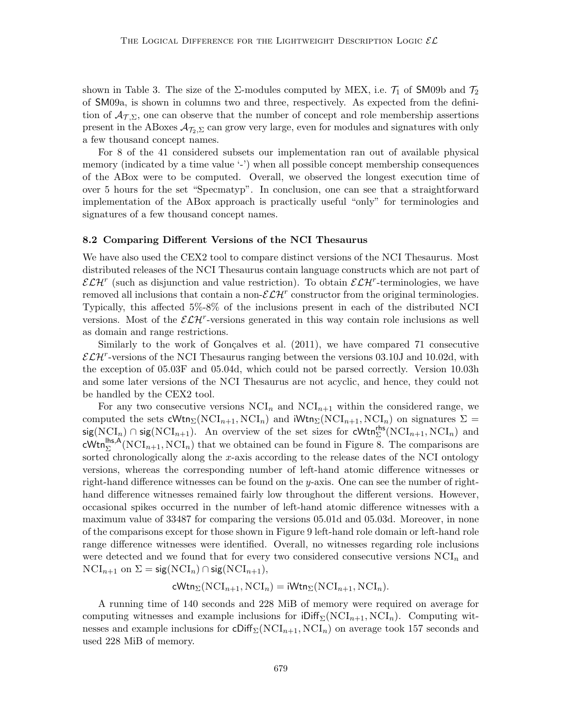shown in Table 3. The size of the  $\Sigma$ -modules computed by MEX, i.e.  $\mathcal{T}_1$  of SM09b and  $\mathcal{T}_2$ of SM09a, is shown in columns two and three, respectively. As expected from the definition of  $A_{\mathcal{T},\Sigma}$ , one can observe that the number of concept and role membership assertions present in the ABoxes  $\mathcal{A}_{\mathcal{I}_2,\Sigma}$  can grow very large, even for modules and signatures with only a few thousand concept names.

For 8 of the 41 considered subsets our implementation ran out of available physical memory (indicated by a time value '-') when all possible concept membership consequences of the ABox were to be computed. Overall, we observed the longest execution time of over 5 hours for the set "Specmatyp". In conclusion, one can see that a straightforward implementation of the ABox approach is practically useful "only" for terminologies and signatures of a few thousand concept names.

#### 8.2 Comparing Different Versions of the NCI Thesaurus

We have also used the CEX2 tool to compare distinct versions of the NCI Thesaurus. Most distributed releases of the NCI Thesaurus contain language constructs which are not part of  $\mathcal{ELH}^r$  (such as disjunction and value restriction). To obtain  $\mathcal{ELH}^r$ -terminologies, we have removed all inclusions that contain a non- $\mathcal{ELH}^r$  constructor from the original terminologies. Typically, this affected 5%-8% of the inclusions present in each of the distributed NCI versions. Most of the  $\mathcal{ELH}^r$ -versions generated in this way contain role inclusions as well as domain and range restrictions.

Similarly to the work of Gonçalves et al.  $(2011)$ , we have compared 71 consecutive  $\mathcal{ELH}^r$ -versions of the NCI Thesaurus ranging between the versions 03.10J and 10.02d, with the exception of 05.03F and 05.04d, which could not be parsed correctly. Version 10.03h and some later versions of the NCI Thesaurus are not acyclic, and hence, they could not be handled by the CEX2 tool.

For any two consecutive versions  $NCI_n$  and  $NCI_{n+1}$  within the considered range, we computed the sets cWtn<sub>Σ</sub>(NCI<sub>n+1</sub>, NCI<sub>n</sub>) and iWtn<sub>Σ</sub>(NCI<sub>n+1</sub>, NCI<sub>n</sub>) on signatures  $\Sigma$  = sig(NCI<sub>n</sub>) ∩ sig(NCI<sub>n+1</sub>). An overview of the set sizes for cWtn<sup>ths</sup>(NCI<sub>n+1</sub>, NCI<sub>n</sub>) and cWtn<sup>lhs,A</sup>(NCI<sub>n+1</sub>,NCI<sub>n</sub>) that we obtained can be found in Figure 8. The comparisons are sorted chronologically along the x-axis according to the release dates of the NCI ontology versions, whereas the corresponding number of left-hand atomic difference witnesses or right-hand difference witnesses can be found on the y-axis. One can see the number of righthand difference witnesses remained fairly low throughout the different versions. However, occasional spikes occurred in the number of left-hand atomic difference witnesses with a maximum value of 33487 for comparing the versions 05.01d and 05.03d. Moreover, in none of the comparisons except for those shown in Figure 9 left-hand role domain or left-hand role range difference witnesses were identified. Overall, no witnesses regarding role inclusions were detected and we found that for every two considered consecutive versions  $NCI_n$  and  $NCI_{n+1}$  on  $\Sigma = sig(NCI_n) \cap sig(NCI_{n+1}),$ 

$$
\mathsf{cWtn}_{\Sigma}(\mathrm{NCI}_{n+1},\mathrm{NCI}_n) = \mathsf{iWtn}_{\Sigma}(\mathrm{NCI}_{n+1},\mathrm{NCI}_n).
$$

A running time of 140 seconds and 228 MiB of memory were required on average for computing witnesses and example inclusions for  $\text{Diff}_{\Sigma}(\text{NCI}_{n+1}, \text{NCI}_n)$ . Computing witnesses and example inclusions for  $\text{Cliff}_{\Sigma}(\text{NCI}_{n+1}, \text{NCI}_n)$  on average took 157 seconds and used 228 MiB of memory.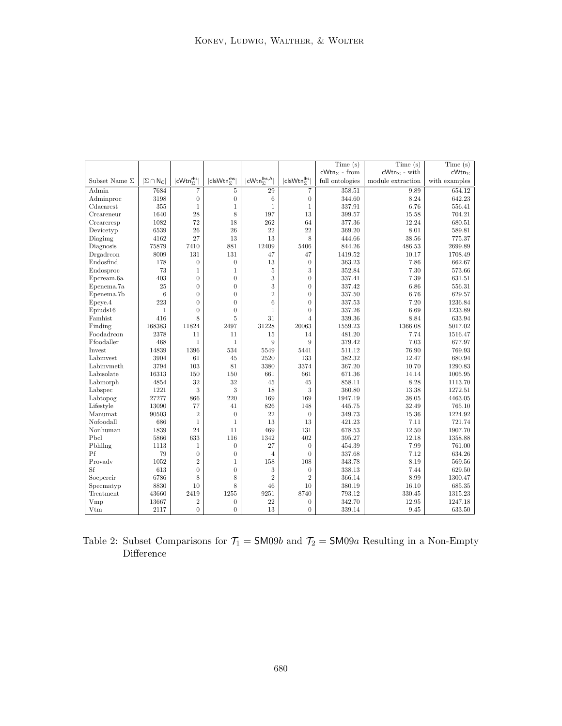|                      |                                       |                                |                                    |                                         |                           | Time(s)                | Time(s)                | Time(s)         |
|----------------------|---------------------------------------|--------------------------------|------------------------------------|-----------------------------------------|---------------------------|------------------------|------------------------|-----------------|
|                      |                                       |                                |                                    |                                         |                           | $cWtn_{\Sigma}$ - from | $cWtn_{\Sigma}$ - with | $cWtn_{\Sigma}$ |
| Subset Name $\Sigma$ | $ \Sigma \cap \mathsf{N}_\mathsf{C} $ | $ cWtn^{\text{rhs}}_{\Sigma} $ | clsWtn <sub>5</sub> <sup>rhs</sup> | $ cWtn_{\nabla}^{\text{lhs},\text{A}} $ | $ clsWtn_{\nabla}^{ths} $ | full ontologies        | module extraction      | with examples   |
| Admin                | 7684                                  | $\overline{7}$                 | 5                                  | 29                                      | $\overline{7}$            | 358.51                 | 9.89                   | 654.12          |
| Adminproc            | 3198                                  | $\boldsymbol{0}$               | $\overline{0}$                     | 6                                       | $\boldsymbol{0}$          | 344.60                 | 8.24                   | 642.23          |
| Cdacarest            | 355                                   | $\mathbf{1}$                   | $\mathbf{1}$                       | $\mathbf{1}$                            | $\mathbf{1}$              | 337.91                 | 6.76                   | 556.41          |
| Creareneur           | 1640                                  | 28                             | 8                                  | 197                                     | 13                        | 399.57                 | 15.58                  | 704.21          |
| Creareresp           | 1082                                  | 72                             | 18                                 | 262                                     | 64                        | 377.36                 | 12.24                  | 680.51          |
| Devicetyp            | 6539                                  | 26                             | 26                                 | 22                                      | 22                        | 369.20                 | 8.01                   | 589.81          |
| Diagimg              | 4162                                  | 27                             | 13                                 | 13                                      | 8                         | 444.66                 | 38.56                  | 775.37          |
| Diagnosis            | 75879                                 | 7410                           | 881                                | 12409                                   | 5406                      | 844.26                 | 486.53                 | 2699.89         |
| Drgadrcon            | 8009                                  | 131                            | 131                                | 47                                      | 47                        | 1419.52                | 10.17                  | 1708.49         |
| Endosfind            | 178                                   | $\boldsymbol{0}$               | $\overline{0}$                     | 13                                      | $\overline{0}$            | 363.23                 | 7.86                   | 662.67          |
| Endosproc            | 73                                    | $\mathbf{1}$                   | $\mathbf{1}$                       | 5                                       | 3                         | 352.84                 | 7.30                   | 573.66          |
| Epcream.6a           | 403                                   | $\overline{0}$                 | $\overline{0}$                     | 3                                       | $\overline{0}$            | 337.41                 | 7.39                   | 631.51          |
| Epenema.7a           | 25                                    | $\overline{0}$                 | $\overline{0}$                     | 3                                       | $\overline{0}$            | 337.42                 | 6.86                   | 556.31          |
| Epenema.7b           | 6                                     | $\overline{0}$                 | $\overline{0}$                     | $\sqrt{2}$                              | $\overline{0}$            | 337.50                 | 6.76                   | 629.57          |
| Epeye.4              | 223                                   | $\overline{0}$                 | $\overline{0}$                     | 6                                       | $\overline{0}$            | 337.53                 | 7.20                   | 1236.84         |
| Epiuds16             | $\mathbf{1}$                          | $\overline{0}$                 | $\overline{0}$                     | $\mathbf{1}$                            | $\overline{0}$            | 337.26                 | 6.69                   | 1233.89         |
| Famhist              | 416                                   | 8                              | 5                                  | 31                                      | $\overline{4}$            | 339.36                 | 8.84                   | 633.94          |
| Finding              | 168383                                | 11824                          | 2497                               | 31228                                   | 20063                     | 1559.23                | 1366.08                | 5017.02         |
| Foodadrcon           | 2378                                  | 11                             | 11                                 | 15                                      | 14                        | 481.20                 | 7.74                   | 1516.47         |
| Ffoodaller           | 468                                   | $\mathbf{1}$                   | $\mathbf{1}$                       | 9                                       | 9                         | 379.42                 | 7.03                   | 677.97          |
| Invest               | 14839                                 | 1396                           | 534                                | 5549                                    | 5441                      | 511.12                 | 76.90                  | 769.93          |
| Labinvest            | 3904                                  | 61                             | 45                                 | 2520                                    | 133                       | 382.32                 | 12.47                  | 680.94          |
| Labinymeth           | 3794                                  | 103                            | 81                                 | 3380                                    | 3374                      | 367.20                 | 10.70                  | 1290.83         |
| Labisolate           | 16313                                 | 150                            | 150                                | 661                                     | 661                       | 671.36                 | 14.14                  | 1005.95         |
| Labmorph             | 4854                                  | 32                             | 32                                 | 45                                      | 45                        | 858.11                 | 8.28                   | 1113.70         |
| Labspec              | 1221                                  | 3                              | 3                                  | 18                                      | 3                         | 360.80                 | 13.38                  | 1272.51         |
| Labtopog             | 27277                                 | 866                            | 220                                | 169                                     | 169                       | 1947.19                | 38.05                  | 4463.05         |
| Lifestyle            | 13090                                 | 77                             | 41                                 | 826                                     | 148                       | 445.75                 | 32.49                  | $765.10\,$      |
| Manumat              | 90503                                 | $\overline{2}$                 | $\overline{0}$                     | 22                                      | $\boldsymbol{0}$          | 349.73                 | 15.36                  | 1224.92         |
| Nofoodall            | 686                                   | $\mathbf{1}$                   | $\mathbf{1}$                       | 13                                      | 13                        | 421.23                 | 7.11                   | 721.74          |
| Nonhuman             | 1839                                  | 24                             | 11                                 | 469                                     | 131                       | 678.53                 | 12.50                  | 1907.70         |
| Pbcl                 | 5866                                  | 633                            | 116                                | 1342                                    | 402                       | 395.27                 | 12.18                  | 1358.88         |
| Pbhllng              | 1113                                  | $\mathbf{1}$                   | $\overline{0}$                     | 27                                      | $\boldsymbol{0}$          | 454.39                 | 7.99                   | 761.00          |
| Pf                   | 79                                    | $\boldsymbol{0}$               | $\boldsymbol{0}$                   | $\overline{4}$                          | $\overline{0}$            | 337.68                 | 7.12                   | 634.26          |
| Provady              | 1052                                  | $\overline{2}$                 | 1                                  | 158                                     | 108                       | 343.78                 | 8.19                   | 569.56          |
| Sf                   | 613                                   | $\overline{0}$                 | $\overline{0}$                     | 3                                       | $\boldsymbol{0}$          | 338.13                 | 7.44                   | 629.50          |
| Socpercir            | 6786                                  | 8                              | 8                                  | $\overline{2}$                          | $\overline{2}$            | 366.14                 | 8.99                   | 1300.47         |
| Specmatyp            | 8830                                  | 10                             | 8                                  | 46                                      | 10                        | 380.19                 | 16.10                  | 685.35          |
| Treatment            | 43660                                 | 2419                           | 1255                               | 9251                                    | 8740                      | 793.12                 | 330.45                 | 1315.23         |
| Vmp                  | 13667                                 | $\overline{2}$                 | $\overline{0}$                     | 22                                      | $\overline{0}$            | 342.70                 | 12.95                  | 1247.18         |
| Vtm                  | 2117                                  | $\theta$                       | $\overline{0}$                     | 13                                      | $\overline{0}$            | 339.14                 | 9.45                   | 633.50          |

| Table 2: Subset Comparisons for $\mathcal{T}_1 =$ SM09b and $\mathcal{T}_2 =$ SM09a Resulting in a Non-Empty |  |  |  |
|--------------------------------------------------------------------------------------------------------------|--|--|--|
| Difference                                                                                                   |  |  |  |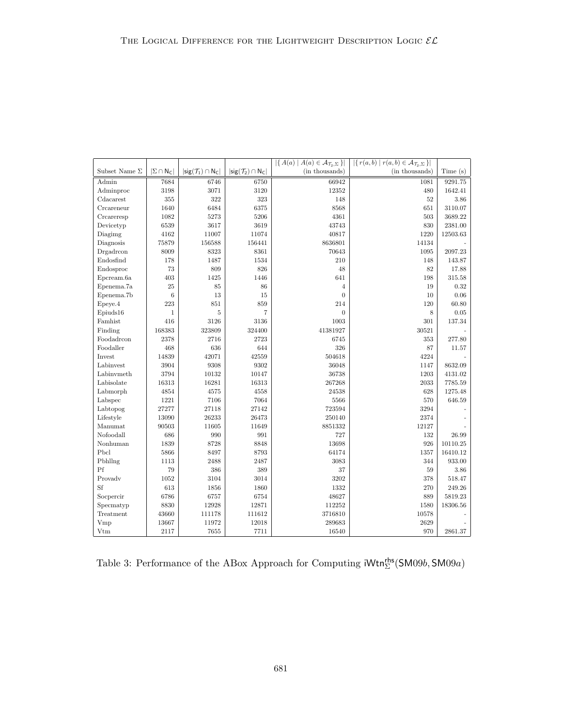|                      |                     |                                                   |                                                            | $ \{A(a)   A(a) \in \mathcal{A}_{\mathcal{T}_2,\Sigma}\} $ | $ \{r(a,b)   r(a,b) \in \mathcal{A}_{\mathcal{T}_2,\Sigma}\} $ |            |
|----------------------|---------------------|---------------------------------------------------|------------------------------------------------------------|------------------------------------------------------------|----------------------------------------------------------------|------------|
| Subset Name $\Sigma$ | $ \Sigma \cap N_C $ | $ \textsf{sig}(\mathcal{T}_1) \cap \mathsf{N}_C $ | $ \mathsf{sig}(\mathcal{T}_2) \cap \mathsf{N}_\mathsf{C} $ | (in thousands)                                             | (in thousands)                                                 | Time(s)    |
| Admin                | 7684                | 6746                                              | 6750                                                       | 66942                                                      | 1081                                                           | 9291.75    |
| Adminproc            | 3198                | 3071                                              | 3120                                                       | 12352                                                      | 480                                                            | 1642.41    |
| Cdacarest            | $355\,$             | 322                                               | 323                                                        | 148                                                        | 52                                                             | 3.86       |
| Creareneur           | 1640                | 6484                                              | 6375                                                       | 8568                                                       | 651                                                            | 3110.07    |
| Creareresp           | 1082                | 5273                                              | 5206                                                       | 4361                                                       | 503                                                            | 3689.22    |
| Devicetyp            | 6539                | 3617                                              | 3619                                                       | 43743                                                      | 830                                                            | 2381.00    |
| Diagimg              | 4162                | 11007                                             | 11074                                                      | 40817                                                      | 1220                                                           | 12503.63   |
| Diagnosis            | 75879               | 156588                                            | 156441                                                     | 8636801                                                    | 14134                                                          |            |
| Drgadrcon            | 8009                | 8323                                              | 8361                                                       | 70643                                                      | 1095                                                           | 2097.23    |
| Endosfind            | 178                 | 1487                                              | 1534                                                       | 210                                                        | 148                                                            | 143.87     |
| Endosproc            | 73                  | 809                                               | 826                                                        | 48                                                         | 82                                                             | 17.88      |
| Epcream.6a           | 403                 | 1425                                              | 1446                                                       | 641                                                        | 198                                                            | 315.58     |
| Epenema.7a           | 25                  | 85                                                | 86                                                         | $\overline{4}$                                             | 19                                                             | $0.32\,$   |
| Epenema.7b           | $\,6$               | 13                                                | 15                                                         | $\overline{0}$                                             | 10                                                             | 0.06       |
| Epeye.4              | 223                 | 851                                               | 859                                                        | 214                                                        | 120                                                            | 60.80      |
| Epiuds16             | $\mathbf{1}$        | $\overline{5}$                                    | $\overline{7}$                                             | $\overline{0}$                                             | 8                                                              | $\rm 0.05$ |
| Famhist              | 416                 | 3126                                              | 3136                                                       | 1003                                                       | 301                                                            | 137.34     |
| Finding              | 168383              | 323809                                            | 324400                                                     | 41381927                                                   | 30521                                                          |            |
| Foodadrcon           | 2378                | 2716                                              | 2723                                                       | 6745                                                       | 353                                                            | 277.80     |
| Foodaller            | 468                 | 636                                               | 644                                                        | 326                                                        | 87                                                             | 11.57      |
| Invest               | 14839               | 42071                                             | 42559                                                      | 504618                                                     | 4224                                                           |            |
| Labinvest            | 3904                | 9308                                              | 9302                                                       | 36048                                                      | 1147                                                           | 8632.09    |
| Labinymeth           | 3794                | 10132                                             | 10147                                                      | 36738                                                      | 1203                                                           | 4131.02    |
| Labisolate           | 16313               | 16281                                             | 16313                                                      | 267268                                                     | 2033                                                           | 7785.59    |
| Labmorph             | 4854                | 4575                                              | 4558                                                       | 24538                                                      | 628                                                            | 1275.48    |
| Labspec              | 1221                | 7106                                              | 7064                                                       | 5566                                                       | 570                                                            | 646.59     |
| Labtopog             | 27277               | 27118                                             | 27142                                                      | 723594                                                     | 3294                                                           |            |
| Lifestyle            | 13090               | 26233                                             | 26473                                                      | 250140                                                     | 2374                                                           |            |
| Manumat              | 90503               | 11605                                             | 11649                                                      | 8851332                                                    | 12127                                                          |            |
| Nofoodall            | $686\,$             | 990                                               | 991                                                        | 727                                                        | 132                                                            | 26.99      |
| $\mbox{Nonhuman}$    | 1839                | 8728                                              | 8848                                                       | 13698                                                      | 926                                                            | 10110.25   |
| Pbcl                 | 5866                | 8497                                              | 8793                                                       | 64174                                                      | 1357                                                           | 16410.12   |
| Pbhllng              | 1113                | 2488                                              | 2487                                                       | 3083                                                       | 344                                                            | 933.00     |
| Pf                   | $79\,$              | 386                                               | 389                                                        | 37                                                         | 59                                                             | $3.86\,$   |
| Provady              | 1052                | 3104                                              | 3014                                                       | 3202                                                       | 378                                                            | 518.47     |
| Sf                   | 613                 | 1856                                              | 1860                                                       | 1332                                                       | 270                                                            | 249.26     |
| Socpercir            | 6786                | 6757                                              | 6754                                                       | 48627                                                      | 889                                                            | 5819.23    |
| Specmatyp            | 8830                | 12928                                             | 12871                                                      | 112252                                                     | 1580                                                           | 18306.56   |
| Treatment            | 43660               | 111178                                            | 111612                                                     | 3716810                                                    | 10578                                                          |            |
| Vmp                  | 13667               | 11972                                             | 12018                                                      | 289683                                                     | 2629                                                           |            |
| Vtm                  | 2117                | 7655                                              | 7711                                                       | 16540                                                      | 970                                                            | 2861.37    |

Table 3: Performance of the ABox Approach for Computing  $iWtn_{\Sigma}^{rhs}(\text{SM09}b, \text{SM09}a)$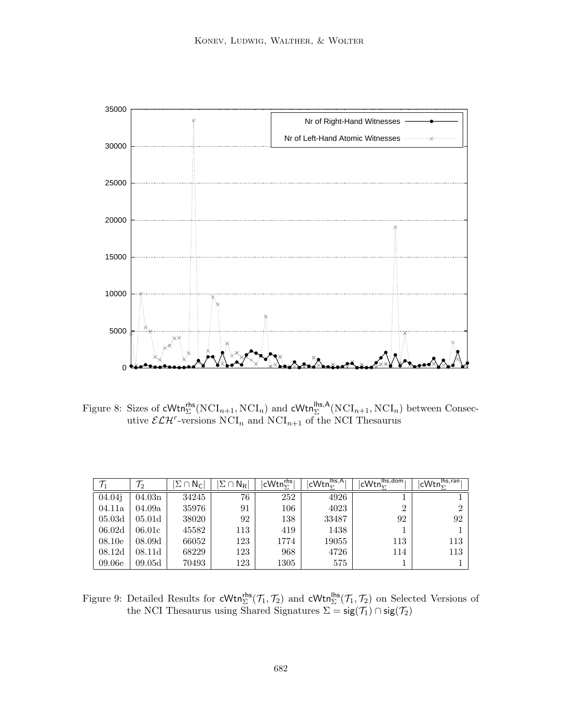

Figure 8: Sizes of  $\text{cWtn}_{\Sigma}^{\text{rhs}}(\text{NCI}_{n+1}, \text{NCI}_n)$  and  $\text{cWtn}_{\Sigma}^{\text{hbs},A}(\text{NCI}_{n+1}, \text{NCI}_n)$  between Consecutive  $\mathcal{ELH}^r$ -versions  $NCI_n$  and  $NCI_{n+1}$  of the NCI Thesaurus

| $\mathcal{T}_1$ | $\mathcal{T}_2$    | $\Sigma \cap N_{\mathsf{C}}$ | $\Sigma \cap \mathsf{N}_{\mathsf{R}}$ | $ \mathsf{cWtn}^{\mathsf{rhs}}_{\bm{\nabla}} $ | $ cWtn_{\nabla}^{\text{lhs},A} $ | $ cWtn_{\Sigma}^{\text{lhs,dom}} $ | $ cWtn_{\Sigma}^{\text{lhs,ran}} $ |
|-----------------|--------------------|------------------------------|---------------------------------------|------------------------------------------------|----------------------------------|------------------------------------|------------------------------------|
| 04.04j          | 04.03n             | 34245                        | 76                                    | 252                                            | 4926                             |                                    |                                    |
| 04.11a          | 04.09a             | 35976                        | 91                                    | 106                                            | 4023                             | $\overline{2}$                     | ച                                  |
| 05.03d          | 05.01 <sub>d</sub> | 38020                        | 92                                    | 138                                            | 33487                            | 92                                 | 92                                 |
| 06.02d          | 06.01c             | 45582                        | 113                                   | 419                                            | 1438                             |                                    |                                    |
| 08.10e          | 08.09d             | 66052                        | 123                                   | 1774                                           | 19055                            | 113                                | 113                                |
| 08.12d          | 08.11d             | 68229                        | 123                                   | 968                                            | 4726                             | 114                                | 113                                |
| 09.06e          | 09.05d             | 70493                        | 123                                   | 1305                                           | 575                              |                                    |                                    |

Figure 9: Detailed Results for  $\mathsf{cWtn}_{\Sigma}^{\mathsf{rhs}}(\mathcal{T}_1, \mathcal{T}_2)$  and  $\mathsf{cWtn}_{\Sigma}^{\mathsf{hls}}(\mathcal{T}_1, \mathcal{T}_2)$  on Selected Versions of the NCI Thesaurus using Shared Signatures  $\Sigma = \mathsf{sig}(\mathcal{T}_1) \cap \mathsf{sig}(\mathcal{T}_2)$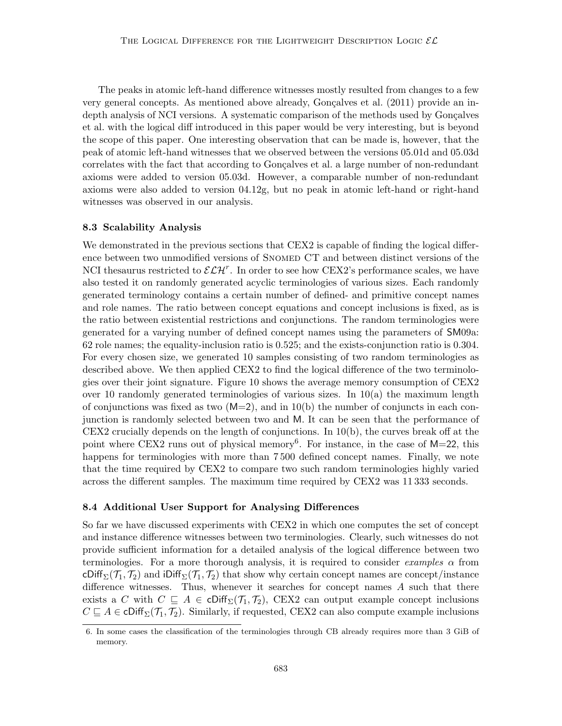The peaks in atomic left-hand difference witnesses mostly resulted from changes to a few very general concepts. As mentioned above already, Gonçalves et al.  $(2011)$  provide an indepth analysis of NCI versions. A systematic comparison of the methods used by Gonçalves et al. with the logical diff introduced in this paper would be very interesting, but is beyond the scope of this paper. One interesting observation that can be made is, however, that the peak of atomic left-hand witnesses that we observed between the versions 05.01d and 05.03d correlates with the fact that according to Gonçalves et al. a large number of non-redundant axioms were added to version 05.03d. However, a comparable number of non-redundant axioms were also added to version 04.12g, but no peak in atomic left-hand or right-hand witnesses was observed in our analysis.

## 8.3 Scalability Analysis

We demonstrated in the previous sections that CEX2 is capable of finding the logical difference between two unmodified versions of SNOMED CT and between distinct versions of the NCI thesaurus restricted to  $\mathcal{ELH}^r$ . In order to see how CEX2's performance scales, we have also tested it on randomly generated acyclic terminologies of various sizes. Each randomly generated terminology contains a certain number of defined- and primitive concept names and role names. The ratio between concept equations and concept inclusions is fixed, as is the ratio between existential restrictions and conjunctions. The random terminologies were generated for a varying number of defined concept names using the parameters of SM09a: 62 role names; the equality-inclusion ratio is 0.525; and the exists-conjunction ratio is 0.304. For every chosen size, we generated 10 samples consisting of two random terminologies as described above. We then applied CEX2 to find the logical difference of the two terminologies over their joint signature. Figure 10 shows the average memory consumption of CEX2 over 10 randomly generated terminologies of various sizes. In  $10(a)$  the maximum length of conjunctions was fixed as two  $(M=2)$ , and in 10(b) the number of conjuncts in each conjunction is randomly selected between two and M. It can be seen that the performance of CEX2 crucially depends on the length of conjunctions. In 10(b), the curves break off at the point where CEX2 runs out of physical memory<sup>6</sup>. For instance, in the case of M=22, this happens for terminologies with more than 7 500 defined concept names. Finally, we note that the time required by CEX2 to compare two such random terminologies highly varied across the different samples. The maximum time required by CEX2 was 11 333 seconds.

## 8.4 Additional User Support for Analysing Differences

So far we have discussed experiments with CEX2 in which one computes the set of concept and instance difference witnesses between two terminologies. Clearly, such witnesses do not provide sufficient information for a detailed analysis of the logical difference between two terminologies. For a more thorough analysis, it is required to consider *examples*  $\alpha$  from cDiff<sub>Σ</sub>( $\mathcal{T}_1$ ,  $\mathcal{T}_2$ ) and iDiff<sub>Σ</sub>( $\mathcal{T}_1$ ,  $\mathcal{T}_2$ ) that show why certain concept names are concept/instance difference witnesses. Thus, whenever it searches for concept names  $A$  such that there exists a C with  $C \subseteq A \in \text{cliff}_{\Sigma}(\mathcal{T}_1, \mathcal{T}_2)$ , CEX2 can output example concept inclusions  $C \subseteq A \in \text{cliff}_{\Sigma}(\mathcal{T}_1, \mathcal{T}_2)$ . Similarly, if requested, CEX2 can also compute example inclusions

<sup>6.</sup> In some cases the classification of the terminologies through CB already requires more than 3 GiB of memory.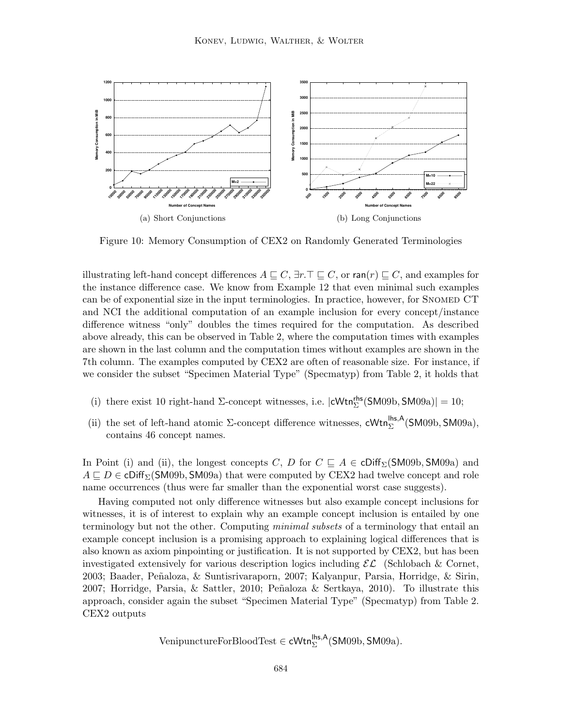

Figure 10: Memory Consumption of CEX2 on Randomly Generated Terminologies

illustrating left-hand concept differences  $A \sqsubseteq C$ ,  $\exists r.\top \sqsubseteq C$ , or  $\text{ran}(r) \sqsubseteq C$ , and examples for the instance difference case. We know from Example 12 that even minimal such examples can be of exponential size in the input terminologies. In practice, however, for SNOMED CT and NCI the additional computation of an example inclusion for every concept/instance difference witness "only" doubles the times required for the computation. As described above already, this can be observed in Table 2, where the computation times with examples are shown in the last column and the computation times without examples are shown in the 7th column. The examples computed by CEX2 are often of reasonable size. For instance, if we consider the subset "Specimen Material Type" (Specmatyp) from Table 2, it holds that

- (i) there exist 10 right-hand  $\Sigma$ -concept witnesses, i.e.  $|cWtn_{\Sigma}^{\text{rhs}}(\text{SM09b}, \text{SM09a})| = 10;$
- (ii) the set of left-hand atomic  $\Sigma$ -concept difference witnesses, cWtn<sup>lhs,A</sup>(SM09b,SM09a), contains 46 concept names.

In Point (i) and (ii), the longest concepts C, D for  $C \subseteq A \in \text{cliff}_{\Sigma}(\text{SMO9b}, \text{SMO9a})$  and  $A \sqsubseteq D \in \text{cliff}_{\Sigma}(\text{SMO9b}, \text{SMO9a})$  that were computed by CEX2 had twelve concept and role name occurrences (thus were far smaller than the exponential worst case suggests).

Having computed not only difference witnesses but also example concept inclusions for witnesses, it is of interest to explain why an example concept inclusion is entailed by one terminology but not the other. Computing minimal subsets of a terminology that entail an example concept inclusion is a promising approach to explaining logical differences that is also known as axiom pinpointing or justification. It is not supported by CEX2, but has been investigated extensively for various description logics including  $\mathcal{EL}$  (Schlobach & Cornet, 2003; Baader, Pe˜naloza, & Suntisrivaraporn, 2007; Kalyanpur, Parsia, Horridge, & Sirin, 2007; Horridge, Parsia,  $\&$  Sattler, 2010; Peñaloza  $\&$  Sertkaya, 2010). To illustrate this approach, consider again the subset "Specimen Material Type" (Specmatyp) from Table 2. CEX2 outputs

$$
\operatorname{VenipunctureFor BloodTest} \in \mathsf{cWtn}_{\Sigma}^{\mathsf{lhs},\mathsf{A}}(\mathsf{SM09b},\mathsf{SM09a}).
$$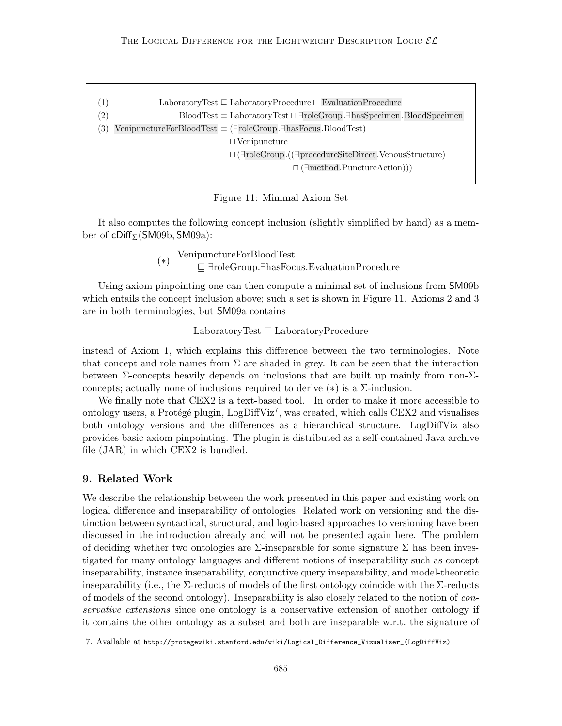| $\left( 1\right)$ | Laboratory Test $\sqsubseteq$ Laboratory Procedure $\sqcap$ Evaluation Procedure             |
|-------------------|----------------------------------------------------------------------------------------------|
| $^{\prime 2)}$    | $BloodTest \equiv LaboratoryTest \sqcap \exists roleGroup.\exists hasSpecimen.BloodSpecimen$ |
| 3)                | VenipunctureForBloodTest $\equiv$ ( $\exists$ roleGroup. $\exists$ hasFocus.BloodTest)       |
|                   | $\Box$ Venipuncture                                                                          |
|                   | $\Box$ ( $\exists$ roleGroup.( $(\exists$ procedureSiteDirect.VenousStructure)               |
|                   | $\sqcap$ ( $\exists$ method.PunctureAction))                                                 |
|                   |                                                                                              |

#### Figure 11: Minimal Axiom Set

It also computes the following concept inclusion (slightly simplified by hand) as a member of cDiff $\Sigma$ (SM09b, SM09a):

> (∗) VenipunctureForBloodTest v ∃roleGroup.∃hasFocus.EvaluationProcedure

Using axiom pinpointing one can then compute a minimal set of inclusions from SM09b which entails the concept inclusion above; such a set is shown in Figure 11. Axioms 2 and 3 are in both terminologies, but SM09a contains

 $\text{LaboratoryTest} \sqsubset \text{LaboratoryProcedure}$ 

instead of Axiom 1, which explains this difference between the two terminologies. Note that concept and role names from  $\Sigma$  are shaded in grey. It can be seen that the interaction between  $\Sigma$ -concepts heavily depends on inclusions that are built up mainly from non- $\Sigma$ concepts; actually none of inclusions required to derive  $(*)$  is a  $\Sigma$ -inclusion.

We finally note that CEX2 is a text-based tool. In order to make it more accessible to ontology users, a Protégé plugin, LogDiffViz<sup>7</sup>, was created, which calls CEX2 and visualises both ontology versions and the differences as a hierarchical structure. LogDiffViz also provides basic axiom pinpointing. The plugin is distributed as a self-contained Java archive file (JAR) in which CEX2 is bundled.

# 9. Related Work

We describe the relationship between the work presented in this paper and existing work on logical difference and inseparability of ontologies. Related work on versioning and the distinction between syntactical, structural, and logic-based approaches to versioning have been discussed in the introduction already and will not be presented again here. The problem of deciding whether two ontologies are  $\Sigma$ -inseparable for some signature  $\Sigma$  has been investigated for many ontology languages and different notions of inseparability such as concept inseparability, instance inseparability, conjunctive query inseparability, and model-theoretic inseparability (i.e., the  $\Sigma$ -reducts of models of the first ontology coincide with the  $\Sigma$ -reducts of models of the second ontology). Inseparability is also closely related to the notion of conservative extensions since one ontology is a conservative extension of another ontology if it contains the other ontology as a subset and both are inseparable w.r.t. the signature of

<sup>7.</sup> Available at http://protegewiki.stanford.edu/wiki/Logical\_Difference\_Vizualiser\_(LogDiffViz)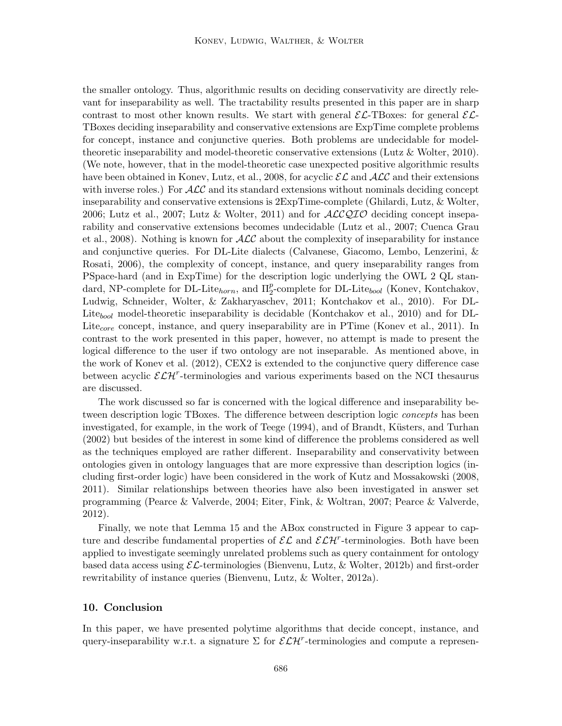the smaller ontology. Thus, algorithmic results on deciding conservativity are directly relevant for inseparability as well. The tractability results presented in this paper are in sharp contrast to most other known results. We start with general  $\mathcal{EL}\text{-}\text{TDoxes:}$  for general  $\mathcal{EL}\text{-}$ TBoxes deciding inseparability and conservative extensions are ExpTime complete problems for concept, instance and conjunctive queries. Both problems are undecidable for modeltheoretic inseparability and model-theoretic conservative extensions (Lutz & Wolter, 2010). (We note, however, that in the model-theoretic case unexpected positive algorithmic results have been obtained in Konev, Lutz, et al., 2008, for acyclic  $\mathcal{EL}$  and  $\mathcal{ALC}$  and their extensions with inverse roles.) For  $\mathcal{ALC}$  and its standard extensions without nominals deciding concept inseparability and conservative extensions is 2ExpTime-complete (Ghilardi, Lutz, & Wolter, 2006; Lutz et al., 2007; Lutz & Wolter, 2011) and for  $\text{ACCQIO}$  deciding concept inseparability and conservative extensions becomes undecidable (Lutz et al., 2007; Cuenca Grau et al., 2008). Nothing is known for  $\text{ALC}$  about the complexity of inseparability for instance and conjunctive queries. For DL-Lite dialects (Calvanese, Giacomo, Lembo, Lenzerini, & Rosati, 2006), the complexity of concept, instance, and query inseparability ranges from PSpace-hard (and in ExpTime) for the description logic underlying the OWL 2 QL standard, NP-complete for DL-Lite<sub>horn</sub>, and  $\Pi_2^p$ -complete for DL-Lite<sub>bool</sub> (Konev, Kontchakov, Ludwig, Schneider, Wolter, & Zakharyaschev, 2011; Kontchakov et al., 2010). For DL-Lite<sub>bool</sub> model-theoretic inseparability is decidable (Kontchakov et al., 2010) and for DL-Lite<sub>core</sub> concept, instance, and query inseparability are in PTime (Konev et al., 2011). In contrast to the work presented in this paper, however, no attempt is made to present the logical difference to the user if two ontology are not inseparable. As mentioned above, in the work of Konev et al. (2012), CEX2 is extended to the conjunctive query difference case between acyclic  $\mathcal{ELH}^r$ -terminologies and various experiments based on the NCI thesaurus are discussed.

The work discussed so far is concerned with the logical difference and inseparability between description logic TBoxes. The difference between description logic concepts has been investigated, for example, in the work of Teege (1994), and of Brandt, Küsters, and Turhan (2002) but besides of the interest in some kind of difference the problems considered as well as the techniques employed are rather different. Inseparability and conservativity between ontologies given in ontology languages that are more expressive than description logics (including first-order logic) have been considered in the work of Kutz and Mossakowski (2008, 2011). Similar relationships between theories have also been investigated in answer set programming (Pearce & Valverde, 2004; Eiter, Fink, & Woltran, 2007; Pearce & Valverde, 2012).

Finally, we note that Lemma 15 and the ABox constructed in Figure 3 appear to capture and describe fundamental properties of  $\mathcal{EL}$  and  $\mathcal{ELH}^r$ -terminologies. Both have been applied to investigate seemingly unrelated problems such as query containment for ontology based data access using  $\mathcal{EL}$ -terminologies (Bienvenu, Lutz, & Wolter, 2012b) and first-order rewritability of instance queries (Bienvenu, Lutz, & Wolter, 2012a).

# 10. Conclusion

In this paper, we have presented polytime algorithms that decide concept, instance, and query-inseparability w.r.t. a signature  $\Sigma$  for  $\mathcal{ELH}^r$ -terminologies and compute a represen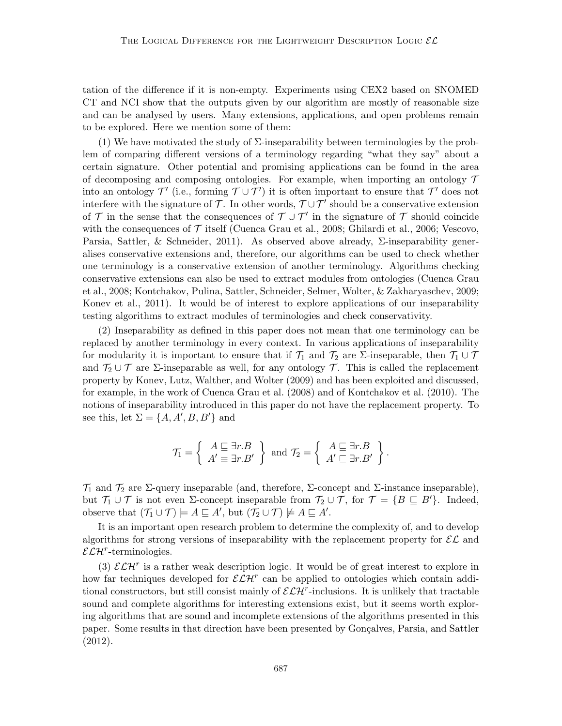tation of the difference if it is non-empty. Experiments using CEX2 based on SNOMED CT and NCI show that the outputs given by our algorithm are mostly of reasonable size and can be analysed by users. Many extensions, applications, and open problems remain to be explored. Here we mention some of them:

(1) We have motivated the study of  $\Sigma$ -inseparability between terminologies by the problem of comparing different versions of a terminology regarding "what they say" about a certain signature. Other potential and promising applications can be found in the area of decomposing and composing ontologies. For example, when importing an ontology  $\mathcal T$ into an ontology  $\mathcal{T}'$  (i.e., forming  $\mathcal{T} \cup \mathcal{T}'$ ) it is often important to ensure that  $\mathcal{T}'$  does not interfere with the signature of  $\mathcal{T}$ . In other words,  $\mathcal{T} \cup \mathcal{T}'$  should be a conservative extension of  $\mathcal T$  in the sense that the consequences of  $\mathcal T \cup \mathcal T'$  in the signature of  $\mathcal T$  should coincide with the consequences of  $\mathcal T$  itself (Cuenca Grau et al., 2008; Ghilardi et al., 2006; Vescovo, Parsia, Sattler, & Schneider, 2011). As observed above already,  $\Sigma$ -inseparability generalises conservative extensions and, therefore, our algorithms can be used to check whether one terminology is a conservative extension of another terminology. Algorithms checking conservative extensions can also be used to extract modules from ontologies (Cuenca Grau et al., 2008; Kontchakov, Pulina, Sattler, Schneider, Selmer, Wolter, & Zakharyaschev, 2009; Konev et al., 2011). It would be of interest to explore applications of our inseparability testing algorithms to extract modules of terminologies and check conservativity.

(2) Inseparability as defined in this paper does not mean that one terminology can be replaced by another terminology in every context. In various applications of inseparability for modularity it is important to ensure that if  $\mathcal{T}_1$  and  $\mathcal{T}_2$  are  $\Sigma$ -inseparable, then  $\mathcal{T}_1 \cup \mathcal{T}$ and  $\mathcal{T}_2 \cup \mathcal{T}$  are  $\Sigma$ -inseparable as well, for any ontology  $\mathcal{T}$ . This is called the replacement property by Konev, Lutz, Walther, and Wolter (2009) and has been exploited and discussed, for example, in the work of Cuenca Grau et al. (2008) and of Kontchakov et al. (2010). The notions of inseparability introduced in this paper do not have the replacement property. To see this, let  $\Sigma = \{A, A', B, B'\}$  and

$$
\mathcal{T}_1 = \left\{ \begin{array}{c} A \sqsubseteq \exists r.B \\ A' \equiv \exists r.B' \end{array} \right\} \text{ and } \mathcal{T}_2 = \left\{ \begin{array}{c} A \sqsubseteq \exists r.B \\ A' \sqsubseteq \exists r.B' \end{array} \right\}.
$$

 $\mathcal{T}_1$  and  $\mathcal{T}_2$  are  $\Sigma$ -query inseparable (and, therefore,  $\Sigma$ -concept and  $\Sigma$ -instance inseparable), but  $\mathcal{T}_1 \cup \mathcal{T}$  is not even  $\Sigma$ -concept inseparable from  $\mathcal{T}_2 \cup \mathcal{T}$ , for  $\mathcal{T} = \{B \sqsubseteq B'\}$ . Indeed, observe that  $(\mathcal{T}_1 \cup \mathcal{T}) \models A \sqsubseteq A'$ , but  $(\mathcal{T}_2 \cup \mathcal{T}) \not\models A \sqsubseteq A'$ .

It is an important open research problem to determine the complexity of, and to develop algorithms for strong versions of inseparability with the replacement property for  $\mathcal{EL}$  and  $\mathcal{ELH}^r$ -terminologies.

(3)  $\mathcal{ELH}^r$  is a rather weak description logic. It would be of great interest to explore in how far techniques developed for  $\mathcal{ELH}^r$  can be applied to ontologies which contain additional constructors, but still consist mainly of  $\mathcal{ELH}^r$ -inclusions. It is unlikely that tractable sound and complete algorithms for interesting extensions exist, but it seems worth exploring algorithms that are sound and incomplete extensions of the algorithms presented in this paper. Some results in that direction have been presented by Gonçalves, Parsia, and Sattler (2012).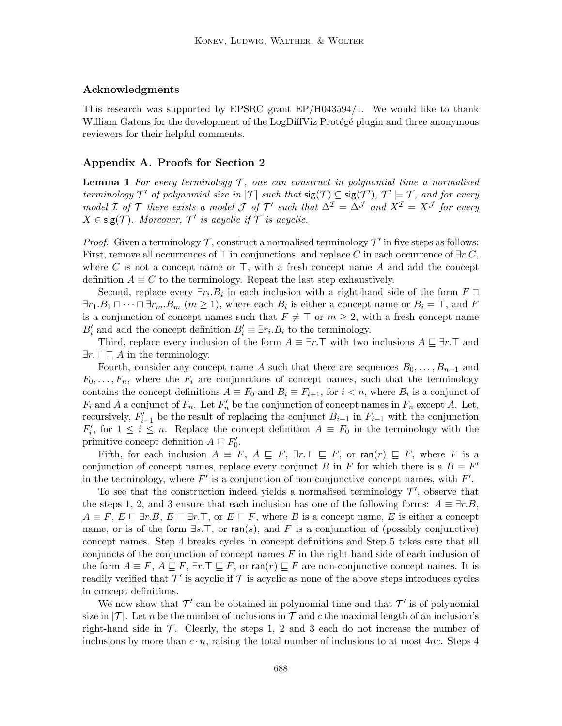# Acknowledgments

This research was supported by EPSRC grant EP/H043594/1. We would like to thank William Gatens for the development of the LogDiffViz Protégé plugin and three anonymous reviewers for their helpful comments.

# Appendix A. Proofs for Section 2

**Lemma 1** For every terminology  $\mathcal{T}$ , one can construct in polynomial time a normalised terminology  $\mathcal{T}'$  of polynomial size in  $|\mathcal{T}|$  such that  $\mathsf{sig}(\mathcal{T}) \subseteq \mathsf{sig}(\mathcal{T}')$ ,  $\mathcal{T}' \models \mathcal{T}$ , and for every model I of T there exists a model J of T' such that  $\Delta^{\mathcal{I}} = \Delta^{\mathcal{J}}$  and  $X^{\mathcal{I}} = X^{\mathcal{J}}$  for every  $X \in \text{sig}(\mathcal{T})$ . Moreover,  $\mathcal{T}'$  is acyclic if  $\mathcal{T}$  is acyclic.

*Proof.* Given a terminology  $\mathcal{T}$ , construct a normalised terminology  $\mathcal{T}'$  in five steps as follows: First, remove all occurrences of  $\top$  in conjunctions, and replace C in each occurrence of  $\exists r.C$ , where C is not a concept name or  $\top$ , with a fresh concept name A and add the concept definition  $A \equiv C$  to the terminology. Repeat the last step exhaustively.

Second, replace every  $\exists r_i.B_i$  in each inclusion with a right-hand side of the form  $F \sqcap$  $\exists r_1.B_1 \sqcap \cdots \sqcap \exists r_m.B_m \ (m \geq 1)$ , where each  $B_i$  is either a concept name or  $B_i = \top$ , and F is a conjunction of concept names such that  $F \neq \top$  or  $m \geq 2$ , with a fresh concept name  $B'_i$  and add the concept definition  $B'_i \equiv \exists r_i.B_i$  to the terminology.

Third, replace every inclusion of the form  $A \equiv \exists r.\top$  with two inclusions  $A \sqsubseteq \exists r.\top$  and  $\exists r.\top \sqsubset A$  in the terminology.

Fourth, consider any concept name A such that there are sequences  $B_0, \ldots, B_{n-1}$  and  $F_0, \ldots, F_n$ , where the  $F_i$  are conjunctions of concept names, such that the terminology contains the concept definitions  $A \equiv F_0$  and  $B_i \equiv F_{i+1}$ , for  $i < n$ , where  $B_i$  is a conjunct of  $F_i$  and A a conjunct of  $F_n$ . Let  $F'_n$  be the conjunction of concept names in  $F_n$  except A. Let, recursively,  $F'_{i-1}$  be the result of replacing the conjunct  $B_{i-1}$  in  $F_{i-1}$  with the conjunction  $F'_{i}$ , for  $1 \leq i \leq n$ . Replace the concept definition  $A \equiv F_{0}$  in the terminology with the primitive concept definition  $A \sqsubseteq F'_0$ .

Fifth, for each inclusion  $A \equiv F$ ,  $A \sqsubseteq F$ ,  $\exists r.\top \sqsubseteq F$ , or  $\text{ran}(r) \sqsubseteq F$ , where F is a conjunction of concept names, replace every conjunct B in F for which there is a  $B \equiv F'$ in the terminology, where  $F'$  is a conjunction of non-conjunctive concept names, with  $F'$ .

To see that the construction indeed yields a normalised terminology  $\mathcal{T}'$ , observe that the steps 1, 2, and 3 ensure that each inclusion has one of the following forms:  $A \equiv \exists r.B$ ,  $A \equiv F, E \sqsubseteq \exists r.B, E \sqsubseteq \exists r.T,$  or  $E \sqsubseteq F$ , where B is a concept name, E is either a concept name, or is of the form  $\exists s.\top$ , or ran(s), and F is a conjunction of (possibly conjunctive) concept names. Step 4 breaks cycles in concept definitions and Step 5 takes care that all conjuncts of the conjunction of concept names  $F$  in the right-hand side of each inclusion of the form  $A \equiv F$ ,  $A \sqsubseteq F$ ,  $\exists r$ .  $\sqsubseteq F$ , or  $ran(r) \sqsubseteq F$  are non-conjunctive concept names. It is readily verified that  $\mathcal{T}'$  is acyclic if  $\mathcal T$  is acyclic as none of the above steps introduces cycles in concept definitions.

We now show that  $\mathcal{T}'$  can be obtained in polynomial time and that  $\mathcal{T}'$  is of polynomial size in  $|\mathcal{T}|$ . Let n be the number of inclusions in T and c the maximal length of an inclusion's right-hand side in  $\mathcal T$ . Clearly, the steps 1, 2 and 3 each do not increase the number of inclusions by more than  $c \cdot n$ , raising the total number of inclusions to at most 4nc. Steps 4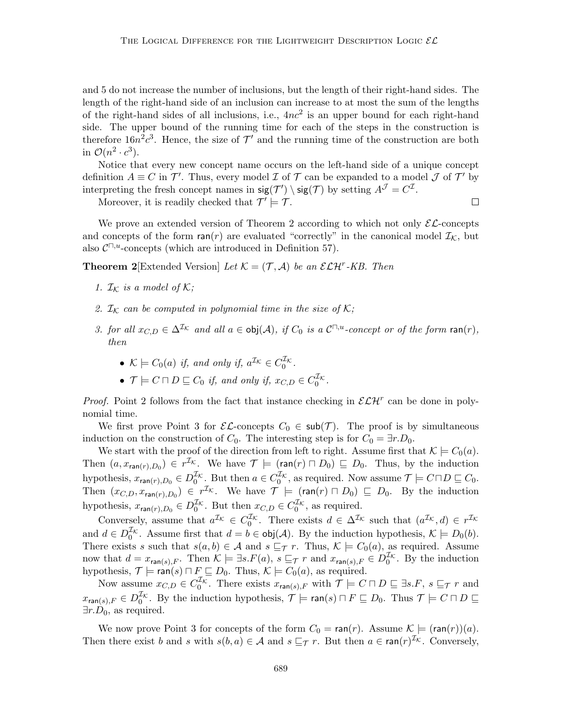and 5 do not increase the number of inclusions, but the length of their right-hand sides. The length of the right-hand side of an inclusion can increase to at most the sum of the lengths of the right-hand sides of all inclusions, i.e.,  $4nc^2$  is an upper bound for each right-hand side. The upper bound of the running time for each of the steps in the construction is therefore  $16n^2c^3$ . Hence, the size of  $\mathcal{T}'$  and the running time of the construction are both in  $\mathcal{O}(n^2 \cdot c^3)$ .

Notice that every new concept name occurs on the left-hand side of a unique concept definition  $A \equiv C$  in  $\mathcal{T}'$ . Thus, every model  $\mathcal I$  of  $\mathcal T$  can be expanded to a model  $\mathcal J$  of  $\mathcal T'$  by interpreting the fresh concept names in  $sig(\mathcal{T}') \setminus sig(\mathcal{T})$  by setting  $A^{\mathcal{J}} = C^{\mathcal{I}}$ .

Moreover, it is readily checked that  $\mathcal{T}' \models \mathcal{T}$ .

We prove an extended version of Theorem 2 according to which not only  $\mathcal{EL}$ -concepts and concepts of the form  $ran(r)$  are evaluated "correctly" in the canonical model  $\mathcal{I}_{\mathcal{K}}$ , but also  $C^{\square, u}$ -concepts (which are introduced in Definition 57).

**Theorem 2** [Extended Version] Let  $\mathcal{K} = (\mathcal{T}, \mathcal{A})$  be an  $\mathcal{ELH}^r$ -KB. Then

- 1.  $\mathcal{I}_{\mathcal{K}}$  is a model of  $\mathcal{K};$
- 2.  $\mathcal{I}_{\mathcal{K}}$  can be computed in polynomial time in the size of  $\mathcal{K};$
- 3. for all  $x_{C,D} \in \Delta^{\mathcal{I}_{\mathcal{K}}}$  and all  $a \in \text{obj}(\mathcal{A})$ , if  $C_0$  is a  $\mathcal{C}^{\square,u}$ -concept or of the form ran(r), then
	- $\mathcal{K} \models C_0(a)$  if, and only if,  $a^{\mathcal{I}\mathcal{K}} \in C_0^{\mathcal{I}\mathcal{K}}$ .
	- $\mathcal{T} \models C \sqcap D \sqsubseteq C_0$  if, and only if,  $x_{C,D} \in C_0^{L_{\mathcal{K}}}$ .

*Proof.* Point 2 follows from the fact that instance checking in  $\mathcal{ELH}^r$  can be done in polynomial time.

We first prove Point 3 for  $\mathcal{EL}$ -concepts  $C_0 \in \mathsf{sub}(\mathcal{T})$ . The proof is by simultaneous induction on the construction of  $C_0$ . The interesting step is for  $C_0 = \exists r.D_0$ .

We start with the proof of the direction from left to right. Assume first that  $\mathcal{K} \models C_0(a)$ . Then  $(a, x_{\text{ran}(r),D_0}) \in r^{\mathcal{I}_{\mathcal{K}}}$ . We have  $\mathcal{T} \models (\text{ran}(r) \sqcap D_0) \sqsubseteq D_0$ . Thus, by the induction hypothesis,  $x_{\text{ran}(r),D_0} \in D_0^{\mathcal{I}_{\mathcal{K}}}$ . But then  $a \in C_0^{\mathcal{I}_{\mathcal{K}}}$ , as required. Now assume  $\mathcal{T} \models C \sqcap D \sqsubseteq C_0$ . Then  $(x_{C,D}, x_{\text{ran}(r),D_0}) \in r^{\mathcal{I}_{\mathcal{K}}}$ . We have  $\mathcal{T} \models (\text{ran}(r) \sqcap D_0) \sqsubseteq D_0$ . By the induction hypothesis,  $x_{\text{ran}(r),D_0} \in D_0^{\mathcal{I}_{\mathcal{K}}}$ . But then  $x_{C,D} \in C_0^{\mathcal{I}_{\mathcal{K}}}$ , as required.

Conversely, assume that  $a^{\mathcal{I}_{\mathcal{K}}}\in C_0^{\mathcal{I}_{\mathcal{K}}}$ . There exists  $d \in \Delta^{\mathcal{I}_{\mathcal{K}}}$  such that  $(a^{\mathcal{I}_{\mathcal{K}}},d) \in r^{\mathcal{I}_{\mathcal{K}}}$ and  $d \in D_0^{\mathcal{I}_{\mathcal{K}}}$ . Assume first that  $d = b \in \text{obj}(\mathcal{A})$ . By the induction hypothesis,  $\mathcal{K} \models D_0(b)$ . There exists s such that  $s(a, b) \in A$  and  $s \sqsubseteq_{\mathcal{T}} r$ . Thus,  $\mathcal{K} \models C_0(a)$ , as required. Assume now that  $d = x_{\text{ran}(s),F}$ . Then  $\mathcal{K} \models \exists s.F(a), s \sqsubseteq_{\mathcal{T}} r$  and  $x_{\text{ran}(s),F} \in D_0^{\mathcal{I}_{\mathcal{K}}}$ . By the induction hypothesis,  $\mathcal{T} \models \text{ran}(s) \sqcap F \sqsubseteq D_0$ . Thus,  $\mathcal{K} \models C_0(a)$ , as required.

Now assume  $x_{C,D} \in C_0^{\mathcal{I}_{\mathcal{K}}}$ . There exists  $x_{\mathsf{ran}(s),F}$  with  $\mathcal{T} \models C \sqcap D \sqsubseteq \exists s.F, s \sqsubseteq_{\mathcal{T}} r$  and  $x_{\mathsf{ran}(s),F} \in D^{\mathcal{I}_{\mathcal{K}}}_0$ . By the induction hypothesis,  $\mathcal{T} \models \mathsf{ran}(s) \sqcap F \sqsubseteq D_0$ . Thus  $\mathcal{T} \models C \sqcap D \sqsubseteq$  $\exists r.D_0$ , as required.

We now prove Point 3 for concepts of the form  $C_0 = \text{ran}(r)$ . Assume  $\mathcal{K} \models (\text{ran}(r))(a)$ . Then there exist b and s with  $s(b, a) \in \mathcal{A}$  and  $s \sqsubseteq_{\mathcal{T}} r$ . But then  $a \in \text{ran}(r)^{\mathcal{I}_{\mathcal{K}}}$ . Conversely,

 $\Box$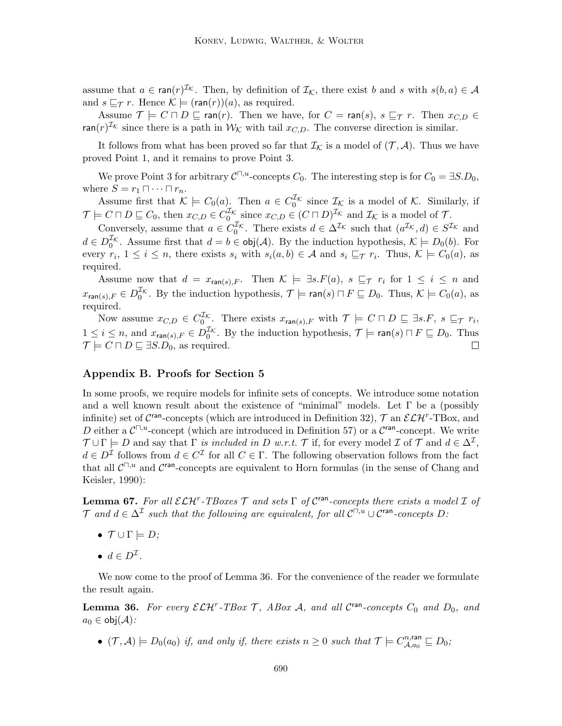assume that  $a \in \text{ran}(r)^{\mathcal{I}_{\mathcal{K}}}$ . Then, by definition of  $\mathcal{I}_{\mathcal{K}}$ , there exist b and s with  $s(b, a) \in \mathcal{A}$ and  $s \sqsubset_{\mathcal{T}} r$ . Hence  $\mathcal{K} \models (ran(r))(a)$ , as required.

Assume  $\mathcal{T} \models C \sqcap D \sqsubseteq \text{ran}(r)$ . Then we have, for  $C = \text{ran}(s)$ ,  $s \sqsubseteq_T r$ . Then  $x_{C,D} \in$  $\text{ran}(r)^{\mathcal{I}_{\mathcal{K}}}$  since there is a path in  $\mathcal{W}_{\mathcal{K}}$  with tail  $x_{C,D}$ . The converse direction is similar.

It follows from what has been proved so far that  $\mathcal{I}_{\mathcal{K}}$  is a model of  $(\mathcal{T}, \mathcal{A})$ . Thus we have proved Point 1, and it remains to prove Point 3.

We prove Point 3 for arbitrary  $C^{\square,u}$ -concepts  $C_0$ . The interesting step is for  $C_0 = \exists S.D_0$ , where  $S = r_1 \sqcap \cdots \sqcap r_n$ .

Assume first that  $\mathcal{K} \models C_0(a)$ . Then  $a \in C_0^{\mathcal{I}_{\mathcal{K}}}$  since  $\mathcal{I}_{\mathcal{K}}$  is a model of  $\mathcal{K}$ . Similarly, if  $\mathcal{T} \models C \sqcap D \sqsubseteq C_0$ , then  $x_{C,D} \in C_0^{\mathcal{I}_{\mathcal{K}}}$  since  $x_{C,D} \in (C \sqcap D)^{\mathcal{I}_{\mathcal{K}}}$  and  $\mathcal{I}_{\mathcal{K}}$  is a model of  $\mathcal{T}$ .

Conversely, assume that  $a \in C_0^{\mathcal{I}_{\mathcal{K}}}$ . There exists  $d \in \Delta^{\mathcal{I}_{\mathcal{K}}}$  such that  $(a^{\mathcal{I}_{\mathcal{K}}}, d) \in S^{\mathcal{I}_{\mathcal{K}}}$  and  $d \in D_0^{\mathcal{I}_{\mathcal{K}}}$ . Assume first that  $d = b \in \text{obj}(\mathcal{A})$ . By the induction hypothesis,  $\mathcal{K} \models D_0(b)$ . For every  $r_i$ ,  $1 \leq i \leq n$ , there exists  $s_i$  with  $s_i(a, b) \in \mathcal{A}$  and  $s_i \sqsubseteq_{\mathcal{T}} r_i$ . Thus,  $\mathcal{K} \models C_0(a)$ , as required.

Assume now that  $d = x_{\text{ran}(s),F}$ . Then  $\mathcal{K} \models \exists s.F(a), s \sqsubseteq_{\mathcal{T}} r_i$  for  $1 \leq i \leq n$  and  $x_{\mathsf{ran}(s),F} \in D^{\mathcal{I}_{\mathcal{K}}}_0$ . By the induction hypothesis,  $\mathcal{T} \models \mathsf{ran}(s) \sqcap F \sqsubseteq D_0$ . Thus,  $\mathcal{K} \models C_0(a)$ , as required.

Now assume  $x_{C,D} \in C_0^{\mathcal{I}_{\mathcal{K}}}$ . There exists  $x_{\mathsf{ran}(s),F}$  with  $\mathcal{T} \models C \sqcap D \sqsubseteq \exists s.F, s \sqsubseteq_{\mathcal{T}} r_i$ ,  $1 \leq i \leq n$ , and  $x_{\text{ran}(s),F} \in D_0^{\mathcal{I}_{\mathcal{K}}}$ . By the induction hypothesis,  $\mathcal{T} \models \text{ran}(s) \sqcap F \sqsubseteq D_0$ . Thus  $\mathcal{T} \models C \sqcap D \sqsubseteq \exists S.D_0$ , as required.  $\Box$ 

# Appendix B. Proofs for Section 5

In some proofs, we require models for infinite sets of concepts. We introduce some notation and a well known result about the existence of "minimal" models. Let  $\Gamma$  be a (possibly infinite) set of  $\mathcal{C}^{\text{ran}}$ -concepts (which are introduced in Definition 32),  $\mathcal{T}$  an  $\mathcal{ELH}^r$ -TBox, and D either a  $\mathcal{C}^{\square,u}$ -concept (which are introduced in Definition 57) or a  $\mathcal{C}^{\text{ran}}$ -concept. We write  $\mathcal{T} \cup \Gamma \models D$  and say that  $\Gamma$  is included in D w.r.t. T if, for every model  $\mathcal{I}$  of T and  $d \in \Delta^{\mathcal{I}}$ ,  $d \in D^{\mathcal{I}}$  follows from  $d \in C^{\mathcal{I}}$  for all  $C \in \Gamma$ . The following observation follows from the fact that all  $\mathcal{C}^{\square,u}$  and  $\mathcal{C}^{\text{ran}}$ -concepts are equivalent to Horn formulas (in the sense of Chang and Keisler, 1990):

**Lemma 67.** For all  $\mathcal{ELH}^r$ -TBoxes  $\mathcal T$  and sets  $\Gamma$  of  $\mathcal C^{ran}$ -concepts there exists a model  $\mathcal I$  of T and  $d \in \Delta^{\mathcal{I}}$  such that the following are equivalent, for all  $\mathcal{C}^{\square,u} \cup \mathcal{C}^{\mathsf{ran}}$ -concepts D:

- $\mathcal{T} \cup \Gamma \models D$ ;
- $d \in D^{\mathcal{I}}$ .

We now come to the proof of Lemma 36. For the convenience of the reader we formulate the result again.

**Lemma 36.** For every  $\mathcal{ELH}^r$ -TBox T, ABox A, and all C<sup>ran</sup>-concepts  $C_0$  and  $D_0$ , and  $a_0 \in \text{obj}(\mathcal{A})$ :

•  $(\mathcal{T}, \mathcal{A}) \models D_0(a_0)$  if, and only if, there exists  $n \geq 0$  such that  $\mathcal{T} \models C_{\mathcal{A}, a_0}^{n, \text{ran}}$  $a^{n,\mathsf{ran}}_{\mathcal{A},a_0} \sqsubseteq D_0;$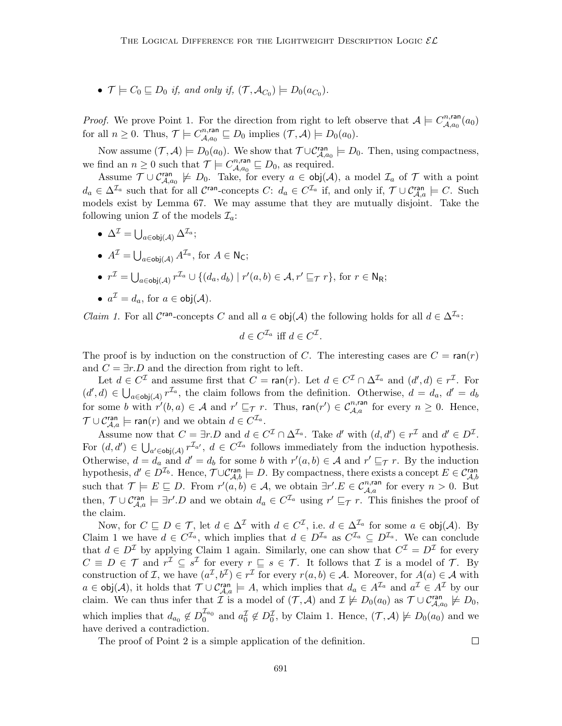•  $\mathcal{T} \models C_0 \sqsubseteq D_0$  if, and only if,  $(\mathcal{T}, \mathcal{A}_{C_0}) \models D_0(a_{C_0}).$ 

*Proof.* We prove Point 1. For the direction from right to left observe that  $A \models C^{n, \text{ran}}_{A, q_0}$  $\overset{.}{\mathcal{A}},_{a_0}^{n,\mathsf{ran}}(a_0)$ for all  $n \geq 0$ . Thus,  $\mathcal{T} \models C_{A}^{n,\text{ran}}$  $\mathcal{A}_{\mathcal{A},a_0}^{n,\text{ran}} \sqsubseteq D_0$  implies  $(\mathcal{T},\mathcal{A}) \models D_0(a_0)$ .

Now assume  $(\mathcal{T}, \mathcal{A}) \models D_0(a_0)$ . We show that  $\mathcal{T} \cup \mathcal{C}_{\mathcal{A}, a_0}^{\text{ran}} \models D_0$ . Then, using compactness, we find an  $n \geq 0$  such that  $\mathcal{T} \models C_{A,\rho_0}^{n,\text{ran}}$  $\mathcal{A}_{\mathcal{A},a_0}^{n,\text{ran}}\sqsubseteq D_0$ , as required.

Assume  $\mathcal{T} \cup \mathcal{C}_{\mathcal{A},a_0}^{ran} \not\models D_0$ . Take, for every  $a \in \text{obj}(\mathcal{A})$ , a model  $\mathcal{I}_a$  of  $\mathcal{T}$  with a point  $d_a \in \Delta^{\mathcal{I}_a}$  such that for all  $\mathcal{C}^{\text{ran}}$ -concepts  $C: d_a \in C^{\mathcal{I}_a}$  if, and only if,  $\mathcal{T} \cup \mathcal{C}_{\mathcal{A},a}^{\text{ran}} \models C$ . Such models exist by Lemma 67. We may assume that they are mutually disjoint. Take the following union  $\mathcal I$  of the models  $\mathcal I_a$ :

 $\bullet\;\, \Delta^{\mathcal I} = \bigcup_{a\in {\mathsf{obj}}(\mathcal A)} \Delta^{{\mathcal I}_a};$ 

• 
$$
A^{\mathcal{I}} = \bigcup_{a \in \text{obj}(\mathcal{A})} A^{\mathcal{I}_a}
$$
, for  $A \in \mathsf{N}_\mathsf{C}$ ;

• 
$$
r^{\mathcal{I}} = \bigcup_{a \in \text{obj}(\mathcal{A})} r^{\mathcal{I}_a} \cup \{(d_a, d_b) \mid r'(a, b) \in \mathcal{A}, r' \sqsubseteq_{\mathcal{T}} r\}, \text{ for } r \in \mathbb{N}_{\mathsf{R}};
$$

• 
$$
a^{\mathcal{I}} = d_a
$$
, for  $a \in \text{obj}(\mathcal{A})$ .

*Claim 1.* For all  $\mathcal{C}^{\text{ran}}$ -concepts C and all  $a \in \text{obj}(\mathcal{A})$  the following holds for all  $d \in \Delta^{\mathcal{I}_a}$ :

$$
d \in C^{\mathcal{I}_a} \text{ iff } d \in C^{\mathcal{I}}.
$$

The proof is by induction on the construction of C. The interesting cases are  $C = \text{ran}(r)$ and  $C = \exists r.D$  and the direction from right to left.

Let  $d \in C^{\mathcal{I}}$  and assume first that  $C = \text{ran}(r)$ . Let  $d \in C^{\mathcal{I}} \cap \Delta^{\mathcal{I}_a}$  and  $(d', d) \in r^{\mathcal{I}}$ . For  $(d', d) \in \bigcup_{a \in \text{obj}(\mathcal{A})} r^{\mathcal{I}_a}$ , the claim follows from the definition. Otherwise,  $d = d_a$ ,  $d' = d_b$ for some b with  $r'(b, a) \in \mathcal{A}$  and  $r' \sqsubseteq_{\mathcal{T}} r$ . Thus,  $\text{ran}(r') \in C_{\mathcal{A},a}^{n,\text{ran}}$  for every  $n \geq 0$ . Hence,  $\mathcal{T} \cup \mathcal{C}_{\mathcal{A},a}^{\text{ran}} \models \text{ran}(r)$  and we obtain  $d \in C^{\mathcal{I}_a}$ .

Assume now that  $C = \exists r.D$  and  $d \in C^{\mathcal{I}} \cap \Delta^{\mathcal{I}_a}$ . Take d' with  $(d, d') \in r^{\mathcal{I}}$  and  $d' \in D^{\mathcal{I}}$ . For  $(d, d') \in \bigcup_{a' \in \text{obj}(\mathcal{A})} r^{\mathcal{I}_{a'}}, d \in C^{\mathcal{I}_{a}}$  follows immediately from the induction hypothesis. Otherwise,  $d = d_a$  and  $d' = d_b$  for some b with  $r'(a, b) \in \mathcal{A}$  and  $r' \sqsubseteq_{\mathcal{T}} r$ . By the induction hypothesis,  $d' \in D^{\mathcal{I}_b}$ . Hence,  $\mathcal{T} \cup \mathcal{C}_{\mathcal{A},b}^{\text{ran}} \models D$ . By compactness, there exists a concept  $E \in \mathcal{C}_{\mathcal{A},b}^{\text{ran}}$ such that  $\mathcal{T} \models E \sqsubseteq D$ . From  $r'(a, b) \in \mathcal{A}$ , we obtain  $\exists r'.E \in C_{\mathcal{A},a}^{n, \text{ran}}$  for every  $n > 0$ . But then,  $\mathcal{T} \cup \mathcal{C}_{\mathcal{A},a}^{ran} \models \exists r'.D$  and we obtain  $d_a \in C^{\mathcal{I}_a}$  using  $r' \sqsubseteq_{\mathcal{T}} r$ . This finishes the proof of the claim.

Now, for  $C \sqsubseteq D \in \mathcal{T}$ , let  $d \in \Delta^{\mathcal{I}}$  with  $d \in C^{\mathcal{I}}$ , i.e.  $d \in \Delta^{\mathcal{I}_a}$  for some  $a \in \text{obj}(\mathcal{A})$ . By Claim 1 we have  $d \in C^{\mathcal{I}_a}$ , which implies that  $d \in D^{\mathcal{I}_a}$  as  $C^{\mathcal{I}_a} \subseteq D^{\mathcal{I}_a}$ . We can conclude that  $d \in D^{\mathcal{I}}$  by applying Claim 1 again. Similarly, one can show that  $C^{\mathcal{I}} = D^{\mathcal{I}}$  for every  $C \equiv D \in \mathcal{T}$  and  $r^{\mathcal{I}} \subseteq s^{\mathcal{I}}$  for every  $r \subseteq s \in \mathcal{T}$ . It follows that  $\mathcal{I}$  is a model of  $\mathcal{T}$ . By construction of *I*, we have  $(a^{\mathcal{I}}, b^{\mathcal{I}}) \in r^{\mathcal{I}}$  for every  $r(a, b) \in \mathcal{A}$ . Moreover, for  $A(a) \in \mathcal{A}$  with  $a \in \text{obj}(\mathcal{A})$ , it holds that  $\mathcal{T} \cup \mathcal{C}_{\mathcal{A},a}^{\text{ran}} \models A$ , which implies that  $d_a \in A^{\mathcal{I}_a}$  and  $a^{\mathcal{I}} \in A^{\mathcal{I}}$  by our claim. We can thus infer that  $\mathcal{I}$  is a model of  $(\mathcal{T}, \mathcal{A})$  and  $\mathcal{I} \not\models D_0(a_0)$  as  $\mathcal{T} \cup \mathcal{C}_{\mathcal{A}, a_0}^{\text{ran}} \not\models D_0$ , which implies that  $d_{a_0} \notin D_0^{\mathcal{I}_{a_0}}$  and  $a_0^{\mathcal{I}} \notin D_0^{\mathcal{I}}$ , by Claim 1. Hence,  $(\mathcal{T}, \mathcal{A}) \not\models D_0(a_0)$  and we have derived a contradiction.

The proof of Point 2 is a simple application of the definition.

 $\Box$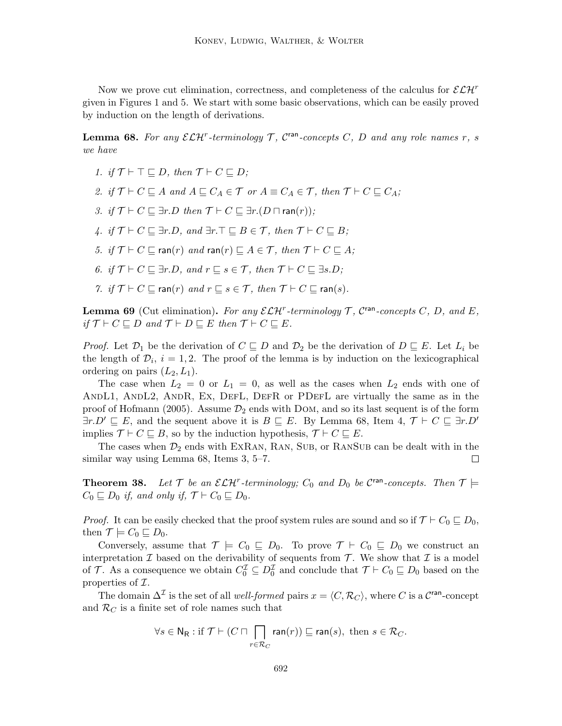Now we prove cut elimination, correctness, and completeness of the calculus for  $\mathcal{ELH}^r$ given in Figures 1 and 5. We start with some basic observations, which can be easily proved by induction on the length of derivations.

**Lemma 68.** For any  $\mathcal{ELH}^r$ -terminology  $\mathcal{T}$ ,  $\mathcal{C}^{\text{ran}}$ -concepts  $C$ ,  $D$  and any role names  $r$ ,  $s$ we have

- 1. if  $\mathcal{T} \vdash \top \sqsubseteq D$ , then  $\mathcal{T} \vdash C \sqsubseteq D$ ;
- 2. if  $\mathcal{T} \vdash C \sqsubseteq A$  and  $A \sqsubseteq C_A \in \mathcal{T}$  or  $A \equiv C_A \in \mathcal{T}$ , then  $\mathcal{T} \vdash C \sqsubseteq C_A$ ;
- 3. if  $\mathcal{T} \vdash C \sqsubseteq \exists r.D$  then  $\mathcal{T} \vdash C \sqsubseteq \exists r.(D \sqcap \text{ran}(r))$ ;
- 4. if  $\mathcal{T} \vdash C \sqsubseteq \exists r.D$ , and  $\exists r.\top \sqsubset B \in \mathcal{T}$ , then  $\mathcal{T} \vdash C \sqsubset B$ ;
- 5. if  $\mathcal{T} \vdash C \sqsubseteq \text{ran}(r)$  and  $\text{ran}(r) \sqsubset A \in \mathcal{T}$ , then  $\mathcal{T} \vdash C \sqsubset A$ ;
- 6. if  $\mathcal{T} \vdash C \sqsubseteq \exists r.D$ , and  $r \sqsubseteq s \in \mathcal{T}$ , then  $\mathcal{T} \vdash C \sqsubseteq \exists s.D$ ;
- 7. if  $\mathcal{T} \vdash C \sqsubseteq \text{ran}(r)$  and  $r \sqsubseteq s \in \mathcal{T}$ , then  $\mathcal{T} \vdash C \sqsubseteq \text{ran}(s)$ .

**Lemma 69** (Cut elimination). For any  $\mathcal{ELH}^r$ -terminology  $\mathcal{T}$ ,  $\mathcal{C}^{\text{ran}}$ -concepts  $C$ ,  $D$ , and  $E$ , if  $\mathcal{T} \vdash C \sqsubseteq D$  and  $\mathcal{T} \vdash D \sqsubseteq E$  then  $\mathcal{T} \vdash C \sqsubseteq E$ .

*Proof.* Let  $\mathcal{D}_1$  be the derivation of  $C \sqsubseteq D$  and  $\mathcal{D}_2$  be the derivation of  $D \sqsubseteq E$ . Let  $L_i$  be the length of  $\mathcal{D}_i$ ,  $i = 1, 2$ . The proof of the lemma is by induction on the lexicographical ordering on pairs  $(L_2, L_1)$ .

The case when  $L_2 = 0$  or  $L_1 = 0$ , as well as the cases when  $L_2$  ends with one of AndL1, AndL2, AndR, Ex, DefL, DefR or PDefL are virtually the same as in the proof of Hofmann (2005). Assume  $\mathcal{D}_2$  ends with DOM, and so its last sequent is of the form  $\exists r.D' \sqsubseteq E$ , and the sequent above it is  $B \sqsubseteq E$ . By Lemma 68, Item 4,  $\mathcal{T} \vdash C \sqsubseteq \exists r.D'$ implies  $\mathcal{T} \vdash C \sqsubseteq B$ , so by the induction hypothesis,  $\mathcal{T} \vdash C \sqsubseteq E$ .

The cases when  $\mathcal{D}_2$  ends with EXRAN, RAN, SUB, or RANSUB can be dealt with in the similar way using Lemma 68, Items 3, 5–7.  $\Box$ 

**Theorem 38.** Let  $\mathcal{T}$  be an  $\mathcal{ELH}^r$ -terminology;  $C_0$  and  $D_0$  be  $\mathcal{C}^{\text{ran}}$ -concepts. Then  $\mathcal{T} \models$  $C_0 \sqsubseteq D_0$  if, and only if,  $\mathcal{T} \vdash C_0 \sqsubseteq D_0$ .

*Proof.* It can be easily checked that the proof system rules are sound and so if  $\mathcal{T} \vdash C_0 \sqsubseteq D_0$ , then  $\mathcal{T} \models C_0 \sqsubseteq D_0$ .

Conversely, assume that  $\mathcal{T} \models C_0 \sqsubseteq D_0$ . To prove  $\mathcal{T} \vdash C_0 \sqsubseteq D_0$  we construct an interpretation  $\mathcal I$  based on the derivability of sequents from  $\mathcal T$ . We show that  $\mathcal I$  is a model of T. As a consequence we obtain  $C_0^{\mathcal{I}} \subseteq D_0^{\mathcal{I}}$  and conclude that  $\mathcal{T} \vdash C_0 \sqsubseteq D_0$  based on the properties of  $\mathcal{I}.$ 

The domain  $\Delta^{\mathcal{I}}$  is the set of all *well-formed* pairs  $x = \langle C, \mathcal{R}_C \rangle$ , where C is a C<sup>ran</sup>-concept and  $\mathcal{R}_C$  is a finite set of role names such that

$$
\forall s \in \mathsf{N}_{\mathsf{R}} : \text{if } \mathcal{T} \vdash (C \sqcap \bigcap_{r \in \mathcal{R}_C} \mathsf{ran}(r)) \sqsubseteq \mathsf{ran}(s), \text{ then } s \in \mathcal{R}_C.
$$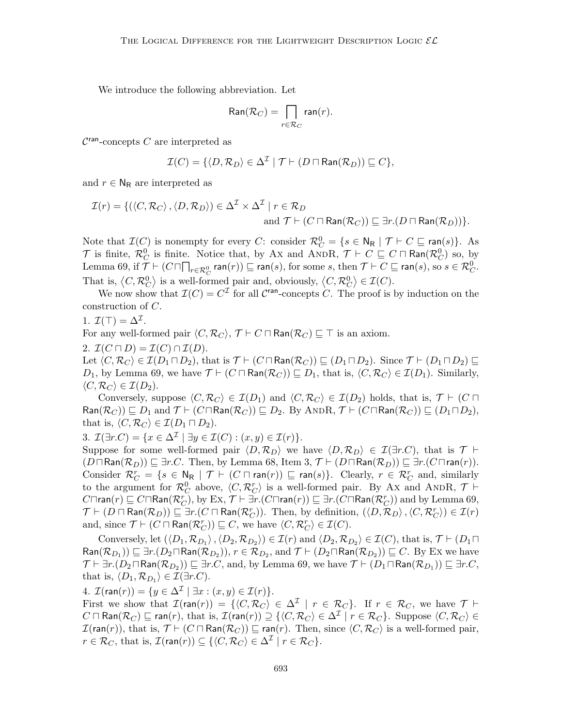We introduce the following abbreviation. Let

$$
\text{Ran}(\mathcal{R}_C) = \bigcap_{r \in \mathcal{R}_C} \text{ran}(r).
$$

 $\mathcal{C}^{\text{ran}}$ -concepts  $C$  are interpreted as

$$
\mathcal{I}(C) = \{ \langle D, \mathcal{R}_D \rangle \in \Delta^{\mathcal{I}} \mid \mathcal{T} \vdash (D \sqcap \textsf{Ran}(\mathcal{R}_D)) \sqsubseteq C \},\
$$

and  $r \in N_R$  are interpreted as

$$
\mathcal{I}(r) = \{ (\langle C, \mathcal{R}_C \rangle, \langle D, \mathcal{R}_D \rangle) \in \Delta^{\mathcal{I}} \times \Delta^{\mathcal{I}} \mid r \in \mathcal{R}_D
$$
  
and  $\mathcal{T} \vdash (C \sqcap \text{Ran}(\mathcal{R}_C)) \sqsubseteq \exists r.(D \sqcap \text{Ran}(\mathcal{R}_D)) \}.$ 

Note that  $\mathcal{I}(C)$  is nonempty for every C: consider  $\mathcal{R}_C^0 = \{s \in \mathsf{N}_{\mathsf{R}} \mid \mathcal{T} \vdash C \sqsubseteq \mathsf{ran}(s)\}.$  As  $\mathcal T$  is finite,  $\mathcal R^0_C$  is finite. Notice that, by Ax and ANDR,  $\mathcal T \vdash C \sqsubseteq C \sqcap \textsf{Ran}(\mathcal R^0_C)$  so, by Lemma 69, if  $\mathcal{T} \vdash (C \sqcap \bigcap_{r \in \mathcal{R}^0_C} \mathsf{ran}(r)) \sqsubseteq \mathsf{ran}(s)$ , for some  $s$ , then  $\mathcal{T} \vdash C \sqsubseteq \mathsf{ran}(s)$ , so  $s \in \mathcal{R}^0_C$ . That is,  $\langle C, \mathcal{R}_C^0 \rangle$  is a well-formed pair and, obviously,  $\langle C, \mathcal{R}_C^0 \rangle \in \mathcal{I}(C)$ .

We now show that  $\mathcal{I}(C) = C^{\mathcal{I}}$  for all  $\mathcal{C}^{\text{ran}}$ -concepts C. The proof is by induction on the construction of C.

1.  $\mathcal{I}(\top) = \Delta^{\mathcal{I}}$ .

For any well-formed pair  $\langle C, \mathcal{R}_C \rangle$ ,  $\mathcal{T} \vdash C \sqcap \textsf{Ran}(\mathcal{R}_C) \sqsubseteq \top$  is an axiom.

2.  $\mathcal{I}(C \sqcap D) = \mathcal{I}(C) \cap \mathcal{I}(D)$ .

Let  $\langle C, \mathcal{R}_C \rangle \in \mathcal{I}(D_1 \sqcap D_2)$ , that is  $\mathcal{T} \vdash (C \sqcap \text{Ran}(\mathcal{R}_C)) \sqsubseteq (D_1 \sqcap D_2)$ . Since  $\mathcal{T} \vdash (D_1 \sqcap D_2) \sqsubseteq$  $D_1$ , by Lemma 69, we have  $\mathcal{T} \vdash (C \sqcap \text{Ran}(\mathcal{R}_C)) \sqsubseteq D_1$ , that is,  $\langle C, \mathcal{R}_C \rangle \in \mathcal{I}(D_1)$ . Similarly,  $\langle C, \mathcal{R}_C \rangle \in \mathcal{I}(D_2).$ 

Conversely, suppose  $\langle C, \mathcal{R}_C \rangle \in \mathcal{I}(D_1)$  and  $\langle C, \mathcal{R}_C \rangle \in \mathcal{I}(D_2)$  holds, that is,  $\mathcal{T} \vdash (C \sqcap$  $\textsf{Ran}(\mathcal{R}_C)$   $\sqsubseteq$   $D_1$  and  $\mathcal{T} \vdash (C \sqcap \textsf{Ran}(\mathcal{R}_C)) \sqsubseteq D_2$ . By ANDR,  $\mathcal{T} \vdash (C \sqcap \textsf{Ran}(\mathcal{R}_C)) \sqsubseteq (D_1 \sqcap D_2)$ , that is,  $\langle C, \mathcal{R}_C \rangle \in \mathcal{I}(D_1 \sqcap D_2)$ .

3.  $\mathcal{I}(\exists r.C) = \{x \in \Delta^{\mathcal{I}} \mid \exists y \in \mathcal{I}(C) : (x, y) \in \mathcal{I}(r)\}.$ 

Suppose for some well-formed pair  $\langle D, \mathcal{R}_D \rangle$  we have  $\langle D, \mathcal{R}_D \rangle \in \mathcal{I}(\exists r.C)$ , that is  $\mathcal{T} \vdash$  $(D \sqcap \textsf{Ran}(\mathcal{R}_D)) \sqsubseteq \exists r.C.$  Then, by Lemma 68, Item 3,  $\mathcal{T} \vdash (D \sqcap \textsf{Ran}(\mathcal{R}_D)) \sqsubseteq \exists r.(C \sqcap \textsf{ran}(r)).$ Consider  $\mathcal{R}_C^r = \{ s \in \mathsf{N}_{\mathsf{R}} \mid \mathcal{T} \vdash (C \sqcap \mathsf{ran}(r)) \sqsubseteq \mathsf{ran}(s) \}.$  Clearly,  $r \in \mathcal{R}_C^r$  and, similarly to the argument for  $\mathcal{R}_{C}^{0}$  above,  $\langle C, \mathcal{R}_{C}^{r} \rangle$  is a well-formed pair. By Ax and ANDR,  $\mathcal{T} \vdash$  $C\sqcap$ ran $(r)\sqsubseteq C\sqcap$ Ran $(\mathcal{R}_C^r)$ , by Ex,  $\mathcal{T}\vdash \exists r.(C\sqcap$ ran $(r))\sqsubseteq \exists r.(C\sqcap$ Ran $(\mathcal{R}_C^r))$  and by Lemma 69,  $\mathcal{T} \vdash (D \sqcap \mathsf{Ran}(\mathcal{R}_D)) \sqsubseteq \exists r.(C \sqcap \mathsf{Ran}(\mathcal{R}_C^r))$ . Then, by definition,  $(\langle D, \mathcal{R}_D \rangle, \langle C, \mathcal{R}_C^r \rangle) \in \mathcal{I}(r)$ and, since  $\mathcal{T} \vdash (C \sqcap \textsf{Ran}(\mathcal{R}_C^r)) \sqsubseteq C$ , we have  $\langle C, \mathcal{R}_C^r \rangle \in \mathcal{I}(C)$ .

Conversely, let  $(\langle D_1, \mathcal{R}_{D_1} \rangle, \langle D_2, \mathcal{R}_{D_2} \rangle) \in \mathcal{I}(r)$  and  $\langle D_2, \mathcal{R}_{D_2} \rangle \in \mathcal{I}(C)$ , that is,  $\mathcal{T} \vdash (D_1 \sqcap$  ${\sf Ran}(\mathcal{R}_{D_1}))\sqsubseteq \exists r.(D_2 \sqcap {\sf Ran}(\mathcal{R}_{D_2})) ,$   $r\in \mathcal{R}_{D_2},$  and  $\mathcal{T} \vdash (D_2 \sqcap {\sf Ran}(\mathcal{R}_{D_2})) \sqsubseteq C.$  By Ex we have  $\mathcal{T}\vdash \exists r.(D_2\sqcap \mathsf{Ran}(\mathcal{R}_{D_2}))\sqsubseteq \exists r.C.$  and, by Lemma 69, we have  $\mathcal{T}\vdash (D_1\sqcap \mathsf{Ran}(\mathcal{R}_{D_1}))\sqsubseteq \exists r.C.$ that is,  $\langle D_1, \mathcal{R}_{D_1} \rangle \in \mathcal{I}(\exists r.C).$ 

4.  $\mathcal{I}(\text{ran}(r)) = \{y \in \Delta^{\mathcal{I}} \mid \exists x : (x, y) \in \mathcal{I}(r)\}.$ 

First we show that  $\mathcal{I}(\text{ran}(r)) = \{ \langle C, \mathcal{R}_C \rangle \in \Delta^{\mathcal{I}} \mid r \in \mathcal{R}_C \}$ . If  $r \in \mathcal{R}_C$ , we have  $\mathcal{T} \vdash$  $C\sqcap {\sf Ran}(\mathcal R_C)\sqsubseteq {\sf ran}(r),$  that is,  $\mathcal I({\sf ran}(r))\supseteq \{\langle C,\mathcal R_C\rangle \in \Delta^{\mathcal I}\mid r\in \mathcal R_C\}.$  Suppose  $\langle C,\mathcal R_C\rangle \in$  $\mathcal{I}(\text{ran}(r))$ , that is,  $\mathcal{T} \vdash (C \sqcap \text{Ran}(\mathcal{R}_C)) \sqsubseteq \text{ran}(r)$ . Then, since  $\langle C, \mathcal{R}_C \rangle$  is a well-formed pair,  $r \in \mathcal{R}_C$ , that is,  $\mathcal{I}(\textsf{ran}(r)) \subseteq \{ \langle C, \mathcal{R}_C \rangle \in \Delta^{\mathcal{I}} \mid r \in \mathcal{R}_C \}.$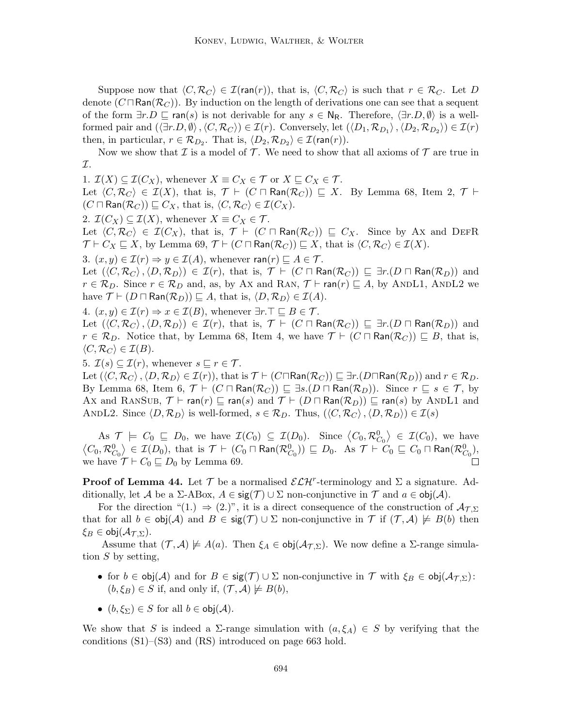Suppose now that  $\langle C, \mathcal{R}_C \rangle \in \mathcal{I}(\text{ran}(r)),$  that is,  $\langle C, \mathcal{R}_C \rangle$  is such that  $r \in \mathcal{R}_C$ . Let D denote  $(C \sqcap \text{Ran}(\mathcal{R}_C))$ . By induction on the length of derivations one can see that a sequent of the form  $\exists r.D \sqsubseteq \text{ran}(s)$  is not derivable for any  $s \in \mathsf{N}_{\mathsf{R}}$ . Therefore,  $\langle \exists r.D, \emptyset \rangle$  is a wellformed pair and  $(\langle \exists r.D, \emptyset \rangle, \langle C, \mathcal{R}_C \rangle) \in \mathcal{I}(r)$ . Conversely, let  $(\langle D_1, \mathcal{R}_{D_1} \rangle, \langle D_2, \mathcal{R}_{D_2} \rangle) \in \mathcal{I}(r)$ then, in particular,  $r \in \mathcal{R}_{D_2}$ . That is,  $\langle D_2, \mathcal{R}_{D_2} \rangle \in \mathcal{I}(\text{ran}(r)).$ 

Now we show that  $\mathcal I$  is a model of  $\mathcal T$ . We need to show that all axioms of  $\mathcal T$  are true in I.

1.  $\mathcal{I}(X) \subseteq \mathcal{I}(C_X)$ , whenever  $X \equiv C_X \in \mathcal{T}$  or  $X \sqsubseteq C_X \in \mathcal{T}$ .

Let  $\langle C, \mathcal{R}_C \rangle \in \mathcal{I}(X)$ , that is,  $\mathcal{T} \vdash (C \sqcap \text{Ran}(\mathcal{R}_C)) \sqsubseteq X$ . By Lemma 68, Item 2,  $\mathcal{T} \vdash$  $(C \sqcap \text{Ran}(\mathcal{R}_C)) \sqsubseteq C_X$ , that is,  $\langle C, \mathcal{R}_C \rangle \in \mathcal{I}(C_X)$ .

2.  $\mathcal{I}(C_X) \subseteq \mathcal{I}(X)$ , whenever  $X \equiv C_X \in \mathcal{T}$ .

Let  $\langle C, \mathcal{R}_C \rangle \in \mathcal{I}(C_X)$ , that is,  $\mathcal{T} \vdash (C \sqcap \text{Ran}(\mathcal{R}_C)) \sqsubseteq C_X$ . Since by Ax and DEFR  $\mathcal{T} \vdash C_X \sqsubseteq X$ , by Lemma 69,  $\mathcal{T} \vdash (C \sqcap \text{Ran}(\mathcal{R}_C)) \sqsubseteq X$ , that is  $\langle C, \mathcal{R}_C \rangle \in \mathcal{I}(X)$ .

3.  $(x, y) \in \mathcal{I}(r) \Rightarrow y \in \mathcal{I}(A)$ , whenever  $\mathsf{ran}(r) \sqsubseteq A \in \mathcal{T}$ .

Let  $(\langle C, \mathcal{R}_C \rangle, \langle D, \mathcal{R}_D \rangle) \in \mathcal{I}(r)$ , that is,  $\mathcal{T} \vdash (C \sqcap \textsf{Ran}(\mathcal{R}_C)) \sqsubseteq \exists r.(D \sqcap \textsf{Ran}(\mathcal{R}_D))$  and  $r \in \mathcal{R}_D$ . Since  $r \in \mathcal{R}_D$  and, as, by Ax and RAN,  $\mathcal{T} \vdash \text{ran}(r) \sqsubseteq A$ , by ANDL1, ANDL2 we have  $\mathcal{T} \vdash (D \sqcap \text{Ran}(\mathcal{R}_D)) \sqsubseteq A$ , that is,  $\langle D, \mathcal{R}_D \rangle \in \mathcal{I}(A)$ .

4.  $(x, y) \in \mathcal{I}(r) \Rightarrow x \in \mathcal{I}(B)$ , whenever  $\exists r. \top \sqsubseteq B \in \mathcal{T}$ .

Let  $(\langle C, \mathcal{R}_C \rangle, \langle D, \mathcal{R}_D \rangle) \in \mathcal{I}(r)$ , that is,  $\mathcal{T} \vdash (C \sqcap \textsf{Ran}(\mathcal{R}_C)) \sqsubseteq \exists r.(D \sqcap \textsf{Ran}(\mathcal{R}_D))$  and  $r \in \mathcal{R}_D$ . Notice that, by Lemma 68, Item 4, we have  $\mathcal{T} \vdash (C \sqcap \text{Ran}(\mathcal{R}_C)) \sqsubseteq B$ , that is,  $\langle C, \mathcal{R}_C \rangle \in \mathcal{I}(B).$ 

5.  $\mathcal{I}(s) \subseteq \mathcal{I}(r)$ , whenever  $s \sqsubseteq r \in \mathcal{T}$ .

Let  $(\langle C, \mathcal{R}_C \rangle, \langle D, \mathcal{R}_D \rangle \in \mathcal{I}(r))$ , that is  $\mathcal{T} \vdash (C \sqcap \text{Ran}(\mathcal{R}_C)) \sqsubseteq \exists r. (D \sqcap \text{Ran}(\mathcal{R}_D))$  and  $r \in \mathcal{R}_D$ . By Lemma 68, Item 6,  $\mathcal{T} \vdash (C \sqcap \text{Ran}(\mathcal{R}_C)) \sqsubseteq \exists s.(D \sqcap \text{Ran}(\mathcal{R}_D))$ . Since  $r \sqsubseteq s \in \mathcal{T}$ , by Ax and RANSUB,  $\mathcal{T} \vdash \text{ran}(r) \sqsubseteq \text{ran}(s)$  and  $\mathcal{T} \vdash (D \sqcap \text{Ran}(\mathcal{R}_D)) \sqsubseteq \text{ran}(s)$  by ANDL1 and ANDL2. Since  $\langle D, \mathcal{R}_D \rangle$  is well-formed,  $s \in \mathcal{R}_D$ . Thus,  $(\langle C, \mathcal{R}_C \rangle, \langle D, \mathcal{R}_D \rangle) \in \mathcal{I}(s)$ 

As  $\mathcal{T} \models C_0 \subseteq D_0$ , we have  $\mathcal{I}(C_0) \subseteq \mathcal{I}(D_0)$ . Since  $\langle C_0, \mathcal{R}_{C_0}^0 \rangle \in \mathcal{I}(C_0)$ , we have  $\left\langle C_0,\mathcal{R}_{C_0}^0\right\rangle \in \mathcal{I}(D_0), \text{ that is }\mathcal{T} \vdash (C_0 \sqcap \textsf{Ran}(\mathcal{R}_{C_0}^0)) \sqsubseteq D_0. \ \ \text{As }\mathcal{T} \vdash C_0 \sqsubseteq C_0 \sqcap \textsf{Ran}(\mathcal{R}_{C_0}^0),$ we have  $\mathcal{T} \vdash C_0 \sqsubseteq D_0$  by Lemma 69.

**Proof of Lemma 44.** Let  $\mathcal{T}$  be a normalised  $\mathcal{ELH}^r$ -terminology and  $\Sigma$  a signature. Additionally, let A be a  $\Sigma$ -ABox,  $A \in \text{sig}(\mathcal{T}) \cup \Sigma$  non-conjunctive in  $\mathcal{T}$  and  $a \in \text{obj}(\mathcal{A})$ .

For the direction "(1.)  $\Rightarrow$  (2.)", it is a direct consequence of the construction of  $A_{\mathcal{T},\Sigma}$ that for all  $b \in obj(\mathcal{A})$  and  $B \in sig(\mathcal{T}) \cup \Sigma$  non-conjunctive in  $\mathcal{T}$  if  $(\mathcal{T}, \mathcal{A}) \not\models B(b)$  then  $\xi_B \in \text{obj}(\mathcal{A}_{\mathcal{L},\Sigma}).$ 

Assume that  $(\mathcal{T}, \mathcal{A}) \not\models A(a)$ . Then  $\xi_A \in \text{obj}(\mathcal{A}_{\mathcal{T}, \Sigma})$ . We now define a  $\Sigma$ -range simulation  $S$  by setting,

- for  $b \in \text{obj}(\mathcal{A})$  and for  $B \in \text{sig}(\mathcal{T}) \cup \Sigma$  non-conjunctive in  $\mathcal{T}$  with  $\xi_B \in \text{obj}(\mathcal{A}_{\mathcal{T},\Sigma})$ :  $(b, \xi_B) \in S$  if, and only if,  $(\mathcal{T}, \mathcal{A}) \not\models B(b)$ ,
- $(b, \xi_{\Sigma}) \in S$  for all  $b \in \text{obj}(\mathcal{A})$ .

We show that S is indeed a  $\Sigma$ -range simulation with  $(a, \xi_A) \in S$  by verifying that the conditions (S1)–(S3) and (RS) introduced on page 663 hold.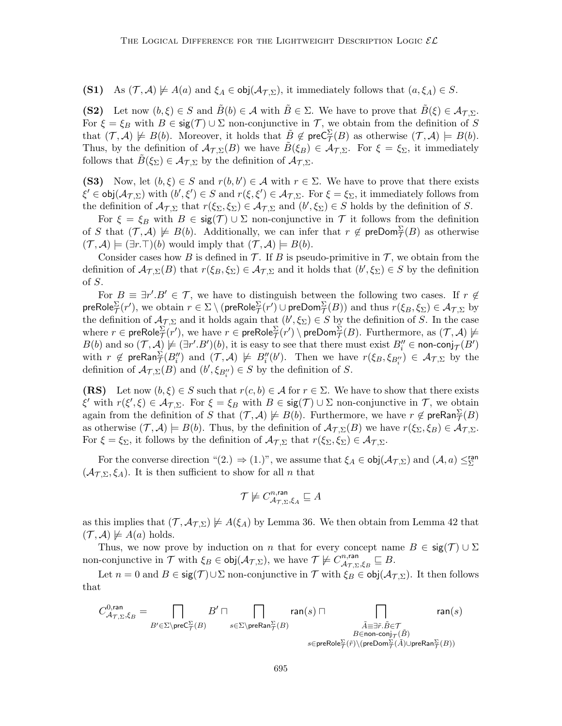(S1) As  $(\mathcal{T}, \mathcal{A}) \not\models A(a)$  and  $\xi_A \in \text{obj}(\mathcal{A}_{\mathcal{T}, \Sigma})$ , it immediately follows that  $(a, \xi_A) \in S$ .

(S2) Let now  $(b, \xi) \in S$  and  $\tilde{B}(b) \in \mathcal{A}$  with  $\tilde{B} \in \Sigma$ . We have to prove that  $\tilde{B}(\xi) \in \mathcal{A}_{\mathcal{TS}}$ . For  $\xi = \xi_B$  with  $B \in \text{sig}(\mathcal{T}) \cup \Sigma$  non-conjunctive in  $\mathcal{T}$ , we obtain from the definition of S that  $(\mathcal{T}, \mathcal{A}) \not\models B(b)$ . Moreover, it holds that  $\tilde{B} \notin \text{preC}_{\mathcal{T}}^{\Sigma}(B)$  as otherwise  $(\mathcal{T}, \mathcal{A}) \models B(b)$ . Thus, by the definition of  $\mathcal{A}_{\mathcal{T},\Sigma}(B)$  we have  $\tilde{B}(\xi_B) \in \mathcal{A}_{\mathcal{T},\Sigma}$ . For  $\xi = \xi_{\Sigma}$ , it immediately follows that  $\tilde{B}(\xi_{\Sigma}) \in \mathcal{A}_{\mathcal{T},\Sigma}$  by the definition of  $\mathcal{A}_{\mathcal{T},\Sigma}$ .

(S3) Now, let  $(b, \xi) \in S$  and  $r(b, b') \in A$  with  $r \in \Sigma$ . We have to prove that there exists  $\xi' \in obj(\mathcal{A}_{\mathcal{T},\Sigma})$  with  $(b',\xi') \in S$  and  $r(\xi,\xi') \in \mathcal{A}_{\mathcal{T},\Sigma}$ . For  $\xi = \xi_{\Sigma}$ , it immediately follows from the definition of  $\mathcal{A}_{\mathcal{T},\Sigma}$  that  $r(\xi_{\Sigma},\xi_{\Sigma})\in\mathcal{A}_{\mathcal{T},\Sigma}$  and  $(b',\xi_{\Sigma})\in S$  holds by the definition of S.

For  $\xi = \xi_B$  with  $B \in \text{sig}(\mathcal{T}) \cup \Sigma$  non-conjunctive in  $\mathcal T$  it follows from the definition of S that  $(\mathcal{T}, \mathcal{A}) \not\models B(b)$ . Additionally, we can infer that  $r \notin \text{preDom}_{\mathcal{T}}^{\Sigma}(B)$  as otherwise  $(\mathcal{T}, \mathcal{A}) \models (\exists r . \top)(b)$  would imply that  $(\mathcal{T}, \mathcal{A}) \models B(b)$ .

Consider cases how B is defined in  $\mathcal T$ . If B is pseudo-primitive in  $\mathcal T$ , we obtain from the definition of  $\mathcal{A}_{\mathcal{T},\Sigma}(B)$  that  $r(\xi_B,\xi_\Sigma) \in \mathcal{A}_{\mathcal{T},\Sigma}$  and it holds that  $(b',\xi_\Sigma) \in S$  by the definition of S.

For  $B \equiv \exists r'.B' \in \mathcal{T}$ , we have to distinguish between the following two cases. If  $r \notin \mathcal{T}$ preRole $^{\Sigma}_\mathcal{T}(r'),$  we obtain  $r\in\Sigma\setminus(\mathsf{preRole}^{\Sigma}_\mathcal{T}(r')\cup\mathsf{preDom}^{\Sigma}_\mathcal{T}(B))$  and thus  $r(\xi_B,\xi_\Sigma)\in\mathcal{A}_{\mathcal{T},\Sigma}$  by the definition of  $\mathcal{A}_{\mathcal{T},\Sigma}$  and it holds again that  $(b',\xi_{\Sigma})\in S$  by the definition of S. In the case where  $r\in \mathsf{preRole}^\Sigma_{\mathcal{T}}(r'),$  we have  $r\in \mathsf{preRole}^\Sigma_{\mathcal{T}}(r')\setminus \mathsf{preDom}^\Sigma_{\mathcal{T}}(B).$  Furthermore, as  $(\mathcal{T},\mathcal{A})\not\models \emptyset$  $B(b)$  and so  $(\mathcal{T}, \mathcal{A}) \not\models (\exists r'.B')(b)$ , it is easy to see that there must exist  $B''_i \in \text{non-conj}_{\mathcal{T}}(B')$ with  $r \notin \text{preRan}_{\mathcal{T}}^{\Sigma}(B_i'')$  and  $(\mathcal{T}, \mathcal{A}) \not\models B_i''(b')$ . Then we have  $r(\xi_B, \xi_{B_i''}) \in \mathcal{A}_{\mathcal{T}, \Sigma}$  by the definition of  $\mathcal{A}_{\mathcal{T},\Sigma}(B)$  and  $(b', \xi_{B_i''}) \in S$  by the definition of S.

(RS) Let now  $(b, \xi) \in S$  such that  $r(c, b) \in A$  for  $r \in \Sigma$ . We have to show that there exists  $\xi'$  with  $r(\xi', \xi) \in \mathcal{A}_{\mathcal{T}, \Sigma}$ . For  $\xi = \xi_B$  with  $B \in \text{sig}(\mathcal{T}) \cup \Sigma$  non-conjunctive in  $\mathcal{T}$ , we obtain again from the definition of S that  $(\mathcal{T}, \mathcal{A}) \not\models B(b)$ . Furthermore, we have  $r \not\in \mathsf{preRan}^{\Sigma}_{\mathcal{T}}(B)$ as otherwise  $(\mathcal{T}, \mathcal{A}) \models B(b)$ . Thus, by the definition of  $\mathcal{A}_{\mathcal{T}, \Sigma}(B)$  we have  $r(\xi_{\Sigma}, \xi_B) \in \mathcal{A}_{\mathcal{T}, \Sigma}$ . For  $\xi = \xi_{\Sigma}$ , it follows by the definition of  $\mathcal{A}_{\mathcal{T},\Sigma}$  that  $r(\xi_{\Sigma},\xi_{\Sigma}) \in \mathcal{A}_{\mathcal{T},\Sigma}$ .

For the converse direction " $(2.) \Rightarrow (1.)$ ", we assume that  $\xi_A \in \text{obj}(\mathcal{A}_{\mathcal{T},\Sigma})$  and  $(\mathcal{A},a) \leq^{\text{ran}}_{\Sigma}$  $(\mathcal{A}_{\mathcal{T},\Sigma},\xi_A)$ . It is then sufficient to show for all n that

$$
\mathcal{T}\not\models C_{\mathcal{A}_{\mathcal{T},\Sigma},\xi_A}^{n,\mathrm{ran}}\sqsubseteq A
$$

as this implies that  $(\mathcal{T}, \mathcal{A}_{\mathcal{T}, \Sigma}) \not\models A(\xi_A)$  by Lemma 36. We then obtain from Lemma 42 that  $({\cal T}, {\cal A}) \not\models A(a)$  holds.

Thus, we now prove by induction on n that for every concept name  $B \in \text{sig}(\mathcal{T}) \cup \Sigma$ non-conjunctive in  $\mathcal T$  with  $\xi_B \in \text{obj}(\mathcal A_{\mathcal T, \Sigma})$ , we have  $\mathcal T \not\models C_{\mathcal A_{\mathcal T}, \nabla}^{n, \text{ran}}$  ${}_{\mathcal{A}_{\mathcal{T},\Sigma},\xi_B}^{n,\mathrm{ran}}\sqsubseteq B.$ 

Let  $n = 0$  and  $B \in \text{sig}(\mathcal{T}) \cup \Sigma$  non-conjunctive in  $\mathcal{T}$  with  $\xi_B \in \text{obj}(\mathcal{A}_{\mathcal{T},\Sigma})$ . It then follows that

$$
C_{\mathcal{A}_{\mathcal{T},\Sigma},\xi_B}^{0,\mathrm{ran}}=\bigcap_{B'\in\Sigma\backslash\mathrm{preC}_{\mathcal{T}}^{\Sigma}(B)}B'\sqcap\bigcap_{\substack{s\in\Sigma\backslash\mathrm{preRan}_{\mathcal{T}}^{\Sigma}(B)\\B\in\mathrm{non-conj}_{\mathcal{T}}(\tilde{B})}}\mathrm{ran}(s)\sqcap\bigcap_{\substack{\tilde{A}\equiv\exists\tilde{r}.\tilde{B}\in\mathcal{T}\\B\in\mathrm{non-conj}_{\mathcal{T}}(\tilde{A})\cup\mathrm{preRan}_{\mathcal{T}}^{\Sigma}(B)}}\mathrm{ran}(s)
$$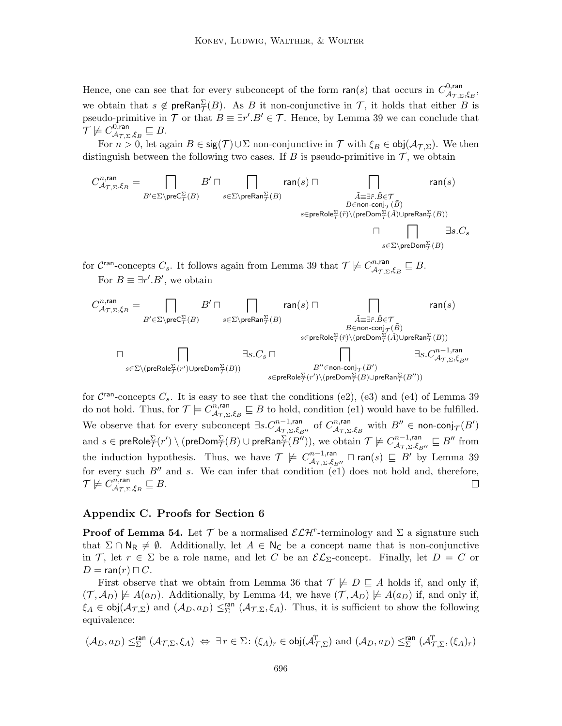Hence, one can see that for every subconcept of the form  $ran(s)$  that occurs in  $C_{A_{\tau},\tau}^{0,ran}$ ,υ,ran<br> $\mathcal{A_{T, \Sigma}}, \xi_{B},$ we obtain that  $s \notin \text{preRan}_{\mathcal{T}}^{\Sigma}(B)$ . As B it non-conjunctive in T, it holds that either B is pseudo-primitive in  $\mathcal T$  or that  $B \equiv \exists r'. B' \in \mathcal T$ . Hence, by Lemma 39 we can conclude that  $\mathcal{T} \not\models C_{A_\mathcal{T} \, \tau}^{\mathsf{0},\mathsf{ran}}$  ${}_{\mathcal{A}_{\mathcal{T},\Sigma},\xi_B}^{\mathsf{U},\mathsf{ran}}\sqsubseteq B.$ 

For  $n > 0$ , let again  $B \in \text{sig}(\mathcal{T}) \cup \Sigma$  non-conjunctive in  $\mathcal{T}$  with  $\xi_B \in \text{obj}(\mathcal{A}_{\mathcal{T},\Sigma})$ . We then distinguish between the following two cases. If  $B$  is pseudo-primitive in  $\mathcal T$ , we obtain

$$
C^{n, \text{ran}}_{\mathcal{A}_{\mathcal{T}, \Sigma}, \xi_B} = \bigcap_{B' \in \Sigma \backslash \text{preC}^{\Sigma}_{\mathcal{T}}(B)} B' \sqcap \bigcap_{\substack{S \in \Sigma \backslash \text{preRan}^{\Sigma}_{\mathcal{T}}(B) \\ S \in \text{preRole}^{\Sigma}_{\mathcal{T}}(\tilde{r}) \backslash (\text{preDom}^{\Sigma}_{\mathcal{T}}(\tilde{A}) \cup \text{preRan}^{\Sigma}_{\mathcal{T}}(B))}} \text{ran}(s)
$$
\n
$$
\bigcap_{S \in \text{preRole}^{\Sigma}_{\mathcal{T}}(\tilde{r}) \backslash (\text{preDom}^{\Sigma}_{\mathcal{T}}(\tilde{A}) \cup \text{preRan}^{\Sigma}_{\mathcal{T}}(B))} \bigcap_{S \in \Sigma \backslash \text{preDom}^{\Sigma}_{\mathcal{T}}(B)} \exists s.C_s
$$

for C<sup>ran</sup>-concepts C<sub>s</sub>. It follows again from Lemma 39 that  $\mathcal{T} \not\models C_{A_{\tau}}^{n,\text{ran}}$  ${}_{\mathcal{A}_{\mathcal{T},\Sigma},\xi_B}^{n,\mathsf{ran}} \sqsubseteq B.$ For  $B \equiv \exists r'.B'$ , we obtain

$$
\begin{array}{ccc} C_{\mathcal{A}_{\mathcal{T},\Sigma},\xi_B}^{n,\mathrm{ran}}=\prod_{B'\in\Sigma\backslash\mathrm{pre}\mathbb{C}_{\mathcal{T}}^{\Sigma}(B)}&\mathrm{ran}(s)\sqcap&\prod_{\tilde{A}\equiv \exists \tilde{r},\tilde{B}\in \mathcal{T}}&\mathrm{ran}(s)\\&&s\in\Sigma\backslash\mathrm{preRan}_{\mathcal{T}}^{\Sigma}(B)}&\bar{A}\equiv \exists \tilde{r}.\tilde{B}\in \mathcal{T}\\&&s\in\mathrm{preRole}_{\mathcal{T}}^{\Sigma}(\tilde{r})\backslash(\mathrm{preDom}_{\mathcal{T}}^{\Sigma}(\tilde{A})\cup\mathrm{preRan}_{\mathcal{T}}^{\Sigma}(B))\\&&\exists s.C_s\sqcap&\prod_{B'\in\mathrm{non-conj}_{\mathcal{T}}(B')}\exists s.C_{\mathcal{A}_{\mathcal{T},\Sigma},\xi_{B''}}\\&&B''\in\mathrm{non-conj}_{\mathcal{T}}(B')\\&&\bar{s}\in\mathrm{preRole}_{\mathcal{T}}^{\Sigma}(r')\backslash(\mathrm{preDom}_{\mathcal{T}}^{\Sigma}(B)\cup\mathrm{preRan}_{\mathcal{T}}^{\Sigma}(B''))\\&&s\in\mathrm{preRole}_{\mathcal{T}}^{\Sigma}(r')\backslash(\mathrm{preDom}_{\mathcal{T}}^{\Sigma}(B)\cup\mathrm{preRan}_{\mathcal{T}}^{\Sigma}(B''))\\&&s\in\mathrm{preRole}_{\mathcal{T}}^{\Sigma}(r')\backslash(\mathrm{preDom}_{\mathcal{T}}^{\Sigma}(B)\cup\mathrm{preRan}_{\mathcal{T}}^{\Sigma}(B''))\\&&s\in\mathrm{preRole}_{\mathcal{T}}^{\Sigma}(r')\backslash(\mathrm{preDom}_{\mathcal{T}}^{\Sigma}(B)\cup\mathrm{preRan}_{\mathcal{T}}^{\Sigma}(B''))\\&&\bar{s}\in\mathrm{preRole}_{\mathcal{T}}^{\Sigma}(\mathcal{T})\backslash(\mathrm{preRan}_{\mathcal{T}}^{\Sigma}(B''))\\&&s\in\mathrm{preRole}_{\mathcal{T}}^{\Sigma}(\mathcal{T})\backslash(\mathrm{preRan}_{\mathcal{T}}^{\Sigma}(B''))\\&&\bar{s}\in\mathrm{preRole}_{\mathcal{T}}^{\Sigma}(\mathcal{T})\backslash(\mathrm{preRan}_{\mathcal{T}}^{\Sigma}(B')\backslash(\mathcal{T})\backslash(\mathcal{T})\backslash(\mathcal{T})\backslash(\mathcal{T})},\\&&\bar{s}\in\
$$

for  $C<sup>ran</sup>$ -concepts  $C_s$ . It is easy to see that the conditions (e2), (e3) and (e4) of Lemma 39 do not hold. Thus, for  $\mathcal{T} \models C^{n,\text{ran}}_{A_{\mathcal{T}},\mathcal{D}}$  $A_{\tau,\Sigma,\xi_B}^{n,\text{ran}} \subseteq B$  to hold, condition (e1) would have to be fulfilled. We observe that for every subconcept  $\exists s.C^{n-1, \text{ran}}_{\mathcal{A}_{\mathcal{T},\Sigma},\xi_{B''}}$  of  $C^{n, \text{ran}}_{\mathcal{A}_{\mathcal{T},\Sigma}}$  $\overset{m,\textsf{ran}}{\mathcal{A}}_{\mathcal{T},\Sigma},\xi_B$  with  $B''\in$  non-conj $_{\mathcal{T}}(B')$ and  $s\in \mathsf{preRole}^\Sigma_{\mathcal{T}}(r')\setminus (\mathsf{preDom}^\Sigma_{\mathcal{T}}(B)\cup \mathsf{preRan}^\Sigma_{\mathcal{T}}(B'')),$  we obtain  $\mathcal{T}\not\models C^{n-1,\mathsf{ran}}_{\mathcal{A}_{\mathcal{T},\Sigma},\xi_{B''}}\sqsubseteq B''$  from the induction hypothesis. Thus, we have  $\mathcal{T} \not\models C_{A_{\tau},\tau,\xi}^{n-1,\text{ran}}$  $\frac{m-1, \mathsf{ran}}{\mathcal{A}_{\mathcal{T}, \Sigma}, \xi_{B''}} \sqcap \mathsf{ran}(s) \sqsubseteq B'$  by Lemma 39 for every such  $B''$  and s. We can infer that condition (e1) does not hold and, therefore,  $\mathcal{T} \not\models C^{n,\mathsf{ran}}_{A_{\mathcal{T},\mathbf{r}}}$  ${}_{\mathcal{A}_{\mathcal{T},\Sigma},\xi_B}^{n,\mathsf{ran}} \sqsubseteq B.$ 

## Appendix C. Proofs for Section 6

**Proof of Lemma 54.** Let  $\mathcal{T}$  be a normalised  $\mathcal{ELH}^r$ -terminology and  $\Sigma$  a signature such that  $\Sigma \cap N_R \neq \emptyset$ . Additionally, let  $A \in N_C$  be a concept name that is non-conjunctive in T, let  $r \in \Sigma$  be a role name, and let C be an  $\mathcal{EL}_{\Sigma}$ -concept. Finally, let  $D = C$  or  $D = \text{ran}(r) \sqcap C$ .

First observe that we obtain from Lemma 36 that  $\mathcal{T} \not\models D \sqsubseteq A$  holds if, and only if,  $(\mathcal{T}, \mathcal{A}_D) \not\models A(a_D)$ . Additionally, by Lemma 44, we have  $(\mathcal{T}, \mathcal{A}_D) \not\models A(a_D)$  if, and only if,  $\xi_A \in \text{obj}(\mathcal{A}_{\mathcal{T},\Sigma})$  and  $(\mathcal{A}_D, a_D) \leq^{\text{ran}}_{\Sigma} (\mathcal{A}_{\mathcal{T},\Sigma}, \xi_A)$ . Thus, it is sufficient to show the following equivalence:

$$
(\mathcal{A}_D,a_D)\leq^{\mathrm{ran}}_{\Sigma} (\mathcal{A}_{\mathcal{T},\Sigma},\xi_A)\ \Leftrightarrow\ \exists\, r\in\Sigma\colon (\xi_A)_r\in\mathrm{obj}(\mathcal{A}^\mathrm{T}_{\mathcal{T},\Sigma})\ \mathrm{and}\ (\mathcal{A}_D,a_D)\leq^{\mathrm{ran}}_{\Sigma}(\mathcal{A}^\mathrm{T}_{\mathcal{T},\Sigma},(\xi_A)_r)
$$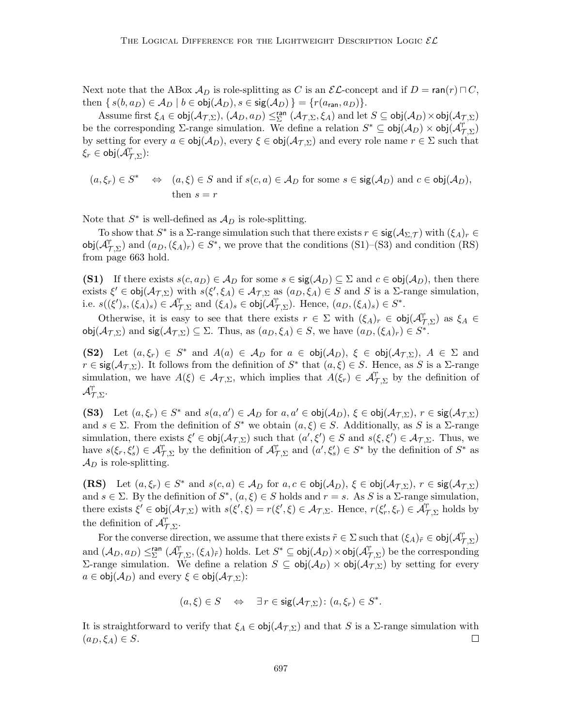Next note that the ABox  $\mathcal{A}_D$  is role-splitting as C is an  $\mathcal{EL}$ -concept and if  $D = \text{ran}(r) \sqcap C$ , then  $\{s(b, a_D) \in A_D \mid b \in \text{obj}(A_D), s \in \text{sig}(A_D)\} = \{r(a_{\text{ran}}, a_D)\}.$ 

Assume first  $\xi_A \in \mathsf{obj}(\mathcal{A}_{\mathcal{T},\Sigma}), (\mathcal{A}_D,a_D) \leq^{\mathsf{ran}}_{\Sigma} (\mathcal{A}_{\mathcal{T},\Sigma},\xi_A)$  and let  $S \subseteq \mathsf{obj}(\mathcal{A}_D) \times \mathsf{obj}(\mathcal{A}_{\mathcal{T},\Sigma})$ be the corresponding  $\Sigma$ -range simulation. We define a relation  $S^* \subseteq \text{obj}(\mathcal{A}_D) \times \text{obj}(\mathcal{A}_{\mathcal{T},\Sigma}^+)$ by setting for every  $a \in obj(\mathcal{A}_D)$ , every  $\xi \in obj(\mathcal{A}_{\mathcal{T},\Sigma})$  and every role name  $r \in \Sigma$  such that  $\overline{\xi_r}\in \mathsf{obj}(\widetilde{\mathcal{A}}^\mathsf{T}_{\mathcal{T},\Sigma})$ :

$$
(a, \xi_r) \in S^*
$$
  $\Leftrightarrow$   $(a, \xi) \in S$  and if  $s(c, a) \in A_D$  for some  $s \in \text{sig}(A_D)$  and  $c \in \text{obj}(A_D)$ ,  
then  $s = r$ 

Note that  $S^*$  is well-defined as  $\mathcal{A}_D$  is role-splitting.

To show that  $S^*$  is a  $\Sigma$ -range simulation such that there exists  $r \in \text{sig}(\mathcal{A}_{\Sigma,\mathcal{T}})$  with  $(\xi_A)_r \in$ obj $(\mathcal{A}_{\mathcal{T},\Sigma}^{\dagger})$  and  $(a_D,(\xi_A)_r) \in S^*$ , we prove that the conditions  $(S1)$ – $(S3)$  and condition  $(RS)$ from page 663 hold.

(S1) If there exists  $s(c, a_D) \in A_D$  for some  $s \in \text{sig}(\mathcal{A}_D) \subseteq \Sigma$  and  $c \in \text{obj}(\mathcal{A}_D)$ , then there exists  $\xi' \in \text{obj}(\mathcal{A}_{\mathcal{T},\Sigma})$  with  $s(\xi', \xi_A) \in \mathcal{A}_{\mathcal{T},\Sigma}$  as  $(a_D, \xi_A) \in S$  and S is a  $\Sigma$ -range simulation, i.e.  $s((\xi')_s,(\xi_A)_s) \in \mathcal{A}_{\mathcal{T},\Sigma}^{\mathcal{T}}$  and  $(\xi_A)_s \in \text{obj}(\mathcal{A}_{\mathcal{T},\Sigma}^{\mathcal{T}})$ . Hence,  $(a_D,(\xi_A)_s) \in S^*$ .

Otherwise, it is easy to see that there exists  $r \in \Sigma$  with  $(\xi_A)_r \in \text{obj}(\mathcal{A}_{\mathcal{T},\Sigma}^{\dagger})$  as  $\xi_A \in$ obj $(\mathcal{A}_{\mathcal{T},\Sigma})$  and  $\mathsf{sig}(\mathcal{A}_{\mathcal{T},\Sigma}) \subseteq \Sigma$ . Thus, as  $(a_D,\xi_A) \in S$ , we have  $(a_D,(\xi_A)_r) \in S^*$ .

(S2) Let  $(a, \xi_r) \in S^*$  and  $A(a) \in \mathcal{A}_D$  for  $a \in \text{obj}(\mathcal{A}_D)$ ,  $\xi \in \text{obj}(\mathcal{A}_{\mathcal{T},\Sigma})$ ,  $A \in \Sigma$  and  $r \in \text{sig}(\mathcal{A}_{\mathcal{T},\Sigma})$ . It follows from the definition of  $S^*$  that  $(a,\xi) \in S$ . Hence, as S is a  $\Sigma$ -range simulation, we have  $A(\xi) \in \mathcal{A}_{\mathcal{T},\Sigma}$ , which implies that  $A(\xi_r) \in \mathcal{A}_{\mathcal{T},\Sigma}^{\mathcal{T}}$  by the definition of  $\mathcal{A}_{\mathcal{T},\Sigma}^\dagger.$ 

(S3) Let  $(a, \xi_r) \in S^*$  and  $s(a, a') \in \mathcal{A}_D$  for  $a, a' \in \text{obj}(\mathcal{A}_D)$ ,  $\xi \in \text{obj}(\mathcal{A}_{\mathcal{T}, \Sigma})$ ,  $r \in \text{sig}(\mathcal{A}_{\mathcal{T}, \Sigma})$ and  $s \in \Sigma$ . From the definition of  $S^*$  we obtain  $(a, \xi) \in S$ . Additionally, as S is a  $\Sigma$ -range simulation, there exists  $\xi' \in obj(\mathcal{A}_{\mathcal{T},\Sigma})$  such that  $(a',\xi') \in S$  and  $s(\xi,\xi') \in \mathcal{A}_{\mathcal{T},\Sigma}$ . Thus, we have  $s(\xi_r, \xi_s') \in \mathcal{A}_{\mathcal{T},\Sigma}^{\mathcal{T}}$  by the definition of  $\mathcal{A}_{\mathcal{T},\Sigma}^{\mathcal{T}}$  and  $(a', \xi_s') \in S^*$  by the definition of  $S^*$  as  $\mathcal{A}_D$  is role-splitting.

(RS) Let  $(a, \xi_r) \in S^*$  and  $s(c, a) \in A_D$  for  $a, c \in \text{obj}(A_D), \xi \in \text{obj}(A_{\mathcal{T}, \Sigma}), r \in \text{sig}(A_{\mathcal{T}, \Sigma})$ and  $s \in \Sigma$ . By the definition of  $S^*$ ,  $(a,\xi) \in S$  holds and  $r = s$ . As S is a  $\Sigma$ -range simulation, there exists  $\xi' \in obj(\mathcal{A}_{\mathcal{T},\Sigma})$  with  $s(\xi',\xi) = r(\xi',\xi) \in \mathcal{A}_{\mathcal{T},\Sigma}$ . Hence,  $r(\xi'_r,\xi_r) \in \tilde{\mathcal{A}}_{\mathcal{T},\Sigma}^{\mathcal{T}}$  holds by the definition of  $\mathcal{A}_{\mathcal{T},\Sigma}^{\uparrow}$ .

For the converse direction, we assume that there exists  $\tilde{r} \in \Sigma$  such that  $(\xi_A)_{\tilde{r}} \in \text{obj}(\mathcal{A}_{\mathcal{T},\Sigma}^{\dagger})$ and  $(\mathcal{A}_D, a_D) \leq^{\text{ran}}_{\Sigma} (\mathcal{A}_{\mathcal{T},\Sigma}^{\dagger},(\xi_A)_{\tilde{r}})$  holds. Let  $S^* \subseteq \text{obj}(\mathcal{A}_D) \times \text{obj}(\mathcal{A}_{\mathcal{T},\Sigma}^{\dagger})$  be the corresponding Σ-range simulation. We define a relation  $S \subseteq$  obj $(\mathcal{A}_D) \times$  obj $(\mathcal{A}_{\mathcal{T},\Sigma})$  by setting for every  $a \in \text{obj}(\mathcal{A}_D)$  and every  $\xi \in \text{obj}(\mathcal{A}_{\mathcal{T},\Sigma})$ :

$$
(a,\xi) \in S \quad \Leftrightarrow \quad \exists r \in \text{sig}(\mathcal{A}_{\mathcal{T},\Sigma}) \colon (a,\xi_r) \in S^*.
$$

It is straightforward to verify that  $\xi_A \in obj(\mathcal{A}_{\mathcal{T},\Sigma})$  and that S is a  $\Sigma$ -range simulation with  $(a_D, \xi_A) \in S$ .  $\Box$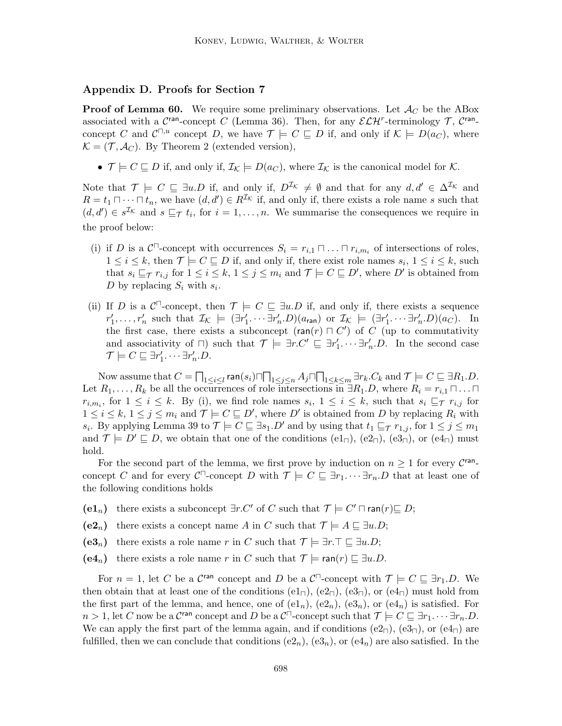# Appendix D. Proofs for Section 7

**Proof of Lemma 60.** We require some preliminary observations. Let  $\mathcal{A}_C$  be the ABox associated with a  $\mathcal{C}^{\text{ran}}$ -concept C (Lemma 36). Then, for any  $\mathcal{ELH}^r$ -terminology  $\mathcal{T}, \mathcal{C}^{\text{ran}}$ concept C and  $\mathcal{C}^{\square,u}$  concept D, we have  $\mathcal{T} \models C \sqsubseteq D$  if, and only if  $\mathcal{K} \models D(a_C)$ , where  $\mathcal{K} = (\mathcal{T}, \mathcal{A}_{C})$ . By Theorem 2 (extended version),

•  $\mathcal{T} \models C \sqsubseteq D$  if, and only if,  $\mathcal{I}_{\mathcal{K}} \models D(a_C)$ , where  $\mathcal{I}_{\mathcal{K}}$  is the canonical model for  $\mathcal{K}$ .

Note that  $\mathcal{T} \models C \subseteq \exists u \cdot D$  if, and only if,  $D^{\mathcal{I}_{\mathcal{K}}} \neq \emptyset$  and that for any  $d, d' \in \Delta^{\mathcal{I}_{\mathcal{K}}}$  and  $R = t_1 \cap \cdots \cap t_n$ , we have  $(d, d') \in R^{\mathcal{I}_{\mathcal{K}}}$  if, and only if, there exists a role name s such that  $(d, d') \in s^{\mathcal{I}_{\mathcal{K}}}$  and  $s \sqsubseteq_{\mathcal{T}} t_i$ , for  $i = 1, \ldots, n$ . We summarise the consequences we require in the proof below:

- (i) if D is a  $\mathcal{C}^{\square}$ -concept with occurrences  $S_i = r_{i,1} \square \dots \square r_{i,m_i}$  of intersections of roles,  $1 \leq i \leq k$ , then  $\mathcal{T} \models C \sqsubseteq D$  if, and only if, there exist role names  $s_i, 1 \leq i \leq k$ , such that  $s_i \sqsubseteq_{\mathcal{T}} r_{i,j}$  for  $1 \leq i \leq k$ ,  $1 \leq j \leq m_i$  and  $\mathcal{T} \models C \sqsubseteq D'$ , where  $D'$  is obtained from D by replacing  $S_i$  with  $s_i$ .
- (ii) If D is a  $\mathcal{C}^{\square}$ -concept, then  $\mathcal{T} \models C \sqsubseteq \exists u.D$  if, and only if, there exists a sequence  $r'_1, \ldots, r'_n$  such that  $\mathcal{I}_{\mathcal{K}} \models (\exists r'_1 \cdots \exists r'_n \cdot D)(a_{\text{ran}})$  or  $\mathcal{I}_{\mathcal{K}} \models (\exists r'_1 \cdots \exists r'_n \cdot D)(a_C)$ . In the first case, there exists a subconcept  $(\text{ran}(r) \sqcap C')$  of C (up to commutativity and associativity of  $\Box$ ) such that  $\mathcal{T} \models \exists r.C' \sqsubseteq \exists r'_1 \cdots \exists r'_n.D$ . In the second case  $\mathcal{T} \models C \sqsubseteq \exists r'_1. \cdots \exists r'_n.D.$

Now assume that  $C=\prod_{1\leq i\leq l}$  ran $(s_i)\sqcap \prod_{1\leq j\leq n}A_j\sqcap \prod_{1\leq k\leq m}\exists r_k.C_k$  and  $\mathcal{T}\models C\sqsubseteq \exists R_1.D.$ Let  $R_1, \ldots, R_k$  be all the occurrences of role intersections in  $\exists R_1.D$ , where  $R_i = r_{i,1} \sqcap \ldots \sqcap$  $r_{i,m_i}$ , for  $1 \leq i \leq k$ . By (i), we find role names  $s_i$ ,  $1 \leq i \leq k$ , such that  $s_i \sqsubseteq_{\mathcal{T}} r_{i,j}$  for  $1 \leq i \leq k, 1 \leq j \leq m_i$  and  $\mathcal{T} \models C \sqsubseteq D'$ , where  $D'$  is obtained from D by replacing  $R_i$  with  $s_i$ . By applying Lemma 39 to  $\mathcal{T} \models C \sqsubseteq \exists s_1.D'$  and by using that  $t_1 \sqsubseteq_{\mathcal{T}} r_{1,j}$ , for  $1 \leq j \leq m_1$ and  $\mathcal{T} \models D' \sqsubseteq D$ , we obtain that one of the conditions  $(e1_{\sqcap}), (e2_{\sqcap}), (e3_{\sqcap}),$  or  $(e4_{\sqcap})$  must hold.

For the second part of the lemma, we first prove by induction on  $n \geq 1$  for every  $\mathcal{C}^{\text{ran}}$ . concept C and for every  $\mathcal{C}^{\square}$ -concept D with  $\mathcal{T} \models C \sqsubseteq \exists r_1 \cdots \exists r_n.D$  that at least one of the following conditions holds

- (e1<sub>n</sub>) there exists a subconcept  $\exists r.C'$  of C such that  $\mathcal{T}$   $\models C' \sqcap \text{ran}(r) \sqsubseteq D;$
- (e2<sub>n</sub>) there exists a concept name A in C such that  $\mathcal{T} \models A \sqsubseteq \exists u.D;$
- (e3<sub>n</sub>) there exists a role name r in C such that  $\mathcal{T} \models \exists r.\top \sqsubseteq \exists u.D;$
- (e4<sub>n</sub>) there exists a role name r in C such that  $\mathcal{T}$   $\models$  ran(r) ⊆ ∃u.D.

For  $n = 1$ , let C be a C<sup>ran</sup> concept and D be a C<sup> $\Box$ </sup>-concept with  $\mathcal{T} \models C \sqsubseteq \exists r_1.D$ . We then obtain that at least one of the conditions  $(e1_{\Pi})$ ,  $(e2_{\Pi})$ ,  $(e3_{\Pi})$ , or  $(e4_{\Pi})$  must hold from the first part of the lemma, and hence, one of  $(e1_n)$ ,  $(e2_n)$ ,  $(e3_n)$ , or  $(e4_n)$  is satisfied. For  $n > 1$ , let C now be a C<sup>ran</sup> concept and D be a C<sup> $\Box$ </sup>-concept such that  $\mathcal{T} \models C \sqsubseteq \exists r_1. \cdots \exists r_n.D$ . We can apply the first part of the lemma again, and if conditions  $(e_1)$ ,  $(e_2)$ , or  $(e_4)$  are fulfilled, then we can conclude that conditions  $(e_2_n)$ ,  $(e_3_n)$ , or  $(e_4_n)$  are also satisfied. In the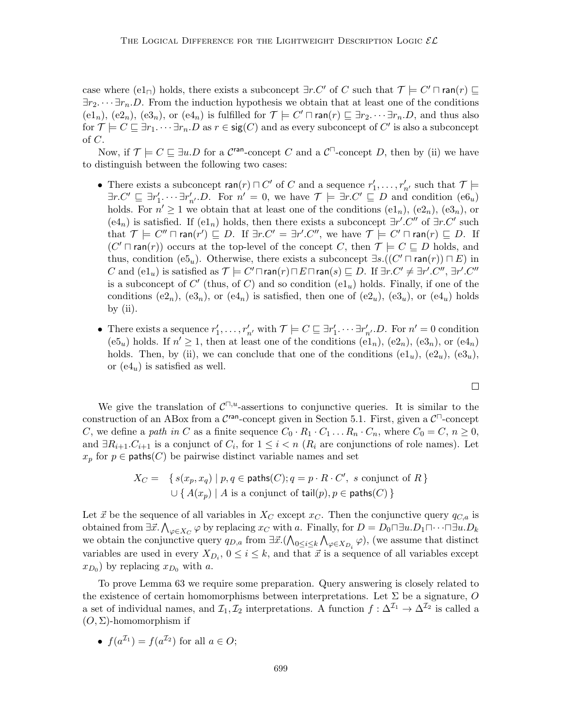case where (e1<sub> $\Box$ </sub>) holds, there exists a subconcept  $\exists r.C'$  of C such that  $\mathcal{T} \models C' \sqcap \text{ran}(r) \sqsubseteq$  $\exists r_1 \ldots \exists r_n \ldots D$ . From the induction hypothesis we obtain that at least one of the conditions  $(e1_n)$ ,  $(e2_n)$ ,  $(e3_n)$ , or  $(e4_n)$  is fulfilled for  $\mathcal{T} \models C' \sqcap \text{ran}(r) \sqsubseteq \exists r_2 \cdots \exists r_n.D$ , and thus also for  $\mathcal{T} \models C \sqsubseteq \exists r_1 \cdots \exists r_n \ldotp D$  as  $r \in \mathsf{sig}(C)$  and as every subconcept of  $C'$  is also a subconcept of  $C$ .

Now, if  $\mathcal{T} \models C \sqsubseteq \exists u \cdot D$  for a  $\mathcal{C}^{\text{ran}}$ -concept C and a  $\mathcal{C}^{\sqcap}$ -concept D, then by (ii) we have to distinguish between the following two cases:

- There exists a subconcept  $\text{ran}(r) \sqcap C'$  of C and a sequence  $r'_1, \ldots, r'_{n'}$  such that  $\mathcal{T} \models$  $\exists r.C' \sqsubseteq \exists r'_1.\cdots \exists r'_{n'}. D.$  For  $n' = 0$ , we have  $\mathcal{T} \models \exists r.C' \sqsubseteq D$  and condition  $(e6_u)$ holds. For  $n' \geq 1$  we obtain that at least one of the conditions  $(e1_n)$ ,  $(e2_n)$ ,  $(e3_n)$ , or  $(e4_n)$  is satisfied. If  $(e1_n)$  holds, then there exists a subconcept  $\exists r'.C''$  of  $\exists r.C'$  such that  $\mathcal{T} \models C'' \sqcap \text{ran}(r') \sqsubseteq D$ . If  $\exists r.C' = \exists r'.C'',$  we have  $\mathcal{T} \models C' \sqcap \text{ran}(r) \sqsubseteq D$ . If  $(C' \sqcap \text{ran}(r))$  occurs at the top-level of the concept C, then  $\mathcal{T} \models C \sqsubseteq D$  holds, and thus, condition (e5<sub>u</sub>). Otherwise, there exists a subconcept  $\exists s.((C' \sqcap \text{ran}(r)) \sqcap E)$  in C and  $(\mathrm{e1}_u)$  is satisfied as  $\mathcal{T} \models C' \sqcap \mathsf{ran}(r) \sqcap E \sqcap \mathsf{ran}(s) \sqsubseteq D$ . If  $\exists r.C' \neq \exists r'.C'', \exists r'.C''$ is a subconcept of  $C'$  (thus, of  $C$ ) and so condition  $(\mathrm{el}_u)$  holds. Finally, if one of the conditions  $(e2_n)$ ,  $(e3_n)$ , or  $(e4_n)$  is satisfied, then one of  $(e2_n)$ ,  $(e3_n)$ , or  $(e4_n)$  holds by  $(ii)$ .
- There exists a sequence  $r'_1, \ldots, r'_{n'}$  with  $\mathcal{T} \models C \sqsubseteq \exists r'_1 \cdots \exists r'_{n'} \cdot D$ . For  $n' = 0$  condition (e5u) holds. If  $n' \geq 1$ , then at least one of the conditions (e1n), (e2n), (e3n), or (e4n) holds. Then, by (ii), we can conclude that one of the conditions  $(e1_u)$ ,  $(e2_u)$ ,  $(e3_u)$ , or  $(e4<sub>u</sub>)$  is satisfied as well.

We give the translation of  $C^{\square,u}$ -assertions to conjunctive queries. It is similar to the construction of an ABox from a  $\mathcal{C}^{\text{ran}}$ -concept given in Section 5.1. First, given a  $\mathcal{C}^{\square}$ -concept C, we define a path in C as a finite sequence  $C_0 \cdot R_1 \cdot C_1 \dots R_n \cdot C_n$ , where  $C_0 = C, n \ge 0$ , and  $\exists R_{i+1}.C_{i+1}$  is a conjunct of  $C_i$ , for  $1 \leq i < n$  ( $R_i$  are conjunctions of role names). Let  $x_p$  for  $p \in$  paths(C) be pairwise distinct variable names and set

$$
X_C = \{ s(x_p, x_q) \mid p, q \in \text{paths}(C); q = p \cdot R \cdot C', \text{ s conjunct of } R \}
$$
  

$$
\cup \{ A(x_p) \mid A \text{ is a conjunct of } \text{tail}(p), p \in \text{paths}(C) \}
$$

Let  $\vec{x}$  be the sequence of all variables in  $X_C$  except  $x_C$ . Then the conjunctive query  $q_{C,a}$  is obtained from  $\exists \vec{x}.\bigwedge_{\varphi \in X_C} \varphi$  by replacing  $x_C$  with a. Finally, for  $D = D_0 \Box u.D_1 \Box \cdots \Box u.D_k$ we obtain the conjunctive query  $q_{D,a}$  from  $\exists \vec{x} . (\bigwedge_{0 \leq i \leq k} \bigwedge_{\varphi \in X_{D_i}} \varphi)$ , (we assume that distinct variables are used in every  $X_{D_i}$ ,  $0 \leq i \leq k$ , and that  $\vec{x}$  is a sequence of all variables except  $(x_{D_0})$  by replacing  $x_{D_0}$  with a.

To prove Lemma 63 we require some preparation. Query answering is closely related to the existence of certain homomorphisms between interpretations. Let  $\Sigma$  be a signature, O a set of individual names, and  $\mathcal{I}_1, \mathcal{I}_2$  interpretations. A function  $f: \Delta^{\mathcal{I}_1} \to \Delta^{\mathcal{I}_2}$  is called a  $(O, \Sigma)$ -homomorphism if

• 
$$
f(a^{\mathcal{I}_1}) = f(a^{\mathcal{I}_2})
$$
 for all  $a \in O$ ;

 $\Box$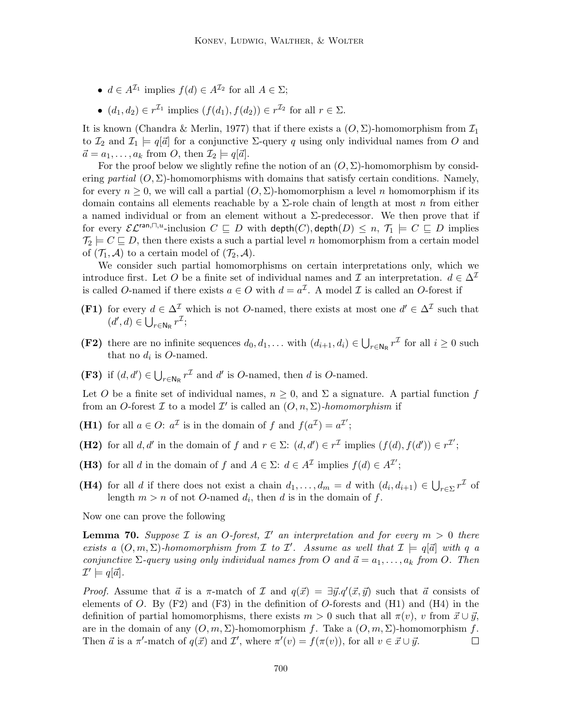- $d \in A^{\mathcal{I}_1}$  implies  $f(d) \in A^{\mathcal{I}_2}$  for all  $A \in \Sigma$ ;
- $(d_1, d_2) \in r^{\mathcal{I}_1}$  implies  $(f(d_1), f(d_2)) \in r^{\mathcal{I}_2}$  for all  $r \in \Sigma$ .

It is known (Chandra & Merlin, 1977) that if there exists a  $(O, \Sigma)$ -homomorphism from  $\mathcal{I}_1$ to  $\mathcal{I}_2$  and  $\mathcal{I}_1 \models q[\vec{a}]$  for a conjunctive  $\Sigma$ -query q using only individual names from O and  $\vec{a} = a_1, \ldots, a_k$  from O, then  $\mathcal{I}_2 \models q[\vec{a}].$ 

For the proof below we slightly refine the notion of an  $(O, \Sigma)$ -homomorphism by considering partial  $(O, \Sigma)$ -homomorphisms with domains that satisfy certain conditions. Namely, for every  $n \geq 0$ , we will call a partial  $(O, \Sigma)$ -homomorphism a level n homomorphism if its domain contains all elements reachable by a  $\Sigma$ -role chain of length at most n from either a named individual or from an element without a  $\Sigma$ -predecessor. We then prove that if for every  $\mathcal{EL}^{\text{ran},\Box,u}$ -inclusion  $C \sqsubseteq D$  with  $\text{depth}(C), \text{depth}(D) \leq n, \mathcal{T}_1 \models C \sqsubseteq D$  implies  $\mathcal{T}_2 \models C \sqsubseteq D$ , then there exists a such a partial level n homomorphism from a certain model of  $(\mathcal{T}_1, \mathcal{A})$  to a certain model of  $(\mathcal{T}_2, \mathcal{A})$ .

We consider such partial homomorphisms on certain interpretations only, which we introduce first. Let O be a finite set of individual names and I an interpretation.  $d \in \Delta^{\mathcal{I}}$ is called O-named if there exists  $a \in O$  with  $d = a^{\mathcal{I}}$ . A model  $\mathcal I$  is called an O-forest if

- **(F1)** for every  $d \in \Delta^{\mathcal{I}}$  which is not *O*-named, there exists at most one  $d' \in \Delta^{\mathcal{I}}$  such that  $(d', d) \in \bigcup_{r \in \mathbb{N}_{\mathsf{R}}} r^{\mathcal{I}};$
- (F2) there are no infinite sequences  $d_0, d_1, \ldots$  with  $(d_{i+1}, d_i) \in \bigcup_{r \in \mathbb{N}_R} r^{\mathcal{I}}$  for all  $i \geq 0$  such that no  $d_i$  is O-named.
- (F3) if  $(d, d') \in \bigcup_{r \in \mathbb{N}_R} r^{\mathcal{I}}$  and d' is O-named, then d is O-named.

Let O be a finite set of individual names,  $n \geq 0$ , and  $\Sigma$  a signature. A partial function f from an O-forest  $\mathcal I$  to a model  $\mathcal I'$  is called an  $(O, n, \Sigma)$ -homomorphism if

- (H1) for all  $a \in O$ :  $a^{\mathcal{I}}$  is in the domain of f and  $f(a^{\mathcal{I}}) = a^{\mathcal{I}'};$
- (H2) for all d, d' in the domain of f and  $r \in \Sigma$ :  $(d, d') \in r^{\mathcal{I}}$  implies  $(f(d), f(d')) \in r^{\mathcal{I}}$ ;
- (H3) for all d in the domain of f and  $A \in \Sigma$ :  $d \in A^{\mathcal{I}}$  implies  $f(d) \in A^{\mathcal{I}}'$ ;
- (H4) for all d if there does not exist a chain  $d_1, \ldots, d_m = d$  with  $(d_i, d_{i+1}) \in \bigcup_{r \in \Sigma} r^{\mathcal{I}}$  of length  $m > n$  of not O-named  $d_i$ , then d is in the domain of f.

Now one can prove the following

**Lemma 70.** Suppose  $\mathcal{I}$  is an O-forest,  $\mathcal{I}'$  an interpretation and for every  $m > 0$  there exists a  $(O, m, \Sigma)$ -homomorphism from  $\mathcal I$  to  $\mathcal I'$ . Assume as well that  $\mathcal I \models q[\vec a]$  with q a conjunctive  $\Sigma$ -query using only individual names from O and  $\vec{a} = a_1, \ldots, a_k$  from O. Then  $\mathcal{I}'\models q[\vec{a}].$ 

*Proof.* Assume that  $\vec{a}$  is a  $\pi$ -match of  $\mathcal I$  and  $q(\vec{x}) = \exists \vec{y}.q'(\vec{x}, \vec{y})$  such that  $\vec{a}$  consists of elements of O. By  $(F2)$  and  $(F3)$  in the definition of O-forests and  $(H1)$  and  $(H4)$  in the definition of partial homomorphisms, there exists  $m > 0$  such that all  $\pi(v)$ , v from  $\vec{x} \cup \vec{y}$ , are in the domain of any  $(O, m, \Sigma)$ -homomorphism f. Take a  $(O, m, \Sigma)$ -homomorphism f. Then  $\vec{a}$  is a  $\pi'$ -match of  $q(\vec{x})$  and  $\mathcal{I}'$ , where  $\pi'(v) = f(\pi(v))$ , for all  $v \in \vec{x} \cup \vec{y}$ .  $\Box$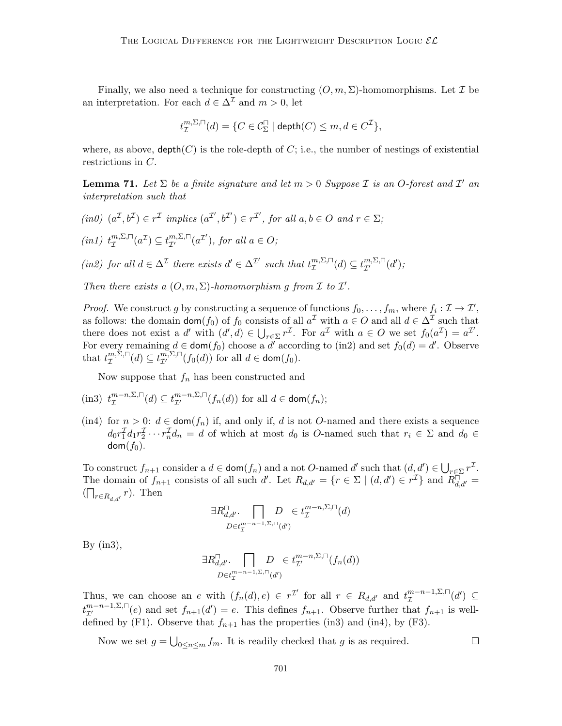Finally, we also need a technique for constructing  $(O, m, \Sigma)$ -homomorphisms. Let  $\mathcal I$  be an interpretation. For each  $d \in \Delta^{\mathcal{I}}$  and  $m > 0$ , let

$$
t_{\mathcal{I}}^{m,\Sigma,\sqcap}(d)=\{C\in \mathcal{C}^{\sqcap}_\Sigma\mid \text{depth}(C)\leq m, d\in C^{\mathcal{I}}\},
$$

where, as above,  $\text{depth}(C)$  is the role-depth of C; i.e., the number of nestings of existential restrictions in C.

**Lemma 71.** Let  $\Sigma$  be a finite signature and let  $m > 0$  Suppose  $\mathcal I$  is an O-forest and  $\mathcal I'$  and interpretation such that

 $(in0)$   $(a^{\mathcal{I}}, b^{\mathcal{I}}) \in r^{\mathcal{I}}$  implies  $(a^{\mathcal{I}'}, b^{\mathcal{I}'}) \in r^{\mathcal{I}'},$  for all  $a, b \in O$  and  $r \in \Sigma$ ;

 $(in1)$   $t_{\tau}^{m,\Sigma,\square}$  $\mathcal{I}_{\mathcal{I}}^{m,\Sigma,\sqcap}(a^{\mathcal{I}}) \subseteq t_{\mathcal{I}'}^{m,\Sigma,\sqcap}(a^{\mathcal{I}'})$ , for all  $a \in O;$ 

(in2) for all  $d \in \Delta^{\mathcal{I}}$  there exists  $d' \in \Delta^{\mathcal{I}'}$  such that  $t_{\tau}^{m,\Sigma,\square}$  $T^{m,\Sigma,\sqcap}(d) \subseteq t_{\mathcal{I}'}^{m,\Sigma,\sqcap}(d');$ 

Then there exists a  $(0, m, \Sigma)$ -homomorphism g from  $\mathcal I$  to  $\mathcal I'$ .

*Proof.* We construct g by constructing a sequence of functions  $f_0, \ldots, f_m$ , where  $f_i : \mathcal{I} \to \mathcal{I}'$ , as follows: the domain  $\text{dom}(f_0)$  of  $f_0$  consists of all  $a^{\mathcal{I}}$  with  $a \in O$  and all  $d \in \Delta^{\mathcal{I}}$  such that there does not exist a d' with  $(d', d) \in \bigcup_{r \in \Sigma} r^{\mathcal{I}}$ . For  $a^{\mathcal{I}}$  with  $a \in O$  we set  $f_0(a^{\mathcal{I}}) = a^{\mathcal{I}}'$ . For every remaining  $d \in \text{dom}(f_0)$  choose a  $\overline{d'}$  according to (in2) and set  $f_0(d) = d'$ . Observe that  $t_{\tau}^{m,\Sigma,\square}$  $T^{m,\Sigma,\square}_{\mathcal{I}}(d) \subseteq t^{m,\Sigma,\square}_{\mathcal{I}'}(f_0(d))$  for all  $d \in \text{dom}(f_0)$ .

Now suppose that  $f_n$  has been constructed and

(in3) 
$$
t_{\mathcal{I}}^{m-n,\Sigma,\square}(d) \subseteq t_{\mathcal{I}'}^{m-n,\Sigma,\square}(f_n(d))
$$
 for all  $d \in \text{dom}(f_n)$ ;

(in4) for  $n > 0$ :  $d \in \text{dom}(f_n)$  if, and only if, d is not O-named and there exists a sequence  $d_0 r_1^T d_1 r_2^T \cdots r_n^T d_n = d$  of which at most  $d_0$  is O-named such that  $r_i \in \Sigma$  and  $d_0 \in$  $dom(f_0)$ .

To construct  $f_{n+1}$  consider a  $d \in \text{dom}(f_n)$  and a not O-named d' such that  $(d, d') \in \bigcup_{r \in \Sigma} r^{\mathcal{I}}$ . The domain of  $f_{n+1}$  consists of all such d'. Let  $R_{d,d'} = \{r \in \Sigma \mid (d,d') \in r^{\mathcal{I}}\}\$  and  $R_{d,d'}^{\square} =$  $(\bigcap_{r \in R_{d,d'}} r)$ . Then

$$
\exists R_{d,d'}^{\square}.\bigcap_{D\in t_{\mathcal{I}}^{m-n-1,\Sigma,\square}(d')} D\in t_{\mathcal{I}}^{m-n,\Sigma,\square}(d)
$$

By  $(in3),$ 

$$
\exists R_{d,d'}^{\square}.\bigcap_{D \in t_T^{m-n-1,\Sigma,\square}(d')} D \in t_{\mathcal{I}'}^{m-n,\Sigma,\square}(f_n(d))
$$

Thus, we can choose an e with  $(f_n(d), e) \in r^{\mathcal{I}'}$  for all  $r \in R_{d,d'}$  and  $t^{m-n-1,\Sigma,\square}_{\mathcal{I}}$  $\mathcal{I}^{m-n-1,\Sigma,\sqcap}(d')\ \subseteq$  $t_{\mathcal{I}'}^{m-n-1,\Sigma,\square}(e)$  and set  $f_{n+1}(d')=e$ . This defines  $f_{n+1}$ . Observe further that  $f_{n+1}$  is welldefined by (F1). Observe that  $f_{n+1}$  has the properties (in3) and (in4), by (F3).

Now we set  $g = \bigcup_{0 \leq n \leq m} f_m$ . It is readily checked that g is as required.

 $\Box$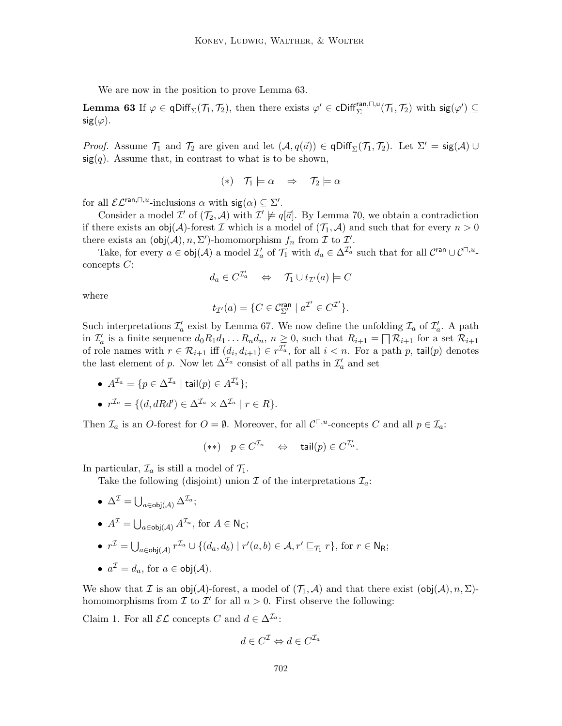We are now in the position to prove Lemma 63.

**Lemma 63** If  $\varphi \in \text{qDiff}_{\Sigma}(\mathcal{T}_1, \mathcal{T}_2)$ , then there exists  $\varphi' \in \text{cliff}_{\Sigma}^{\text{ran},\square,\mathsf{u}}(\mathcal{T}_1, \mathcal{T}_2)$  with  $\text{sig}(\varphi') \subseteq$  $sig(\varphi)$ .

*Proof.* Assume  $\mathcal{T}_1$  and  $\mathcal{T}_2$  are given and let  $(\mathcal{A}, q(\vec{a})) \in \text{qDiff}_{\Sigma}(\mathcal{T}_1, \mathcal{T}_2)$ . Let  $\Sigma' = \text{sig}(\mathcal{A}) \cup$  $sig(q)$ . Assume that, in contrast to what is to be shown,

$$
(*) \quad \mathcal{T}_1 \models \alpha \quad \Rightarrow \quad \mathcal{T}_2 \models \alpha
$$

for all  $\mathcal{EL}^{\text{ran},\Box,u}$ -inclusions  $\alpha$  with  $\text{sig}(\alpha) \subseteq \Sigma'.$ 

Consider a model  $\mathcal{I}'$  of  $(\mathcal{T}_2, \mathcal{A})$  with  $\mathcal{I}' \not\models q[\vec{a}]$ . By Lemma 70, we obtain a contradiction if there exists an  $obj(\mathcal{A})$ -forest  $\mathcal I$  which is a model of  $(\mathcal T_1, \mathcal A)$  and such that for every  $n > 0$ there exists an  $(\text{obj}(\mathcal{A}), n, \Sigma')$ -homomorphism  $f_n$  from  $\mathcal I$  to  $\mathcal I'$ .

Take, for every  $a \in \text{obj}(\mathcal{A})$  a model  $\mathcal{I}'_a$  of  $\mathcal{T}_1$  with  $d_a \in \Delta^{\mathcal{I}'_a}$  such that for all  $\mathcal{C}^{\text{ran}} \cup \mathcal{C}^{\square, u}$ concepts C:

$$
d_a \in C^{\mathcal{I}'_a} \quad \Leftrightarrow \quad \mathcal{T}_1 \cup t_{\mathcal{I}'}(a) \models C
$$

where

$$
t_{\mathcal{I}'}(a) = \{C \in \mathcal{C}^{\mathrm{ran}}_{\Sigma'} \mid a^{\mathcal{I}'} \in C^{\mathcal{I}'}\}.
$$

Such interpretations  $\mathcal{I}'_a$  exist by Lemma 67. We now define the unfolding  $\mathcal{I}_a$  of  $\mathcal{I}'_a$ . A path in  $\mathcal{I}'_a$  is a finite sequence  $d_0R_1d_1 \ldots R_nd_n$ ,  $n \geq 0$ , such that  $R_{i+1} = \bigcap \mathcal{R}_{i+1}$  for a set  $\mathcal{R}_{i+1}$ of role names with  $r \in \mathcal{R}_{i+1}$  iff  $(d_i, d_{i+1}) \in r^{\mathcal{I}'_a}$ , for all  $i < n$ . For a path p, tail(p) denotes the last element of p. Now let  $\Delta^{\mathcal{I}_a}$  consist of all paths in  $\mathcal{I}'_a$  and set

- $A^{\mathcal{I}_a} = \{p \in \Delta^{\mathcal{I}_a} \mid \mathsf{tail}(p) \in A^{\mathcal{I}'_a}\};$
- $r^{\mathcal{I}_a} = \{ (d, dRd') \in \Delta^{\mathcal{I}_a} \times \Delta^{\mathcal{I}_a} \mid r \in R \}.$

Then  $\mathcal{I}_a$  is an O-forest for  $O = \emptyset$ . Moreover, for all  $\mathcal{C}^{\square,u}$ -concepts C and all  $p \in \mathcal{I}_a$ :

$$
(**) \quad p \in C^{\mathcal{I}_a} \quad \Leftrightarrow \quad \mathsf{tail}(p) \in C^{\mathcal{I}'_a}.
$$

In particular,  $\mathcal{I}_a$  is still a model of  $\mathcal{T}_1$ .

Take the following (disjoint) union  $\mathcal I$  of the interpretations  $\mathcal I_a$ :

 $\bullet\;\, \Delta^{\mathcal I} = \bigcup_{a\in {\mathsf{obj}}(\mathcal A)} \Delta^{{\mathcal I}_a};$ 

• 
$$
A^{\mathcal{I}} = \bigcup_{a \in \text{obj}(\mathcal{A})} A^{\mathcal{I}_a}
$$
, for  $A \in \mathsf{N}_\mathsf{C}$ ;

• 
$$
r^{\mathcal{I}} = \bigcup_{a \in \text{obj}(\mathcal{A})} r^{\mathcal{I}_a} \cup \{(d_a, d_b) \mid r'(a, b) \in \mathcal{A}, r' \sqsubseteq_{\mathcal{T}_1} r\}, \text{ for } r \in \mathbb{N}_{\mathsf{R}};
$$

• 
$$
a^{\mathcal{I}} = d_a
$$
, for  $a \in \text{obj}(\mathcal{A})$ .

We show that I is an obj(A)-forest, a model of  $(\mathcal{T}_1, \mathcal{A})$  and that there exist  $(\text{obj}(\mathcal{A}), n, \Sigma)$ homomorphisms from  $\mathcal I$  to  $\mathcal I'$  for all  $n > 0$ . First observe the following:

Claim 1. For all  $\mathcal{EL}$  concepts C and  $d \in \Delta^{\mathcal{I}_a}$ :

$$
d \in C^{\mathcal{I}} \Leftrightarrow d \in C^{\mathcal{I}_a}
$$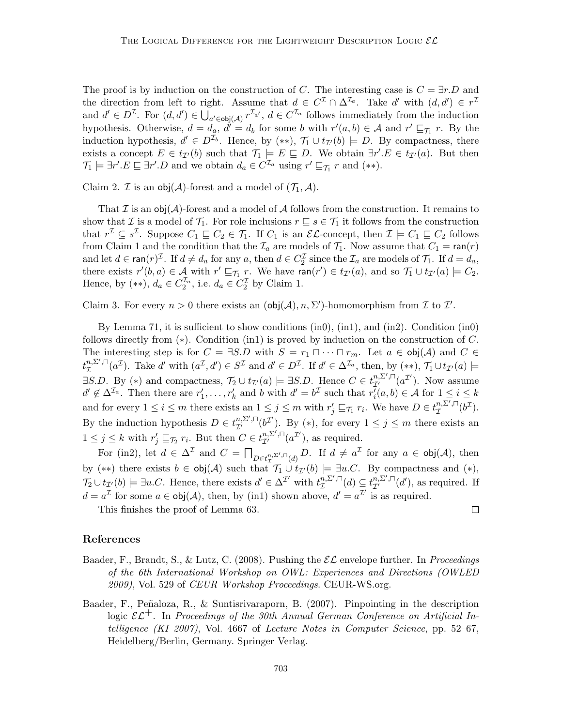The proof is by induction on the construction of C. The interesting case is  $C = \exists r.D$  and the direction from left to right. Assume that  $d \in C^{\mathcal{I}} \cap \Delta^{\mathcal{I}_a}$ . Take d' with  $(d, d') \in r^{\mathcal{I}}$ and  $d' \in D^{\mathcal{I}}$ . For  $(d, d') \in \bigcup_{a' \in \text{obj}(\mathcal{A})} r^{\mathcal{I}_{a'}}$ ,  $d \in C^{\mathcal{I}_{a}}$  follows immediately from the induction hypothesis. Otherwise,  $d = d_a$ ,  $d' = d_b$  for some b with  $r'(a, b) \in A$  and  $r' \sqsubseteq_{\mathcal{T}_1} r$ . By the induction hypothesis,  $d' \in D^{\mathcal{I}_{b}}$ . Hence, by  $(**)$ ,  $\mathcal{T}_1 \cup t_{\mathcal{I}'}(b) \models D$ . By compactness, there exists a concept  $E \in t_{\mathcal{I}}(b)$  such that  $\mathcal{T}_1 \models E \sqsubseteq D$ . We obtain  $\exists r'.E \in t_{\mathcal{I}}(a)$ . But then  $\mathcal{T}_1 \models \exists r'. E \sqsubseteq \exists r'. D$  and we obtain  $d_a \in C^{\mathcal{I}_a}$  using  $r' \sqsubseteq_{\mathcal{T}_1} r$  and  $(**)$ .

Claim 2. *T* is an  $obj(\mathcal{A})$ -forest and a model of  $(\mathcal{T}_1, \mathcal{A})$ .

That  $\mathcal I$  is an obj( $\mathcal A$ )-forest and a model of  $\mathcal A$  follows from the construction. It remains to show that I is a model of  $\mathcal{T}_1$ . For role inclusions  $r \subseteq s \in \mathcal{T}_1$  it follows from the construction that  $r^{\mathcal{I}} \subseteq s^{\mathcal{I}}$ . Suppose  $C_1 \sqsubseteq C_2 \in \mathcal{T}_1$ . If  $C_1$  is an  $\mathcal{EL}\text{-concept}$ , then  $\mathcal{I} \models C_1 \sqsubseteq C_2$  follows from Claim 1 and the condition that the  $\mathcal{I}_a$  are models of  $\mathcal{T}_1$ . Now assume that  $C_1 = \text{ran}(r)$ and let  $d \in \text{ran}(r)^{\mathcal{I}}$ . If  $d \neq d_a$  for any  $a$ , then  $d \in C_2^{\mathcal{I}}$  since the  $\mathcal{I}_a$  are models of  $\mathcal{T}_1$ . If  $d = d_a$ , there exists  $r'(b, a) \in \mathcal{A}$  with  $r' \sqsubseteq_{\mathcal{T}_1} r$ . We have  $\mathsf{ran}(r') \in t_{\mathcal{I}'}(a)$ , and so  $\mathcal{T}_1 \cup t_{\mathcal{I}'}(a) \models C_2$ . Hence, by  $(**)$ ,  $d_a \in C_2^{\mathcal{I}_a}$ , i.e.  $d_a \in C_2^{\mathcal{I}}$  by Claim 1.

Claim 3. For every  $n > 0$  there exists an  $\left( \text{obj}(\mathcal{A}), n, \Sigma' \right)$ -homomorphism from  $\mathcal I$  to  $\mathcal I'$ .

By Lemma 71, it is sufficient to show conditions (in0), (in1), and (in2). Condition (in0) follows directly from  $(*)$ . Condition (in1) is proved by induction on the construction of C. The interesting step is for  $C = \exists S.D$  with  $S = r_1 \sqcap \cdots \sqcap r_m$ . Let  $a \in \text{obj}(\mathcal{A})$  and  $C \in$  $t_{\mathcal{T}}^{n,\Sigma',\sqcap}$  $\mathcal{I}_{\mathcal{I}}^{n,\Sigma',\sqcap}(a^{\mathcal{I}})$ . Take d' with  $(a^{\mathcal{I}},d')\in S^{\mathcal{I}}$  and  $d'\in D^{\mathcal{I}}$ . If  $d'\in \Delta^{\mathcal{I}_a}$ , then, by  $(**)$ ,  $\mathcal{T}_1\cup t_{\mathcal{I}'}(a)\models$  $\exists S.D.$  By (\*) and compactness,  $\mathcal{T}_2 \cup t_{\mathcal{I}'}(a) \models \exists S.D.$  Hence  $C \in t_{\mathcal{I}'}^{n,\Sigma',\square}(a^{\mathcal{I}'})$ . Now assume  $d' \notin \Delta^{\mathcal{I}_a}$ . Then there are  $r'_1, \ldots, r'_k$  and b with  $d' = b^{\mathcal{I}}$  such that  $r_i^{\overline{\imath}}(a, b) \in \mathcal{A}$  for  $1 \leq i \leq k$ and for every  $1 \leq i \leq m$  there exists an  $1 \leq j \leq m$  with  $r'_j \sqsubseteq_{\mathcal{T}_1} r_i$ . We have  $D \in t_{\mathcal{I}}^{n,\Sigma',\square}$  $_{\mathcal{I}}^{n,\Sigma',\sqcap}(b^{\mathcal{I}}).$ By the induction hypothesis  $D \in t_{\mathcal{I}'}^{n,\Sigma',\square}(b^{\mathcal{I}'})$ . By (\*), for every  $1 \leq j \leq m$  there exists an  $1 \leq j \leq k$  with  $r'_j \sqsubseteq_{\mathcal{T}_2} r_i$ . But then  $C \in t_{\mathcal{I}'}^{n,\Sigma',\sqcap}(a^{\mathcal{I}'})$ , as required.

For (in2), let  $d \in \Delta^{\mathcal{I}}$  and  $C = \bigcap_{D \in t_{\mathcal{T}}^{n, \Sigma', \cap}(d)} D$ . If  $d \neq a^{\mathcal{I}}$  for any  $a \in \text{obj}(\mathcal{A})$ , then by (\*\*) there exists  $b \in \text{obj}(\mathcal{A})$  such that  $\mathcal{T}_1 \cup t_{\mathcal{I}'}(b) \models \exists u.C.$  By compactness and (\*),  $\mathcal{T}_2 \cup t_{\mathcal{I}'}(b) \models \exists u.C.$  Hence, there exists  $d' \in \Delta^{\mathcal{I}'}$  with  $t_{\mathcal{I}}^{n,\Sigma',\square}$  $u_{\mathcal{I}}^{n,\Sigma',\sqcap}(d) \subseteq t_{\mathcal{I}'}^{n,\Sigma',\sqcap}(d'),$  as required. If  $d = a^{\mathcal{I}}$  for some  $a \in \text{obj}(\mathcal{A})$ , then, by (in1) shown above,  $d' = a^{\mathcal{I}'}$  is as required.

This finishes the proof of Lemma 63.

 $\Box$ 

# References

- Baader, F., Brandt, S., & Lutz, C. (2008). Pushing the  $\mathcal{EL}$  envelope further. In *Proceedings* of the 6th International Workshop on OWL: Experiences and Directions (OWLED 2009), Vol. 529 of CEUR Workshop Proceedings. CEUR-WS.org.
- Baader, F., Peñaloza, R., & Suntisrivaraporn, B. (2007). Pinpointing in the description logic  $\mathcal{E} \mathcal{L}^+$ . In Proceedings of the 30th Annual German Conference on Artificial Intelligence (KI 2007), Vol. 4667 of Lecture Notes in Computer Science, pp. 52–67, Heidelberg/Berlin, Germany. Springer Verlag.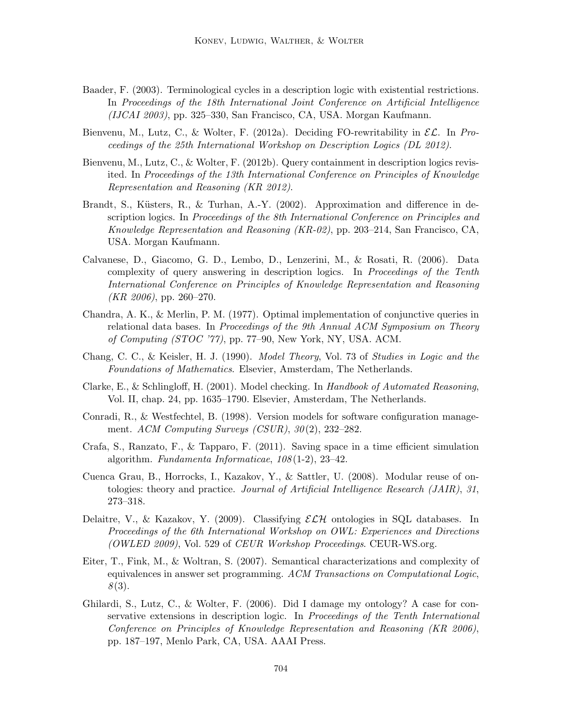- Baader, F. (2003). Terminological cycles in a description logic with existential restrictions. In Proceedings of the 18th International Joint Conference on Artificial Intelligence (IJCAI 2003), pp. 325–330, San Francisco, CA, USA. Morgan Kaufmann.
- Bienvenu, M., Lutz, C., & Wolter, F. (2012a). Deciding FO-rewritability in  $\mathcal{EL}$ . In Proceedings of the 25th International Workshop on Description Logics (DL 2012).
- Bienvenu, M., Lutz, C., & Wolter, F. (2012b). Query containment in description logics revisited. In Proceedings of the 13th International Conference on Principles of Knowledge Representation and Reasoning (KR 2012).
- Brandt, S., Küsters, R., & Turhan, A.-Y. (2002). Approximation and difference in description logics. In Proceedings of the 8th International Conference on Principles and Knowledge Representation and Reasoning (KR-02), pp. 203–214, San Francisco, CA, USA. Morgan Kaufmann.
- Calvanese, D., Giacomo, G. D., Lembo, D., Lenzerini, M., & Rosati, R. (2006). Data complexity of query answering in description logics. In Proceedings of the Tenth International Conference on Principles of Knowledge Representation and Reasoning  $(KR 2006)$ , pp. 260–270.
- Chandra, A. K., & Merlin, P. M. (1977). Optimal implementation of conjunctive queries in relational data bases. In Proceedings of the 9th Annual ACM Symposium on Theory of Computing (STOC '77), pp. 77–90, New York, NY, USA. ACM.
- Chang, C. C., & Keisler, H. J. (1990). Model Theory, Vol. 73 of Studies in Logic and the Foundations of Mathematics. Elsevier, Amsterdam, The Netherlands.
- Clarke, E., & Schlingloff, H. (2001). Model checking. In Handbook of Automated Reasoning, Vol. II, chap. 24, pp. 1635–1790. Elsevier, Amsterdam, The Netherlands.
- Conradi, R., & Westfechtel, B. (1998). Version models for software configuration management. ACM Computing Surveys (CSUR),  $30(2)$ , 232–282.
- Crafa, S., Ranzato, F., & Tapparo, F. (2011). Saving space in a time efficient simulation algorithm. Fundamenta Informaticae,  $108(1-2)$ , 23-42.
- Cuenca Grau, B., Horrocks, I., Kazakov, Y., & Sattler, U. (2008). Modular reuse of ontologies: theory and practice. Journal of Artificial Intelligence Research (JAIR), 31, 273–318.
- Delaitre, V., & Kazakov, Y. (2009). Classifying  $\mathcal{ELH}$  ontologies in SQL databases. In Proceedings of the 6th International Workshop on OWL: Experiences and Directions (OWLED 2009), Vol. 529 of CEUR Workshop Proceedings. CEUR-WS.org.
- Eiter, T., Fink, M., & Woltran, S. (2007). Semantical characterizations and complexity of equivalences in answer set programming. ACM Transactions on Computational Logic,  $8(3).$
- Ghilardi, S., Lutz, C., & Wolter, F. (2006). Did I damage my ontology? A case for conservative extensions in description logic. In Proceedings of the Tenth International Conference on Principles of Knowledge Representation and Reasoning (KR 2006), pp. 187–197, Menlo Park, CA, USA. AAAI Press.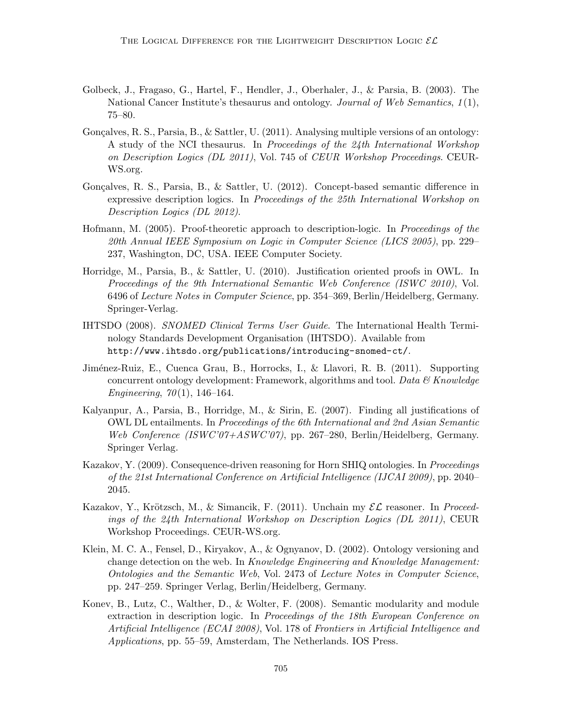- Golbeck, J., Fragaso, G., Hartel, F., Hendler, J., Oberhaler, J., & Parsia, B. (2003). The National Cancer Institute's thesaurus and ontology. Journal of Web Semantics,  $1(1)$ , 75–80.
- Gonçalves, R. S., Parsia, B., & Sattler, U. (2011). Analysing multiple versions of an ontology: A study of the NCI thesaurus. In Proceedings of the 24th International Workshop on Description Logics (DL 2011), Vol. 745 of CEUR Workshop Proceedings. CEUR-WS.org.
- Gonçalves, R. S., Parsia, B., & Sattler, U.  $(2012)$ . Concept-based semantic difference in expressive description logics. In Proceedings of the 25th International Workshop on Description Logics (DL 2012).
- Hofmann, M. (2005). Proof-theoretic approach to description-logic. In Proceedings of the 20th Annual IEEE Symposium on Logic in Computer Science (LICS 2005), pp. 229– 237, Washington, DC, USA. IEEE Computer Society.
- Horridge, M., Parsia, B., & Sattler, U. (2010). Justification oriented proofs in OWL. In Proceedings of the 9th International Semantic Web Conference (ISWC 2010), Vol. 6496 of Lecture Notes in Computer Science, pp. 354–369, Berlin/Heidelberg, Germany. Springer-Verlag.
- IHTSDO (2008). SNOMED Clinical Terms User Guide. The International Health Terminology Standards Development Organisation (IHTSDO). Available from http://www.ihtsdo.org/publications/introducing-snomed-ct/.
- Jiménez-Ruiz, E., Cuenca Grau, B., Horrocks, I., & Llavori, R. B. (2011). Supporting concurrent ontology development: Framework, algorithms and tool. Data  $\mathcal{B}$  Knowledge Engineering,  $70(1)$ , 146-164.
- Kalyanpur, A., Parsia, B., Horridge, M., & Sirin, E. (2007). Finding all justifications of OWL DL entailments. In Proceedings of the 6th International and 2nd Asian Semantic Web Conference (ISWC'07+ASWC'07), pp. 267–280, Berlin/Heidelberg, Germany. Springer Verlag.
- Kazakov, Y. (2009). Consequence-driven reasoning for Horn SHIQ ontologies. In Proceedings of the 21st International Conference on Artificial Intelligence (IJCAI 2009), pp. 2040– 2045.
- Kazakov, Y., Krötzsch, M., & Simancik, F. (2011). Unchain my  $\mathcal{EL}$  reasoner. In *Proceed*ings of the 24th International Workshop on Description Logics (DL 2011), CEUR Workshop Proceedings. CEUR-WS.org.
- Klein, M. C. A., Fensel, D., Kiryakov, A., & Ognyanov, D. (2002). Ontology versioning and change detection on the web. In Knowledge Engineering and Knowledge Management: Ontologies and the Semantic Web, Vol. 2473 of Lecture Notes in Computer Science, pp. 247–259. Springer Verlag, Berlin/Heidelberg, Germany.
- Konev, B., Lutz, C., Walther, D., & Wolter, F. (2008). Semantic modularity and module extraction in description logic. In Proceedings of the 18th European Conference on Artificial Intelligence (ECAI 2008), Vol. 178 of Frontiers in Artificial Intelligence and Applications, pp. 55–59, Amsterdam, The Netherlands. IOS Press.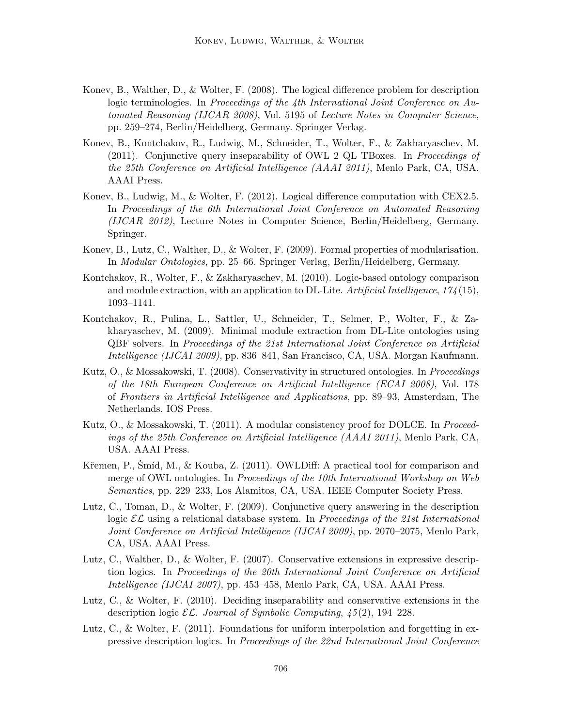- Konev, B., Walther, D., & Wolter, F. (2008). The logical difference problem for description logic terminologies. In Proceedings of the 4th International Joint Conference on Automated Reasoning (IJCAR 2008), Vol. 5195 of Lecture Notes in Computer Science, pp. 259–274, Berlin/Heidelberg, Germany. Springer Verlag.
- Konev, B., Kontchakov, R., Ludwig, M., Schneider, T., Wolter, F., & Zakharyaschev, M. (2011). Conjunctive query inseparability of OWL 2 QL TBoxes. In Proceedings of the 25th Conference on Artificial Intelligence (AAAI 2011), Menlo Park, CA, USA. AAAI Press.
- Konev, B., Ludwig, M., & Wolter, F. (2012). Logical difference computation with CEX2.5. In Proceedings of the 6th International Joint Conference on Automated Reasoning (IJCAR 2012), Lecture Notes in Computer Science, Berlin/Heidelberg, Germany. Springer.
- Konev, B., Lutz, C., Walther, D., & Wolter, F. (2009). Formal properties of modularisation. In Modular Ontologies, pp. 25–66. Springer Verlag, Berlin/Heidelberg, Germany.
- Kontchakov, R., Wolter, F., & Zakharyaschev, M. (2010). Logic-based ontology comparison and module extraction, with an application to DL-Lite. Artificial Intelligence,  $174(15)$ , 1093–1141.
- Kontchakov, R., Pulina, L., Sattler, U., Schneider, T., Selmer, P., Wolter, F., & Zakharyaschev, M. (2009). Minimal module extraction from DL-Lite ontologies using QBF solvers. In Proceedings of the 21st International Joint Conference on Artificial Intelligence (IJCAI 2009), pp. 836–841, San Francisco, CA, USA. Morgan Kaufmann.
- Kutz, O., & Mossakowski, T. (2008). Conservativity in structured ontologies. In *Proceedings* of the 18th European Conference on Artificial Intelligence (ECAI 2008), Vol. 178 of Frontiers in Artificial Intelligence and Applications, pp. 89–93, Amsterdam, The Netherlands. IOS Press.
- Kutz, O., & Mossakowski, T. (2011). A modular consistency proof for DOLCE. In *Proceed*ings of the 25th Conference on Artificial Intelligence (AAAI 2011), Menlo Park, CA, USA. AAAI Press.
- Křemen, P., Šmíd, M., & Kouba, Z.  $(2011)$ . OWLDiff: A practical tool for comparison and merge of OWL ontologies. In *Proceedings of the 10th International Workshop on Web* Semantics, pp. 229–233, Los Alamitos, CA, USA. IEEE Computer Society Press.
- Lutz, C., Toman, D., & Wolter, F. (2009). Conjunctive query answering in the description logic  $\mathcal{EL}$  using a relational database system. In *Proceedings of the 21st International* Joint Conference on Artificial Intelligence (IJCAI 2009), pp. 2070–2075, Menlo Park, CA, USA. AAAI Press.
- Lutz, C., Walther, D., & Wolter, F. (2007). Conservative extensions in expressive description logics. In Proceedings of the 20th International Joint Conference on Artificial Intelligence (IJCAI 2007), pp. 453–458, Menlo Park, CA, USA. AAAI Press.
- Lutz, C., & Wolter, F. (2010). Deciding inseparability and conservative extensions in the description logic  $\mathcal{EL}$ . Journal of Symbolic Computing,  $\{45(2), 194-228\}$ .
- Lutz, C., & Wolter, F. (2011). Foundations for uniform interpolation and forgetting in expressive description logics. In Proceedings of the 22nd International Joint Conference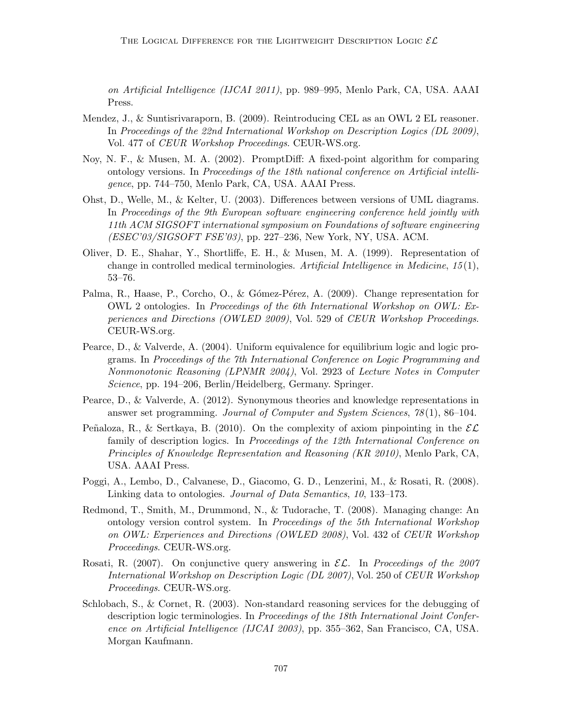on Artificial Intelligence (IJCAI 2011), pp. 989–995, Menlo Park, CA, USA. AAAI Press.

- Mendez, J., & Suntisrivaraporn, B. (2009). Reintroducing CEL as an OWL 2 EL reasoner. In Proceedings of the 22nd International Workshop on Description Logics (DL 2009), Vol. 477 of CEUR Workshop Proceedings. CEUR-WS.org.
- Noy, N. F., & Musen, M. A. (2002). PromptDiff: A fixed-point algorithm for comparing ontology versions. In Proceedings of the 18th national conference on Artificial intelligence, pp. 744–750, Menlo Park, CA, USA. AAAI Press.
- Ohst, D., Welle, M., & Kelter, U. (2003). Differences between versions of UML diagrams. In Proceedings of the 9th European software engineering conference held jointly with 11th ACM SIGSOFT international symposium on Foundations of software engineering (ESEC'03/SIGSOFT FSE'03), pp. 227–236, New York, NY, USA. ACM.
- Oliver, D. E., Shahar, Y., Shortliffe, E. H., & Musen, M. A. (1999). Representation of change in controlled medical terminologies. Artificial Intelligence in Medicine,  $15(1)$ , 53–76.
- Palma, R., Haase, P., Corcho, O., & Gómez-Pérez, A. (2009). Change representation for OWL 2 ontologies. In Proceedings of the 6th International Workshop on OWL: Experiences and Directions (OWLED 2009), Vol. 529 of CEUR Workshop Proceedings. CEUR-WS.org.
- Pearce, D., & Valverde, A. (2004). Uniform equivalence for equilibrium logic and logic programs. In Proceedings of the 7th International Conference on Logic Programming and Nonmonotonic Reasoning (LPNMR 2004), Vol. 2923 of Lecture Notes in Computer Science, pp. 194–206, Berlin/Heidelberg, Germany. Springer.
- Pearce, D., & Valverde, A. (2012). Synonymous theories and knowledge representations in answer set programming. Journal of Computer and System Sciences, 78 (1), 86–104.
- Peñaloza, R., & Sertkaya, B. (2010). On the complexity of axiom pinpointing in the  $\mathcal{EL}$ family of description logics. In Proceedings of the 12th International Conference on Principles of Knowledge Representation and Reasoning (KR 2010), Menlo Park, CA, USA. AAAI Press.
- Poggi, A., Lembo, D., Calvanese, D., Giacomo, G. D., Lenzerini, M., & Rosati, R. (2008). Linking data to ontologies. Journal of Data Semantics, 10, 133–173.
- Redmond, T., Smith, M., Drummond, N., & Tudorache, T. (2008). Managing change: An ontology version control system. In Proceedings of the 5th International Workshop on OWL: Experiences and Directions (OWLED 2008), Vol. 432 of CEUR Workshop Proceedings. CEUR-WS.org.
- Rosati, R. (2007). On conjunctive query answering in  $\mathcal{EL}$ . In Proceedings of the 2007 International Workshop on Description Logic (DL 2007), Vol. 250 of CEUR Workshop Proceedings. CEUR-WS.org.
- Schlobach, S., & Cornet, R. (2003). Non-standard reasoning services for the debugging of description logic terminologies. In Proceedings of the 18th International Joint Conference on Artificial Intelligence (IJCAI 2003), pp. 355–362, San Francisco, CA, USA. Morgan Kaufmann.